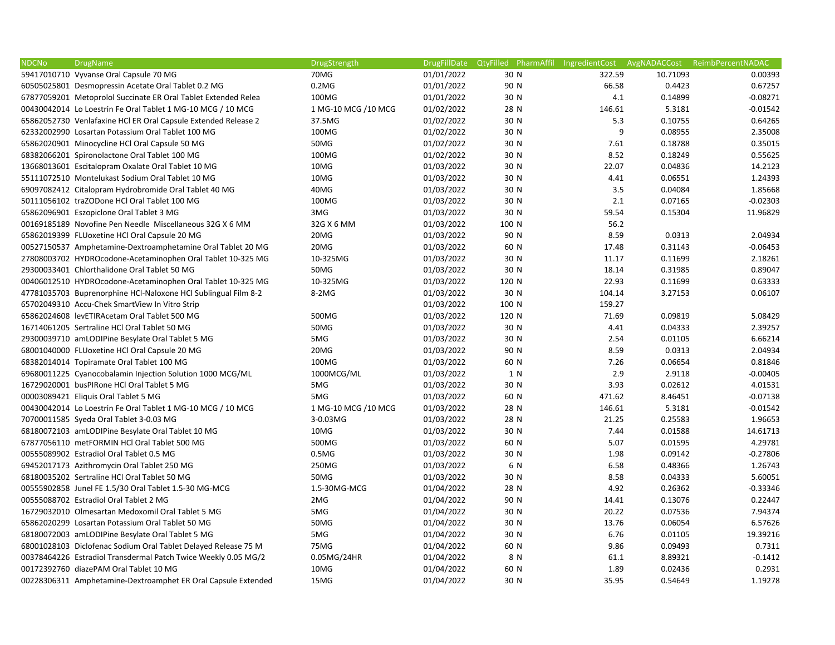| <b>NDCNo</b> | <b>DrugName</b>                                                | DrugStrength         | <b>DrugFillDate</b> | QtyFilled PharmAffil IngredientCost AvgNADACCost ReimbPercentNADAC |        |          |            |
|--------------|----------------------------------------------------------------|----------------------|---------------------|--------------------------------------------------------------------|--------|----------|------------|
|              | 59417010710 Vyvanse Oral Capsule 70 MG                         | 70MG                 | 01/01/2022          | 30 N                                                               | 322.59 | 10.71093 | 0.00393    |
|              | 60505025801 Desmopressin Acetate Oral Tablet 0.2 MG            | $0.2M$ G             | 01/01/2022          | 90 N                                                               | 66.58  | 0.4423   | 0.67257    |
|              | 67877059201 Metoprolol Succinate ER Oral Tablet Extended Relea | 100MG                | 01/01/2022          | 30 N                                                               | 4.1    | 0.14899  | $-0.08271$ |
|              | 00430042014 Lo Loestrin Fe Oral Tablet 1 MG-10 MCG / 10 MCG    | 1 MG-10 MCG / 10 MCG | 01/02/2022          | 28 N                                                               | 146.61 | 5.3181   | $-0.01542$ |
|              | 65862052730 Venlafaxine HCI ER Oral Capsule Extended Release 2 | 37.5MG               | 01/02/2022          | 30 N                                                               | 5.3    | 0.10755  | 0.64265    |
|              | 62332002990 Losartan Potassium Oral Tablet 100 MG              | 100MG                | 01/02/2022          | 30 N                                                               | 9      | 0.08955  | 2.35008    |
|              | 65862020901 Minocycline HCl Oral Capsule 50 MG                 | 50MG                 | 01/02/2022          | 30 N                                                               | 7.61   | 0.18788  | 0.35015    |
|              | 68382066201 Spironolactone Oral Tablet 100 MG                  | 100MG                | 01/02/2022          | 30 N                                                               | 8.52   | 0.18249  | 0.55625    |
|              | 13668013601 Escitalopram Oxalate Oral Tablet 10 MG             | 10MG                 | 01/03/2022          | 30 N                                                               | 22.07  | 0.04836  | 14.2123    |
|              | 55111072510 Montelukast Sodium Oral Tablet 10 MG               | 10MG                 | 01/03/2022          | 30 N                                                               | 4.41   | 0.06551  | 1.24393    |
|              | 69097082412 Citalopram Hydrobromide Oral Tablet 40 MG          | 40MG                 | 01/03/2022          | 30 N                                                               | 3.5    | 0.04084  | 1.85668    |
|              | 50111056102 traZODone HCl Oral Tablet 100 MG                   | 100MG                | 01/03/2022          | 30 N                                                               | 2.1    | 0.07165  | $-0.02303$ |
|              | 65862096901 Eszopiclone Oral Tablet 3 MG                       | 3MG                  | 01/03/2022          | 30 N                                                               | 59.54  | 0.15304  | 11.96829   |
|              | 00169185189 Novofine Pen Needle Miscellaneous 32G X 6 MM       | 32G X 6 MM           | 01/03/2022          | 100 N                                                              | 56.2   |          |            |
|              | 65862019399 FLUoxetine HCl Oral Capsule 20 MG                  | 20MG                 | 01/03/2022          | 90 N                                                               | 8.59   | 0.0313   | 2.04934    |
|              | 00527150537 Amphetamine-Dextroamphetamine Oral Tablet 20 MG    | 20MG                 | 01/03/2022          | 60 N                                                               | 17.48  | 0.31143  | $-0.06453$ |
|              | 27808003702 HYDROcodone-Acetaminophen Oral Tablet 10-325 MG    | 10-325MG             | 01/03/2022          | 30 N                                                               | 11.17  | 0.11699  | 2.18261    |
|              | 29300033401 Chlorthalidone Oral Tablet 50 MG                   | 50MG                 | 01/03/2022          | 30 N                                                               | 18.14  | 0.31985  | 0.89047    |
|              | 00406012510 HYDROcodone-Acetaminophen Oral Tablet 10-325 MG    | 10-325MG             | 01/03/2022          | 120 N                                                              | 22.93  | 0.11699  | 0.63333    |
|              | 47781035703 Buprenorphine HCl-Naloxone HCl Sublingual Film 8-2 | 8-2MG                | 01/03/2022          | 30 N                                                               | 104.14 | 3.27153  | 0.06107    |
|              | 65702049310 Accu-Chek SmartView In Vitro Strip                 |                      | 01/03/2022          | 100 N                                                              | 159.27 |          |            |
|              | 65862024608 levETIRAcetam Oral Tablet 500 MG                   | 500MG                | 01/03/2022          | 120 N                                                              | 71.69  | 0.09819  | 5.08429    |
|              | 16714061205 Sertraline HCl Oral Tablet 50 MG                   | 50MG                 | 01/03/2022          | 30 N                                                               | 4.41   | 0.04333  | 2.39257    |
|              | 29300039710 amLODIPine Besylate Oral Tablet 5 MG               | 5MG                  | 01/03/2022          | 30 N                                                               | 2.54   | 0.01105  | 6.66214    |
|              | 68001040000 FLUoxetine HCl Oral Capsule 20 MG                  | 20MG                 | 01/03/2022          | 90 N                                                               | 8.59   | 0.0313   | 2.04934    |
|              | 68382014014 Topiramate Oral Tablet 100 MG                      | 100MG                | 01/03/2022          | 60 N                                                               | 7.26   | 0.06654  | 0.81846    |
|              | 69680011225 Cyanocobalamin Injection Solution 1000 MCG/ML      | 1000MCG/ML           | 01/03/2022          | 1 N                                                                | 2.9    | 2.9118   | $-0.00405$ |
|              | 16729020001 busPIRone HCl Oral Tablet 5 MG                     | 5MG                  | 01/03/2022          | 30 N                                                               | 3.93   | 0.02612  | 4.01531    |
|              | 00003089421 Eliquis Oral Tablet 5 MG                           | 5MG                  | 01/03/2022          | 60 N                                                               | 471.62 | 8.46451  | $-0.07138$ |
|              | 00430042014 Lo Loestrin Fe Oral Tablet 1 MG-10 MCG / 10 MCG    | 1 MG-10 MCG / 10 MCG | 01/03/2022          | 28 N                                                               | 146.61 | 5.3181   | $-0.01542$ |
|              | 70700011585 Syeda Oral Tablet 3-0.03 MG                        | 3-0.03MG             | 01/03/2022          | 28 N                                                               | 21.25  | 0.25583  | 1.96653    |
|              | 68180072103 amLODIPine Besylate Oral Tablet 10 MG              | 10MG                 | 01/03/2022          | 30 N                                                               | 7.44   | 0.01588  | 14.61713   |
|              | 67877056110 metFORMIN HCl Oral Tablet 500 MG                   | 500MG                | 01/03/2022          | 60 N                                                               | 5.07   | 0.01595  | 4.29781    |
|              | 00555089902 Estradiol Oral Tablet 0.5 MG                       | 0.5M <sub>G</sub>    | 01/03/2022          | 30 N                                                               | 1.98   | 0.09142  | $-0.27806$ |
|              | 69452017173 Azithromycin Oral Tablet 250 MG                    | 250MG                | 01/03/2022          | 6 N                                                                | 6.58   | 0.48366  | 1.26743    |
|              | 68180035202 Sertraline HCl Oral Tablet 50 MG                   | 50MG                 | 01/03/2022          | 30 N                                                               | 8.58   | 0.04333  | 5.60051    |
|              | 00555902858 Junel FE 1.5/30 Oral Tablet 1.5-30 MG-MCG          | 1.5-30MG-MCG         | 01/04/2022          | 28 N                                                               | 4.92   | 0.26362  | $-0.33346$ |
|              | 00555088702 Estradiol Oral Tablet 2 MG                         | 2MG                  | 01/04/2022          | 90 N                                                               | 14.41  | 0.13076  | 0.22447    |
|              | 16729032010 Olmesartan Medoxomil Oral Tablet 5 MG              | 5MG                  | 01/04/2022          | 30 N                                                               | 20.22  | 0.07536  | 7.94374    |
|              | 65862020299 Losartan Potassium Oral Tablet 50 MG               | 50MG                 | 01/04/2022          | 30 N                                                               | 13.76  | 0.06054  | 6.57626    |
|              | 68180072003 amLODIPine Besylate Oral Tablet 5 MG               | 5MG                  | 01/04/2022          | 30 N                                                               | 6.76   | 0.01105  | 19.39216   |
|              | 68001028103 Diclofenac Sodium Oral Tablet Delayed Release 75 M | 75MG                 | 01/04/2022          | 60 N                                                               | 9.86   | 0.09493  | 0.7311     |
|              | 00378464226 Estradiol Transdermal Patch Twice Weekly 0.05 MG/2 | 0.05MG/24HR          | 01/04/2022          | 8 N                                                                | 61.1   | 8.89321  | $-0.1412$  |
|              | 00172392760 diazePAM Oral Tablet 10 MG                         | 10MG                 | 01/04/2022          | 60 N                                                               | 1.89   | 0.02436  | 0.2931     |
|              |                                                                |                      |                     |                                                                    |        |          |            |
|              | 00228306311 Amphetamine-Dextroamphet ER Oral Capsule Extended  | 15MG                 | 01/04/2022          | 30 N                                                               | 35.95  | 0.54649  | 1.19278    |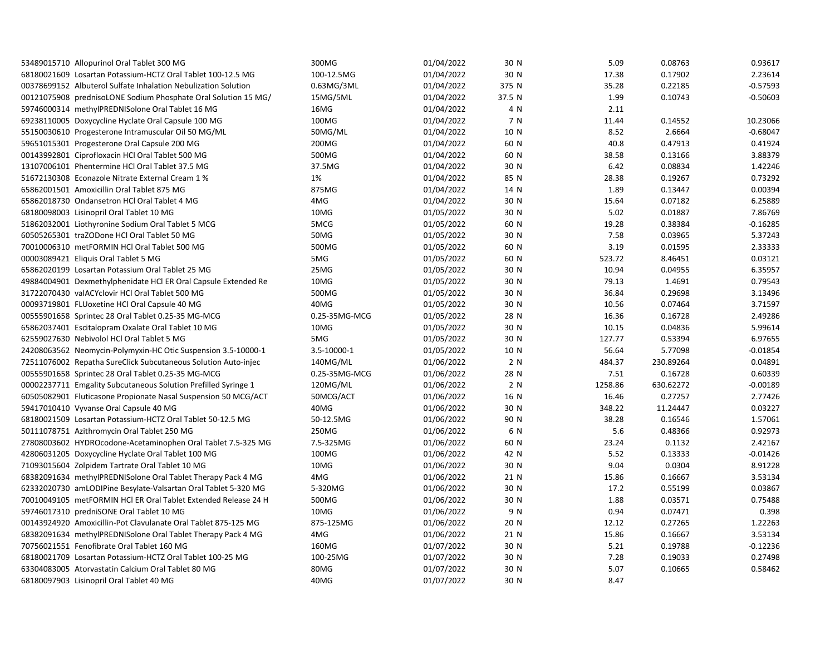| 53489015710 Allopurinol Oral Tablet 300 MG                     | 300MG         | 01/04/2022 | 30 N   | 5.09    | 0.08763   | 0.93617    |
|----------------------------------------------------------------|---------------|------------|--------|---------|-----------|------------|
| 68180021609 Losartan Potassium-HCTZ Oral Tablet 100-12.5 MG    | 100-12.5MG    | 01/04/2022 | 30 N   | 17.38   | 0.17902   | 2.23614    |
| 00378699152 Albuterol Sulfate Inhalation Nebulization Solution | 0.63MG/3ML    | 01/04/2022 | 375 N  | 35.28   | 0.22185   | $-0.57593$ |
| 00121075908 prednisoLONE Sodium Phosphate Oral Solution 15 MG/ | 15MG/5ML      | 01/04/2022 | 37.5 N | 1.99    | 0.10743   | $-0.50603$ |
| 59746000314 methylPREDNISolone Oral Tablet 16 MG               | 16MG          | 01/04/2022 | 4 N    | 2.11    |           |            |
| 69238110005 Doxycycline Hyclate Oral Capsule 100 MG            | 100MG         | 01/04/2022 | 7 N    | 11.44   | 0.14552   | 10.23066   |
| 55150030610 Progesterone Intramuscular Oil 50 MG/ML            | 50MG/ML       | 01/04/2022 | 10 N   | 8.52    | 2.6664    | $-0.68047$ |
| 59651015301 Progesterone Oral Capsule 200 MG                   | 200MG         | 01/04/2022 | 60 N   | 40.8    | 0.47913   | 0.41924    |
| 00143992801 Ciprofloxacin HCl Oral Tablet 500 MG               | 500MG         | 01/04/2022 | 60 N   | 38.58   | 0.13166   | 3.88379    |
| 13107006101 Phentermine HCl Oral Tablet 37.5 MG                | 37.5MG        | 01/04/2022 | 30 N   | 6.42    | 0.08834   | 1.42246    |
| 51672130308 Econazole Nitrate External Cream 1 %               | 1%            | 01/04/2022 | 85 N   | 28.38   | 0.19267   | 0.73292    |
| 65862001501 Amoxicillin Oral Tablet 875 MG                     | 875MG         | 01/04/2022 | 14 N   | 1.89    | 0.13447   | 0.00394    |
| 65862018730 Ondansetron HCl Oral Tablet 4 MG                   | 4MG           | 01/04/2022 | 30 N   | 15.64   | 0.07182   | 6.25889    |
| 68180098003 Lisinopril Oral Tablet 10 MG                       | 10MG          | 01/05/2022 | 30 N   | 5.02    | 0.01887   | 7.86769    |
| 51862032001 Liothyronine Sodium Oral Tablet 5 MCG              | 5MCG          | 01/05/2022 | 60 N   | 19.28   | 0.38384   | $-0.16285$ |
| 60505265301 traZODone HCl Oral Tablet 50 MG                    | 50MG          | 01/05/2022 | 30 N   | 7.58    | 0.03965   | 5.37243    |
| 70010006310 metFORMIN HCl Oral Tablet 500 MG                   | 500MG         | 01/05/2022 | 60 N   | 3.19    | 0.01595   | 2.33333    |
| 00003089421 Eliquis Oral Tablet 5 MG                           | 5MG           | 01/05/2022 | 60 N   | 523.72  | 8.46451   | 0.03121    |
| 65862020199 Losartan Potassium Oral Tablet 25 MG               | 25MG          | 01/05/2022 | 30 N   | 10.94   | 0.04955   | 6.35957    |
| 49884004901 Dexmethylphenidate HCl ER Oral Capsule Extended Re | 10MG          | 01/05/2022 | 30 N   | 79.13   | 1.4691    | 0.79543    |
| 31722070430 valACYclovir HCl Oral Tablet 500 MG                | 500MG         | 01/05/2022 | 30 N   | 36.84   | 0.29698   | 3.13496    |
| 00093719801 FLUoxetine HCl Oral Capsule 40 MG                  | 40MG          | 01/05/2022 | 30 N   | 10.56   | 0.07464   | 3.71597    |
| 00555901658 Sprintec 28 Oral Tablet 0.25-35 MG-MCG             | 0.25-35MG-MCG | 01/05/2022 | 28 N   | 16.36   | 0.16728   | 2.49286    |
| 65862037401 Escitalopram Oxalate Oral Tablet 10 MG             | 10MG          | 01/05/2022 | 30 N   | 10.15   | 0.04836   | 5.99614    |
| 62559027630 Nebivolol HCl Oral Tablet 5 MG                     | 5MG           | 01/05/2022 | 30 N   | 127.77  | 0.53394   | 6.97655    |
| 24208063562 Neomycin-Polymyxin-HC Otic Suspension 3.5-10000-1  | 3.5-10000-1   | 01/05/2022 | 10 N   | 56.64   | 5.77098   | $-0.01854$ |
| 72511076002 Repatha SureClick Subcutaneous Solution Auto-injec | 140MG/ML      | 01/06/2022 | 2 N    | 484.37  | 230.89264 | 0.04891    |
| 00555901658 Sprintec 28 Oral Tablet 0.25-35 MG-MCG             | 0.25-35MG-MCG | 01/06/2022 | 28 N   | 7.51    | 0.16728   | 0.60339    |
| 00002237711 Emgality Subcutaneous Solution Prefilled Syringe 1 | 120MG/ML      | 01/06/2022 | 2 N    | 1258.86 | 630.62272 | $-0.00189$ |
| 60505082901 Fluticasone Propionate Nasal Suspension 50 MCG/ACT | 50MCG/ACT     | 01/06/2022 | 16 N   | 16.46   | 0.27257   | 2.77426    |
| 59417010410 Vyvanse Oral Capsule 40 MG                         | 40MG          | 01/06/2022 | 30 N   | 348.22  | 11.24447  | 0.03227    |
| 68180021509 Losartan Potassium-HCTZ Oral Tablet 50-12.5 MG     | 50-12.5MG     | 01/06/2022 | 90 N   | 38.28   | 0.16546   | 1.57061    |
| 50111078751 Azithromycin Oral Tablet 250 MG                    | 250MG         | 01/06/2022 | 6 N    | 5.6     | 0.48366   | 0.92973    |
| 27808003602 HYDROcodone-Acetaminophen Oral Tablet 7.5-325 MG   | 7.5-325MG     | 01/06/2022 | 60 N   | 23.24   | 0.1132    | 2.42167    |
| 42806031205 Doxycycline Hyclate Oral Tablet 100 MG             | 100MG         | 01/06/2022 | 42 N   | 5.52    | 0.13333   | $-0.01426$ |
| 71093015604 Zolpidem Tartrate Oral Tablet 10 MG                | 10MG          | 01/06/2022 | 30 N   | 9.04    | 0.0304    | 8.91228    |
| 68382091634 methylPREDNISolone Oral Tablet Therapy Pack 4 MG   | 4MG           | 01/06/2022 | 21 N   | 15.86   | 0.16667   | 3.53134    |
| 62332020730 amLODIPine Besylate-Valsartan Oral Tablet 5-320 MG | 5-320MG       | 01/06/2022 | 30 N   | 17.2    | 0.55199   | 0.03867    |
| 70010049105 metFORMIN HCl ER Oral Tablet Extended Release 24 H | 500MG         | 01/06/2022 | 30 N   | 1.88    | 0.03571   | 0.75488    |
| 59746017310 predniSONE Oral Tablet 10 MG                       | 10MG          | 01/06/2022 | 9 N    | 0.94    | 0.07471   | 0.398      |
| 00143924920 Amoxicillin-Pot Clavulanate Oral Tablet 875-125 MG | 875-125MG     | 01/06/2022 | 20 N   | 12.12   | 0.27265   | 1.22263    |
| 68382091634 methylPREDNISolone Oral Tablet Therapy Pack 4 MG   | 4MG           | 01/06/2022 | 21 N   | 15.86   | 0.16667   | 3.53134    |
| 70756021551 Fenofibrate Oral Tablet 160 MG                     | 160MG         | 01/07/2022 | 30 N   | 5.21    | 0.19788   | $-0.12236$ |
| 68180021709 Losartan Potassium-HCTZ Oral Tablet 100-25 MG      | 100-25MG      | 01/07/2022 | 30 N   | 7.28    | 0.19033   | 0.27498    |
| 63304083005 Atorvastatin Calcium Oral Tablet 80 MG             | 80MG          | 01/07/2022 | 30 N   | 5.07    | 0.10665   | 0.58462    |
| 68180097903 Lisinopril Oral Tablet 40 MG                       | 40MG          | 01/07/2022 | 30 N   | 8.47    |           |            |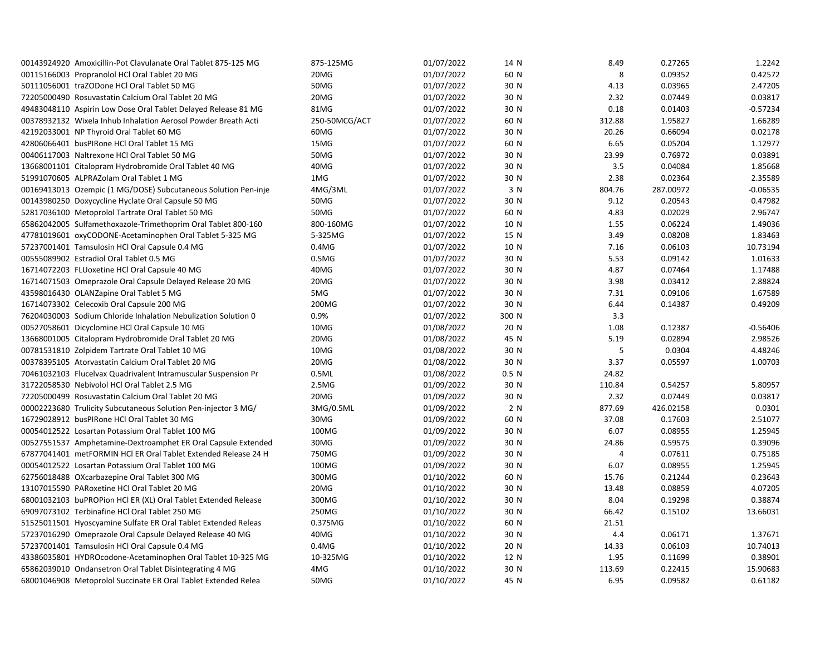| 00143924920 Amoxicillin-Pot Clavulanate Oral Tablet 875-125 MG | 875-125MG         | 01/07/2022 | 14 N  | 8.49   | 0.27265   | 1.2242     |
|----------------------------------------------------------------|-------------------|------------|-------|--------|-----------|------------|
| 00115166003 Propranolol HCl Oral Tablet 20 MG                  | 20MG              | 01/07/2022 | 60 N  | 8      | 0.09352   | 0.42572    |
| 50111056001 traZODone HCl Oral Tablet 50 MG                    | 50MG              | 01/07/2022 | 30 N  | 4.13   | 0.03965   | 2.47205    |
| 72205000490 Rosuvastatin Calcium Oral Tablet 20 MG             | 20MG              | 01/07/2022 | 30 N  | 2.32   | 0.07449   | 0.03817    |
| 49483048110 Aspirin Low Dose Oral Tablet Delayed Release 81 MG | 81MG              | 01/07/2022 | 30 N  | 0.18   | 0.01403   | $-0.57234$ |
| 00378932132 Wixela Inhub Inhalation Aerosol Powder Breath Acti | 250-50MCG/ACT     | 01/07/2022 | 60 N  | 312.88 | 1.95827   | 1.66289    |
| 42192033001 NP Thyroid Oral Tablet 60 MG                       | 60MG              | 01/07/2022 | 30 N  | 20.26  | 0.66094   | 0.02178    |
| 42806066401 busPIRone HCl Oral Tablet 15 MG                    | 15MG              | 01/07/2022 | 60 N  | 6.65   | 0.05204   | 1.12977    |
| 00406117003 Naltrexone HCl Oral Tablet 50 MG                   | 50MG              | 01/07/2022 | 30 N  | 23.99  | 0.76972   | 0.03891    |
| 13668001101 Citalopram Hydrobromide Oral Tablet 40 MG          | 40MG              | 01/07/2022 | 30 N  | 3.5    | 0.04084   | 1.85668    |
| 51991070605 ALPRAZolam Oral Tablet 1 MG                        | 1MG               | 01/07/2022 | 30 N  | 2.38   | 0.02364   | 2.35589    |
| 00169413013 Ozempic (1 MG/DOSE) Subcutaneous Solution Pen-inje | 4MG/3ML           | 01/07/2022 | 3 N   | 804.76 | 287.00972 | $-0.06535$ |
| 00143980250 Doxycycline Hyclate Oral Capsule 50 MG             | 50MG              | 01/07/2022 | 30 N  | 9.12   | 0.20543   | 0.47982    |
| 52817036100 Metoprolol Tartrate Oral Tablet 50 MG              | 50MG              | 01/07/2022 | 60 N  | 4.83   | 0.02029   | 2.96747    |
| 65862042005 Sulfamethoxazole-Trimethoprim Oral Tablet 800-160  | 800-160MG         | 01/07/2022 | 10 N  | 1.55   | 0.06224   | 1.49036    |
| 47781019601 oxyCODONE-Acetaminophen Oral Tablet 5-325 MG       | 5-325MG           | 01/07/2022 | 15 N  | 3.49   | 0.08208   | 1.83463    |
| 57237001401 Tamsulosin HCl Oral Capsule 0.4 MG                 | $0.4M$ G          | 01/07/2022 | 10 N  | 7.16   | 0.06103   | 10.73194   |
| 00555089902 Estradiol Oral Tablet 0.5 MG                       | 0.5M <sub>G</sub> | 01/07/2022 | 30 N  | 5.53   | 0.09142   | 1.01633    |
| 16714072203 FLUoxetine HCl Oral Capsule 40 MG                  | 40MG              | 01/07/2022 | 30 N  | 4.87   | 0.07464   | 1.17488    |
| 16714071503 Omeprazole Oral Capsule Delayed Release 20 MG      | 20MG              | 01/07/2022 | 30 N  | 3.98   | 0.03412   | 2.88824    |
| 43598016430 OLANZapine Oral Tablet 5 MG                        | 5MG               | 01/07/2022 | 30 N  | 7.31   | 0.09106   | 1.67589    |
| 16714073302 Celecoxib Oral Capsule 200 MG                      | 200MG             | 01/07/2022 | 30 N  | 6.44   | 0.14387   | 0.49209    |
| 76204030003 Sodium Chloride Inhalation Nebulization Solution 0 | 0.9%              | 01/07/2022 | 300 N | 3.3    |           |            |
| 00527058601 Dicyclomine HCl Oral Capsule 10 MG                 | 10MG              | 01/08/2022 | 20 N  | 1.08   | 0.12387   | $-0.56406$ |
| 13668001005 Citalopram Hydrobromide Oral Tablet 20 MG          | 20MG              | 01/08/2022 | 45 N  | 5.19   | 0.02894   | 2.98526    |
| 00781531810 Zolpidem Tartrate Oral Tablet 10 MG                | 10MG              | 01/08/2022 | 30 N  | 5      | 0.0304    | 4.48246    |
| 00378395105 Atorvastatin Calcium Oral Tablet 20 MG             | 20MG              | 01/08/2022 | 30 N  | 3.37   | 0.05597   | 1.00703    |
| 70461032103 Flucelvax Quadrivalent Intramuscular Suspension Pr | 0.5ML             | 01/08/2022 | 0.5 N | 24.82  |           |            |
| 31722058530 Nebivolol HCl Oral Tablet 2.5 MG                   | 2.5M <sub>G</sub> | 01/09/2022 | 30 N  | 110.84 | 0.54257   | 5.80957    |
| 72205000499 Rosuvastatin Calcium Oral Tablet 20 MG             | 20MG              | 01/09/2022 | 30 N  | 2.32   | 0.07449   | 0.03817    |
| 00002223680 Trulicity Subcutaneous Solution Pen-injector 3 MG/ | 3MG/0.5ML         | 01/09/2022 | 2 N   | 877.69 | 426.02158 | 0.0301     |
| 16729028912 busPIRone HCl Oral Tablet 30 MG                    | 30MG              | 01/09/2022 | 60 N  | 37.08  | 0.17603   | 2.51077    |
| 00054012522 Losartan Potassium Oral Tablet 100 MG              | 100MG             | 01/09/2022 | 30 N  | 6.07   | 0.08955   | 1.25945    |
| 00527551537 Amphetamine-Dextroamphet ER Oral Capsule Extended  | 30MG              | 01/09/2022 | 30 N  | 24.86  | 0.59575   | 0.39096    |
| 67877041401 metFORMIN HCl ER Oral Tablet Extended Release 24 H | 750MG             | 01/09/2022 | 30 N  | 4      | 0.07611   | 0.75185    |
| 00054012522 Losartan Potassium Oral Tablet 100 MG              | 100MG             | 01/09/2022 | 30 N  | 6.07   | 0.08955   | 1.25945    |
| 62756018488 OXcarbazepine Oral Tablet 300 MG                   | 300MG             | 01/10/2022 | 60 N  | 15.76  | 0.21244   | 0.23643    |
| 13107015590 PARoxetine HCl Oral Tablet 20 MG                   | 20MG              | 01/10/2022 | 30 N  | 13.48  | 0.08859   | 4.07205    |
| 68001032103 buPROPion HCI ER (XL) Oral Tablet Extended Release | 300MG             | 01/10/2022 | 30 N  | 8.04   | 0.19298   | 0.38874    |
| 69097073102 Terbinafine HCl Oral Tablet 250 MG                 | 250MG             | 01/10/2022 | 30 N  | 66.42  | 0.15102   | 13.66031   |
| 51525011501 Hyoscyamine Sulfate ER Oral Tablet Extended Releas | 0.375MG           | 01/10/2022 | 60 N  | 21.51  |           |            |
| 57237016290 Omeprazole Oral Capsule Delayed Release 40 MG      | 40MG              | 01/10/2022 | 30 N  | 4.4    | 0.06171   | 1.37671    |
| 57237001401 Tamsulosin HCl Oral Capsule 0.4 MG                 | $0.4M$ G          | 01/10/2022 | 20 N  | 14.33  | 0.06103   | 10.74013   |
| 43386035801 HYDROcodone-Acetaminophen Oral Tablet 10-325 MG    | 10-325MG          | 01/10/2022 | 12 N  | 1.95   | 0.11699   | 0.38901    |
| 65862039010 Ondansetron Oral Tablet Disintegrating 4 MG        | 4MG               | 01/10/2022 | 30 N  | 113.69 | 0.22415   | 15.90683   |
| 68001046908 Metoprolol Succinate ER Oral Tablet Extended Relea | 50MG              | 01/10/2022 | 45 N  | 6.95   | 0.09582   | 0.61182    |
|                                                                |                   |            |       |        |           |            |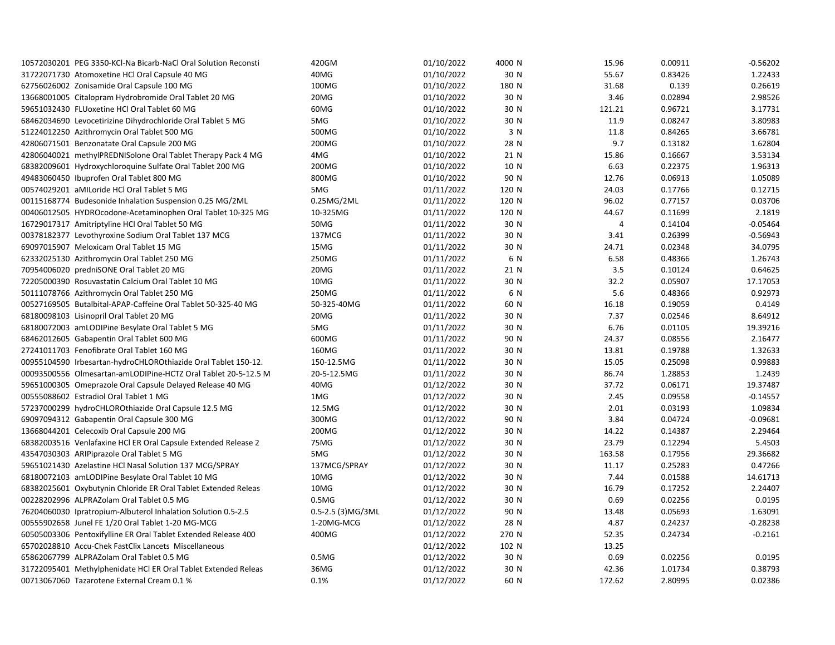| 10572030201 PEG 3350-KCl-Na Bicarb-NaCl Oral Solution Reconsti | 420GM              | 01/10/2022 | 4000 N | 15.96  | 0.00911 | $-0.56202$ |
|----------------------------------------------------------------|--------------------|------------|--------|--------|---------|------------|
| 31722071730 Atomoxetine HCl Oral Capsule 40 MG                 | 40MG               | 01/10/2022 | 30 N   | 55.67  | 0.83426 | 1.22433    |
| 62756026002 Zonisamide Oral Capsule 100 MG                     | 100MG              | 01/10/2022 | 180 N  | 31.68  | 0.139   | 0.26619    |
| 13668001005 Citalopram Hydrobromide Oral Tablet 20 MG          | 20MG               | 01/10/2022 | 30 N   | 3.46   | 0.02894 | 2.98526    |
| 59651032430 FLUoxetine HCl Oral Tablet 60 MG                   | 60MG               | 01/10/2022 | 30 N   | 121.21 | 0.96721 | 3.17731    |
| 68462034690 Levocetirizine Dihydrochloride Oral Tablet 5 MG    | 5MG                | 01/10/2022 | 30 N   | 11.9   | 0.08247 | 3.80983    |
| 51224012250 Azithromycin Oral Tablet 500 MG                    | 500MG              | 01/10/2022 | 3 N    | 11.8   | 0.84265 | 3.66781    |
| 42806071501 Benzonatate Oral Capsule 200 MG                    | 200MG              | 01/10/2022 | 28 N   | 9.7    | 0.13182 | 1.62804    |
| 42806040021 methylPREDNISolone Oral Tablet Therapy Pack 4 MG   | 4MG                | 01/10/2022 | 21 N   | 15.86  | 0.16667 | 3.53134    |
| 68382009601 Hydroxychloroquine Sulfate Oral Tablet 200 MG      | 200MG              | 01/10/2022 | 10 N   | 6.63   | 0.22375 | 1.96313    |
| 49483060450 Ibuprofen Oral Tablet 800 MG                       | 800MG              | 01/10/2022 | 90 N   | 12.76  | 0.06913 | 1.05089    |
| 00574029201 aMILoride HCl Oral Tablet 5 MG                     | 5MG                | 01/11/2022 | 120 N  | 24.03  | 0.17766 | 0.12715    |
| 00115168774 Budesonide Inhalation Suspension 0.25 MG/2ML       | 0.25MG/2ML         | 01/11/2022 | 120 N  | 96.02  | 0.77157 | 0.03706    |
| 00406012505 HYDROcodone-Acetaminophen Oral Tablet 10-325 MG    | 10-325MG           | 01/11/2022 | 120 N  | 44.67  | 0.11699 | 2.1819     |
| 16729017317 Amitriptyline HCl Oral Tablet 50 MG                | 50MG               | 01/11/2022 | 30 N   | 4      | 0.14104 | $-0.05464$ |
| 00378182377 Levothyroxine Sodium Oral Tablet 137 MCG           | 137MCG             | 01/11/2022 | 30 N   | 3.41   | 0.26399 | $-0.56943$ |
| 69097015907 Meloxicam Oral Tablet 15 MG                        | 15MG               | 01/11/2022 | 30 N   | 24.71  | 0.02348 | 34.0795    |
| 62332025130 Azithromycin Oral Tablet 250 MG                    | 250MG              | 01/11/2022 | 6 N    | 6.58   | 0.48366 | 1.26743    |
| 70954006020 predniSONE Oral Tablet 20 MG                       | 20MG               | 01/11/2022 | 21 N   | 3.5    | 0.10124 | 0.64625    |
| 72205000390 Rosuvastatin Calcium Oral Tablet 10 MG             | 10MG               | 01/11/2022 | 30 N   | 32.2   | 0.05907 | 17.17053   |
| 50111078766 Azithromycin Oral Tablet 250 MG                    | 250MG              | 01/11/2022 | 6 N    | 5.6    | 0.48366 | 0.92973    |
| 00527169505 Butalbital-APAP-Caffeine Oral Tablet 50-325-40 MG  | 50-325-40MG        | 01/11/2022 | 60 N   | 16.18  | 0.19059 | 0.4149     |
| 68180098103 Lisinopril Oral Tablet 20 MG                       | 20MG               | 01/11/2022 | 30 N   | 7.37   | 0.02546 | 8.64912    |
| 68180072003 amLODIPine Besylate Oral Tablet 5 MG               | 5MG                | 01/11/2022 | 30 N   | 6.76   | 0.01105 | 19.39216   |
| 68462012605 Gabapentin Oral Tablet 600 MG                      | 600MG              | 01/11/2022 | 90 N   | 24.37  | 0.08556 | 2.16477    |
| 27241011703 Fenofibrate Oral Tablet 160 MG                     | 160MG              | 01/11/2022 | 30 N   | 13.81  | 0.19788 | 1.32633    |
| 00955104590 Irbesartan-hydroCHLOROthiazide Oral Tablet 150-12. | 150-12.5MG         | 01/11/2022 | 30 N   | 15.05  | 0.25098 | 0.99883    |
| 00093500556 Olmesartan-amLODIPine-HCTZ Oral Tablet 20-5-12.5 M | 20-5-12.5MG        | 01/11/2022 | 30 N   | 86.74  | 1.28853 | 1.2439     |
| 59651000305 Omeprazole Oral Capsule Delayed Release 40 MG      | 40MG               | 01/12/2022 | 30 N   | 37.72  | 0.06171 | 19.37487   |
| 00555088602 Estradiol Oral Tablet 1 MG                         | 1MG                | 01/12/2022 | 30 N   | 2.45   | 0.09558 | $-0.14557$ |
| 57237000299 hydroCHLOROthiazide Oral Capsule 12.5 MG           | 12.5MG             | 01/12/2022 | 30 N   | 2.01   | 0.03193 | 1.09834    |
| 69097094312 Gabapentin Oral Capsule 300 MG                     | 300MG              | 01/12/2022 | 90 N   | 3.84   | 0.04724 | $-0.09681$ |
| 13668044201 Celecoxib Oral Capsule 200 MG                      | 200MG              | 01/12/2022 | 30 N   | 14.22  | 0.14387 | 2.29464    |
| 68382003516 Venlafaxine HCl ER Oral Capsule Extended Release 2 | 75MG               | 01/12/2022 | 30 N   | 23.79  | 0.12294 | 5.4503     |
| 43547030303 ARIPiprazole Oral Tablet 5 MG                      | 5MG                | 01/12/2022 | 30 N   | 163.58 | 0.17956 | 29.36682   |
| 59651021430 Azelastine HCl Nasal Solution 137 MCG/SPRAY        | 137MCG/SPRAY       | 01/12/2022 | 30 N   | 11.17  | 0.25283 | 0.47266    |
| 68180072103 amLODIPine Besylate Oral Tablet 10 MG              | 10MG               | 01/12/2022 | 30 N   | 7.44   | 0.01588 | 14.61713   |
| 68382025601 Oxybutynin Chloride ER Oral Tablet Extended Releas | 10MG               | 01/12/2022 | 30 N   | 16.79  | 0.17252 | 2.24407    |
| 00228202996 ALPRAZolam Oral Tablet 0.5 MG                      | 0.5M <sub>G</sub>  | 01/12/2022 | 30 N   | 0.69   | 0.02256 | 0.0195     |
| 76204060030 Ipratropium-Albuterol Inhalation Solution 0.5-2.5  | 0.5-2.5 (3) MG/3ML | 01/12/2022 | 90 N   | 13.48  | 0.05693 | 1.63091    |
| 00555902658 Junel FE 1/20 Oral Tablet 1-20 MG-MCG              | 1-20MG-MCG         | 01/12/2022 | 28 N   | 4.87   | 0.24237 | $-0.28238$ |
| 60505003306 Pentoxifylline ER Oral Tablet Extended Release 400 | 400MG              | 01/12/2022 | 270 N  | 52.35  | 0.24734 | $-0.2161$  |
| 65702028810 Accu-Chek FastClix Lancets Miscellaneous           |                    | 01/12/2022 | 102 N  | 13.25  |         |            |
| 65862067799 ALPRAZolam Oral Tablet 0.5 MG                      | 0.5M <sub>G</sub>  | 01/12/2022 | 30 N   | 0.69   | 0.02256 | 0.0195     |
| 31722095401 Methylphenidate HCl ER Oral Tablet Extended Releas | 36MG               | 01/12/2022 | 30 N   | 42.36  | 1.01734 | 0.38793    |
| 00713067060 Tazarotene External Cream 0.1 %                    | 0.1%               | 01/12/2022 | 60 N   | 172.62 | 2.80995 | 0.02386    |
|                                                                |                    |            |        |        |         |            |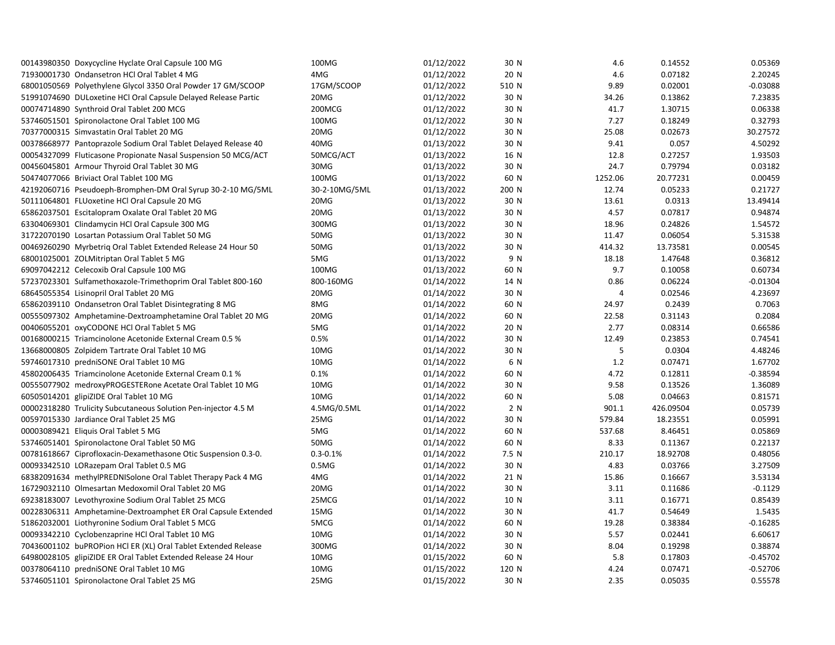| 00143980350 Doxycycline Hyclate Oral Capsule 100 MG            | 100MG             | 01/12/2022 | 30 N  | 4.6     | 0.14552   | 0.05369    |
|----------------------------------------------------------------|-------------------|------------|-------|---------|-----------|------------|
| 71930001730 Ondansetron HCl Oral Tablet 4 MG                   | 4MG               | 01/12/2022 | 20 N  | 4.6     | 0.07182   | 2.20245    |
| 68001050569 Polyethylene Glycol 3350 Oral Powder 17 GM/SCOOP   | 17GM/SCOOP        | 01/12/2022 | 510 N | 9.89    | 0.02001   | $-0.03088$ |
| 51991074690 DULoxetine HCl Oral Capsule Delayed Release Partic | 20MG              | 01/12/2022 | 30 N  | 34.26   | 0.13862   | 7.23835    |
| 00074714890 Synthroid Oral Tablet 200 MCG                      | 200MCG            | 01/12/2022 | 30 N  | 41.7    | 1.30715   | 0.06338    |
| 53746051501 Spironolactone Oral Tablet 100 MG                  | 100MG             | 01/12/2022 | 30 N  | 7.27    | 0.18249   | 0.32793    |
| 70377000315 Simvastatin Oral Tablet 20 MG                      | 20MG              | 01/12/2022 | 30 N  | 25.08   | 0.02673   | 30.27572   |
| 00378668977 Pantoprazole Sodium Oral Tablet Delayed Release 40 | 40MG              | 01/13/2022 | 30 N  | 9.41    | 0.057     | 4.50292    |
| 00054327099 Fluticasone Propionate Nasal Suspension 50 MCG/ACT | 50MCG/ACT         | 01/13/2022 | 16 N  | 12.8    | 0.27257   | 1.93503    |
| 00456045801 Armour Thyroid Oral Tablet 30 MG                   | 30MG              | 01/13/2022 | 30 N  | 24.7    | 0.79794   | 0.03182    |
| 50474077066 Briviact Oral Tablet 100 MG                        | 100MG             | 01/13/2022 | 60 N  | 1252.06 | 20.77231  | 0.00459    |
| 42192060716 Pseudoeph-Bromphen-DM Oral Syrup 30-2-10 MG/5ML    | 30-2-10MG/5ML     | 01/13/2022 | 200 N | 12.74   | 0.05233   | 0.21727    |
| 50111064801 FLUoxetine HCl Oral Capsule 20 MG                  | 20MG              | 01/13/2022 | 30 N  | 13.61   | 0.0313    | 13.49414   |
| 65862037501 Escitalopram Oxalate Oral Tablet 20 MG             | 20MG              | 01/13/2022 | 30 N  | 4.57    | 0.07817   | 0.94874    |
| 63304069301 Clindamycin HCl Oral Capsule 300 MG                | 300MG             | 01/13/2022 | 30 N  | 18.96   | 0.24826   | 1.54572    |
| 31722070190 Losartan Potassium Oral Tablet 50 MG               | 50MG              | 01/13/2022 | 30 N  | 11.47   | 0.06054   | 5.31538    |
| 00469260290 Myrbetrig Oral Tablet Extended Release 24 Hour 50  | 50MG              | 01/13/2022 | 30 N  | 414.32  | 13.73581  | 0.00545    |
| 68001025001 ZOLMitriptan Oral Tablet 5 MG                      | 5MG               | 01/13/2022 | 9 N   | 18.18   | 1.47648   | 0.36812    |
| 69097042212 Celecoxib Oral Capsule 100 MG                      | 100MG             | 01/13/2022 | 60 N  | 9.7     | 0.10058   | 0.60734    |
| 57237023301 Sulfamethoxazole-Trimethoprim Oral Tablet 800-160  | 800-160MG         | 01/14/2022 | 14 N  | 0.86    | 0.06224   | $-0.01304$ |
| 68645055354 Lisinopril Oral Tablet 20 MG                       | 20MG              | 01/14/2022 | 30 N  | 4       | 0.02546   | 4.23697    |
| 65862039110 Ondansetron Oral Tablet Disintegrating 8 MG        | 8MG               | 01/14/2022 | 60 N  | 24.97   | 0.2439    | 0.7063     |
| 00555097302 Amphetamine-Dextroamphetamine Oral Tablet 20 MG    | 20MG              | 01/14/2022 | 60 N  | 22.58   | 0.31143   | 0.2084     |
| 00406055201 oxyCODONE HCl Oral Tablet 5 MG                     | 5MG               | 01/14/2022 | 20 N  | 2.77    | 0.08314   | 0.66586    |
| 00168000215 Triamcinolone Acetonide External Cream 0.5 %       | 0.5%              | 01/14/2022 | 30 N  | 12.49   | 0.23853   | 0.74541    |
| 13668000805 Zolpidem Tartrate Oral Tablet 10 MG                | 10MG              | 01/14/2022 | 30 N  | 5       | 0.0304    | 4.48246    |
| 59746017310 predniSONE Oral Tablet 10 MG                       | 10MG              | 01/14/2022 | 6 N   | 1.2     | 0.07471   | 1.67702    |
| 45802006435 Triamcinolone Acetonide External Cream 0.1 %       | 0.1%              | 01/14/2022 | 60 N  | 4.72    | 0.12811   | $-0.38594$ |
| 00555077902 medroxyPROGESTERone Acetate Oral Tablet 10 MG      | 10MG              | 01/14/2022 | 30 N  | 9.58    | 0.13526   | 1.36089    |
| 60505014201 glipiZIDE Oral Tablet 10 MG                        | 10MG              | 01/14/2022 | 60 N  | 5.08    | 0.04663   | 0.81571    |
| 00002318280 Trulicity Subcutaneous Solution Pen-injector 4.5 M | 4.5MG/0.5ML       | 01/14/2022 | 2 N   | 901.1   | 426.09504 | 0.05739    |
| 00597015330 Jardiance Oral Tablet 25 MG                        | 25MG              | 01/14/2022 | 30 N  | 579.84  | 18.23551  | 0.05991    |
| 00003089421 Eliquis Oral Tablet 5 MG                           | 5MG               | 01/14/2022 | 60 N  | 537.68  | 8.46451   | 0.05869    |
| 53746051401 Spironolactone Oral Tablet 50 MG                   | 50MG              | 01/14/2022 | 60 N  | 8.33    | 0.11367   | 0.22137    |
| 00781618667 Ciprofloxacin-Dexamethasone Otic Suspension 0.3-0. | $0.3 - 0.1%$      | 01/14/2022 | 7.5 N | 210.17  | 18.92708  | 0.48056    |
| 00093342510 LORazepam Oral Tablet 0.5 MG                       | 0.5M <sub>G</sub> | 01/14/2022 | 30 N  | 4.83    | 0.03766   | 3.27509    |
| 68382091634 methylPREDNISolone Oral Tablet Therapy Pack 4 MG   | 4MG               | 01/14/2022 | 21 N  | 15.86   | 0.16667   | 3.53134    |
| 16729032110 Olmesartan Medoxomil Oral Tablet 20 MG             | 20MG              | 01/14/2022 | 30 N  | 3.11    | 0.11686   | $-0.1129$  |
| 69238183007 Levothyroxine Sodium Oral Tablet 25 MCG            | 25MCG             | 01/14/2022 | 10 N  | 3.11    | 0.16771   | 0.85439    |
| 00228306311 Amphetamine-Dextroamphet ER Oral Capsule Extended  | 15MG              | 01/14/2022 | 30 N  | 41.7    | 0.54649   | 1.5435     |
| 51862032001 Liothyronine Sodium Oral Tablet 5 MCG              | 5MCG              | 01/14/2022 | 60 N  | 19.28   | 0.38384   | $-0.16285$ |
| 00093342210 Cyclobenzaprine HCl Oral Tablet 10 MG              | 10MG              | 01/14/2022 | 30 N  | 5.57    | 0.02441   | 6.60617    |
| 70436001102 buPROPion HCl ER (XL) Oral Tablet Extended Release | 300MG             | 01/14/2022 | 30 N  | 8.04    | 0.19298   | 0.38874    |
| 64980028105 glipiZIDE ER Oral Tablet Extended Release 24 Hour  | 10MG              | 01/15/2022 | 60 N  | 5.8     | 0.17803   | $-0.45702$ |
| 00378064110 predniSONE Oral Tablet 10 MG                       | 10MG              | 01/15/2022 | 120 N | 4.24    | 0.07471   | $-0.52706$ |
| 53746051101 Spironolactone Oral Tablet 25 MG                   | 25MG              | 01/15/2022 | 30 N  | 2.35    | 0.05035   | 0.55578    |
|                                                                |                   |            |       |         |           |            |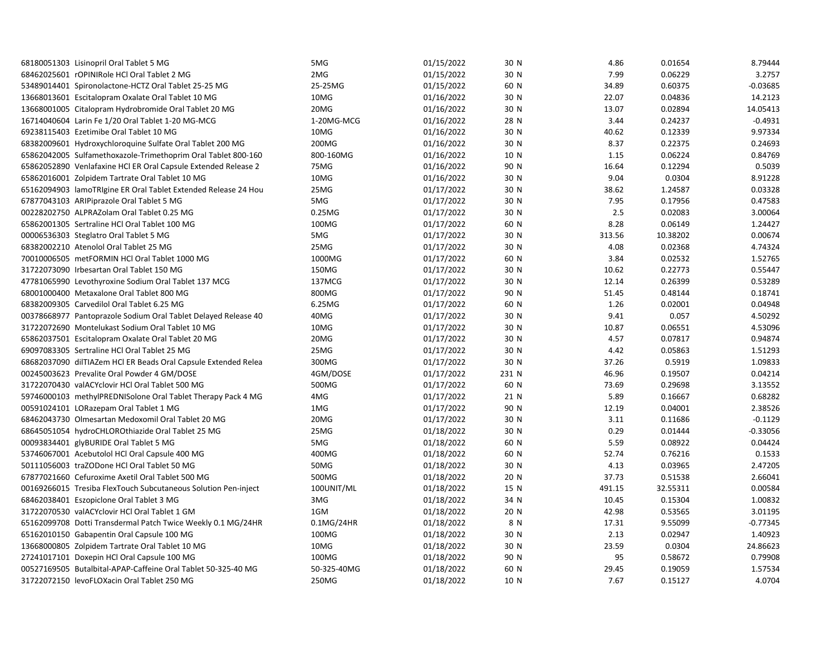| 68180051303 Lisinopril Oral Tablet 5 MG                        | 5MG         | 01/15/2022 | 30 N  | 4.86   | 0.01654  | 8.79444    |
|----------------------------------------------------------------|-------------|------------|-------|--------|----------|------------|
| 68462025601 rOPINIRole HCl Oral Tablet 2 MG                    | 2MG         | 01/15/2022 | 30 N  | 7.99   | 0.06229  | 3.2757     |
| 53489014401 Spironolactone-HCTZ Oral Tablet 25-25 MG           | 25-25MG     | 01/15/2022 | 60 N  | 34.89  | 0.60375  | $-0.03685$ |
| 13668013601 Escitalopram Oxalate Oral Tablet 10 MG             | 10MG        | 01/16/2022 | 30 N  | 22.07  | 0.04836  | 14.2123    |
| 13668001005 Citalopram Hydrobromide Oral Tablet 20 MG          | 20MG        | 01/16/2022 | 30 N  | 13.07  | 0.02894  | 14.05413   |
| 16714040604 Larin Fe 1/20 Oral Tablet 1-20 MG-MCG              | 1-20MG-MCG  | 01/16/2022 | 28 N  | 3.44   | 0.24237  | $-0.4931$  |
| 69238115403 Ezetimibe Oral Tablet 10 MG                        | 10MG        | 01/16/2022 | 30 N  | 40.62  | 0.12339  | 9.97334    |
| 68382009601 Hydroxychloroquine Sulfate Oral Tablet 200 MG      | 200MG       | 01/16/2022 | 30 N  | 8.37   | 0.22375  | 0.24693    |
| 65862042005 Sulfamethoxazole-Trimethoprim Oral Tablet 800-160  | 800-160MG   | 01/16/2022 | 10 N  | 1.15   | 0.06224  | 0.84769    |
| 65862052890 Venlafaxine HCI ER Oral Capsule Extended Release 2 | 75MG        | 01/16/2022 | 90 N  | 16.64  | 0.12294  | 0.5039     |
| 65862016001 Zolpidem Tartrate Oral Tablet 10 MG                | 10MG        | 01/16/2022 | 30 N  | 9.04   | 0.0304   | 8.91228    |
| 65162094903 lamoTRIgine ER Oral Tablet Extended Release 24 Hou | 25MG        | 01/17/2022 | 30 N  | 38.62  | 1.24587  | 0.03328    |
| 67877043103 ARIPiprazole Oral Tablet 5 MG                      | 5MG         | 01/17/2022 | 30 N  | 7.95   | 0.17956  | 0.47583    |
| 00228202750 ALPRAZolam Oral Tablet 0.25 MG                     | 0.25MG      | 01/17/2022 | 30 N  | 2.5    | 0.02083  | 3.00064    |
| 65862001305 Sertraline HCl Oral Tablet 100 MG                  | 100MG       | 01/17/2022 | 60 N  | 8.28   | 0.06149  | 1.24427    |
| 00006536303 Steglatro Oral Tablet 5 MG                         | 5MG         | 01/17/2022 | 30 N  | 313.56 | 10.38202 | 0.00674    |
| 68382002210 Atenolol Oral Tablet 25 MG                         | 25MG        | 01/17/2022 | 30 N  | 4.08   | 0.02368  | 4.74324    |
| 70010006505 metFORMIN HCl Oral Tablet 1000 MG                  | 1000MG      | 01/17/2022 | 60 N  | 3.84   | 0.02532  | 1.52765    |
| 31722073090 Irbesartan Oral Tablet 150 MG                      | 150MG       | 01/17/2022 | 30 N  | 10.62  | 0.22773  | 0.55447    |
| 47781065990 Levothyroxine Sodium Oral Tablet 137 MCG           | 137MCG      | 01/17/2022 | 30 N  | 12.14  | 0.26399  | 0.53289    |
| 68001000400 Metaxalone Oral Tablet 800 MG                      | 800MG       | 01/17/2022 | 90 N  | 51.45  | 0.48144  | 0.18741    |
| 68382009305 Carvedilol Oral Tablet 6.25 MG                     | 6.25MG      | 01/17/2022 | 60 N  | 1.26   | 0.02001  | 0.04948    |
| 00378668977 Pantoprazole Sodium Oral Tablet Delayed Release 40 | 40MG        | 01/17/2022 | 30 N  | 9.41   | 0.057    | 4.50292    |
| 31722072690 Montelukast Sodium Oral Tablet 10 MG               | 10MG        | 01/17/2022 | 30 N  | 10.87  | 0.06551  | 4.53096    |
| 65862037501 Escitalopram Oxalate Oral Tablet 20 MG             | 20MG        | 01/17/2022 | 30 N  | 4.57   | 0.07817  | 0.94874    |
| 69097083305 Sertraline HCl Oral Tablet 25 MG                   | 25MG        | 01/17/2022 | 30 N  | 4.42   | 0.05863  | 1.51293    |
| 68682037090 dilTIAZem HCl ER Beads Oral Capsule Extended Relea | 300MG       | 01/17/2022 | 30 N  | 37.26  | 0.5919   | 1.09833    |
| 00245003623 Prevalite Oral Powder 4 GM/DOSE                    | 4GM/DOSE    | 01/17/2022 | 231 N | 46.96  | 0.19507  | 0.04214    |
| 31722070430 valACYclovir HCl Oral Tablet 500 MG                | 500MG       | 01/17/2022 | 60 N  | 73.69  | 0.29698  | 3.13552    |
| 59746000103 methylPREDNISolone Oral Tablet Therapy Pack 4 MG   | 4MG         | 01/17/2022 | 21 N  | 5.89   | 0.16667  | 0.68282    |
| 00591024101 LORazepam Oral Tablet 1 MG                         | 1MG         | 01/17/2022 | 90 N  | 12.19  | 0.04001  | 2.38526    |
| 68462043730 Olmesartan Medoxomil Oral Tablet 20 MG             | 20MG        | 01/17/2022 | 30 N  | 3.11   | 0.11686  | $-0.1129$  |
| 68645051054 hydroCHLOROthiazide Oral Tablet 25 MG              | 25MG        | 01/18/2022 | 30 N  | 0.29   | 0.01444  | $-0.33056$ |
| 00093834401 glyBURIDE Oral Tablet 5 MG                         | 5MG         | 01/18/2022 | 60 N  | 5.59   | 0.08922  | 0.04424    |
| 53746067001 Acebutolol HCl Oral Capsule 400 MG                 | 400MG       | 01/18/2022 | 60 N  | 52.74  | 0.76216  | 0.1533     |
| 50111056003 traZODone HCl Oral Tablet 50 MG                    | 50MG        | 01/18/2022 | 30 N  | 4.13   | 0.03965  | 2.47205    |
| 67877021660 Cefuroxime Axetil Oral Tablet 500 MG               | 500MG       | 01/18/2022 | 20 N  | 37.73  | 0.51538  | 2.66041    |
| 00169266015 Tresiba FlexTouch Subcutaneous Solution Pen-inject | 100UNIT/ML  | 01/18/2022 | 15 N  | 491.15 | 32.55311 | 0.00584    |
| 68462038401 Eszopiclone Oral Tablet 3 MG                       | 3MG         | 01/18/2022 | 34 N  | 10.45  | 0.15304  | 1.00832    |
| 31722070530 valACYclovir HCl Oral Tablet 1 GM                  | 1GM         | 01/18/2022 | 20 N  | 42.98  | 0.53565  | 3.01195    |
| 65162099708 Dotti Transdermal Patch Twice Weekly 0.1 MG/24HR   | 0.1MG/24HR  | 01/18/2022 | 8 N   | 17.31  | 9.55099  | $-0.77345$ |
| 65162010150 Gabapentin Oral Capsule 100 MG                     | 100MG       | 01/18/2022 | 30 N  | 2.13   | 0.02947  | 1.40923    |
| 13668000805 Zolpidem Tartrate Oral Tablet 10 MG                | 10MG        | 01/18/2022 | 30 N  | 23.59  | 0.0304   | 24.86623   |
| 27241017101 Doxepin HCl Oral Capsule 100 MG                    | 100MG       | 01/18/2022 | 90 N  | 95     | 0.58672  | 0.79908    |
| 00527169505 Butalbital-APAP-Caffeine Oral Tablet 50-325-40 MG  | 50-325-40MG | 01/18/2022 | 60 N  | 29.45  | 0.19059  | 1.57534    |
| 31722072150 levoFLOXacin Oral Tablet 250 MG                    | 250MG       | 01/18/2022 | 10 N  | 7.67   | 0.15127  | 4.0704     |
|                                                                |             |            |       |        |          |            |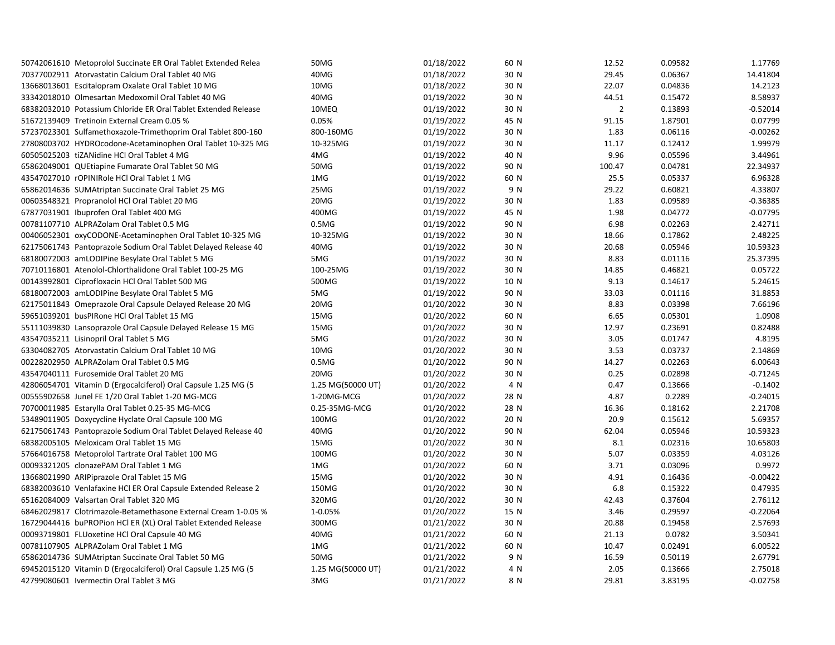| 50742061610 Metoprolol Succinate ER Oral Tablet Extended Relea | 50MG              | 01/18/2022 | 60 N | 12.52          | 0.09582 | 1.17769    |
|----------------------------------------------------------------|-------------------|------------|------|----------------|---------|------------|
| 70377002911 Atorvastatin Calcium Oral Tablet 40 MG             | 40MG              | 01/18/2022 | 30 N | 29.45          | 0.06367 | 14.41804   |
| 13668013601 Escitalopram Oxalate Oral Tablet 10 MG             | 10MG              | 01/18/2022 | 30 N | 22.07          | 0.04836 | 14.2123    |
| 33342018010 Olmesartan Medoxomil Oral Tablet 40 MG             | 40MG              | 01/19/2022 | 30 N | 44.51          | 0.15472 | 8.58937    |
| 68382032010 Potassium Chloride ER Oral Tablet Extended Release | 10MEQ             | 01/19/2022 | 30 N | $\overline{2}$ | 0.13893 | $-0.52014$ |
| 51672139409 Tretinoin External Cream 0.05 %                    | 0.05%             | 01/19/2022 | 45 N | 91.15          | 1.87901 | 0.07799    |
| 57237023301 Sulfamethoxazole-Trimethoprim Oral Tablet 800-160  | 800-160MG         | 01/19/2022 | 30 N | 1.83           | 0.06116 | $-0.00262$ |
| 27808003702 HYDROcodone-Acetaminophen Oral Tablet 10-325 MG    | 10-325MG          | 01/19/2022 | 30 N | 11.17          | 0.12412 | 1.99979    |
| 60505025203 tiZANidine HCl Oral Tablet 4 MG                    | 4MG               | 01/19/2022 | 40 N | 9.96           | 0.05596 | 3.44961    |
| 65862049001 QUEtiapine Fumarate Oral Tablet 50 MG              | 50MG              | 01/19/2022 | 90 N | 100.47         | 0.04781 | 22.34937   |
| 43547027010 rOPINIRole HCl Oral Tablet 1 MG                    | 1MG               | 01/19/2022 | 60 N | 25.5           | 0.05337 | 6.96328    |
| 65862014636 SUMAtriptan Succinate Oral Tablet 25 MG            | 25MG              | 01/19/2022 | 9 N  | 29.22          | 0.60821 | 4.33807    |
| 00603548321 Propranolol HCl Oral Tablet 20 MG                  | 20MG              | 01/19/2022 | 30 N | 1.83           | 0.09589 | $-0.36385$ |
| 67877031901 Ibuprofen Oral Tablet 400 MG                       | 400MG             | 01/19/2022 | 45 N | 1.98           | 0.04772 | $-0.07795$ |
| 00781107710 ALPRAZolam Oral Tablet 0.5 MG                      | 0.5M <sub>G</sub> | 01/19/2022 | 90 N | 6.98           | 0.02263 | 2.42711    |
| 00406052301 oxyCODONE-Acetaminophen Oral Tablet 10-325 MG      | 10-325MG          | 01/19/2022 | 30 N | 18.66          | 0.17862 | 2.48225    |
| 62175061743 Pantoprazole Sodium Oral Tablet Delayed Release 40 | 40MG              | 01/19/2022 | 30 N | 20.68          | 0.05946 | 10.59323   |
| 68180072003 amLODIPine Besylate Oral Tablet 5 MG               | 5MG               | 01/19/2022 | 30 N | 8.83           | 0.01116 | 25.37395   |
| 70710116801 Atenolol-Chlorthalidone Oral Tablet 100-25 MG      | 100-25MG          | 01/19/2022 | 30 N | 14.85          | 0.46821 | 0.05722    |
| 00143992801 Ciprofloxacin HCl Oral Tablet 500 MG               | 500MG             | 01/19/2022 | 10 N | 9.13           | 0.14617 | 5.24615    |
| 68180072003 amLODIPine Besylate Oral Tablet 5 MG               | 5MG               | 01/19/2022 | 90 N | 33.03          | 0.01116 | 31.8853    |
| 62175011843 Omeprazole Oral Capsule Delayed Release 20 MG      | 20MG              | 01/20/2022 | 30 N | 8.83           | 0.03398 | 7.66196    |
| 59651039201 busPIRone HCl Oral Tablet 15 MG                    | 15MG              | 01/20/2022 | 60 N | 6.65           | 0.05301 | 1.0908     |
| 55111039830 Lansoprazole Oral Capsule Delayed Release 15 MG    | 15MG              | 01/20/2022 | 30 N | 12.97          | 0.23691 | 0.82488    |
| 43547035211 Lisinopril Oral Tablet 5 MG                        | 5MG               | 01/20/2022 | 30 N | 3.05           | 0.01747 | 4.8195     |
| 63304082705 Atorvastatin Calcium Oral Tablet 10 MG             | 10MG              | 01/20/2022 | 30 N | 3.53           | 0.03737 | 2.14869    |
| 00228202950 ALPRAZolam Oral Tablet 0.5 MG                      | 0.5M <sub>G</sub> | 01/20/2022 | 90 N | 14.27          | 0.02263 | 6.00643    |
| 43547040111 Furosemide Oral Tablet 20 MG                       | 20MG              | 01/20/2022 | 30 N | 0.25           | 0.02898 | $-0.71245$ |
| 42806054701 Vitamin D (Ergocalciferol) Oral Capsule 1.25 MG (5 | 1.25 MG(50000 UT) | 01/20/2022 | 4 N  | 0.47           | 0.13666 | $-0.1402$  |
| 00555902658 Junel FE 1/20 Oral Tablet 1-20 MG-MCG              | 1-20MG-MCG        | 01/20/2022 | 28 N | 4.87           | 0.2289  | $-0.24015$ |
| 70700011985 Estarylla Oral Tablet 0.25-35 MG-MCG               | 0.25-35MG-MCG     | 01/20/2022 | 28 N | 16.36          | 0.18162 | 2.21708    |
| 53489011905 Doxycycline Hyclate Oral Capsule 100 MG            | 100MG             | 01/20/2022 | 20 N | 20.9           | 0.15612 | 5.69357    |
| 62175061743 Pantoprazole Sodium Oral Tablet Delayed Release 40 | 40MG              | 01/20/2022 | 90 N | 62.04          | 0.05946 | 10.59323   |
| 68382005105 Meloxicam Oral Tablet 15 MG                        | 15MG              | 01/20/2022 | 30 N | 8.1            | 0.02316 | 10.65803   |
| 57664016758 Metoprolol Tartrate Oral Tablet 100 MG             | 100MG             | 01/20/2022 | 30 N | 5.07           | 0.03359 | 4.03126    |
| 00093321205 clonazePAM Oral Tablet 1 MG                        | 1MG               | 01/20/2022 | 60 N | 3.71           | 0.03096 | 0.9972     |
| 13668021990 ARIPiprazole Oral Tablet 15 MG                     | 15MG              | 01/20/2022 | 30 N | 4.91           | 0.16436 | $-0.00422$ |
| 68382003610 Venlafaxine HCl ER Oral Capsule Extended Release 2 | 150MG             | 01/20/2022 | 30 N | 6.8            | 0.15322 | 0.47935    |
| 65162084009 Valsartan Oral Tablet 320 MG                       | 320MG             | 01/20/2022 | 30 N | 42.43          | 0.37604 | 2.76112    |
| 68462029817 Clotrimazole-Betamethasone External Cream 1-0.05 % | 1-0.05%           | 01/20/2022 | 15 N | 3.46           | 0.29597 | $-0.22064$ |
| 16729044416 buPROPion HCl ER (XL) Oral Tablet Extended Release | 300MG             | 01/21/2022 | 30 N | 20.88          | 0.19458 | 2.57693    |
| 00093719801 FLUoxetine HCl Oral Capsule 40 MG                  | 40MG              | 01/21/2022 | 60 N | 21.13          | 0.0782  | 3.50341    |
| 00781107905 ALPRAZolam Oral Tablet 1 MG                        | 1MG               | 01/21/2022 | 60 N | 10.47          | 0.02491 | 6.00522    |
| 65862014736 SUMAtriptan Succinate Oral Tablet 50 MG            | 50MG              | 01/21/2022 | 9 N  | 16.59          | 0.50119 | 2.67791    |
| 69452015120 Vitamin D (Ergocalciferol) Oral Capsule 1.25 MG (5 | 1.25 MG(50000 UT) | 01/21/2022 | 4 N  | 2.05           | 0.13666 | 2.75018    |
| 42799080601 Ivermectin Oral Tablet 3 MG                        | 3MG               | 01/21/2022 | 8 N  | 29.81          | 3.83195 | $-0.02758$ |
|                                                                |                   |            |      |                |         |            |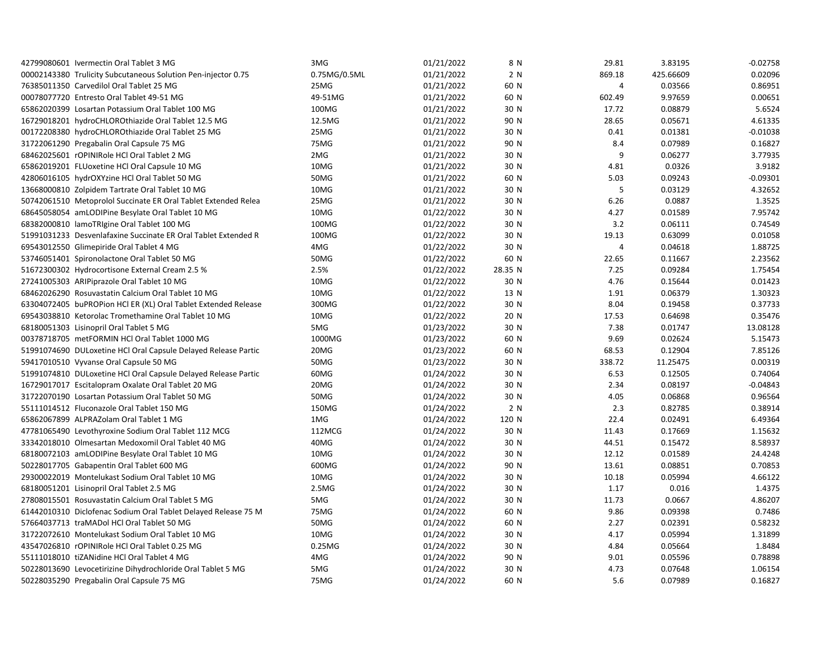| 42799080601 Ivermectin Oral Tablet 3 MG                        | 3MG          | 01/21/2022 | 8 N     | 29.81  | 3.83195   | $-0.02758$ |
|----------------------------------------------------------------|--------------|------------|---------|--------|-----------|------------|
| 00002143380 Trulicity Subcutaneous Solution Pen-injector 0.75  | 0.75MG/0.5ML | 01/21/2022 | 2 N     | 869.18 | 425.66609 | 0.02096    |
| 76385011350 Carvedilol Oral Tablet 25 MG                       | 25MG         | 01/21/2022 | 60 N    | 4      | 0.03566   | 0.86951    |
| 00078077720 Entresto Oral Tablet 49-51 MG                      | 49-51MG      | 01/21/2022 | 60 N    | 602.49 | 9.97659   | 0.00651    |
| 65862020399 Losartan Potassium Oral Tablet 100 MG              | 100MG        | 01/21/2022 | 30 N    | 17.72  | 0.08879   | 5.6524     |
| 16729018201 hydroCHLOROthiazide Oral Tablet 12.5 MG            | 12.5MG       | 01/21/2022 | 90 N    | 28.65  | 0.05671   | 4.61335    |
| 00172208380 hydroCHLOROthiazide Oral Tablet 25 MG              | 25MG         | 01/21/2022 | 30 N    | 0.41   | 0.01381   | $-0.01038$ |
| 31722061290 Pregabalin Oral Capsule 75 MG                      | 75MG         | 01/21/2022 | 90 N    | 8.4    | 0.07989   | 0.16827    |
| 68462025601 rOPINIRole HCl Oral Tablet 2 MG                    | 2MG          | 01/21/2022 | 30 N    | 9      | 0.06277   | 3.77935    |
| 65862019201 FLUoxetine HCl Oral Capsule 10 MG                  | 10MG         | 01/21/2022 | 30 N    | 4.81   | 0.0326    | 3.9182     |
| 42806016105 hydrOXYzine HCl Oral Tablet 50 MG                  | 50MG         | 01/21/2022 | 60 N    | 5.03   | 0.09243   | $-0.09301$ |
| 13668000810 Zolpidem Tartrate Oral Tablet 10 MG                | 10MG         | 01/21/2022 | 30 N    | 5      | 0.03129   | 4.32652    |
| 50742061510 Metoprolol Succinate ER Oral Tablet Extended Relea | 25MG         | 01/21/2022 | 30 N    | 6.26   | 0.0887    | 1.3525     |
| 68645058054 amLODIPine Besylate Oral Tablet 10 MG              | 10MG         | 01/22/2022 | 30 N    | 4.27   | 0.01589   | 7.95742    |
| 68382000810 lamoTRIgine Oral Tablet 100 MG                     | 100MG        | 01/22/2022 | 30 N    | 3.2    | 0.06111   | 0.74549    |
| 51991031233 Desvenlafaxine Succinate ER Oral Tablet Extended R | 100MG        | 01/22/2022 | 30 N    | 19.13  | 0.63099   | 0.01058    |
| 69543012550 Glimepiride Oral Tablet 4 MG                       | 4MG          | 01/22/2022 | 30 N    | 4      | 0.04618   | 1.88725    |
| 53746051401 Spironolactone Oral Tablet 50 MG                   | 50MG         | 01/22/2022 | 60 N    | 22.65  | 0.11667   | 2.23562    |
| 51672300302 Hydrocortisone External Cream 2.5 %                | 2.5%         | 01/22/2022 | 28.35 N | 7.25   | 0.09284   | 1.75454    |
| 27241005303 ARIPiprazole Oral Tablet 10 MG                     | 10MG         | 01/22/2022 | 30 N    | 4.76   | 0.15644   | 0.01423    |
| 68462026290 Rosuvastatin Calcium Oral Tablet 10 MG             | 10MG         | 01/22/2022 | 13 N    | 1.91   | 0.06379   | 1.30323    |
| 63304072405 buPROPion HCl ER (XL) Oral Tablet Extended Release | 300MG        | 01/22/2022 | 30 N    | 8.04   | 0.19458   | 0.37733    |
| 69543038810 Ketorolac Tromethamine Oral Tablet 10 MG           | 10MG         | 01/22/2022 | 20 N    | 17.53  | 0.64698   | 0.35476    |
| 68180051303 Lisinopril Oral Tablet 5 MG                        | 5MG          | 01/23/2022 | 30 N    | 7.38   | 0.01747   | 13.08128   |
| 00378718705 metFORMIN HCl Oral Tablet 1000 MG                  | 1000MG       | 01/23/2022 | 60 N    | 9.69   | 0.02624   | 5.15473    |
| 51991074690 DULoxetine HCl Oral Capsule Delayed Release Partic | 20MG         | 01/23/2022 | 60 N    | 68.53  | 0.12904   | 7.85126    |
| 59417010510 Vyvanse Oral Capsule 50 MG                         | 50MG         | 01/23/2022 | 30 N    | 338.72 | 11.25475  | 0.00319    |
| 51991074810 DULoxetine HCI Oral Capsule Delayed Release Partic | 60MG         | 01/24/2022 | 30 N    | 6.53   | 0.12505   | 0.74064    |
| 16729017017 Escitalopram Oxalate Oral Tablet 20 MG             | 20MG         | 01/24/2022 | 30 N    | 2.34   | 0.08197   | $-0.04843$ |
| 31722070190 Losartan Potassium Oral Tablet 50 MG               | 50MG         | 01/24/2022 | 30 N    | 4.05   | 0.06868   | 0.96564    |
| 55111014512 Fluconazole Oral Tablet 150 MG                     | 150MG        | 01/24/2022 | 2 N     | 2.3    | 0.82785   | 0.38914    |
| 65862067899 ALPRAZolam Oral Tablet 1 MG                        | 1MG          | 01/24/2022 | 120 N   | 22.4   | 0.02491   | 6.49364    |
| 47781065490 Levothyroxine Sodium Oral Tablet 112 MCG           | 112MCG       | 01/24/2022 | 30 N    | 11.43  | 0.17669   | 1.15632    |
| 33342018010 Olmesartan Medoxomil Oral Tablet 40 MG             | 40MG         | 01/24/2022 | 30 N    | 44.51  | 0.15472   | 8.58937    |
| 68180072103 amLODIPine Besylate Oral Tablet 10 MG              | 10MG         | 01/24/2022 | 30 N    | 12.12  | 0.01589   | 24.4248    |
| 50228017705 Gabapentin Oral Tablet 600 MG                      | 600MG        | 01/24/2022 | 90 N    | 13.61  | 0.08851   | 0.70853    |
| 29300022019 Montelukast Sodium Oral Tablet 10 MG               | 10MG         | 01/24/2022 | 30 N    | 10.18  | 0.05994   | 4.66122    |
| 68180051201 Lisinopril Oral Tablet 2.5 MG                      | 2.5MG        | 01/24/2022 | 30 N    | 1.17   | 0.016     | 1.4375     |
| 27808015501 Rosuvastatin Calcium Oral Tablet 5 MG              | 5MG          | 01/24/2022 | 30 N    | 11.73  | 0.0667    | 4.86207    |
| 61442010310 Diclofenac Sodium Oral Tablet Delayed Release 75 M | 75MG         | 01/24/2022 | 60 N    | 9.86   | 0.09398   | 0.7486     |
| 57664037713 traMADol HCl Oral Tablet 50 MG                     | 50MG         | 01/24/2022 | 60 N    | 2.27   | 0.02391   | 0.58232    |
| 31722072610 Montelukast Sodium Oral Tablet 10 MG               | 10MG         | 01/24/2022 | 30 N    | 4.17   | 0.05994   | 1.31899    |
| 43547026810 rOPINIRole HCl Oral Tablet 0.25 MG                 | 0.25MG       | 01/24/2022 | 30 N    | 4.84   | 0.05664   | 1.8484     |
| 55111018010 tiZANidine HCl Oral Tablet 4 MG                    | 4MG          | 01/24/2022 | 90 N    | 9.01   | 0.05596   | 0.78898    |
| 50228013690 Levocetirizine Dihydrochloride Oral Tablet 5 MG    | 5MG          | 01/24/2022 | 30 N    | 4.73   | 0.07648   | 1.06154    |
| 50228035290 Pregabalin Oral Capsule 75 MG                      | 75MG         | 01/24/2022 | 60 N    | 5.6    | 0.07989   | 0.16827    |
|                                                                |              |            |         |        |           |            |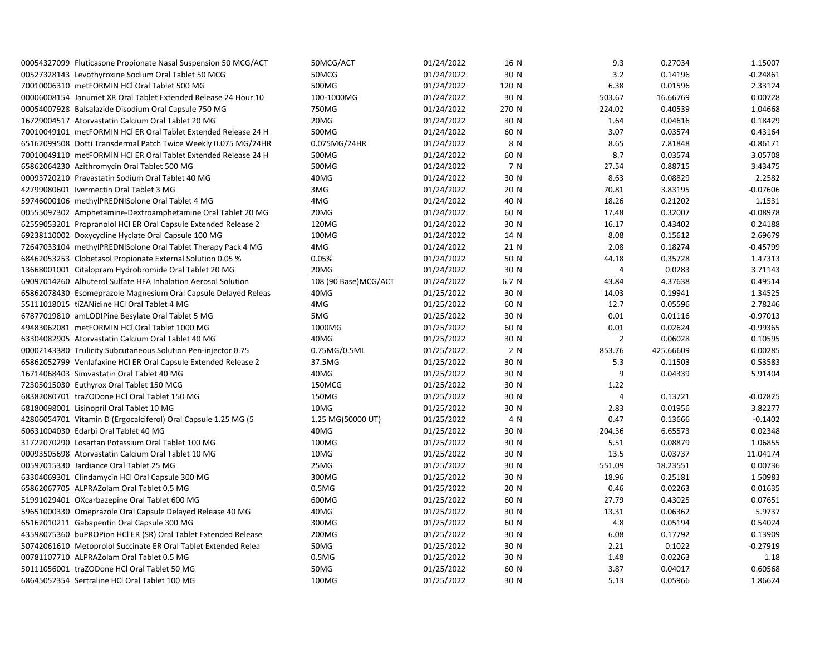| 00054327099 Fluticasone Propionate Nasal Suspension 50 MCG/ACT | 50MCG/ACT            | 01/24/2022 | 16 N  | 9.3            | 0.27034   | 1.15007    |
|----------------------------------------------------------------|----------------------|------------|-------|----------------|-----------|------------|
| 00527328143 Levothyroxine Sodium Oral Tablet 50 MCG            | 50MCG                | 01/24/2022 | 30 N  | 3.2            | 0.14196   | $-0.24861$ |
| 70010006310 metFORMIN HCl Oral Tablet 500 MG                   | 500MG                | 01/24/2022 | 120 N | 6.38           | 0.01596   | 2.33124    |
| 00006008154 Janumet XR Oral Tablet Extended Release 24 Hour 10 | 100-1000MG           | 01/24/2022 | 30 N  | 503.67         | 16.66769  | 0.00728    |
| 00054007928 Balsalazide Disodium Oral Capsule 750 MG           | 750MG                | 01/24/2022 | 270 N | 224.02         | 0.40539   | 1.04668    |
| 16729004517 Atorvastatin Calcium Oral Tablet 20 MG             | 20MG                 | 01/24/2022 | 30 N  | 1.64           | 0.04616   | 0.18429    |
| 70010049101 metFORMIN HCI ER Oral Tablet Extended Release 24 H | 500MG                | 01/24/2022 | 60 N  | 3.07           | 0.03574   | 0.43164    |
| 65162099508 Dotti Transdermal Patch Twice Weekly 0.075 MG/24HR | 0.075MG/24HR         | 01/24/2022 | 8 N   | 8.65           | 7.81848   | $-0.86171$ |
| 70010049110 metFORMIN HCl ER Oral Tablet Extended Release 24 H | 500MG                | 01/24/2022 | 60 N  | 8.7            | 0.03574   | 3.05708    |
| 65862064230 Azithromycin Oral Tablet 500 MG                    | 500MG                | 01/24/2022 | 7 N   | 27.54          | 0.88715   | 3.43475    |
| 00093720210 Pravastatin Sodium Oral Tablet 40 MG               | 40MG                 | 01/24/2022 | 30 N  | 8.63           | 0.08829   | 2.2582     |
| 42799080601 Ivermectin Oral Tablet 3 MG                        | 3MG                  | 01/24/2022 | 20 N  | 70.81          | 3.83195   | $-0.07606$ |
| 59746000106 methylPREDNISolone Oral Tablet 4 MG                | 4MG                  | 01/24/2022 | 40 N  | 18.26          | 0.21202   | 1.1531     |
| 00555097302 Amphetamine-Dextroamphetamine Oral Tablet 20 MG    | 20MG                 | 01/24/2022 | 60 N  | 17.48          | 0.32007   | $-0.08978$ |
| 62559053201 Propranolol HCl ER Oral Capsule Extended Release 2 | 120MG                | 01/24/2022 | 30 N  | 16.17          | 0.43402   | 0.24188    |
| 69238110002 Doxycycline Hyclate Oral Capsule 100 MG            | 100MG                | 01/24/2022 | 14 N  | 8.08           | 0.15612   | 2.69679    |
| 72647033104 methylPREDNISolone Oral Tablet Therapy Pack 4 MG   | 4MG                  | 01/24/2022 | 21 N  | 2.08           | 0.18274   | $-0.45799$ |
| 68462053253 Clobetasol Propionate External Solution 0.05 %     | 0.05%                | 01/24/2022 | 50 N  | 44.18          | 0.35728   | 1.47313    |
| 13668001001 Citalopram Hydrobromide Oral Tablet 20 MG          | 20MG                 | 01/24/2022 | 30 N  | 4              | 0.0283    | 3.71143    |
| 69097014260 Albuterol Sulfate HFA Inhalation Aerosol Solution  | 108 (90 Base)MCG/ACT | 01/24/2022 | 6.7 N | 43.84          | 4.37638   | 0.49514    |
| 65862078430 Esomeprazole Magnesium Oral Capsule Delayed Releas | 40MG                 | 01/25/2022 | 30 N  | 14.03          | 0.19941   | 1.34525    |
| 55111018015 tiZANidine HCl Oral Tablet 4 MG                    | 4MG                  | 01/25/2022 | 60 N  | 12.7           | 0.05596   | 2.78246    |
| 67877019810 amLODIPine Besylate Oral Tablet 5 MG               | 5MG                  | 01/25/2022 | 30 N  | 0.01           | 0.01116   | $-0.97013$ |
| 49483062081 metFORMIN HCl Oral Tablet 1000 MG                  | 1000MG               | 01/25/2022 | 60 N  | 0.01           | 0.02624   | $-0.99365$ |
| 63304082905 Atorvastatin Calcium Oral Tablet 40 MG             | 40MG                 | 01/25/2022 | 30 N  | $\overline{2}$ | 0.06028   | 0.10595    |
| 00002143380 Trulicity Subcutaneous Solution Pen-injector 0.75  | 0.75MG/0.5ML         | 01/25/2022 | 2 N   | 853.76         | 425.66609 | 0.00285    |
| 65862052799 Venlafaxine HCl ER Oral Capsule Extended Release 2 | 37.5MG               | 01/25/2022 | 30 N  | 5.3            | 0.11503   | 0.53583    |
| 16714068403 Simvastatin Oral Tablet 40 MG                      | 40MG                 | 01/25/2022 | 30 N  | 9              | 0.04339   | 5.91404    |
| 72305015030 Euthyrox Oral Tablet 150 MCG                       | 150MCG               | 01/25/2022 | 30 N  | 1.22           |           |            |
| 68382080701 traZODone HCl Oral Tablet 150 MG                   | 150MG                | 01/25/2022 | 30 N  | 4              | 0.13721   | $-0.02825$ |
| 68180098001 Lisinopril Oral Tablet 10 MG                       | 10MG                 | 01/25/2022 | 30 N  | 2.83           | 0.01956   | 3.82277    |
| 42806054701 Vitamin D (Ergocalciferol) Oral Capsule 1.25 MG (5 | 1.25 MG(50000 UT)    | 01/25/2022 | 4 N   | 0.47           | 0.13666   | $-0.1402$  |
| 60631004030 Edarbi Oral Tablet 40 MG                           | 40MG                 | 01/25/2022 | 30 N  | 204.36         | 6.65573   | 0.02348    |
| 31722070290 Losartan Potassium Oral Tablet 100 MG              | 100MG                | 01/25/2022 | 30 N  | 5.51           | 0.08879   | 1.06855    |
| 00093505698 Atorvastatin Calcium Oral Tablet 10 MG             | 10MG                 | 01/25/2022 | 30 N  | 13.5           | 0.03737   | 11.04174   |
| 00597015330 Jardiance Oral Tablet 25 MG                        | 25MG                 | 01/25/2022 | 30 N  | 551.09         | 18.23551  | 0.00736    |
| 63304069301 Clindamycin HCl Oral Capsule 300 MG                | 300MG                | 01/25/2022 | 30 N  | 18.96          | 0.25181   | 1.50983    |
| 65862067705 ALPRAZolam Oral Tablet 0.5 MG                      | 0.5M <sub>G</sub>    | 01/25/2022 | 20 N  | 0.46           | 0.02263   | 0.01635    |
| 51991029401 OXcarbazepine Oral Tablet 600 MG                   | 600MG                | 01/25/2022 | 60 N  | 27.79          | 0.43025   | 0.07651    |
| 59651000330 Omeprazole Oral Capsule Delayed Release 40 MG      | 40MG                 | 01/25/2022 | 30 N  | 13.31          | 0.06362   | 5.9737     |
| 65162010211 Gabapentin Oral Capsule 300 MG                     | 300MG                | 01/25/2022 | 60 N  | 4.8            | 0.05194   | 0.54024    |
| 43598075360 buPROPion HCl ER (SR) Oral Tablet Extended Release | 200MG                | 01/25/2022 | 30 N  | 6.08           | 0.17792   | 0.13909    |
| 50742061610 Metoprolol Succinate ER Oral Tablet Extended Relea | 50MG                 | 01/25/2022 | 30 N  | 2.21           | 0.1022    | $-0.27919$ |
| 00781107710 ALPRAZolam Oral Tablet 0.5 MG                      | 0.5M <sub>G</sub>    | 01/25/2022 | 30 N  | 1.48           | 0.02263   | 1.18       |
| 50111056001 traZODone HCl Oral Tablet 50 MG                    | 50MG                 | 01/25/2022 | 60 N  | 3.87           | 0.04017   | 0.60568    |
| 68645052354 Sertraline HCl Oral Tablet 100 MG                  | 100MG                | 01/25/2022 | 30 N  | 5.13           | 0.05966   | 1.86624    |
|                                                                |                      |            |       |                |           |            |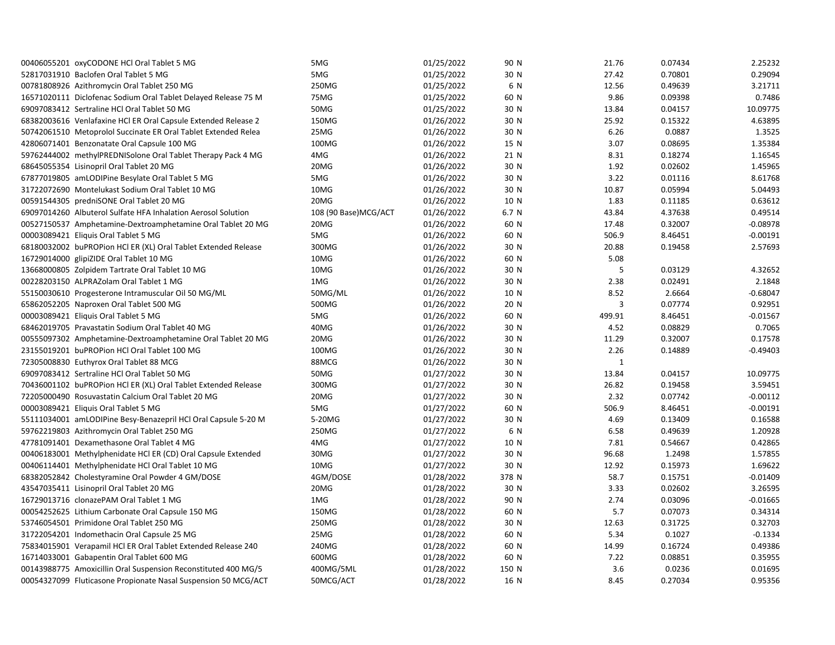| 00406055201 oxyCODONE HCl Oral Tablet 5 MG                     | 5MG                  | 01/25/2022 | 90 N  | 21.76        | 0.07434 | 2.25232    |
|----------------------------------------------------------------|----------------------|------------|-------|--------------|---------|------------|
| 52817031910 Baclofen Oral Tablet 5 MG                          | 5MG                  | 01/25/2022 | 30 N  | 27.42        | 0.70801 | 0.29094    |
| 00781808926 Azithromycin Oral Tablet 250 MG                    | 250MG                | 01/25/2022 | 6 N   | 12.56        | 0.49639 | 3.21711    |
| 16571020111 Diclofenac Sodium Oral Tablet Delayed Release 75 M | 75MG                 | 01/25/2022 | 60 N  | 9.86         | 0.09398 | 0.7486     |
| 69097083412 Sertraline HCl Oral Tablet 50 MG                   | 50MG                 | 01/25/2022 | 30 N  | 13.84        | 0.04157 | 10.09775   |
| 68382003616 Venlafaxine HCI ER Oral Capsule Extended Release 2 | 150MG                | 01/26/2022 | 30 N  | 25.92        | 0.15322 | 4.63895    |
| 50742061510 Metoprolol Succinate ER Oral Tablet Extended Relea | 25MG                 | 01/26/2022 | 30 N  | 6.26         | 0.0887  | 1.3525     |
| 42806071401 Benzonatate Oral Capsule 100 MG                    | 100MG                | 01/26/2022 | 15 N  | 3.07         | 0.08695 | 1.35384    |
| 59762444002 methylPREDNISolone Oral Tablet Therapy Pack 4 MG   | 4MG                  | 01/26/2022 | 21 N  | 8.31         | 0.18274 | 1.16545    |
| 68645055354 Lisinopril Oral Tablet 20 MG                       | 20MG                 | 01/26/2022 | 30 N  | 1.92         | 0.02602 | 1.45965    |
| 67877019805 amLODIPine Besylate Oral Tablet 5 MG               | 5MG                  | 01/26/2022 | 30 N  | 3.22         | 0.01116 | 8.61768    |
| 31722072690 Montelukast Sodium Oral Tablet 10 MG               | 10MG                 | 01/26/2022 | 30 N  | 10.87        | 0.05994 | 5.04493    |
| 00591544305 predniSONE Oral Tablet 20 MG                       | 20MG                 | 01/26/2022 | 10 N  | 1.83         | 0.11185 | 0.63612    |
| 69097014260 Albuterol Sulfate HFA Inhalation Aerosol Solution  | 108 (90 Base)MCG/ACT | 01/26/2022 | 6.7 N | 43.84        | 4.37638 | 0.49514    |
| 00527150537 Amphetamine-Dextroamphetamine Oral Tablet 20 MG    | 20MG                 | 01/26/2022 | 60 N  | 17.48        | 0.32007 | $-0.08978$ |
| 00003089421 Eliquis Oral Tablet 5 MG                           | 5MG                  | 01/26/2022 | 60 N  | 506.9        | 8.46451 | $-0.00191$ |
| 68180032002 buPROPion HCI ER (XL) Oral Tablet Extended Release | 300MG                | 01/26/2022 | 30 N  | 20.88        | 0.19458 | 2.57693    |
| 16729014000 glipiZIDE Oral Tablet 10 MG                        | 10MG                 | 01/26/2022 | 60 N  | 5.08         |         |            |
| 13668000805 Zolpidem Tartrate Oral Tablet 10 MG                | 10MG                 | 01/26/2022 | 30 N  | 5            | 0.03129 | 4.32652    |
| 00228203150 ALPRAZolam Oral Tablet 1 MG                        | 1MG                  | 01/26/2022 | 30 N  | 2.38         | 0.02491 | 2.1848     |
| 55150030610 Progesterone Intramuscular Oil 50 MG/ML            | 50MG/ML              | 01/26/2022 | 10 N  | 8.52         | 2.6664  | $-0.68047$ |
| 65862052205 Naproxen Oral Tablet 500 MG                        | 500MG                | 01/26/2022 | 20 N  | 3            | 0.07774 | 0.92951    |
| 00003089421 Eliquis Oral Tablet 5 MG                           | 5MG                  | 01/26/2022 | 60 N  | 499.91       | 8.46451 | $-0.01567$ |
| 68462019705 Pravastatin Sodium Oral Tablet 40 MG               | 40MG                 | 01/26/2022 | 30 N  | 4.52         | 0.08829 | 0.7065     |
| 00555097302 Amphetamine-Dextroamphetamine Oral Tablet 20 MG    | 20MG                 | 01/26/2022 | 30 N  | 11.29        | 0.32007 | 0.17578    |
| 23155019201 buPROPion HCl Oral Tablet 100 MG                   | 100MG                | 01/26/2022 | 30 N  | 2.26         | 0.14889 | $-0.49403$ |
| 72305008830 Euthyrox Oral Tablet 88 MCG                        | 88MCG                | 01/26/2022 | 30 N  | $\mathbf{1}$ |         |            |
| 69097083412 Sertraline HCl Oral Tablet 50 MG                   | 50MG                 | 01/27/2022 | 30 N  | 13.84        | 0.04157 | 10.09775   |
| 70436001102 buPROPion HCl ER (XL) Oral Tablet Extended Release | 300MG                | 01/27/2022 | 30 N  | 26.82        | 0.19458 | 3.59451    |
| 72205000490 Rosuvastatin Calcium Oral Tablet 20 MG             | 20MG                 | 01/27/2022 | 30 N  | 2.32         | 0.07742 | $-0.00112$ |
| 00003089421 Eliquis Oral Tablet 5 MG                           | 5MG                  | 01/27/2022 | 60 N  | 506.9        | 8.46451 | $-0.00191$ |
| 55111034001 amLODIPine Besy-Benazepril HCl Oral Capsule 5-20 M | 5-20MG               | 01/27/2022 | 30 N  | 4.69         | 0.13409 | 0.16588    |
| 59762219803 Azithromycin Oral Tablet 250 MG                    | 250MG                | 01/27/2022 | 6 N   | 6.58         | 0.49639 | 1.20928    |
| 47781091401 Dexamethasone Oral Tablet 4 MG                     | 4MG                  | 01/27/2022 | 10 N  | 7.81         | 0.54667 | 0.42865    |
| 00406183001 Methylphenidate HCl ER (CD) Oral Capsule Extended  | 30MG                 | 01/27/2022 | 30 N  | 96.68        | 1.2498  | 1.57855    |
| 00406114401 Methylphenidate HCl Oral Tablet 10 MG              | 10MG                 | 01/27/2022 | 30 N  | 12.92        | 0.15973 | 1.69622    |
| 68382052842 Cholestyramine Oral Powder 4 GM/DOSE               | 4GM/DOSE             | 01/28/2022 | 378 N | 58.7         | 0.15751 | $-0.01409$ |
| 43547035411 Lisinopril Oral Tablet 20 MG                       | 20MG                 | 01/28/2022 | 30 N  | 3.33         | 0.02602 | 3.26595    |
| 16729013716 clonazePAM Oral Tablet 1 MG                        | 1MG                  | 01/28/2022 | 90 N  | 2.74         | 0.03096 | $-0.01665$ |
| 00054252625 Lithium Carbonate Oral Capsule 150 MG              | 150MG                | 01/28/2022 | 60 N  | 5.7          | 0.07073 | 0.34314    |
| 53746054501 Primidone Oral Tablet 250 MG                       | 250MG                | 01/28/2022 | 30 N  | 12.63        | 0.31725 | 0.32703    |
| 31722054201 Indomethacin Oral Capsule 25 MG                    | 25MG                 | 01/28/2022 | 60 N  | 5.34         | 0.1027  | $-0.1334$  |
| 75834015901 Verapamil HCl ER Oral Tablet Extended Release 240  | 240MG                | 01/28/2022 | 60 N  | 14.99        | 0.16724 | 0.49386    |
| 16714033001 Gabapentin Oral Tablet 600 MG                      | 600MG                | 01/28/2022 | 60 N  | 7.22         | 0.08851 | 0.35955    |
| 00143988775 Amoxicillin Oral Suspension Reconstituted 400 MG/5 | 400MG/5ML            | 01/28/2022 | 150 N | 3.6          | 0.0236  | 0.01695    |
| 00054327099 Fluticasone Propionate Nasal Suspension 50 MCG/ACT | 50MCG/ACT            | 01/28/2022 | 16 N  | 8.45         | 0.27034 | 0.95356    |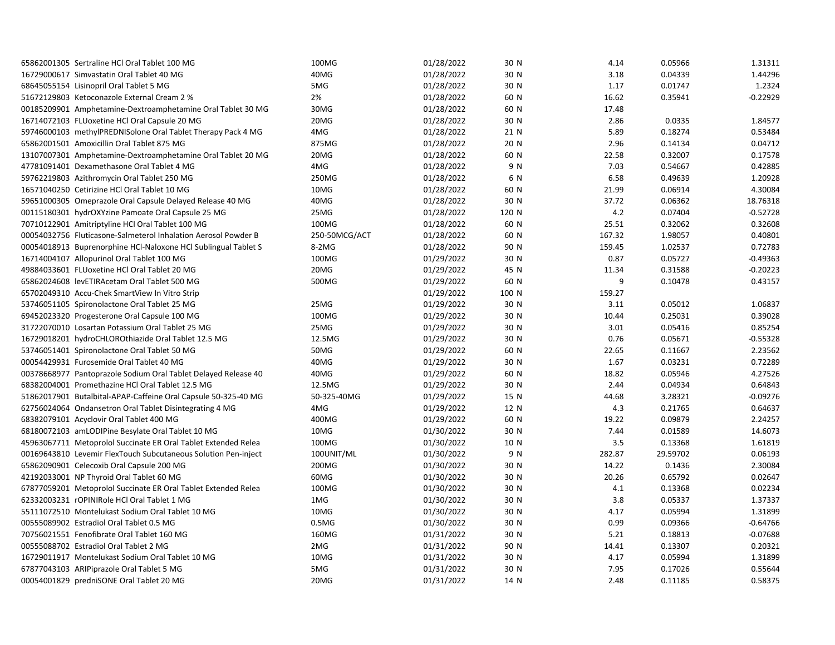| 65862001305 Sertraline HCl Oral Tablet 100 MG                  | 100MG             | 01/28/2022 | 30 N  | 4.14   | 0.05966  | 1.31311    |
|----------------------------------------------------------------|-------------------|------------|-------|--------|----------|------------|
| 16729000617 Simvastatin Oral Tablet 40 MG                      | 40MG              | 01/28/2022 | 30 N  | 3.18   | 0.04339  | 1.44296    |
| 68645055154 Lisinopril Oral Tablet 5 MG                        | 5MG               | 01/28/2022 | 30 N  | 1.17   | 0.01747  | 1.2324     |
| 51672129803 Ketoconazole External Cream 2 %                    | 2%                | 01/28/2022 | 60 N  | 16.62  | 0.35941  | $-0.22929$ |
| 00185209901 Amphetamine-Dextroamphetamine Oral Tablet 30 MG    | 30MG              | 01/28/2022 | 60 N  | 17.48  |          |            |
| 16714072103 FLUoxetine HCl Oral Capsule 20 MG                  | 20MG              | 01/28/2022 | 30 N  | 2.86   | 0.0335   | 1.84577    |
| 59746000103 methylPREDNISolone Oral Tablet Therapy Pack 4 MG   | 4MG               | 01/28/2022 | 21 N  | 5.89   | 0.18274  | 0.53484    |
| 65862001501 Amoxicillin Oral Tablet 875 MG                     | 875MG             | 01/28/2022 | 20 N  | 2.96   | 0.14134  | 0.04712    |
| 13107007301 Amphetamine-Dextroamphetamine Oral Tablet 20 MG    | 20MG              | 01/28/2022 | 60 N  | 22.58  | 0.32007  | 0.17578    |
| 47781091401 Dexamethasone Oral Tablet 4 MG                     | 4MG               | 01/28/2022 | 9 N   | 7.03   | 0.54667  | 0.42885    |
| 59762219803 Azithromycin Oral Tablet 250 MG                    | 250MG             | 01/28/2022 | 6 N   | 6.58   | 0.49639  | 1.20928    |
| 16571040250 Cetirizine HCl Oral Tablet 10 MG                   | 10MG              | 01/28/2022 | 60 N  | 21.99  | 0.06914  | 4.30084    |
| 59651000305 Omeprazole Oral Capsule Delayed Release 40 MG      | 40MG              | 01/28/2022 | 30 N  | 37.72  | 0.06362  | 18.76318   |
| 00115180301 hydrOXYzine Pamoate Oral Capsule 25 MG             | 25MG              | 01/28/2022 | 120 N | 4.2    | 0.07404  | $-0.52728$ |
| 70710122901 Amitriptyline HCl Oral Tablet 100 MG               | 100MG             | 01/28/2022 | 60 N  | 25.51  | 0.32062  | 0.32608    |
| 00054032756 Fluticasone-Salmeterol Inhalation Aerosol Powder B | 250-50MCG/ACT     | 01/28/2022 | 60 N  | 167.32 | 1.98057  | 0.40801    |
| 00054018913 Buprenorphine HCl-Naloxone HCl Sublingual Tablet S | 8-2MG             | 01/28/2022 | 90 N  | 159.45 | 1.02537  | 0.72783    |
| 16714004107 Allopurinol Oral Tablet 100 MG                     | 100MG             | 01/29/2022 | 30 N  | 0.87   | 0.05727  | $-0.49363$ |
| 49884033601 FLUoxetine HCl Oral Tablet 20 MG                   | 20MG              | 01/29/2022 | 45 N  | 11.34  | 0.31588  | $-0.20223$ |
| 65862024608 levETIRAcetam Oral Tablet 500 MG                   | 500MG             | 01/29/2022 | 60 N  | 9      | 0.10478  | 0.43157    |
| 65702049310 Accu-Chek SmartView In Vitro Strip                 |                   | 01/29/2022 | 100 N | 159.27 |          |            |
| 53746051105 Spironolactone Oral Tablet 25 MG                   | 25MG              | 01/29/2022 | 30 N  | 3.11   | 0.05012  | 1.06837    |
| 69452023320 Progesterone Oral Capsule 100 MG                   | 100MG             | 01/29/2022 | 30 N  | 10.44  | 0.25031  | 0.39028    |
| 31722070010 Losartan Potassium Oral Tablet 25 MG               | 25MG              | 01/29/2022 | 30 N  | 3.01   | 0.05416  | 0.85254    |
| 16729018201 hydroCHLOROthiazide Oral Tablet 12.5 MG            | 12.5MG            | 01/29/2022 | 30 N  | 0.76   | 0.05671  | $-0.55328$ |
| 53746051401 Spironolactone Oral Tablet 50 MG                   | 50MG              | 01/29/2022 | 60 N  | 22.65  | 0.11667  | 2.23562    |
| 00054429931 Furosemide Oral Tablet 40 MG                       | 40MG              | 01/29/2022 | 30 N  | 1.67   | 0.03231  | 0.72289    |
| 00378668977 Pantoprazole Sodium Oral Tablet Delayed Release 40 | 40MG              | 01/29/2022 | 60 N  | 18.82  | 0.05946  | 4.27526    |
| 68382004001 Promethazine HCl Oral Tablet 12.5 MG               | 12.5MG            | 01/29/2022 | 30 N  | 2.44   | 0.04934  | 0.64843    |
| 51862017901 Butalbital-APAP-Caffeine Oral Capsule 50-325-40 MG | 50-325-40MG       | 01/29/2022 | 15 N  | 44.68  | 3.28321  | $-0.09276$ |
| 62756024064 Ondansetron Oral Tablet Disintegrating 4 MG        | 4MG               | 01/29/2022 | 12 N  | 4.3    | 0.21765  | 0.64637    |
| 68382079101 Acyclovir Oral Tablet 400 MG                       | 400MG             | 01/29/2022 | 60 N  | 19.22  | 0.09879  | 2.24257    |
| 68180072103 amLODIPine Besylate Oral Tablet 10 MG              | 10MG              | 01/30/2022 | 30 N  | 7.44   | 0.01589  | 14.6073    |
| 45963067711 Metoprolol Succinate ER Oral Tablet Extended Relea | 100MG             | 01/30/2022 | 10 N  | 3.5    | 0.13368  | 1.61819    |
| 00169643810 Levemir FlexTouch Subcutaneous Solution Pen-inject | 100UNIT/ML        | 01/30/2022 | 9 N   | 282.87 | 29.59702 | 0.06193    |
| 65862090901 Celecoxib Oral Capsule 200 MG                      | 200MG             | 01/30/2022 | 30 N  | 14.22  | 0.1436   | 2.30084    |
| 42192033001 NP Thyroid Oral Tablet 60 MG                       | 60MG              | 01/30/2022 | 30 N  | 20.26  | 0.65792  | 0.02647    |
| 67877059201 Metoprolol Succinate ER Oral Tablet Extended Relea | 100MG             | 01/30/2022 | 30 N  | 4.1    | 0.13368  | 0.02234    |
| 62332003231 rOPINIRole HCl Oral Tablet 1 MG                    | 1MG               | 01/30/2022 | 30 N  | 3.8    | 0.05337  | 1.37337    |
| 55111072510 Montelukast Sodium Oral Tablet 10 MG               | 10MG              | 01/30/2022 | 30 N  | 4.17   | 0.05994  | 1.31899    |
| 00555089902 Estradiol Oral Tablet 0.5 MG                       | 0.5M <sub>G</sub> | 01/30/2022 | 30 N  | 0.99   | 0.09366  | $-0.64766$ |
| 70756021551 Fenofibrate Oral Tablet 160 MG                     | 160MG             | 01/31/2022 | 30 N  | 5.21   | 0.18813  | $-0.07688$ |
| 00555088702 Estradiol Oral Tablet 2 MG                         | 2MG               | 01/31/2022 | 90 N  | 14.41  | 0.13307  | 0.20321    |
| 16729011917 Montelukast Sodium Oral Tablet 10 MG               | 10MG              | 01/31/2022 | 30 N  | 4.17   | 0.05994  | 1.31899    |
| 67877043103 ARIPiprazole Oral Tablet 5 MG                      | 5MG               | 01/31/2022 | 30 N  | 7.95   | 0.17026  | 0.55644    |
| 00054001829 predniSONE Oral Tablet 20 MG                       | 20MG              | 01/31/2022 | 14 N  | 2.48   | 0.11185  | 0.58375    |
|                                                                |                   |            |       |        |          |            |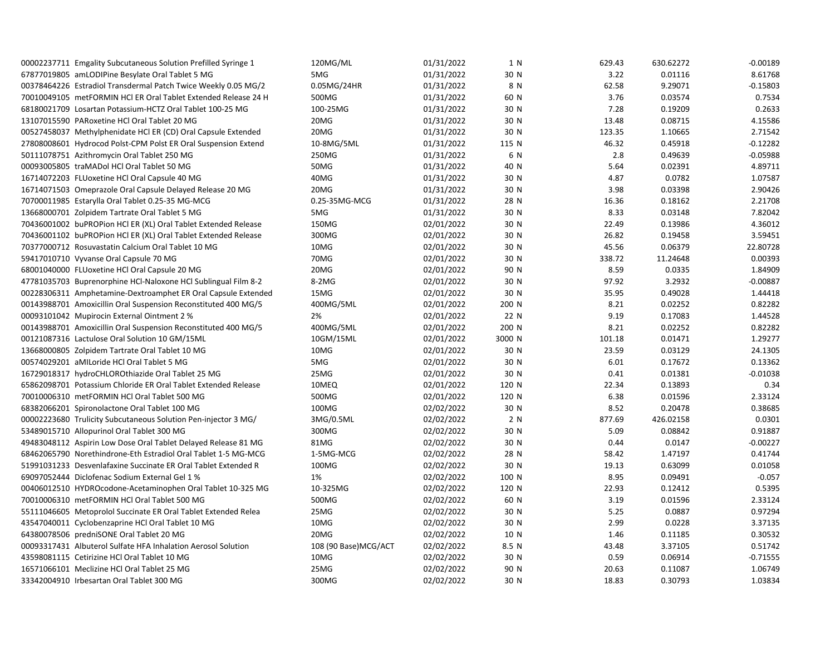| 00002237711 Emgality Subcutaneous Solution Prefilled Syringe 1 | 120MG/ML             | 01/31/2022 | 1 N    | 629.43 | 630.62272 | $-0.00189$ |
|----------------------------------------------------------------|----------------------|------------|--------|--------|-----------|------------|
| 67877019805 amLODIPine Besylate Oral Tablet 5 MG               | 5MG                  | 01/31/2022 | 30 N   | 3.22   | 0.01116   | 8.61768    |
| 00378464226 Estradiol Transdermal Patch Twice Weekly 0.05 MG/2 | 0.05MG/24HR          | 01/31/2022 | 8 N    | 62.58  | 9.29071   | $-0.15803$ |
| 70010049105 metFORMIN HCl ER Oral Tablet Extended Release 24 H | 500MG                | 01/31/2022 | 60 N   | 3.76   | 0.03574   | 0.7534     |
| 68180021709 Losartan Potassium-HCTZ Oral Tablet 100-25 MG      | 100-25MG             | 01/31/2022 | 30 N   | 7.28   | 0.19209   | 0.2633     |
| 13107015590 PARoxetine HCl Oral Tablet 20 MG                   | 20MG                 | 01/31/2022 | 30 N   | 13.48  | 0.08715   | 4.15586    |
| 00527458037 Methylphenidate HCl ER (CD) Oral Capsule Extended  | 20MG                 | 01/31/2022 | 30 N   | 123.35 | 1.10665   | 2.71542    |
| 27808008601 Hydrocod Polst-CPM Polst ER Oral Suspension Extend | 10-8MG/5ML           | 01/31/2022 | 115 N  | 46.32  | 0.45918   | $-0.12282$ |
| 50111078751 Azithromycin Oral Tablet 250 MG                    | 250MG                | 01/31/2022 | 6 N    | 2.8    | 0.49639   | $-0.05988$ |
| 00093005805 traMADol HCl Oral Tablet 50 MG                     | 50MG                 | 01/31/2022 | 40 N   | 5.64   | 0.02391   | 4.89711    |
| 16714072203 FLUoxetine HCl Oral Capsule 40 MG                  | 40MG                 | 01/31/2022 | 30 N   | 4.87   | 0.0782    | 1.07587    |
| 16714071503 Omeprazole Oral Capsule Delayed Release 20 MG      | 20MG                 | 01/31/2022 | 30 N   | 3.98   | 0.03398   | 2.90426    |
| 70700011985 Estarylla Oral Tablet 0.25-35 MG-MCG               | 0.25-35MG-MCG        | 01/31/2022 | 28 N   | 16.36  | 0.18162   | 2.21708    |
| 13668000701 Zolpidem Tartrate Oral Tablet 5 MG                 | 5MG                  | 01/31/2022 | 30 N   | 8.33   | 0.03148   | 7.82042    |
| 70436001002 buPROPion HCl ER (XL) Oral Tablet Extended Release | 150MG                | 02/01/2022 | 30 N   | 22.49  | 0.13986   | 4.36012    |
| 70436001102 buPROPion HCI ER (XL) Oral Tablet Extended Release | 300MG                | 02/01/2022 | 30 N   | 26.82  | 0.19458   | 3.59451    |
| 70377000712 Rosuvastatin Calcium Oral Tablet 10 MG             | 10MG                 | 02/01/2022 | 30 N   | 45.56  | 0.06379   | 22.80728   |
| 59417010710 Vyvanse Oral Capsule 70 MG                         | 70MG                 | 02/01/2022 | 30 N   | 338.72 | 11.24648  | 0.00393    |
| 68001040000 FLUoxetine HCl Oral Capsule 20 MG                  | 20MG                 | 02/01/2022 | 90 N   | 8.59   | 0.0335    | 1.84909    |
| 47781035703 Buprenorphine HCl-Naloxone HCl Sublingual Film 8-2 | 8-2MG                | 02/01/2022 | 30 N   | 97.92  | 3.2932    | $-0.00887$ |
| 00228306311 Amphetamine-Dextroamphet ER Oral Capsule Extended  | 15MG                 | 02/01/2022 | 30 N   | 35.95  | 0.49028   | 1.44418    |
| 00143988701 Amoxicillin Oral Suspension Reconstituted 400 MG/5 | 400MG/5ML            | 02/01/2022 | 200 N  | 8.21   | 0.02252   | 0.82282    |
| 00093101042 Mupirocin External Ointment 2 %                    | 2%                   | 02/01/2022 | 22 N   | 9.19   | 0.17083   | 1.44528    |
| 00143988701 Amoxicillin Oral Suspension Reconstituted 400 MG/5 | 400MG/5ML            | 02/01/2022 | 200 N  | 8.21   | 0.02252   | 0.82282    |
| 00121087316 Lactulose Oral Solution 10 GM/15ML                 | 10GM/15ML            | 02/01/2022 | 3000 N | 101.18 | 0.01471   | 1.29277    |
| 13668000805 Zolpidem Tartrate Oral Tablet 10 MG                | 10MG                 | 02/01/2022 | 30 N   | 23.59  | 0.03129   | 24.1305    |
| 00574029201 aMILoride HCl Oral Tablet 5 MG                     | 5MG                  | 02/01/2022 | 30 N   | 6.01   | 0.17672   | 0.13362    |
| 16729018317 hydroCHLOROthiazide Oral Tablet 25 MG              | 25MG                 | 02/01/2022 | 30 N   | 0.41   | 0.01381   | $-0.01038$ |
| 65862098701 Potassium Chloride ER Oral Tablet Extended Release | 10MEQ                | 02/01/2022 | 120 N  | 22.34  | 0.13893   | 0.34       |
| 70010006310 metFORMIN HCl Oral Tablet 500 MG                   | 500MG                | 02/01/2022 | 120 N  | 6.38   | 0.01596   | 2.33124    |
| 68382066201 Spironolactone Oral Tablet 100 MG                  | 100MG                | 02/02/2022 | 30 N   | 8.52   | 0.20478   | 0.38685    |
| 00002223680 Trulicity Subcutaneous Solution Pen-injector 3 MG/ | 3MG/0.5ML            | 02/02/2022 | 2 N    | 877.69 | 426.02158 | 0.0301     |
| 53489015710 Allopurinol Oral Tablet 300 MG                     | 300MG                | 02/02/2022 | 30 N   | 5.09   | 0.08842   | 0.91887    |
| 49483048112 Aspirin Low Dose Oral Tablet Delayed Release 81 MG | 81MG                 | 02/02/2022 | 30 N   | 0.44   | 0.0147    | $-0.00227$ |
| 68462065790 Norethindrone-Eth Estradiol Oral Tablet 1-5 MG-MCG | 1-5MG-MCG            | 02/02/2022 | 28 N   | 58.42  | 1.47197   | 0.41744    |
| 51991031233 Desvenlafaxine Succinate ER Oral Tablet Extended R | 100MG                | 02/02/2022 | 30 N   | 19.13  | 0.63099   | 0.01058    |
| 69097052444 Diclofenac Sodium External Gel 1 %                 | 1%                   | 02/02/2022 | 100 N  | 8.95   | 0.09491   | $-0.057$   |
| 00406012510 HYDROcodone-Acetaminophen Oral Tablet 10-325 MG    | 10-325MG             | 02/02/2022 | 120 N  | 22.93  | 0.12412   | 0.5395     |
| 70010006310 metFORMIN HCl Oral Tablet 500 MG                   | 500MG                | 02/02/2022 | 60 N   | 3.19   | 0.01596   | 2.33124    |
| 55111046605 Metoprolol Succinate ER Oral Tablet Extended Relea | 25MG                 | 02/02/2022 | 30 N   | 5.25   | 0.0887    | 0.97294    |
| 43547040011 Cyclobenzaprine HCl Oral Tablet 10 MG              | 10MG                 | 02/02/2022 | 30 N   | 2.99   | 0.0228    | 3.37135    |
| 64380078506 predniSONE Oral Tablet 20 MG                       | 20MG                 | 02/02/2022 | 10 N   | 1.46   | 0.11185   | 0.30532    |
| 00093317431 Albuterol Sulfate HFA Inhalation Aerosol Solution  | 108 (90 Base)MCG/ACT | 02/02/2022 | 8.5 N  | 43.48  | 3.37105   | 0.51742    |
| 43598081115 Cetirizine HCl Oral Tablet 10 MG                   | 10MG                 | 02/02/2022 | 30 N   | 0.59   | 0.06914   | $-0.71555$ |
| 16571066101 Meclizine HCl Oral Tablet 25 MG                    | 25MG                 | 02/02/2022 | 90 N   | 20.63  | 0.11087   | 1.06749    |
| 33342004910 Irbesartan Oral Tablet 300 MG                      | 300MG                |            |        | 18.83  | 0.30793   | 1.03834    |
|                                                                |                      | 02/02/2022 | 30 N   |        |           |            |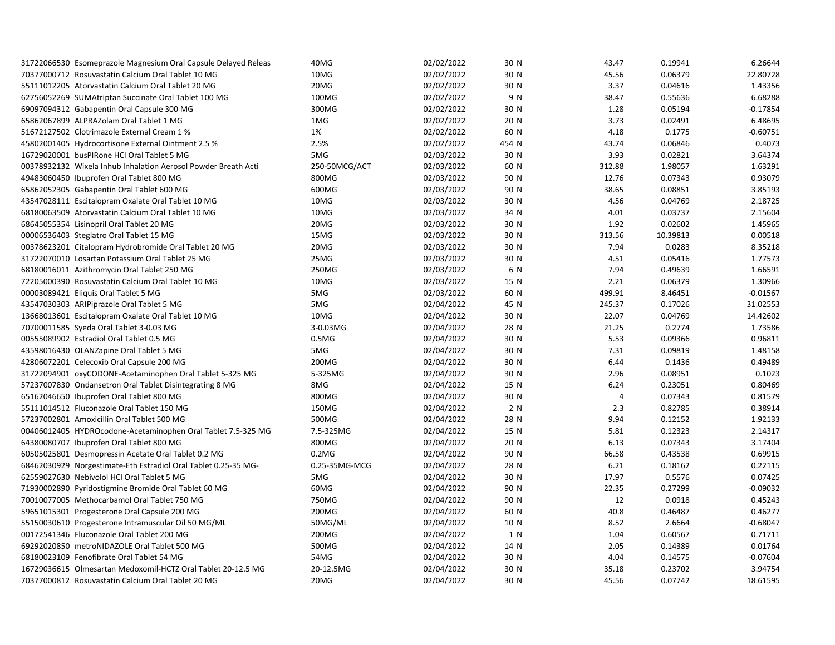| 31722066530 Esomeprazole Magnesium Oral Capsule Delayed Releas | 40MG              | 02/02/2022 | 30 N  | 43.47          | 0.19941  | 6.26644    |
|----------------------------------------------------------------|-------------------|------------|-------|----------------|----------|------------|
| 70377000712 Rosuvastatin Calcium Oral Tablet 10 MG             | 10MG              | 02/02/2022 | 30 N  | 45.56          | 0.06379  | 22.80728   |
| 55111012205 Atorvastatin Calcium Oral Tablet 20 MG             | 20MG              | 02/02/2022 | 30 N  | 3.37           | 0.04616  | 1.43356    |
| 62756052269 SUMAtriptan Succinate Oral Tablet 100 MG           | 100MG             | 02/02/2022 | 9 N   | 38.47          | 0.55636  | 6.68288    |
| 69097094312 Gabapentin Oral Capsule 300 MG                     | 300MG             | 02/02/2022 | 30 N  | 1.28           | 0.05194  | $-0.17854$ |
| 65862067899 ALPRAZolam Oral Tablet 1 MG                        | 1MG               | 02/02/2022 | 20 N  | 3.73           | 0.02491  | 6.48695    |
| 51672127502 Clotrimazole External Cream 1 %                    | 1%                | 02/02/2022 | 60 N  | 4.18           | 0.1775   | $-0.60751$ |
| 45802001405 Hydrocortisone External Ointment 2.5 %             | 2.5%              | 02/02/2022 | 454 N | 43.74          | 0.06846  | 0.4073     |
| 16729020001 busPIRone HCl Oral Tablet 5 MG                     | 5MG               | 02/03/2022 | 30 N  | 3.93           | 0.02821  | 3.64374    |
| 00378932132 Wixela Inhub Inhalation Aerosol Powder Breath Acti | 250-50MCG/ACT     | 02/03/2022 | 60 N  | 312.88         | 1.98057  | 1.63291    |
| 49483060450 Ibuprofen Oral Tablet 800 MG                       | 800MG             | 02/03/2022 | 90 N  | 12.76          | 0.07343  | 0.93079    |
| 65862052305 Gabapentin Oral Tablet 600 MG                      | 600MG             | 02/03/2022 | 90 N  | 38.65          | 0.08851  | 3.85193    |
| 43547028111 Escitalopram Oxalate Oral Tablet 10 MG             | 10MG              | 02/03/2022 | 30 N  | 4.56           | 0.04769  | 2.18725    |
| 68180063509 Atorvastatin Calcium Oral Tablet 10 MG             | 10MG              | 02/03/2022 | 34 N  | 4.01           | 0.03737  | 2.15604    |
| 68645055354 Lisinopril Oral Tablet 20 MG                       | 20MG              | 02/03/2022 | 30 N  | 1.92           | 0.02602  | 1.45965    |
| 00006536403 Steglatro Oral Tablet 15 MG                        | 15MG              | 02/03/2022 | 30 N  | 313.56         | 10.39813 | 0.00518    |
| 00378623201 Citalopram Hydrobromide Oral Tablet 20 MG          | 20MG              | 02/03/2022 | 30 N  | 7.94           | 0.0283   | 8.35218    |
| 31722070010 Losartan Potassium Oral Tablet 25 MG               | 25MG              | 02/03/2022 | 30 N  | 4.51           | 0.05416  | 1.77573    |
| 68180016011 Azithromycin Oral Tablet 250 MG                    | 250MG             | 02/03/2022 | 6 N   | 7.94           | 0.49639  | 1.66591    |
| 72205000390 Rosuvastatin Calcium Oral Tablet 10 MG             | 10MG              | 02/03/2022 | 15 N  | 2.21           | 0.06379  | 1.30966    |
| 00003089421 Eliquis Oral Tablet 5 MG                           | 5MG               | 02/03/2022 | 60 N  | 499.91         | 8.46451  | $-0.01567$ |
| 43547030303 ARIPiprazole Oral Tablet 5 MG                      | 5MG               | 02/04/2022 | 45 N  | 245.37         | 0.17026  | 31.02553   |
| 13668013601 Escitalopram Oxalate Oral Tablet 10 MG             | 10MG              | 02/04/2022 | 30 N  | 22.07          | 0.04769  | 14.42602   |
| 70700011585 Syeda Oral Tablet 3-0.03 MG                        | 3-0.03MG          | 02/04/2022 | 28 N  | 21.25          | 0.2774   | 1.73586    |
| 00555089902 Estradiol Oral Tablet 0.5 MG                       | 0.5M <sub>G</sub> | 02/04/2022 | 30 N  | 5.53           | 0.09366  | 0.96811    |
| 43598016430 OLANZapine Oral Tablet 5 MG                        | 5MG               | 02/04/2022 | 30 N  | 7.31           | 0.09819  | 1.48158    |
| 42806072201 Celecoxib Oral Capsule 200 MG                      | 200MG             | 02/04/2022 | 30 N  | 6.44           | 0.1436   | 0.49489    |
| 31722094901 oxyCODONE-Acetaminophen Oral Tablet 5-325 MG       | 5-325MG           | 02/04/2022 | 30 N  | 2.96           | 0.08951  | 0.1023     |
| 57237007830 Ondansetron Oral Tablet Disintegrating 8 MG        | 8MG               | 02/04/2022 | 15 N  | 6.24           | 0.23051  | 0.80469    |
| 65162046650 Ibuprofen Oral Tablet 800 MG                       | 800MG             | 02/04/2022 | 30 N  | $\overline{4}$ | 0.07343  | 0.81579    |
| 55111014512 Fluconazole Oral Tablet 150 MG                     | 150MG             | 02/04/2022 | 2 N   | 2.3            | 0.82785  | 0.38914    |
| 57237002801 Amoxicillin Oral Tablet 500 MG                     | 500MG             | 02/04/2022 | 28 N  | 9.94           | 0.12152  | 1.92133    |
| 00406012405 HYDROcodone-Acetaminophen Oral Tablet 7.5-325 MG   | 7.5-325MG         | 02/04/2022 | 15 N  | 5.81           | 0.12323  | 2.14317    |
| 64380080707 Ibuprofen Oral Tablet 800 MG                       | 800MG             | 02/04/2022 | 20 N  | 6.13           | 0.07343  | 3.17404    |
| 60505025801 Desmopressin Acetate Oral Tablet 0.2 MG            | 0.2M <sub>G</sub> | 02/04/2022 | 90 N  | 66.58          | 0.43538  | 0.69915    |
| 68462030929 Norgestimate-Eth Estradiol Oral Tablet 0.25-35 MG- | 0.25-35MG-MCG     | 02/04/2022 | 28 N  | 6.21           | 0.18162  | 0.22115    |
| 62559027630 Nebivolol HCl Oral Tablet 5 MG                     | 5MG               | 02/04/2022 | 30 N  | 17.97          | 0.5576   | 0.07425    |
| 71930002890 Pyridostigmine Bromide Oral Tablet 60 MG           | 60MG              | 02/04/2022 | 90 N  | 22.35          | 0.27299  | $-0.09032$ |
| 70010077005 Methocarbamol Oral Tablet 750 MG                   | 750MG             | 02/04/2022 | 90 N  | 12             | 0.0918   | 0.45243    |
| 59651015301 Progesterone Oral Capsule 200 MG                   | 200MG             | 02/04/2022 | 60 N  | 40.8           | 0.46487  | 0.46277    |
| 55150030610 Progesterone Intramuscular Oil 50 MG/ML            | 50MG/ML           | 02/04/2022 | 10 N  | 8.52           | 2.6664   | $-0.68047$ |
| 00172541346 Fluconazole Oral Tablet 200 MG                     | 200MG             | 02/04/2022 | 1 N   | 1.04           | 0.60567  | 0.71711    |
| 69292020850 metroNIDAZOLE Oral Tablet 500 MG                   | 500MG             | 02/04/2022 | 14 N  | 2.05           | 0.14389  | 0.01764    |
| 68180023109 Fenofibrate Oral Tablet 54 MG                      | 54MG              | 02/04/2022 | 30 N  | 4.04           | 0.14575  | $-0.07604$ |
| 16729036615 Olmesartan Medoxomil-HCTZ Oral Tablet 20-12.5 MG   | 20-12.5MG         | 02/04/2022 | 30 N  | 35.18          | 0.23702  | 3.94754    |
| 70377000812 Rosuvastatin Calcium Oral Tablet 20 MG             | 20MG              | 02/04/2022 | 30 N  | 45.56          | 0.07742  | 18.61595   |
|                                                                |                   |            |       |                |          |            |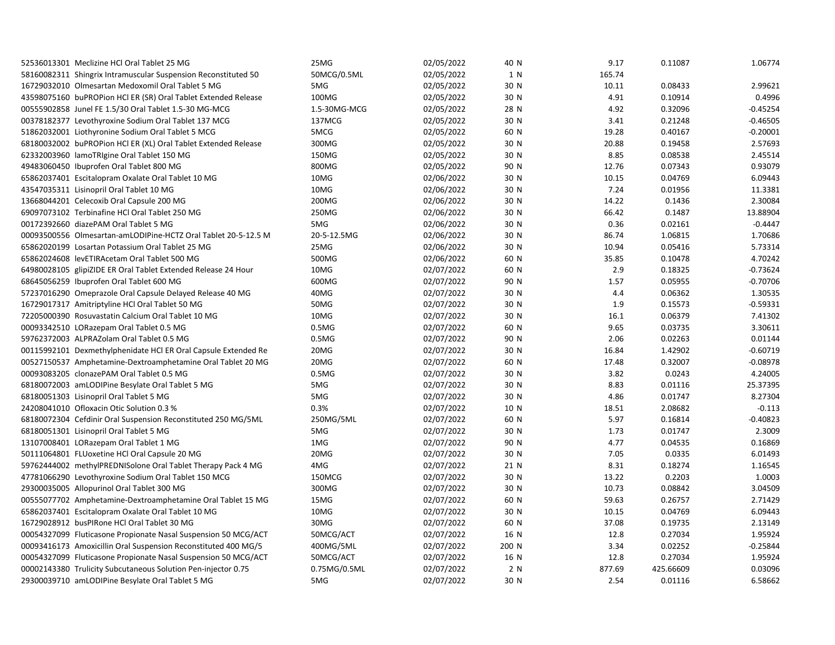| 52536013301 Meclizine HCl Oral Tablet 25 MG                    | 25MG              | 02/05/2022 | 40 N  | 9.17   | 0.11087   | 1.06774    |
|----------------------------------------------------------------|-------------------|------------|-------|--------|-----------|------------|
| 58160082311 Shingrix Intramuscular Suspension Reconstituted 50 | 50MCG/0.5ML       | 02/05/2022 | 1 N   | 165.74 |           |            |
| 16729032010 Olmesartan Medoxomil Oral Tablet 5 MG              | 5MG               | 02/05/2022 | 30 N  | 10.11  | 0.08433   | 2.99621    |
| 43598075160 buPROPion HCl ER (SR) Oral Tablet Extended Release | 100MG             | 02/05/2022 | 30 N  | 4.91   | 0.10914   | 0.4996     |
| 00555902858 Junel FE 1.5/30 Oral Tablet 1.5-30 MG-MCG          | 1.5-30MG-MCG      | 02/05/2022 | 28 N  | 4.92   | 0.32096   | $-0.45254$ |
| 00378182377 Levothyroxine Sodium Oral Tablet 137 MCG           | 137MCG            | 02/05/2022 | 30 N  | 3.41   | 0.21248   | $-0.46505$ |
| 51862032001 Liothyronine Sodium Oral Tablet 5 MCG              | 5MCG              | 02/05/2022 | 60 N  | 19.28  | 0.40167   | $-0.20001$ |
| 68180032002 buPROPion HCl ER (XL) Oral Tablet Extended Release | 300MG             | 02/05/2022 | 30 N  | 20.88  | 0.19458   | 2.57693    |
| 62332003960 lamoTRIgine Oral Tablet 150 MG                     | 150MG             | 02/05/2022 | 30 N  | 8.85   | 0.08538   | 2.45514    |
| 49483060450 Ibuprofen Oral Tablet 800 MG                       | 800MG             | 02/05/2022 | 90 N  | 12.76  | 0.07343   | 0.93079    |
| 65862037401 Escitalopram Oxalate Oral Tablet 10 MG             | 10MG              | 02/06/2022 | 30 N  | 10.15  | 0.04769   | 6.09443    |
| 43547035311 Lisinopril Oral Tablet 10 MG                       | 10MG              | 02/06/2022 | 30 N  | 7.24   | 0.01956   | 11.3381    |
| 13668044201 Celecoxib Oral Capsule 200 MG                      | 200MG             | 02/06/2022 | 30 N  | 14.22  | 0.1436    | 2.30084    |
| 69097073102 Terbinafine HCl Oral Tablet 250 MG                 | 250MG             | 02/06/2022 | 30 N  | 66.42  | 0.1487    | 13.88904   |
| 00172392660 diazePAM Oral Tablet 5 MG                          | 5MG               | 02/06/2022 | 30 N  | 0.36   | 0.02161   | $-0.4447$  |
| 00093500556 Olmesartan-amLODIPine-HCTZ Oral Tablet 20-5-12.5 M | 20-5-12.5MG       | 02/06/2022 | 30 N  | 86.74  | 1.06815   | 1.70686    |
| 65862020199 Losartan Potassium Oral Tablet 25 MG               | 25MG              | 02/06/2022 | 30 N  | 10.94  | 0.05416   | 5.73314    |
| 65862024608 levETIRAcetam Oral Tablet 500 MG                   | 500MG             | 02/06/2022 | 60 N  | 35.85  | 0.10478   | 4.70242    |
| 64980028105 glipiZIDE ER Oral Tablet Extended Release 24 Hour  | 10MG              | 02/07/2022 | 60 N  | 2.9    | 0.18325   | $-0.73624$ |
| 68645056259 Ibuprofen Oral Tablet 600 MG                       | 600MG             | 02/07/2022 | 90 N  | 1.57   | 0.05955   | $-0.70706$ |
| 57237016290 Omeprazole Oral Capsule Delayed Release 40 MG      | 40MG              | 02/07/2022 | 30 N  | 4.4    | 0.06362   | 1.30535    |
| 16729017317 Amitriptyline HCl Oral Tablet 50 MG                | 50MG              | 02/07/2022 | 30 N  | 1.9    | 0.15573   | $-0.59331$ |
| 72205000390 Rosuvastatin Calcium Oral Tablet 10 MG             | 10MG              | 02/07/2022 | 30 N  | 16.1   | 0.06379   | 7.41302    |
| 00093342510 LORazepam Oral Tablet 0.5 MG                       | 0.5M <sub>G</sub> | 02/07/2022 | 60 N  | 9.65   | 0.03735   | 3.30611    |
| 59762372003 ALPRAZolam Oral Tablet 0.5 MG                      | 0.5M <sub>G</sub> | 02/07/2022 | 90 N  | 2.06   | 0.02263   | 0.01144    |
| 00115992101 Dexmethylphenidate HCl ER Oral Capsule Extended Re | 20MG              | 02/07/2022 | 30 N  | 16.84  | 1.42902   | $-0.60719$ |
| 00527150537 Amphetamine-Dextroamphetamine Oral Tablet 20 MG    | 20MG              | 02/07/2022 | 60 N  | 17.48  | 0.32007   | $-0.08978$ |
| 00093083205 clonazePAM Oral Tablet 0.5 MG                      | 0.5M <sub>G</sub> | 02/07/2022 | 30 N  | 3.82   | 0.0243    | 4.24005    |
| 68180072003 amLODIPine Besylate Oral Tablet 5 MG               | 5MG               | 02/07/2022 | 30 N  | 8.83   | 0.01116   | 25.37395   |
| 68180051303 Lisinopril Oral Tablet 5 MG                        | 5MG               | 02/07/2022 | 30 N  | 4.86   | 0.01747   | 8.27304    |
| 24208041010 Ofloxacin Otic Solution 0.3 %                      | 0.3%              | 02/07/2022 | 10 N  | 18.51  | 2.08682   | $-0.113$   |
| 68180072304 Cefdinir Oral Suspension Reconstituted 250 MG/5ML  | 250MG/5ML         | 02/07/2022 | 60 N  | 5.97   | 0.16814   | $-0.40823$ |
| 68180051301 Lisinopril Oral Tablet 5 MG                        | 5MG               | 02/07/2022 | 30 N  | 1.73   | 0.01747   | 2.3009     |
| 13107008401 LORazepam Oral Tablet 1 MG                         | 1MG               | 02/07/2022 | 90 N  | 4.77   | 0.04535   | 0.16869    |
| 50111064801 FLUoxetine HCl Oral Capsule 20 MG                  | 20MG              | 02/07/2022 | 30 N  | 7.05   | 0.0335    | 6.01493    |
| 59762444002 methylPREDNISolone Oral Tablet Therapy Pack 4 MG   | 4MG               | 02/07/2022 | 21 N  | 8.31   | 0.18274   | 1.16545    |
| 47781066290 Levothyroxine Sodium Oral Tablet 150 MCG           | 150MCG            | 02/07/2022 | 30 N  | 13.22  | 0.2203    | 1.0003     |
| 29300035005 Allopurinol Oral Tablet 300 MG                     | 300MG             | 02/07/2022 | 30 N  | 10.73  | 0.08842   | 3.04509    |
| 00555077702 Amphetamine-Dextroamphetamine Oral Tablet 15 MG    | 15MG              | 02/07/2022 | 60 N  | 59.63  | 0.26757   | 2.71429    |
| 65862037401 Escitalopram Oxalate Oral Tablet 10 MG             | 10MG              | 02/07/2022 | 30 N  | 10.15  | 0.04769   | 6.09443    |
| 16729028912 busPIRone HCl Oral Tablet 30 MG                    | 30MG              | 02/07/2022 | 60 N  | 37.08  | 0.19735   | 2.13149    |
| 00054327099 Fluticasone Propionate Nasal Suspension 50 MCG/ACT | 50MCG/ACT         | 02/07/2022 | 16 N  | 12.8   | 0.27034   | 1.95924    |
| 00093416173 Amoxicillin Oral Suspension Reconstituted 400 MG/5 | 400MG/5ML         | 02/07/2022 | 200 N | 3.34   | 0.02252   | $-0.25844$ |
| 00054327099 Fluticasone Propionate Nasal Suspension 50 MCG/ACT | 50MCG/ACT         | 02/07/2022 | 16 N  | 12.8   | 0.27034   | 1.95924    |
| 00002143380 Trulicity Subcutaneous Solution Pen-injector 0.75  | 0.75MG/0.5ML      | 02/07/2022 | 2 N   | 877.69 | 425.66609 | 0.03096    |
| 29300039710 amLODIPine Besylate Oral Tablet 5 MG               | 5MG               | 02/07/2022 | 30 N  | 2.54   | 0.01116   | 6.58662    |
|                                                                |                   |            |       |        |           |            |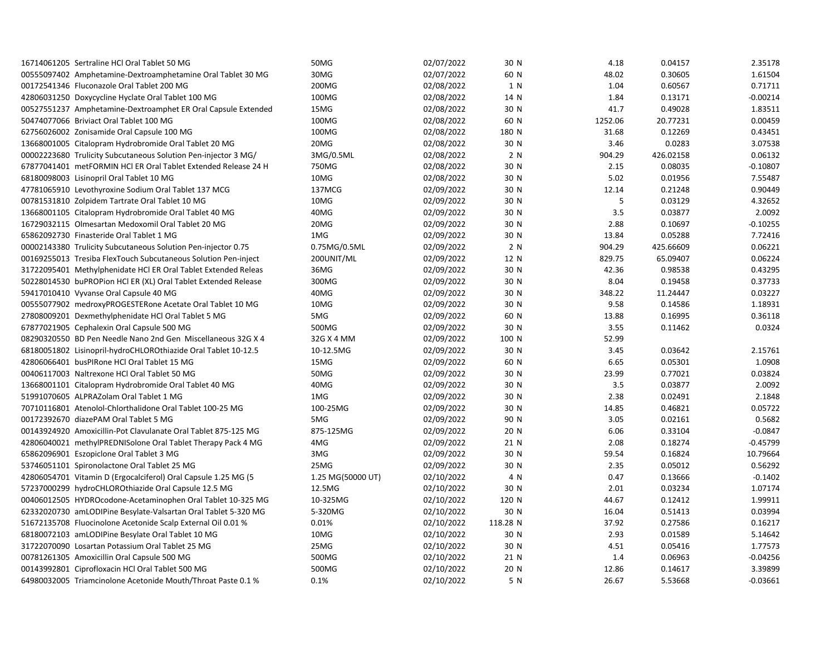| 16714061205 Sertraline HCl Oral Tablet 50 MG                   | 50MG              | 02/07/2022 | 30 N     | 4.18    | 0.04157   | 2.35178    |
|----------------------------------------------------------------|-------------------|------------|----------|---------|-----------|------------|
| 00555097402 Amphetamine-Dextroamphetamine Oral Tablet 30 MG    | 30MG              | 02/07/2022 | 60 N     | 48.02   | 0.30605   | 1.61504    |
| 00172541346 Fluconazole Oral Tablet 200 MG                     | 200MG             | 02/08/2022 | 1 N      | 1.04    | 0.60567   | 0.71711    |
| 42806031250 Doxycycline Hyclate Oral Tablet 100 MG             | 100MG             | 02/08/2022 | 14 N     | 1.84    | 0.13171   | $-0.00214$ |
| 00527551237 Amphetamine-Dextroamphet ER Oral Capsule Extended  | 15MG              | 02/08/2022 | 30 N     | 41.7    | 0.49028   | 1.83511    |
| 50474077066 Briviact Oral Tablet 100 MG                        | 100MG             | 02/08/2022 | 60 N     | 1252.06 | 20.77231  | 0.00459    |
| 62756026002 Zonisamide Oral Capsule 100 MG                     | 100MG             | 02/08/2022 | 180 N    | 31.68   | 0.12269   | 0.43451    |
| 13668001005 Citalopram Hydrobromide Oral Tablet 20 MG          | 20MG              | 02/08/2022 | 30 N     | 3.46    | 0.0283    | 3.07538    |
| 00002223680 Trulicity Subcutaneous Solution Pen-injector 3 MG/ | 3MG/0.5ML         | 02/08/2022 | 2 N      | 904.29  | 426.02158 | 0.06132    |
| 67877041401 metFORMIN HCl ER Oral Tablet Extended Release 24 H | 750MG             | 02/08/2022 | 30 N     | 2.15    | 0.08035   | $-0.10807$ |
| 68180098003 Lisinopril Oral Tablet 10 MG                       | 10MG              | 02/08/2022 | 30 N     | 5.02    | 0.01956   | 7.55487    |
| 47781065910 Levothyroxine Sodium Oral Tablet 137 MCG           | 137MCG            | 02/09/2022 | 30 N     | 12.14   | 0.21248   | 0.90449    |
| 00781531810 Zolpidem Tartrate Oral Tablet 10 MG                | 10MG              | 02/09/2022 | 30 N     | 5       | 0.03129   | 4.32652    |
| 13668001105 Citalopram Hydrobromide Oral Tablet 40 MG          | 40MG              | 02/09/2022 | 30 N     | 3.5     | 0.03877   | 2.0092     |
| 16729032115 Olmesartan Medoxomil Oral Tablet 20 MG             | 20MG              | 02/09/2022 | 30 N     | 2.88    | 0.10697   | $-0.10255$ |
| 65862092730 Finasteride Oral Tablet 1 MG                       | 1MG               | 02/09/2022 | 30 N     | 13.84   | 0.05288   | 7.72416    |
| 00002143380 Trulicity Subcutaneous Solution Pen-injector 0.75  | 0.75MG/0.5ML      | 02/09/2022 | 2 N      | 904.29  | 425.66609 | 0.06221    |
| 00169255013 Tresiba FlexTouch Subcutaneous Solution Pen-inject | 200UNIT/ML        | 02/09/2022 | 12 N     | 829.75  | 65.09407  | 0.06224    |
| 31722095401 Methylphenidate HCl ER Oral Tablet Extended Releas | 36MG              | 02/09/2022 | 30 N     | 42.36   | 0.98538   | 0.43295    |
| 50228014530 buPROPion HCl ER (XL) Oral Tablet Extended Release | 300MG             | 02/09/2022 | 30 N     | 8.04    | 0.19458   | 0.37733    |
| 59417010410 Vyvanse Oral Capsule 40 MG                         | 40MG              | 02/09/2022 | 30 N     | 348.22  | 11.24447  | 0.03227    |
| 00555077902 medroxyPROGESTERone Acetate Oral Tablet 10 MG      | 10MG              | 02/09/2022 | 30 N     | 9.58    | 0.14586   | 1.18931    |
| 27808009201 Dexmethylphenidate HCl Oral Tablet 5 MG            | 5MG               | 02/09/2022 | 60 N     | 13.88   | 0.16995   | 0.36118    |
| 67877021905 Cephalexin Oral Capsule 500 MG                     | 500MG             | 02/09/2022 | 30 N     | 3.55    | 0.11462   | 0.0324     |
| 08290320550 BD Pen Needle Nano 2nd Gen Miscellaneous 32G X 4   | 32G X 4 MM        | 02/09/2022 | 100 N    | 52.99   |           |            |
| 68180051802 Lisinopril-hydroCHLOROthiazide Oral Tablet 10-12.5 | 10-12.5MG         | 02/09/2022 | 30 N     | 3.45    | 0.03642   | 2.15761    |
| 42806066401 busPIRone HCl Oral Tablet 15 MG                    | 15MG              | 02/09/2022 | 60 N     | 6.65    | 0.05301   | 1.0908     |
| 00406117003 Naltrexone HCl Oral Tablet 50 MG                   | 50MG              | 02/09/2022 | 30 N     | 23.99   | 0.77021   | 0.03824    |
| 13668001101 Citalopram Hydrobromide Oral Tablet 40 MG          | 40MG              | 02/09/2022 | 30 N     | 3.5     | 0.03877   | 2.0092     |
| 51991070605 ALPRAZolam Oral Tablet 1 MG                        | 1MG               | 02/09/2022 | 30 N     | 2.38    | 0.02491   | 2.1848     |
| 70710116801 Atenolol-Chlorthalidone Oral Tablet 100-25 MG      | 100-25MG          | 02/09/2022 | 30 N     | 14.85   | 0.46821   | 0.05722    |
| 00172392670 diazePAM Oral Tablet 5 MG                          | 5MG               | 02/09/2022 | 90 N     | 3.05    | 0.02161   | 0.5682     |
| 00143924920 Amoxicillin-Pot Clavulanate Oral Tablet 875-125 MG | 875-125MG         | 02/09/2022 | 20 N     | 6.06    | 0.33104   | $-0.0847$  |
| 42806040021 methylPREDNISolone Oral Tablet Therapy Pack 4 MG   | 4MG               | 02/09/2022 | 21 N     | 2.08    | 0.18274   | $-0.45799$ |
| 65862096901 Eszopiclone Oral Tablet 3 MG                       | 3MG               | 02/09/2022 | 30 N     | 59.54   | 0.16824   | 10.79664   |
| 53746051101 Spironolactone Oral Tablet 25 MG                   | 25MG              | 02/09/2022 | 30 N     | 2.35    | 0.05012   | 0.56292    |
| 42806054701 Vitamin D (Ergocalciferol) Oral Capsule 1.25 MG (5 | 1.25 MG(50000 UT) | 02/10/2022 | 4 N      | 0.47    | 0.13666   | $-0.1402$  |
| 57237000299 hydroCHLOROthiazide Oral Capsule 12.5 MG           | 12.5MG            | 02/10/2022 | 30 N     | 2.01    | 0.03234   | 1.07174    |
| 00406012505 HYDROcodone-Acetaminophen Oral Tablet 10-325 MG    | 10-325MG          | 02/10/2022 | 120 N    | 44.67   | 0.12412   | 1.99911    |
| 62332020730 amLODIPine Besylate-Valsartan Oral Tablet 5-320 MG | 5-320MG           | 02/10/2022 | 30 N     | 16.04   | 0.51413   | 0.03994    |
| 51672135708 Fluocinolone Acetonide Scalp External Oil 0.01 %   | 0.01%             | 02/10/2022 | 118.28 N | 37.92   | 0.27586   | 0.16217    |
| 68180072103 amLODIPine Besylate Oral Tablet 10 MG              | 10MG              | 02/10/2022 | 30 N     | 2.93    | 0.01589   | 5.14642    |
| 31722070090 Losartan Potassium Oral Tablet 25 MG               | 25MG              | 02/10/2022 | 30 N     | 4.51    | 0.05416   | 1.77573    |
| 00781261305 Amoxicillin Oral Capsule 500 MG                    | 500MG             | 02/10/2022 | 21 N     | 1.4     | 0.06963   | $-0.04256$ |
| 00143992801 Ciprofloxacin HCl Oral Tablet 500 MG               | 500MG             | 02/10/2022 | 20 N     | 12.86   | 0.14617   | 3.39899    |
| 64980032005 Triamcinolone Acetonide Mouth/Throat Paste 0.1 %   | 0.1%              | 02/10/2022 | 5 N      | 26.67   | 5.53668   | $-0.03661$ |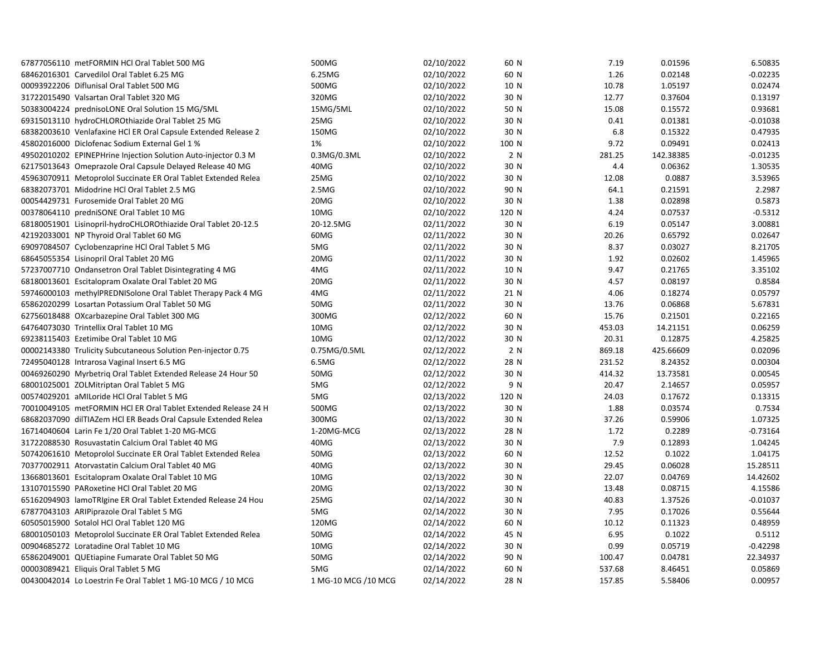| 67877056110 metFORMIN HCl Oral Tablet 500 MG                   | 500MG                | 02/10/2022 | 60 N  | 7.19   | 0.01596   | 6.50835    |
|----------------------------------------------------------------|----------------------|------------|-------|--------|-----------|------------|
| 68462016301 Carvedilol Oral Tablet 6.25 MG                     | 6.25MG               | 02/10/2022 | 60 N  | 1.26   | 0.02148   | $-0.02235$ |
| 00093922206 Diflunisal Oral Tablet 500 MG                      | 500MG                | 02/10/2022 | 10 N  | 10.78  | 1.05197   | 0.02474    |
| 31722015490 Valsartan Oral Tablet 320 MG                       | 320MG                | 02/10/2022 | 30 N  | 12.77  | 0.37604   | 0.13197    |
| 50383004224 prednisoLONE Oral Solution 15 MG/5ML               | 15MG/5ML             | 02/10/2022 | 50 N  | 15.08  | 0.15572   | 0.93681    |
| 69315013110 hydroCHLOROthiazide Oral Tablet 25 MG              | 25MG                 | 02/10/2022 | 30 N  | 0.41   | 0.01381   | $-0.01038$ |
| 68382003610 Venlafaxine HCl ER Oral Capsule Extended Release 2 | 150MG                | 02/10/2022 | 30 N  | 6.8    | 0.15322   | 0.47935    |
| 45802016000 Diclofenac Sodium External Gel 1 %                 | 1%                   | 02/10/2022 | 100 N | 9.72   | 0.09491   | 0.02413    |
| 49502010202 EPINEPHrine Injection Solution Auto-injector 0.3 M | 0.3MG/0.3ML          | 02/10/2022 | 2 N   | 281.25 | 142.38385 | $-0.01235$ |
| 62175013643 Omeprazole Oral Capsule Delayed Release 40 MG      | 40MG                 | 02/10/2022 | 30 N  | 4.4    | 0.06362   | 1.30535    |
| 45963070911 Metoprolol Succinate ER Oral Tablet Extended Relea | 25MG                 | 02/10/2022 | 30 N  | 12.08  | 0.0887    | 3.53965    |
| 68382073701 Midodrine HCl Oral Tablet 2.5 MG                   | 2.5M <sub>G</sub>    | 02/10/2022 | 90 N  | 64.1   | 0.21591   | 2.2987     |
| 00054429731 Furosemide Oral Tablet 20 MG                       | 20MG                 | 02/10/2022 | 30 N  | 1.38   | 0.02898   | 0.5873     |
| 00378064110 predniSONE Oral Tablet 10 MG                       | 10MG                 | 02/10/2022 | 120 N | 4.24   | 0.07537   | $-0.5312$  |
| 68180051901 Lisinopril-hydroCHLOROthiazide Oral Tablet 20-12.5 | 20-12.5MG            | 02/11/2022 | 30 N  | 6.19   | 0.05147   | 3.00881    |
| 42192033001 NP Thyroid Oral Tablet 60 MG                       | 60MG                 | 02/11/2022 | 30 N  | 20.26  | 0.65792   | 0.02647    |
| 69097084507 Cyclobenzaprine HCl Oral Tablet 5 MG               | 5MG                  | 02/11/2022 | 30 N  | 8.37   | 0.03027   | 8.21705    |
| 68645055354 Lisinopril Oral Tablet 20 MG                       | 20MG                 | 02/11/2022 | 30 N  | 1.92   | 0.02602   | 1.45965    |
| 57237007710 Ondansetron Oral Tablet Disintegrating 4 MG        | 4MG                  | 02/11/2022 | 10 N  | 9.47   | 0.21765   | 3.35102    |
| 68180013601 Escitalopram Oxalate Oral Tablet 20 MG             | 20MG                 | 02/11/2022 | 30 N  | 4.57   | 0.08197   | 0.8584     |
| 59746000103 methylPREDNISolone Oral Tablet Therapy Pack 4 MG   | 4MG                  | 02/11/2022 | 21 N  | 4.06   | 0.18274   | 0.05797    |
| 65862020299 Losartan Potassium Oral Tablet 50 MG               | 50MG                 | 02/11/2022 | 30 N  | 13.76  | 0.06868   | 5.67831    |
| 62756018488 OXcarbazepine Oral Tablet 300 MG                   | 300MG                | 02/12/2022 | 60 N  | 15.76  | 0.21501   | 0.22165    |
| 64764073030 Trintellix Oral Tablet 10 MG                       | 10MG                 | 02/12/2022 | 30 N  | 453.03 | 14.21151  | 0.06259    |
| 69238115403 Ezetimibe Oral Tablet 10 MG                        | 10MG                 | 02/12/2022 | 30 N  | 20.31  | 0.12875   | 4.25825    |
| 00002143380 Trulicity Subcutaneous Solution Pen-injector 0.75  | 0.75MG/0.5ML         | 02/12/2022 | 2 N   | 869.18 | 425.66609 | 0.02096    |
| 72495040128 Intrarosa Vaginal Insert 6.5 MG                    | 6.5MG                | 02/12/2022 | 28 N  | 231.52 | 8.24352   | 0.00304    |
| 00469260290 Myrbetriq Oral Tablet Extended Release 24 Hour 50  | 50MG                 | 02/12/2022 | 30 N  | 414.32 | 13.73581  | 0.00545    |
| 68001025001 ZOLMitriptan Oral Tablet 5 MG                      | 5MG                  | 02/12/2022 | 9 N   | 20.47  | 2.14657   | 0.05957    |
| 00574029201 aMILoride HCl Oral Tablet 5 MG                     | 5MG                  | 02/13/2022 | 120 N | 24.03  | 0.17672   | 0.13315    |
| 70010049105 metFORMIN HCl ER Oral Tablet Extended Release 24 H | 500MG                | 02/13/2022 | 30 N  | 1.88   | 0.03574   | 0.7534     |
| 68682037090 dilTIAZem HCl ER Beads Oral Capsule Extended Relea | 300MG                | 02/13/2022 | 30 N  | 37.26  | 0.59906   | 1.07325    |
| 16714040604 Larin Fe 1/20 Oral Tablet 1-20 MG-MCG              | 1-20MG-MCG           | 02/13/2022 | 28 N  | 1.72   | 0.2289    | $-0.73164$ |
| 31722088530 Rosuvastatin Calcium Oral Tablet 40 MG             | 40MG                 | 02/13/2022 | 30 N  | 7.9    | 0.12893   | 1.04245    |
| 50742061610 Metoprolol Succinate ER Oral Tablet Extended Relea | 50MG                 | 02/13/2022 | 60 N  | 12.52  | 0.1022    | 1.04175    |
| 70377002911 Atorvastatin Calcium Oral Tablet 40 MG             | 40MG                 | 02/13/2022 | 30 N  | 29.45  | 0.06028   | 15.28511   |
| 13668013601 Escitalopram Oxalate Oral Tablet 10 MG             | 10MG                 | 02/13/2022 | 30 N  | 22.07  | 0.04769   | 14.42602   |
| 13107015590 PARoxetine HCl Oral Tablet 20 MG                   | 20MG                 | 02/13/2022 | 30 N  | 13.48  | 0.08715   | 4.15586    |
| 65162094903 lamoTRIgine ER Oral Tablet Extended Release 24 Hou | 25MG                 | 02/14/2022 | 30 N  | 40.83  | 1.37526   | $-0.01037$ |
| 67877043103 ARIPiprazole Oral Tablet 5 MG                      | 5MG                  | 02/14/2022 | 30 N  | 7.95   | 0.17026   | 0.55644    |
| 60505015900 Sotalol HCl Oral Tablet 120 MG                     | 120MG                | 02/14/2022 | 60 N  | 10.12  | 0.11323   | 0.48959    |
| 68001050103 Metoprolol Succinate ER Oral Tablet Extended Relea | 50MG                 | 02/14/2022 | 45 N  | 6.95   | 0.1022    | 0.5112     |
| 00904685272 Loratadine Oral Tablet 10 MG                       | 10MG                 | 02/14/2022 | 30 N  | 0.99   | 0.05719   | $-0.42298$ |
| 65862049001 QUEtiapine Fumarate Oral Tablet 50 MG              | 50MG                 | 02/14/2022 | 90 N  | 100.47 | 0.04781   | 22.34937   |
| 00003089421 Eliquis Oral Tablet 5 MG                           | 5MG                  | 02/14/2022 | 60 N  | 537.68 | 8.46451   | 0.05869    |
| 00430042014 Lo Loestrin Fe Oral Tablet 1 MG-10 MCG / 10 MCG    | 1 MG-10 MCG / 10 MCG | 02/14/2022 | 28 N  | 157.85 | 5.58406   | 0.00957    |
|                                                                |                      |            |       |        |           |            |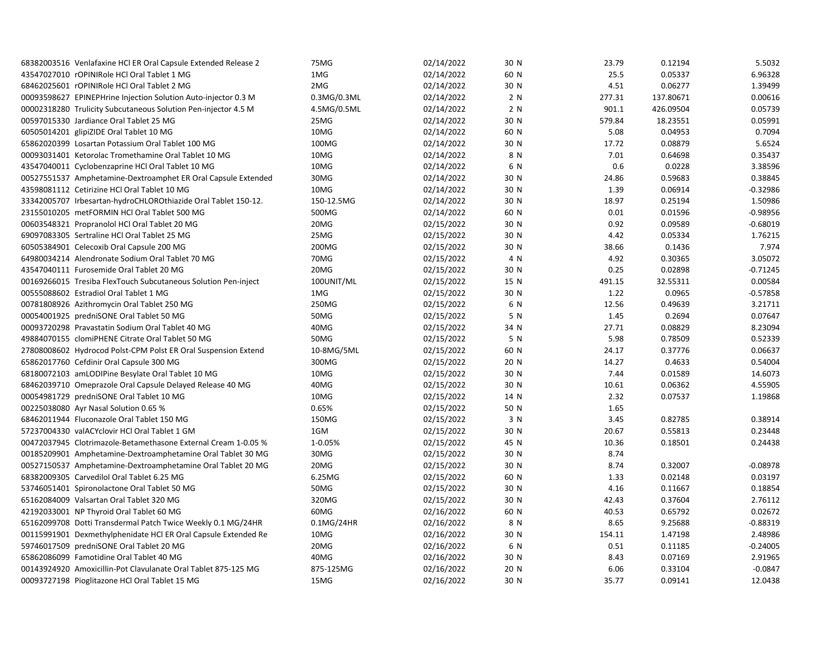| 68382003516 Venlafaxine HCl ER Oral Capsule Extended Release 2 | 75MG        | 02/14/2022 | 30 N | 23.79  | 0.12194   | 5.5032     |
|----------------------------------------------------------------|-------------|------------|------|--------|-----------|------------|
| 43547027010 rOPINIRole HCl Oral Tablet 1 MG                    | 1MG         | 02/14/2022 | 60 N | 25.5   | 0.05337   | 6.96328    |
| 68462025601 rOPINIRole HCl Oral Tablet 2 MG                    | 2MG         | 02/14/2022 | 30 N | 4.51   | 0.06277   | 1.39499    |
| 00093598627 EPINEPHrine Injection Solution Auto-injector 0.3 M | 0.3MG/0.3ML | 02/14/2022 | 2 N  | 277.31 | 137.80671 | 0.00616    |
| 00002318280 Trulicity Subcutaneous Solution Pen-injector 4.5 M | 4.5MG/0.5ML | 02/14/2022 | 2 N  | 901.1  | 426.09504 | 0.05739    |
| 00597015330 Jardiance Oral Tablet 25 MG                        | 25MG        | 02/14/2022 | 30 N | 579.84 | 18.23551  | 0.05991    |
| 60505014201 glipiZIDE Oral Tablet 10 MG                        | 10MG        | 02/14/2022 | 60 N | 5.08   | 0.04953   | 0.7094     |
| 65862020399 Losartan Potassium Oral Tablet 100 MG              | 100MG       | 02/14/2022 | 30 N | 17.72  | 0.08879   | 5.6524     |
| 00093031401 Ketorolac Tromethamine Oral Tablet 10 MG           | 10MG        | 02/14/2022 | 8 N  | 7.01   | 0.64698   | 0.35437    |
| 43547040011 Cyclobenzaprine HCl Oral Tablet 10 MG              | 10MG        | 02/14/2022 | 6 N  | 0.6    | 0.0228    | 3.38596    |
| 00527551537 Amphetamine-Dextroamphet ER Oral Capsule Extended  | 30MG        | 02/14/2022 | 30 N | 24.86  | 0.59683   | 0.38845    |
| 43598081112 Cetirizine HCl Oral Tablet 10 MG                   | 10MG        | 02/14/2022 | 30 N | 1.39   | 0.06914   | $-0.32986$ |
| 33342005707 Irbesartan-hydroCHLOROthiazide Oral Tablet 150-12. | 150-12.5MG  | 02/14/2022 | 30 N | 18.97  | 0.25194   | 1.50986    |
| 23155010205 metFORMIN HCl Oral Tablet 500 MG                   | 500MG       | 02/14/2022 | 60 N | 0.01   | 0.01596   | $-0.98956$ |
| 00603548321 Propranolol HCl Oral Tablet 20 MG                  | 20MG        | 02/15/2022 | 30 N | 0.92   | 0.09589   | $-0.68019$ |
| 69097083305 Sertraline HCl Oral Tablet 25 MG                   | 25MG        | 02/15/2022 | 30 N | 4.42   | 0.05334   | 1.76215    |
| 60505384901 Celecoxib Oral Capsule 200 MG                      | 200MG       | 02/15/2022 | 30 N | 38.66  | 0.1436    | 7.974      |
| 64980034214 Alendronate Sodium Oral Tablet 70 MG               | 70MG        | 02/15/2022 | 4 N  | 4.92   | 0.30365   | 3.05072    |
| 43547040111 Furosemide Oral Tablet 20 MG                       | 20MG        | 02/15/2022 | 30 N | 0.25   | 0.02898   | $-0.71245$ |
| 00169266015 Tresiba FlexTouch Subcutaneous Solution Pen-inject | 100UNIT/ML  | 02/15/2022 | 15 N | 491.15 | 32.55311  | 0.00584    |
| 00555088602 Estradiol Oral Tablet 1 MG                         | 1MG         | 02/15/2022 | 30 N | 1.22   | 0.0965    | $-0.57858$ |
| 00781808926 Azithromycin Oral Tablet 250 MG                    | 250MG       | 02/15/2022 | 6 N  | 12.56  | 0.49639   | 3.21711    |
| 00054001925 predniSONE Oral Tablet 50 MG                       | 50MG        | 02/15/2022 | 5 N  | 1.45   | 0.2694    | 0.07647    |
| 00093720298 Pravastatin Sodium Oral Tablet 40 MG               | 40MG        | 02/15/2022 | 34 N | 27.71  | 0.08829   | 8.23094    |
| 49884070155 clomiPHENE Citrate Oral Tablet 50 MG               | 50MG        | 02/15/2022 | 5 N  | 5.98   | 0.78509   | 0.52339    |
| 27808008602 Hydrocod Polst-CPM Polst ER Oral Suspension Extend | 10-8MG/5ML  | 02/15/2022 | 60 N | 24.17  | 0.37776   | 0.06637    |
| 65862017760 Cefdinir Oral Capsule 300 MG                       | 300MG       | 02/15/2022 | 20 N | 14.27  | 0.4633    | 0.54004    |
| 68180072103 amLODIPine Besylate Oral Tablet 10 MG              | 10MG        | 02/15/2022 | 30 N | 7.44   | 0.01589   | 14.6073    |
| 68462039710 Omeprazole Oral Capsule Delayed Release 40 MG      | 40MG        | 02/15/2022 | 30 N | 10.61  | 0.06362   | 4.55905    |
| 00054981729 predniSONE Oral Tablet 10 MG                       | 10MG        | 02/15/2022 | 14 N | 2.32   | 0.07537   | 1.19868    |
| 00225038080 Ayr Nasal Solution 0.65 %                          | 0.65%       | 02/15/2022 | 50 N | 1.65   |           |            |
| 68462011944 Fluconazole Oral Tablet 150 MG                     | 150MG       | 02/15/2022 | 3 N  | 3.45   | 0.82785   | 0.38914    |
| 57237004330 valACYclovir HCl Oral Tablet 1 GM                  | 1GM         | 02/15/2022 | 30 N | 20.67  | 0.55813   | 0.23448    |
| 00472037945 Clotrimazole-Betamethasone External Cream 1-0.05 % | 1-0.05%     | 02/15/2022 | 45 N | 10.36  | 0.18501   | 0.24438    |
| 00185209901 Amphetamine-Dextroamphetamine Oral Tablet 30 MG    | 30MG        | 02/15/2022 | 30 N | 8.74   |           |            |
| 00527150537 Amphetamine-Dextroamphetamine Oral Tablet 20 MG    | 20MG        | 02/15/2022 | 30 N | 8.74   | 0.32007   | $-0.08978$ |
| 68382009305 Carvedilol Oral Tablet 6.25 MG                     | 6.25MG      | 02/15/2022 | 60 N | 1.33   | 0.02148   | 0.03197    |
| 53746051401 Spironolactone Oral Tablet 50 MG                   | 50MG        | 02/15/2022 | 30 N | 4.16   | 0.11667   | 0.18854    |
| 65162084009 Valsartan Oral Tablet 320 MG                       | 320MG       | 02/15/2022 | 30 N | 42.43  | 0.37604   | 2.76112    |
| 42192033001 NP Thyroid Oral Tablet 60 MG                       | 60MG        | 02/16/2022 | 60 N | 40.53  | 0.65792   | 0.02672    |
| 65162099708 Dotti Transdermal Patch Twice Weekly 0.1 MG/24HR   | 0.1MG/24HR  | 02/16/2022 | 8 N  | 8.65   | 9.25688   | $-0.88319$ |
| 00115991901 Dexmethylphenidate HCl ER Oral Capsule Extended Re | 10MG        | 02/16/2022 | 30 N | 154.11 | 1.47198   | 2.48986    |
| 59746017509 predniSONE Oral Tablet 20 MG                       | 20MG        | 02/16/2022 | 6 N  | 0.51   | 0.11185   | $-0.24005$ |
| 65862086099 Famotidine Oral Tablet 40 MG                       | 40MG        | 02/16/2022 | 30 N | 8.43   | 0.07169   | 2.91965    |
| 00143924920 Amoxicillin-Pot Clavulanate Oral Tablet 875-125 MG | 875-125MG   | 02/16/2022 | 20 N | 6.06   | 0.33104   | $-0.0847$  |
| 00093727198 Pioglitazone HCl Oral Tablet 15 MG                 | 15MG        | 02/16/2022 | 30 N | 35.77  | 0.09141   | 12.0438    |
|                                                                |             |            |      |        |           |            |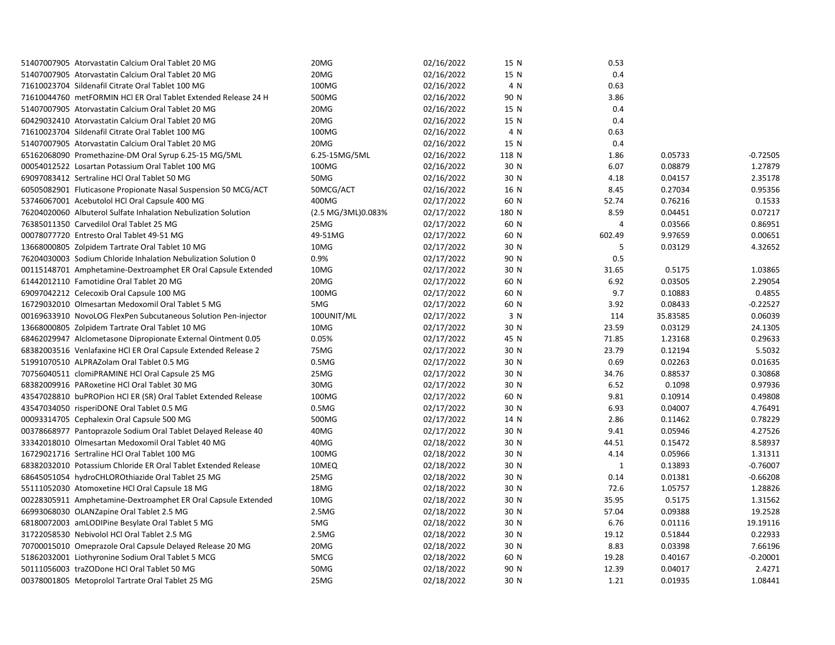| 51407007905 Atorvastatin Calcium Oral Tablet 20 MG             | 20MG               | 02/16/2022 | 15 N  | 0.53           |          |            |
|----------------------------------------------------------------|--------------------|------------|-------|----------------|----------|------------|
| 51407007905 Atorvastatin Calcium Oral Tablet 20 MG             | 20MG               | 02/16/2022 | 15 N  | 0.4            |          |            |
| 71610023704 Sildenafil Citrate Oral Tablet 100 MG              | 100MG              | 02/16/2022 | 4 N   | 0.63           |          |            |
| 71610044760 metFORMIN HCl ER Oral Tablet Extended Release 24 H | 500MG              | 02/16/2022 | 90 N  | 3.86           |          |            |
| 51407007905 Atorvastatin Calcium Oral Tablet 20 MG             | 20MG               | 02/16/2022 | 15 N  | 0.4            |          |            |
| 60429032410 Atorvastatin Calcium Oral Tablet 20 MG             | 20MG               | 02/16/2022 | 15 N  | 0.4            |          |            |
| 71610023704 Sildenafil Citrate Oral Tablet 100 MG              | 100MG              | 02/16/2022 | 4 N   | 0.63           |          |            |
| 51407007905 Atorvastatin Calcium Oral Tablet 20 MG             | 20MG               | 02/16/2022 | 15 N  | 0.4            |          |            |
| 65162068090 Promethazine-DM Oral Syrup 6.25-15 MG/5ML          | 6.25-15MG/5ML      | 02/16/2022 | 118 N | 1.86           | 0.05733  | $-0.72505$ |
| 00054012522 Losartan Potassium Oral Tablet 100 MG              | 100MG              | 02/16/2022 | 30 N  | 6.07           | 0.08879  | 1.27879    |
| 69097083412 Sertraline HCl Oral Tablet 50 MG                   | 50MG               | 02/16/2022 | 30 N  | 4.18           | 0.04157  | 2.35178    |
| 60505082901 Fluticasone Propionate Nasal Suspension 50 MCG/ACT | 50MCG/ACT          | 02/16/2022 | 16 N  | 8.45           | 0.27034  | 0.95356    |
| 53746067001 Acebutolol HCl Oral Capsule 400 MG                 | 400MG              | 02/17/2022 | 60 N  | 52.74          | 0.76216  | 0.1533     |
| 76204020060 Albuterol Sulfate Inhalation Nebulization Solution | (2.5 MG/3ML)0.083% | 02/17/2022 | 180 N | 8.59           | 0.04451  | 0.07217    |
| 76385011350 Carvedilol Oral Tablet 25 MG                       | 25MG               | 02/17/2022 | 60 N  | $\overline{4}$ | 0.03566  | 0.86951    |
| 00078077720 Entresto Oral Tablet 49-51 MG                      | 49-51MG            | 02/17/2022 | 60 N  | 602.49         | 9.97659  | 0.00651    |
| 13668000805 Zolpidem Tartrate Oral Tablet 10 MG                | 10MG               | 02/17/2022 | 30 N  | 5              | 0.03129  | 4.32652    |
| 76204030003 Sodium Chloride Inhalation Nebulization Solution 0 | 0.9%               | 02/17/2022 | 90 N  | 0.5            |          |            |
| 00115148701 Amphetamine-Dextroamphet ER Oral Capsule Extended  | 10MG               | 02/17/2022 | 30 N  | 31.65          | 0.5175   | 1.03865    |
| 61442012110 Famotidine Oral Tablet 20 MG                       | 20MG               | 02/17/2022 | 60 N  | 6.92           | 0.03505  | 2.29054    |
| 69097042212 Celecoxib Oral Capsule 100 MG                      | 100MG              | 02/17/2022 | 60 N  | 9.7            | 0.10883  | 0.4855     |
| 16729032010 Olmesartan Medoxomil Oral Tablet 5 MG              | 5MG                | 02/17/2022 | 60 N  | 3.92           | 0.08433  | $-0.22527$ |
| 00169633910 NovoLOG FlexPen Subcutaneous Solution Pen-injector | 100UNIT/ML         | 02/17/2022 | 3 N   | 114            | 35.83585 | 0.06039    |
| 13668000805 Zolpidem Tartrate Oral Tablet 10 MG                | 10MG               | 02/17/2022 | 30 N  | 23.59          | 0.03129  | 24.1305    |
| 68462029947 Alclometasone Dipropionate External Ointment 0.05  | 0.05%              | 02/17/2022 | 45 N  | 71.85          | 1.23168  | 0.29633    |
| 68382003516 Venlafaxine HCI ER Oral Capsule Extended Release 2 | 75MG               | 02/17/2022 | 30 N  | 23.79          | 0.12194  | 5.5032     |
| 51991070510 ALPRAZolam Oral Tablet 0.5 MG                      | 0.5M <sub>G</sub>  | 02/17/2022 | 30 N  | 0.69           | 0.02263  | 0.01635    |
| 70756040511 clomiPRAMINE HCl Oral Capsule 25 MG                | 25MG               | 02/17/2022 | 30 N  | 34.76          | 0.88537  | 0.30868    |
| 68382009916 PARoxetine HCl Oral Tablet 30 MG                   | 30MG               | 02/17/2022 | 30 N  | 6.52           | 0.1098   | 0.97936    |
| 43547028810 buPROPion HCl ER (SR) Oral Tablet Extended Release | 100MG              | 02/17/2022 | 60 N  | 9.81           | 0.10914  | 0.49808    |
| 43547034050 risperiDONE Oral Tablet 0.5 MG                     | 0.5M <sub>G</sub>  | 02/17/2022 | 30 N  | 6.93           | 0.04007  | 4.76491    |
| 00093314705 Cephalexin Oral Capsule 500 MG                     | 500MG              | 02/17/2022 | 14 N  | 2.86           | 0.11462  | 0.78229    |
| 00378668977 Pantoprazole Sodium Oral Tablet Delayed Release 40 | 40MG               | 02/17/2022 | 30 N  | 9.41           | 0.05946  | 4.27526    |
| 33342018010 Olmesartan Medoxomil Oral Tablet 40 MG             | 40MG               | 02/18/2022 | 30 N  | 44.51          | 0.15472  | 8.58937    |
| 16729021716 Sertraline HCl Oral Tablet 100 MG                  | 100MG              | 02/18/2022 | 30 N  | 4.14           | 0.05966  | 1.31311    |
| 68382032010 Potassium Chloride ER Oral Tablet Extended Release | 10MEQ              | 02/18/2022 | 30 N  | $\mathbf{1}$   | 0.13893  | $-0.76007$ |
| 68645051054 hydroCHLOROthiazide Oral Tablet 25 MG              | 25MG               | 02/18/2022 | 30 N  | 0.14           | 0.01381  | $-0.66208$ |
| 55111052030 Atomoxetine HCl Oral Capsule 18 MG                 | 18MG               | 02/18/2022 | 30 N  | 72.6           | 1.05757  | 1.28826    |
| 00228305911 Amphetamine-Dextroamphet ER Oral Capsule Extended  | 10MG               | 02/18/2022 | 30 N  | 35.95          | 0.5175   | 1.31562    |
| 66993068030 OLANZapine Oral Tablet 2.5 MG                      | 2.5MG              | 02/18/2022 | 30 N  | 57.04          | 0.09388  | 19.2528    |
| 68180072003 amLODIPine Besylate Oral Tablet 5 MG               | 5MG                | 02/18/2022 | 30 N  | 6.76           | 0.01116  | 19.19116   |
| 31722058530 Nebivolol HCl Oral Tablet 2.5 MG                   | 2.5MG              | 02/18/2022 | 30 N  | 19.12          | 0.51844  | 0.22933    |
| 70700015010 Omeprazole Oral Capsule Delayed Release 20 MG      | 20MG               | 02/18/2022 | 30 N  | 8.83           | 0.03398  | 7.66196    |
| 51862032001 Liothyronine Sodium Oral Tablet 5 MCG              | 5MCG               | 02/18/2022 | 60 N  | 19.28          | 0.40167  | $-0.20001$ |
| 50111056003 traZODone HCl Oral Tablet 50 MG                    | 50MG               | 02/18/2022 | 90 N  | 12.39          | 0.04017  | 2.4271     |
| 00378001805 Metoprolol Tartrate Oral Tablet 25 MG              | 25MG               | 02/18/2022 | 30 N  | 1.21           | 0.01935  | 1.08441    |
|                                                                |                    |            |       |                |          |            |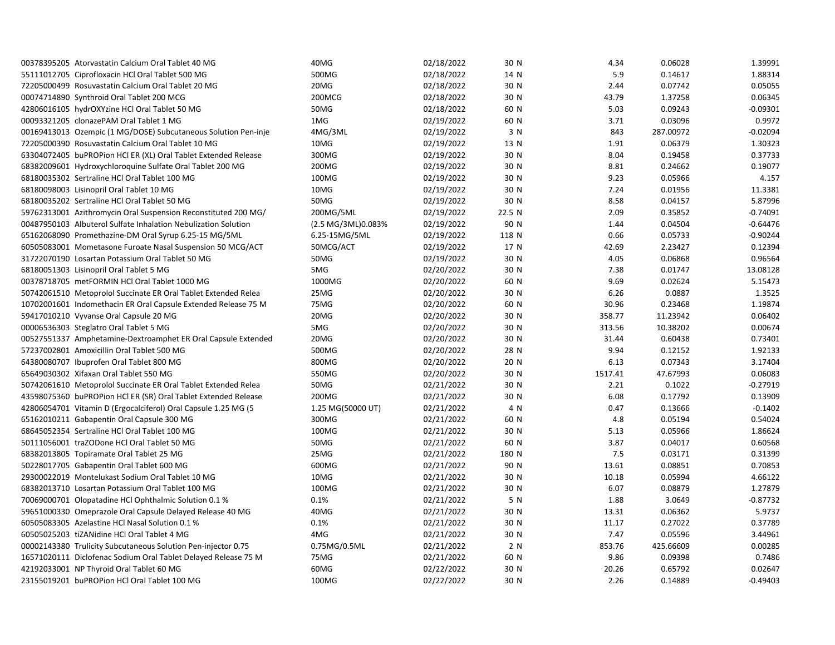| 00378395205 Atorvastatin Calcium Oral Tablet 40 MG             | 40MG               | 02/18/2022 | 30 N   | 4.34    | 0.06028   | 1.39991    |
|----------------------------------------------------------------|--------------------|------------|--------|---------|-----------|------------|
| 55111012705 Ciprofloxacin HCl Oral Tablet 500 MG               | 500MG              | 02/18/2022 | 14 N   | 5.9     | 0.14617   | 1.88314    |
| 72205000499 Rosuvastatin Calcium Oral Tablet 20 MG             | 20MG               | 02/18/2022 | 30 N   | 2.44    | 0.07742   | 0.05055    |
| 00074714890 Synthroid Oral Tablet 200 MCG                      | 200MCG             | 02/18/2022 | 30 N   | 43.79   | 1.37258   | 0.06345    |
| 42806016105 hydrOXYzine HCl Oral Tablet 50 MG                  | 50MG               | 02/18/2022 | 60 N   | 5.03    | 0.09243   | $-0.09301$ |
| 00093321205 clonazePAM Oral Tablet 1 MG                        | 1MG                | 02/19/2022 | 60 N   | 3.71    | 0.03096   | 0.9972     |
| 00169413013 Ozempic (1 MG/DOSE) Subcutaneous Solution Pen-inje | 4MG/3ML            | 02/19/2022 | 3 N    | 843     | 287.00972 | $-0.02094$ |
| 72205000390 Rosuvastatin Calcium Oral Tablet 10 MG             | 10MG               | 02/19/2022 | 13 N   | 1.91    | 0.06379   | 1.30323    |
| 63304072405 buPROPion HCl ER (XL) Oral Tablet Extended Release | 300MG              | 02/19/2022 | 30 N   | 8.04    | 0.19458   | 0.37733    |
| 68382009601 Hydroxychloroquine Sulfate Oral Tablet 200 MG      | 200MG              | 02/19/2022 | 30 N   | 8.81    | 0.24662   | 0.19077    |
| 68180035302 Sertraline HCl Oral Tablet 100 MG                  | 100MG              | 02/19/2022 | 30 N   | 9.23    | 0.05966   | 4.157      |
| 68180098003 Lisinopril Oral Tablet 10 MG                       | 10MG               | 02/19/2022 | 30 N   | 7.24    | 0.01956   | 11.3381    |
| 68180035202 Sertraline HCl Oral Tablet 50 MG                   | 50MG               | 02/19/2022 | 30 N   | 8.58    | 0.04157   | 5.87996    |
| 59762313001 Azithromycin Oral Suspension Reconstituted 200 MG/ | 200MG/5ML          | 02/19/2022 | 22.5 N | 2.09    | 0.35852   | $-0.74091$ |
| 00487950103 Albuterol Sulfate Inhalation Nebulization Solution | (2.5 MG/3ML)0.083% | 02/19/2022 | 90 N   | 1.44    | 0.04504   | $-0.64476$ |
| 65162068090 Promethazine-DM Oral Syrup 6.25-15 MG/5ML          | 6.25-15MG/5ML      | 02/19/2022 | 118 N  | 0.66    | 0.05733   | $-0.90244$ |
| 60505083001 Mometasone Furoate Nasal Suspension 50 MCG/ACT     | 50MCG/ACT          | 02/19/2022 | 17 N   | 42.69   | 2.23427   | 0.12394    |
| 31722070190 Losartan Potassium Oral Tablet 50 MG               | 50MG               | 02/19/2022 | 30 N   | 4.05    | 0.06868   | 0.96564    |
| 68180051303 Lisinopril Oral Tablet 5 MG                        | 5MG                | 02/20/2022 | 30 N   | 7.38    | 0.01747   | 13.08128   |
| 00378718705 metFORMIN HCl Oral Tablet 1000 MG                  | 1000MG             | 02/20/2022 | 60 N   | 9.69    | 0.02624   | 5.15473    |
| 50742061510 Metoprolol Succinate ER Oral Tablet Extended Relea | 25MG               | 02/20/2022 | 30 N   | 6.26    | 0.0887    | 1.3525     |
| 10702001601 Indomethacin ER Oral Capsule Extended Release 75 M | 75MG               | 02/20/2022 | 60 N   | 30.96   | 0.23468   | 1.19874    |
| 59417010210 Vyvanse Oral Capsule 20 MG                         | 20MG               | 02/20/2022 | 30 N   | 358.77  | 11.23942  | 0.06402    |
| 00006536303 Steglatro Oral Tablet 5 MG                         | 5MG                | 02/20/2022 | 30 N   | 313.56  | 10.38202  | 0.00674    |
| 00527551337 Amphetamine-Dextroamphet ER Oral Capsule Extended  | 20MG               | 02/20/2022 | 30 N   | 31.44   | 0.60438   | 0.73401    |
| 57237002801 Amoxicillin Oral Tablet 500 MG                     | 500MG              | 02/20/2022 | 28 N   | 9.94    | 0.12152   | 1.92133    |
| 64380080707 Ibuprofen Oral Tablet 800 MG                       | 800MG              | 02/20/2022 | 20 N   | 6.13    | 0.07343   | 3.17404    |
| 65649030302 Xifaxan Oral Tablet 550 MG                         | 550MG              | 02/20/2022 | 30 N   | 1517.41 | 47.67993  | 0.06083    |
| 50742061610 Metoprolol Succinate ER Oral Tablet Extended Relea | 50MG               | 02/21/2022 | 30 N   | 2.21    | 0.1022    | $-0.27919$ |
| 43598075360 buPROPion HCl ER (SR) Oral Tablet Extended Release | 200MG              | 02/21/2022 | 30 N   | 6.08    | 0.17792   | 0.13909    |
| 42806054701 Vitamin D (Ergocalciferol) Oral Capsule 1.25 MG (5 | 1.25 MG(50000 UT)  | 02/21/2022 | 4 N    | 0.47    | 0.13666   | $-0.1402$  |
| 65162010211 Gabapentin Oral Capsule 300 MG                     | 300MG              | 02/21/2022 | 60 N   | 4.8     | 0.05194   | 0.54024    |
| 68645052354 Sertraline HCl Oral Tablet 100 MG                  | 100MG              | 02/21/2022 | 30 N   | 5.13    | 0.05966   | 1.86624    |
| 50111056001 traZODone HCl Oral Tablet 50 MG                    | 50MG               | 02/21/2022 | 60 N   | 3.87    | 0.04017   | 0.60568    |
| 68382013805 Topiramate Oral Tablet 25 MG                       | 25MG               | 02/21/2022 | 180 N  | 7.5     | 0.03171   | 0.31399    |
| 50228017705 Gabapentin Oral Tablet 600 MG                      | 600MG              | 02/21/2022 | 90 N   | 13.61   | 0.08851   | 0.70853    |
| 29300022019 Montelukast Sodium Oral Tablet 10 MG               | 10MG               | 02/21/2022 | 30 N   | 10.18   | 0.05994   | 4.66122    |
| 68382013710 Losartan Potassium Oral Tablet 100 MG              | 100MG              | 02/21/2022 | 30 N   | 6.07    | 0.08879   | 1.27879    |
| 70069000701 Olopatadine HCl Ophthalmic Solution 0.1 %          | 0.1%               | 02/21/2022 | 5 N    | 1.88    | 3.0649    | $-0.87732$ |
| 59651000330 Omeprazole Oral Capsule Delayed Release 40 MG      | 40MG               | 02/21/2022 | 30 N   | 13.31   | 0.06362   | 5.9737     |
| 60505083305 Azelastine HCl Nasal Solution 0.1 %                | 0.1%               | 02/21/2022 | 30 N   | 11.17   | 0.27022   | 0.37789    |
| 60505025203 tiZANidine HCl Oral Tablet 4 MG                    | 4MG                | 02/21/2022 | 30 N   | 7.47    | 0.05596   | 3.44961    |
| 00002143380 Trulicity Subcutaneous Solution Pen-injector 0.75  | 0.75MG/0.5ML       | 02/21/2022 | 2 N    | 853.76  | 425.66609 | 0.00285    |
| 16571020111 Diclofenac Sodium Oral Tablet Delayed Release 75 M | 75MG               | 02/21/2022 | 60 N   | 9.86    | 0.09398   | 0.7486     |
| 42192033001 NP Thyroid Oral Tablet 60 MG                       | 60MG               | 02/22/2022 | 30 N   | 20.26   | 0.65792   | 0.02647    |
| 23155019201 buPROPion HCl Oral Tablet 100 MG                   | 100MG              | 02/22/2022 | 30 N   | 2.26    | 0.14889   | $-0.49403$ |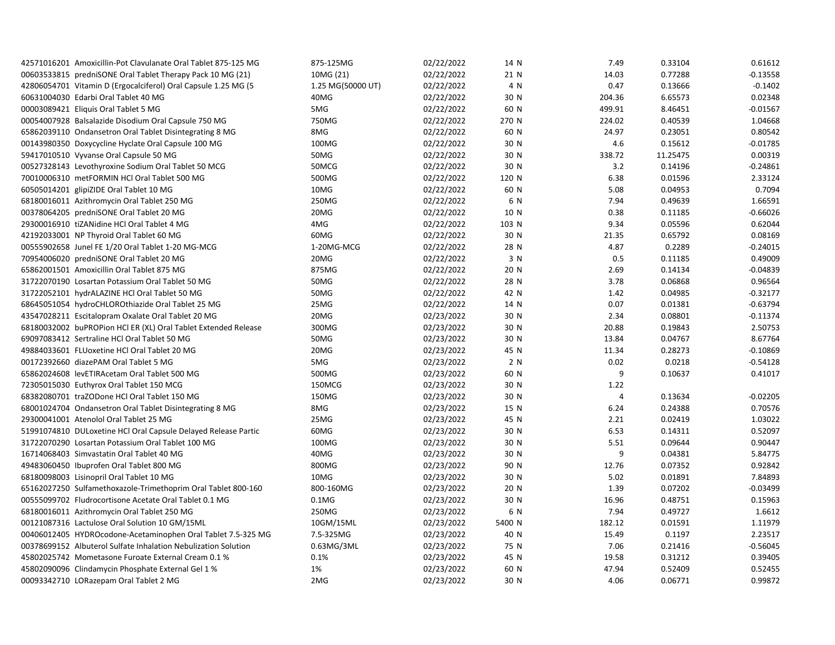| 42571016201 Amoxicillin-Pot Clavulanate Oral Tablet 875-125 MG | 875-125MG         | 02/22/2022 | 14 N   | 7.49   | 0.33104  | 0.61612    |
|----------------------------------------------------------------|-------------------|------------|--------|--------|----------|------------|
| 00603533815 predniSONE Oral Tablet Therapy Pack 10 MG (21)     | 10MG (21)         | 02/22/2022 | 21 N   | 14.03  | 0.77288  | $-0.13558$ |
| 42806054701 Vitamin D (Ergocalciferol) Oral Capsule 1.25 MG (5 | 1.25 MG(50000 UT) | 02/22/2022 | 4 N    | 0.47   | 0.13666  | $-0.1402$  |
| 60631004030 Edarbi Oral Tablet 40 MG                           | 40MG              | 02/22/2022 | 30 N   | 204.36 | 6.65573  | 0.02348    |
| 00003089421 Eliquis Oral Tablet 5 MG                           | 5MG               | 02/22/2022 | 60 N   | 499.91 | 8.46451  | $-0.01567$ |
| 00054007928 Balsalazide Disodium Oral Capsule 750 MG           | 750MG             | 02/22/2022 | 270 N  | 224.02 | 0.40539  | 1.04668    |
| 65862039110 Ondansetron Oral Tablet Disintegrating 8 MG        | 8MG               | 02/22/2022 | 60 N   | 24.97  | 0.23051  | 0.80542    |
| 00143980350 Doxycycline Hyclate Oral Capsule 100 MG            | 100MG             | 02/22/2022 | 30 N   | 4.6    | 0.15612  | $-0.01785$ |
| 59417010510 Vyvanse Oral Capsule 50 MG                         | 50MG              | 02/22/2022 | 30 N   | 338.72 | 11.25475 | 0.00319    |
| 00527328143 Levothyroxine Sodium Oral Tablet 50 MCG            | 50MCG             | 02/22/2022 | 30 N   | 3.2    | 0.14196  | $-0.24861$ |
| 70010006310 metFORMIN HCl Oral Tablet 500 MG                   | 500MG             | 02/22/2022 | 120 N  | 6.38   | 0.01596  | 2.33124    |
| 60505014201 glipiZIDE Oral Tablet 10 MG                        | 10MG              | 02/22/2022 | 60 N   | 5.08   | 0.04953  | 0.7094     |
| 68180016011 Azithromycin Oral Tablet 250 MG                    | 250MG             | 02/22/2022 | 6 N    | 7.94   | 0.49639  | 1.66591    |
| 00378064205 predniSONE Oral Tablet 20 MG                       | 20MG              | 02/22/2022 | 10 N   | 0.38   | 0.11185  | $-0.66026$ |
| 29300016910 tiZANidine HCl Oral Tablet 4 MG                    | 4MG               | 02/22/2022 | 103 N  | 9.34   | 0.05596  | 0.62044    |
| 42192033001 NP Thyroid Oral Tablet 60 MG                       | 60MG              | 02/22/2022 | 30 N   | 21.35  | 0.65792  | 0.08169    |
| 00555902658 Junel FE 1/20 Oral Tablet 1-20 MG-MCG              | 1-20MG-MCG        | 02/22/2022 | 28 N   | 4.87   | 0.2289   | $-0.24015$ |
| 70954006020 predniSONE Oral Tablet 20 MG                       | 20MG              | 02/22/2022 | 3 N    | 0.5    | 0.11185  | 0.49009    |
| 65862001501 Amoxicillin Oral Tablet 875 MG                     | 875MG             | 02/22/2022 | 20 N   | 2.69   | 0.14134  | $-0.04839$ |
| 31722070190 Losartan Potassium Oral Tablet 50 MG               | 50MG              | 02/22/2022 | 28 N   | 3.78   | 0.06868  | 0.96564    |
| 31722052101 hydrALAZINE HCl Oral Tablet 50 MG                  | 50MG              | 02/22/2022 | 42 N   | 1.42   | 0.04985  | $-0.32177$ |
| 68645051054 hydroCHLOROthiazide Oral Tablet 25 MG              | 25MG              | 02/22/2022 | 14 N   | 0.07   | 0.01381  | $-0.63794$ |
| 43547028211 Escitalopram Oxalate Oral Tablet 20 MG             | 20MG              | 02/23/2022 | 30 N   | 2.34   | 0.08801  | $-0.11374$ |
| 68180032002 buPROPion HCI ER (XL) Oral Tablet Extended Release | 300MG             | 02/23/2022 | 30 N   | 20.88  | 0.19843  | 2.50753    |
| 69097083412 Sertraline HCl Oral Tablet 50 MG                   | 50MG              | 02/23/2022 | 30 N   | 13.84  | 0.04767  | 8.67764    |
| 49884033601 FLUoxetine HCl Oral Tablet 20 MG                   | 20MG              | 02/23/2022 | 45 N   | 11.34  | 0.28273  | $-0.10869$ |
| 00172392660 diazePAM Oral Tablet 5 MG                          | 5MG               | 02/23/2022 | 2 N    | 0.02   | 0.0218   | $-0.54128$ |
| 65862024608 levETIRAcetam Oral Tablet 500 MG                   | 500MG             | 02/23/2022 | 60 N   | 9      | 0.10637  | 0.41017    |
| 72305015030 Euthyrox Oral Tablet 150 MCG                       | 150MCG            | 02/23/2022 | 30 N   | 1.22   |          |            |
| 68382080701 traZODone HCl Oral Tablet 150 MG                   | 150MG             | 02/23/2022 | 30 N   | 4      | 0.13634  | $-0.02205$ |
| 68001024704 Ondansetron Oral Tablet Disintegrating 8 MG        | 8MG               | 02/23/2022 | 15 N   | 6.24   | 0.24388  | 0.70576    |
| 29300041001 Atenolol Oral Tablet 25 MG                         | 25MG              | 02/23/2022 | 45 N   | 2.21   | 0.02419  | 1.03022    |
| 51991074810 DULoxetine HCI Oral Capsule Delayed Release Partic | 60MG              | 02/23/2022 | 30 N   | 6.53   | 0.14311  | 0.52097    |
| 31722070290 Losartan Potassium Oral Tablet 100 MG              | 100MG             | 02/23/2022 | 30 N   | 5.51   | 0.09644  | 0.90447    |
| 16714068403 Simvastatin Oral Tablet 40 MG                      | 40MG              | 02/23/2022 | 30 N   | 9      | 0.04381  | 5.84775    |
| 49483060450 Ibuprofen Oral Tablet 800 MG                       | 800MG             | 02/23/2022 | 90 N   | 12.76  | 0.07352  | 0.92842    |
| 68180098003 Lisinopril Oral Tablet 10 MG                       | 10MG              | 02/23/2022 | 30 N   | 5.02   | 0.01891  | 7.84893    |
| 65162027250 Sulfamethoxazole-Trimethoprim Oral Tablet 800-160  | 800-160MG         | 02/23/2022 | 20 N   | 1.39   | 0.07202  | $-0.03499$ |
| 00555099702 Fludrocortisone Acetate Oral Tablet 0.1 MG         | $0.1M$ G          | 02/23/2022 | 30 N   | 16.96  | 0.48751  | 0.15963    |
| 68180016011 Azithromycin Oral Tablet 250 MG                    | 250MG             | 02/23/2022 | 6 N    | 7.94   | 0.49727  | 1.6612     |
| 00121087316 Lactulose Oral Solution 10 GM/15ML                 | 10GM/15ML         | 02/23/2022 | 5400 N | 182.12 | 0.01591  | 1.11979    |
| 00406012405 HYDROcodone-Acetaminophen Oral Tablet 7.5-325 MG   | 7.5-325MG         | 02/23/2022 | 40 N   | 15.49  | 0.1197   | 2.23517    |
| 00378699152 Albuterol Sulfate Inhalation Nebulization Solution | 0.63MG/3ML        | 02/23/2022 | 75 N   | 7.06   | 0.21416  | $-0.56045$ |
| 45802025742 Mometasone Furoate External Cream 0.1 %            | 0.1%              | 02/23/2022 | 45 N   | 19.58  | 0.31212  | 0.39405    |
| 45802090096 Clindamycin Phosphate External Gel 1 %             | 1%                | 02/23/2022 | 60 N   | 47.94  | 0.52409  | 0.52455    |
| 00093342710 LORazepam Oral Tablet 2 MG                         | 2MG               | 02/23/2022 | 30 N   | 4.06   | 0.06771  | 0.99872    |
|                                                                |                   |            |        |        |          |            |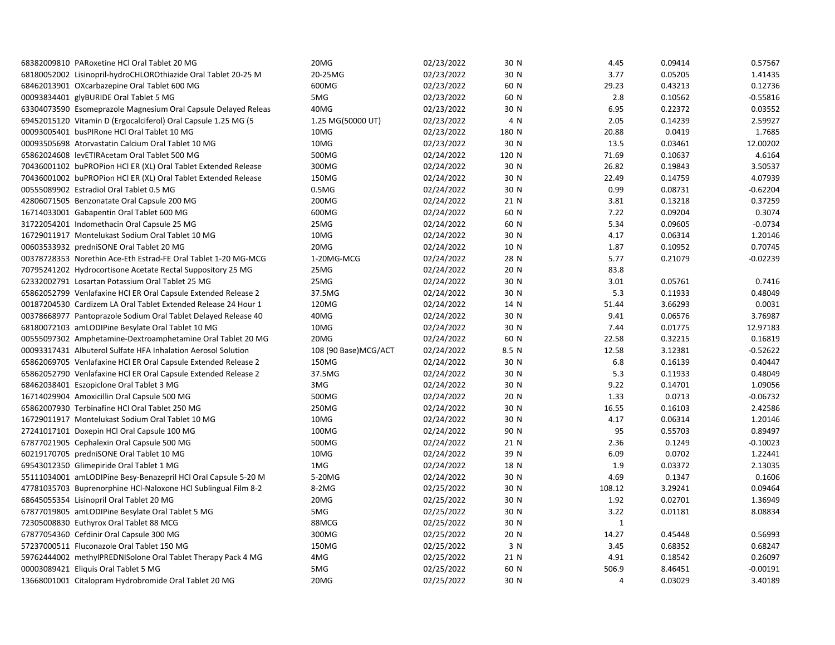| 68382009810 PARoxetine HCl Oral Tablet 20 MG                   | 20MG                 | 02/23/2022 | 30 N  | 4.45           | 0.09414 | 0.57567    |
|----------------------------------------------------------------|----------------------|------------|-------|----------------|---------|------------|
| 68180052002 Lisinopril-hydroCHLOROthiazide Oral Tablet 20-25 M | 20-25MG              | 02/23/2022 | 30 N  | 3.77           | 0.05205 | 1.41435    |
| 68462013901 OXcarbazepine Oral Tablet 600 MG                   | 600MG                | 02/23/2022 | 60 N  | 29.23          | 0.43213 | 0.12736    |
| 00093834401 glyBURIDE Oral Tablet 5 MG                         | 5MG                  | 02/23/2022 | 60 N  | 2.8            | 0.10562 | $-0.55816$ |
| 63304073590 Esomeprazole Magnesium Oral Capsule Delayed Releas | 40MG                 | 02/23/2022 | 30 N  | 6.95           | 0.22372 | 0.03552    |
| 69452015120 Vitamin D (Ergocalciferol) Oral Capsule 1.25 MG (5 | 1.25 MG(50000 UT)    | 02/23/2022 | 4 N   | 2.05           | 0.14239 | 2.59927    |
| 00093005401 busPIRone HCl Oral Tablet 10 MG                    | 10MG                 | 02/23/2022 | 180 N | 20.88          | 0.0419  | 1.7685     |
| 00093505698 Atorvastatin Calcium Oral Tablet 10 MG             | 10MG                 | 02/23/2022 | 30 N  | 13.5           | 0.03461 | 12.00202   |
| 65862024608 levETIRAcetam Oral Tablet 500 MG                   | 500MG                | 02/24/2022 | 120 N | 71.69          | 0.10637 | 4.6164     |
| 70436001102 buPROPion HCl ER (XL) Oral Tablet Extended Release | 300MG                | 02/24/2022 | 30 N  | 26.82          | 0.19843 | 3.50537    |
| 70436001002 buPROPion HCl ER (XL) Oral Tablet Extended Release | 150MG                | 02/24/2022 | 30 N  | 22.49          | 0.14759 | 4.07939    |
| 00555089902 Estradiol Oral Tablet 0.5 MG                       | 0.5M <sub>G</sub>    | 02/24/2022 | 30 N  | 0.99           | 0.08731 | $-0.62204$ |
| 42806071505 Benzonatate Oral Capsule 200 MG                    | 200MG                | 02/24/2022 | 21 N  | 3.81           | 0.13218 | 0.37259    |
| 16714033001 Gabapentin Oral Tablet 600 MG                      | 600MG                | 02/24/2022 | 60 N  | 7.22           | 0.09204 | 0.3074     |
| 31722054201 Indomethacin Oral Capsule 25 MG                    | 25MG                 | 02/24/2022 | 60 N  | 5.34           | 0.09605 | $-0.0734$  |
| 16729011917 Montelukast Sodium Oral Tablet 10 MG               | 10MG                 | 02/24/2022 | 30 N  | 4.17           | 0.06314 | 1.20146    |
| 00603533932 predniSONE Oral Tablet 20 MG                       | 20MG                 | 02/24/2022 | 10 N  | 1.87           | 0.10952 | 0.70745    |
| 00378728353 Norethin Ace-Eth Estrad-FE Oral Tablet 1-20 MG-MCG | 1-20MG-MCG           | 02/24/2022 | 28 N  | 5.77           | 0.21079 | $-0.02239$ |
| 70795241202 Hydrocortisone Acetate Rectal Suppository 25 MG    | 25MG                 | 02/24/2022 | 20 N  | 83.8           |         |            |
| 62332002791 Losartan Potassium Oral Tablet 25 MG               | 25MG                 | 02/24/2022 | 30 N  | 3.01           | 0.05761 | 0.7416     |
| 65862052799 Venlafaxine HCl ER Oral Capsule Extended Release 2 | 37.5MG               | 02/24/2022 | 30 N  | 5.3            | 0.11933 | 0.48049    |
| 00187204530 Cardizem LA Oral Tablet Extended Release 24 Hour 1 | 120MG                | 02/24/2022 | 14 N  | 51.44          | 3.66293 | 0.0031     |
| 00378668977 Pantoprazole Sodium Oral Tablet Delayed Release 40 | 40MG                 | 02/24/2022 | 30 N  | 9.41           | 0.06576 | 3.76987    |
| 68180072103 amLODIPine Besylate Oral Tablet 10 MG              | 10MG                 | 02/24/2022 | 30 N  | 7.44           | 0.01775 | 12.97183   |
| 00555097302 Amphetamine-Dextroamphetamine Oral Tablet 20 MG    | 20MG                 | 02/24/2022 | 60 N  | 22.58          | 0.32215 | 0.16819    |
| 00093317431 Albuterol Sulfate HFA Inhalation Aerosol Solution  | 108 (90 Base)MCG/ACT | 02/24/2022 | 8.5 N | 12.58          | 3.12381 | $-0.52622$ |
| 65862069705 Venlafaxine HCI ER Oral Capsule Extended Release 2 | 150MG                | 02/24/2022 | 30 N  | 6.8            | 0.16139 | 0.40447    |
| 65862052790 Venlafaxine HCl ER Oral Capsule Extended Release 2 | 37.5MG               | 02/24/2022 | 30 N  | 5.3            | 0.11933 | 0.48049    |
| 68462038401 Eszopiclone Oral Tablet 3 MG                       | 3MG                  | 02/24/2022 | 30 N  | 9.22           | 0.14701 | 1.09056    |
| 16714029904 Amoxicillin Oral Capsule 500 MG                    | 500MG                | 02/24/2022 | 20 N  | 1.33           | 0.0713  | $-0.06732$ |
| 65862007930 Terbinafine HCl Oral Tablet 250 MG                 | 250MG                | 02/24/2022 | 30 N  | 16.55          | 0.16103 | 2.42586    |
| 16729011917 Montelukast Sodium Oral Tablet 10 MG               | 10MG                 | 02/24/2022 | 30 N  | 4.17           | 0.06314 | 1.20146    |
| 27241017101 Doxepin HCl Oral Capsule 100 MG                    | 100MG                | 02/24/2022 | 90 N  | 95             | 0.55703 | 0.89497    |
| 67877021905 Cephalexin Oral Capsule 500 MG                     | 500MG                | 02/24/2022 | 21 N  | 2.36           | 0.1249  | $-0.10023$ |
| 60219170705 predniSONE Oral Tablet 10 MG                       | 10MG                 | 02/24/2022 | 39 N  | 6.09           | 0.0702  | 1.22441    |
| 69543012350 Glimepiride Oral Tablet 1 MG                       | 1MG                  | 02/24/2022 | 18 N  | 1.9            | 0.03372 | 2.13035    |
| 55111034001 amLODIPine Besy-Benazepril HCl Oral Capsule 5-20 M | 5-20MG               | 02/24/2022 | 30 N  | 4.69           | 0.1347  | 0.1606     |
| 47781035703 Buprenorphine HCl-Naloxone HCl Sublingual Film 8-2 | 8-2MG                | 02/25/2022 | 30 N  | 108.12         | 3.29241 | 0.09464    |
| 68645055354 Lisinopril Oral Tablet 20 MG                       | 20MG                 | 02/25/2022 | 30 N  | 1.92           | 0.02701 | 1.36949    |
| 67877019805 amLODIPine Besylate Oral Tablet 5 MG               | 5MG                  | 02/25/2022 | 30 N  | 3.22           | 0.01181 | 8.08834    |
| 72305008830 Euthyrox Oral Tablet 88 MCG                        | 88MCG                | 02/25/2022 | 30 N  | $\mathbf{1}$   |         |            |
| 67877054360 Cefdinir Oral Capsule 300 MG                       | 300MG                | 02/25/2022 | 20 N  | 14.27          | 0.45448 | 0.56993    |
| 57237000511 Fluconazole Oral Tablet 150 MG                     | 150MG                | 02/25/2022 | 3 N   | 3.45           | 0.68352 | 0.68247    |
| 59762444002 methylPREDNISolone Oral Tablet Therapy Pack 4 MG   | 4MG                  | 02/25/2022 | 21 N  | 4.91           | 0.18542 | 0.26097    |
| 00003089421 Eliquis Oral Tablet 5 MG                           | 5MG                  | 02/25/2022 | 60 N  | 506.9          | 8.46451 | $-0.00191$ |
| 13668001001 Citalopram Hydrobromide Oral Tablet 20 MG          | 20MG                 | 02/25/2022 | 30 N  | $\overline{4}$ | 0.03029 | 3.40189    |
|                                                                |                      |            |       |                |         |            |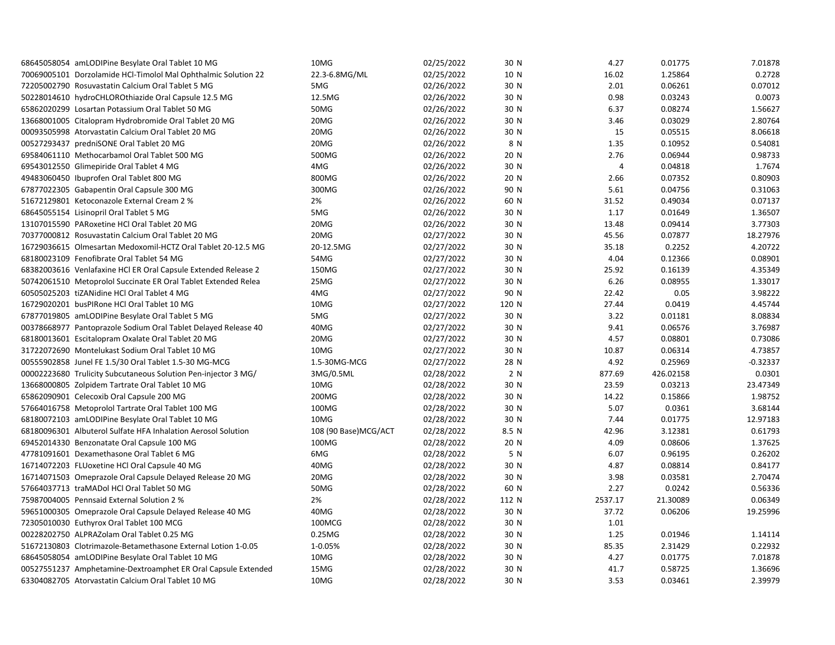| 68645058054 amLODIPine Besylate Oral Tablet 10 MG              | 10MG                 | 02/25/2022 | 30 N  | 4.27    | 0.01775   | 7.01878    |
|----------------------------------------------------------------|----------------------|------------|-------|---------|-----------|------------|
| 70069005101 Dorzolamide HCl-Timolol Mal Ophthalmic Solution 22 | 22.3-6.8MG/ML        | 02/25/2022 | 10 N  | 16.02   | 1.25864   | 0.2728     |
| 72205002790 Rosuvastatin Calcium Oral Tablet 5 MG              | 5MG                  | 02/26/2022 | 30 N  | 2.01    | 0.06261   | 0.07012    |
| 50228014610 hydroCHLOROthiazide Oral Capsule 12.5 MG           | 12.5MG               | 02/26/2022 | 30 N  | 0.98    | 0.03243   | 0.0073     |
| 65862020299 Losartan Potassium Oral Tablet 50 MG               | 50MG                 | 02/26/2022 | 30 N  | 6.37    | 0.08274   | 1.56627    |
| 13668001005 Citalopram Hydrobromide Oral Tablet 20 MG          | 20MG                 | 02/26/2022 | 30 N  | 3.46    | 0.03029   | 2.80764    |
| 00093505998 Atorvastatin Calcium Oral Tablet 20 MG             | 20MG                 | 02/26/2022 | 30 N  | 15      | 0.05515   | 8.06618    |
| 00527293437 predniSONE Oral Tablet 20 MG                       | 20MG                 | 02/26/2022 | 8 N   | 1.35    | 0.10952   | 0.54081    |
| 69584061110 Methocarbamol Oral Tablet 500 MG                   | 500MG                | 02/26/2022 | 20 N  | 2.76    | 0.06944   | 0.98733    |
| 69543012550 Glimepiride Oral Tablet 4 MG                       | 4MG                  | 02/26/2022 | 30 N  | 4       | 0.04818   | 1.7674     |
| 49483060450 Ibuprofen Oral Tablet 800 MG                       | 800MG                | 02/26/2022 | 20 N  | 2.66    | 0.07352   | 0.80903    |
| 67877022305 Gabapentin Oral Capsule 300 MG                     | 300MG                | 02/26/2022 | 90 N  | 5.61    | 0.04756   | 0.31063    |
| 51672129801 Ketoconazole External Cream 2 %                    | 2%                   | 02/26/2022 | 60 N  | 31.52   | 0.49034   | 0.07137    |
| 68645055154 Lisinopril Oral Tablet 5 MG                        | 5MG                  | 02/26/2022 | 30 N  | 1.17    | 0.01649   | 1.36507    |
| 13107015590 PARoxetine HCl Oral Tablet 20 MG                   | 20MG                 | 02/26/2022 | 30 N  | 13.48   | 0.09414   | 3.77303    |
| 70377000812 Rosuvastatin Calcium Oral Tablet 20 MG             | 20MG                 | 02/27/2022 | 30 N  | 45.56   | 0.07877   | 18.27976   |
| 16729036615 Olmesartan Medoxomil-HCTZ Oral Tablet 20-12.5 MG   | 20-12.5MG            | 02/27/2022 | 30 N  | 35.18   | 0.2252    | 4.20722    |
| 68180023109 Fenofibrate Oral Tablet 54 MG                      | 54MG                 | 02/27/2022 | 30 N  | 4.04    | 0.12366   | 0.08901    |
| 68382003616 Venlafaxine HCl ER Oral Capsule Extended Release 2 | 150MG                | 02/27/2022 | 30 N  | 25.92   | 0.16139   | 4.35349    |
| 50742061510 Metoprolol Succinate ER Oral Tablet Extended Relea | 25MG                 | 02/27/2022 | 30 N  | 6.26    | 0.08955   | 1.33017    |
| 60505025203 tiZANidine HCl Oral Tablet 4 MG                    | 4MG                  | 02/27/2022 | 90 N  | 22.42   | 0.05      | 3.98222    |
| 16729020201 busPIRone HCl Oral Tablet 10 MG                    | 10MG                 | 02/27/2022 | 120 N | 27.44   | 0.0419    | 4.45744    |
| 67877019805 amLODIPine Besylate Oral Tablet 5 MG               | 5MG                  | 02/27/2022 | 30 N  | 3.22    | 0.01181   | 8.08834    |
| 00378668977 Pantoprazole Sodium Oral Tablet Delayed Release 40 | 40MG                 | 02/27/2022 | 30 N  | 9.41    | 0.06576   | 3.76987    |
| 68180013601 Escitalopram Oxalate Oral Tablet 20 MG             | 20MG                 | 02/27/2022 | 30 N  | 4.57    | 0.08801   | 0.73086    |
| 31722072690 Montelukast Sodium Oral Tablet 10 MG               | 10MG                 | 02/27/2022 | 30 N  | 10.87   | 0.06314   | 4.73857    |
| 00555902858 Junel FE 1.5/30 Oral Tablet 1.5-30 MG-MCG          | 1.5-30MG-MCG         | 02/27/2022 | 28 N  | 4.92    | 0.25969   | $-0.32337$ |
| 00002223680 Trulicity Subcutaneous Solution Pen-injector 3 MG/ | 3MG/0.5ML            | 02/28/2022 | 2 N   | 877.69  | 426.02158 | 0.0301     |
| 13668000805 Zolpidem Tartrate Oral Tablet 10 MG                | 10MG                 | 02/28/2022 | 30 N  | 23.59   | 0.03213   | 23.47349   |
| 65862090901 Celecoxib Oral Capsule 200 MG                      | 200MG                | 02/28/2022 | 30 N  | 14.22   | 0.15866   | 1.98752    |
| 57664016758 Metoprolol Tartrate Oral Tablet 100 MG             | 100MG                | 02/28/2022 | 30 N  | 5.07    | 0.0361    | 3.68144    |
| 68180072103 amLODIPine Besylate Oral Tablet 10 MG              | 10MG                 | 02/28/2022 | 30 N  | 7.44    | 0.01775   | 12.97183   |
| 68180096301 Albuterol Sulfate HFA Inhalation Aerosol Solution  | 108 (90 Base)MCG/ACT | 02/28/2022 | 8.5 N | 42.96   | 3.12381   | 0.61793    |
| 69452014330 Benzonatate Oral Capsule 100 MG                    | 100MG                | 02/28/2022 | 20 N  | 4.09    | 0.08606   | 1.37625    |
| 47781091601 Dexamethasone Oral Tablet 6 MG                     | 6MG                  | 02/28/2022 | 5 N   | 6.07    | 0.96195   | 0.26202    |
| 16714072203 FLUoxetine HCl Oral Capsule 40 MG                  | 40MG                 | 02/28/2022 | 30 N  | 4.87    | 0.08814   | 0.84177    |
| 16714071503 Omeprazole Oral Capsule Delayed Release 20 MG      | 20MG                 | 02/28/2022 | 30 N  | 3.98    | 0.03581   | 2.70474    |
| 57664037713 traMADol HCl Oral Tablet 50 MG                     | 50MG                 | 02/28/2022 | 60 N  | 2.27    | 0.0242    | 0.56336    |
| 75987004005 Pennsaid External Solution 2 %                     | 2%                   | 02/28/2022 | 112 N | 2537.17 | 21.30089  | 0.06349    |
| 59651000305 Omeprazole Oral Capsule Delayed Release 40 MG      | 40MG                 | 02/28/2022 | 30 N  | 37.72   | 0.06206   | 19.25996   |
| 72305010030 Euthyrox Oral Tablet 100 MCG                       | 100MCG               | 02/28/2022 | 30 N  | 1.01    |           |            |
| 00228202750 ALPRAZolam Oral Tablet 0.25 MG                     | 0.25MG               | 02/28/2022 | 30 N  | 1.25    | 0.01946   | 1.14114    |
| 51672130803 Clotrimazole-Betamethasone External Lotion 1-0.05  | 1-0.05%              | 02/28/2022 | 30 N  | 85.35   | 2.31429   | 0.22932    |
| 68645058054 amLODIPine Besylate Oral Tablet 10 MG              | 10MG                 | 02/28/2022 | 30 N  | 4.27    | 0.01775   | 7.01878    |
| 00527551237 Amphetamine-Dextroamphet ER Oral Capsule Extended  | 15MG                 | 02/28/2022 | 30 N  | 41.7    | 0.58725   | 1.36696    |
| 63304082705 Atorvastatin Calcium Oral Tablet 10 MG             | 10MG                 | 02/28/2022 | 30 N  | 3.53    | 0.03461   | 2.39979    |
|                                                                |                      |            |       |         |           |            |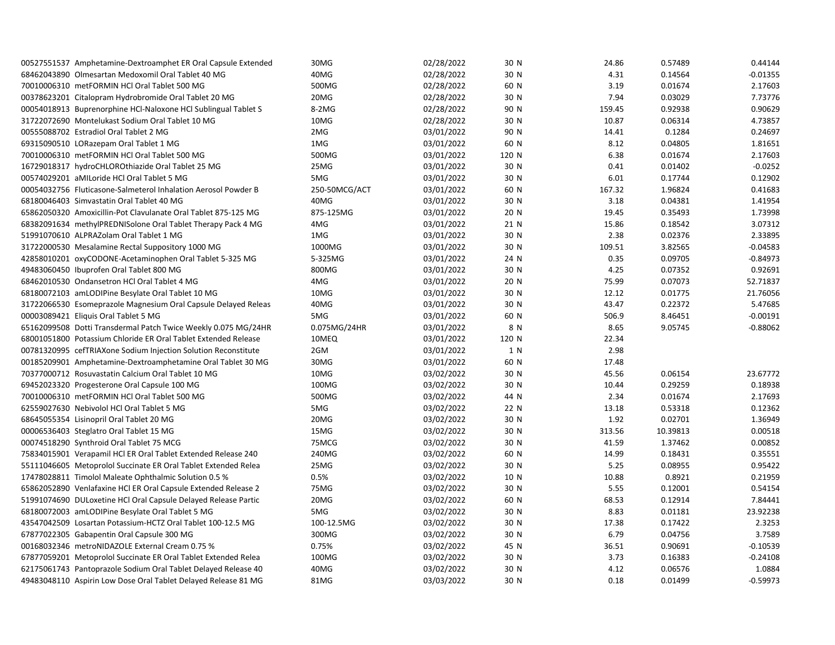| 00527551537 Amphetamine-Dextroamphet ER Oral Capsule Extended  | 30MG          | 02/28/2022 | 30 N  | 24.86  | 0.57489  | 0.44144    |
|----------------------------------------------------------------|---------------|------------|-------|--------|----------|------------|
| 68462043890 Olmesartan Medoxomil Oral Tablet 40 MG             | 40MG          | 02/28/2022 | 30 N  | 4.31   | 0.14564  | $-0.01355$ |
| 70010006310 metFORMIN HCl Oral Tablet 500 MG                   | 500MG         | 02/28/2022 | 60 N  | 3.19   | 0.01674  | 2.17603    |
| 00378623201 Citalopram Hydrobromide Oral Tablet 20 MG          | 20MG          | 02/28/2022 | 30 N  | 7.94   | 0.03029  | 7.73776    |
| 00054018913 Buprenorphine HCl-Naloxone HCl Sublingual Tablet S | 8-2MG         | 02/28/2022 | 90 N  | 159.45 | 0.92938  | 0.90629    |
| 31722072690 Montelukast Sodium Oral Tablet 10 MG               | 10MG          | 02/28/2022 | 30 N  | 10.87  | 0.06314  | 4.73857    |
| 00555088702 Estradiol Oral Tablet 2 MG                         | 2MG           | 03/01/2022 | 90 N  | 14.41  | 0.1284   | 0.24697    |
| 69315090510 LORazepam Oral Tablet 1 MG                         | 1MG           | 03/01/2022 | 60 N  | 8.12   | 0.04805  | 1.81651    |
| 70010006310 metFORMIN HCl Oral Tablet 500 MG                   | 500MG         | 03/01/2022 | 120 N | 6.38   | 0.01674  | 2.17603    |
| 16729018317 hydroCHLOROthiazide Oral Tablet 25 MG              | 25MG          | 03/01/2022 | 30 N  | 0.41   | 0.01402  | $-0.0252$  |
| 00574029201 aMILoride HCl Oral Tablet 5 MG                     | 5MG           | 03/01/2022 | 30 N  | 6.01   | 0.17744  | 0.12902    |
| 00054032756 Fluticasone-Salmeterol Inhalation Aerosol Powder B | 250-50MCG/ACT | 03/01/2022 | 60 N  | 167.32 | 1.96824  | 0.41683    |
| 68180046403 Simvastatin Oral Tablet 40 MG                      | 40MG          | 03/01/2022 | 30 N  | 3.18   | 0.04381  | 1.41954    |
| 65862050320 Amoxicillin-Pot Clavulanate Oral Tablet 875-125 MG | 875-125MG     | 03/01/2022 | 20 N  | 19.45  | 0.35493  | 1.73998    |
| 68382091634 methylPREDNISolone Oral Tablet Therapy Pack 4 MG   | 4MG           | 03/01/2022 | 21 N  | 15.86  | 0.18542  | 3.07312    |
| 51991070610 ALPRAZolam Oral Tablet 1 MG                        | 1MG           | 03/01/2022 | 30 N  | 2.38   | 0.02376  | 2.33895    |
| 31722000530 Mesalamine Rectal Suppository 1000 MG              | 1000MG        | 03/01/2022 | 30 N  | 109.51 | 3.82565  | $-0.04583$ |
| 42858010201 oxyCODONE-Acetaminophen Oral Tablet 5-325 MG       | 5-325MG       | 03/01/2022 | 24 N  | 0.35   | 0.09705  | $-0.84973$ |
| 49483060450 Ibuprofen Oral Tablet 800 MG                       | 800MG         | 03/01/2022 | 30 N  | 4.25   | 0.07352  | 0.92691    |
| 68462010530 Ondansetron HCl Oral Tablet 4 MG                   | 4MG           | 03/01/2022 | 20 N  | 75.99  | 0.07073  | 52.71837   |
| 68180072103 amLODIPine Besylate Oral Tablet 10 MG              | 10MG          | 03/01/2022 | 30 N  | 12.12  | 0.01775  | 21.76056   |
| 31722066530 Esomeprazole Magnesium Oral Capsule Delayed Releas | 40MG          | 03/01/2022 | 30 N  | 43.47  | 0.22372  | 5.47685    |
| 00003089421 Eliquis Oral Tablet 5 MG                           | 5MG           | 03/01/2022 | 60 N  | 506.9  | 8.46451  | $-0.00191$ |
| 65162099508 Dotti Transdermal Patch Twice Weekly 0.075 MG/24HR | 0.075MG/24HR  | 03/01/2022 | 8 N   | 8.65   | 9.05745  | $-0.88062$ |
| 68001051800 Potassium Chloride ER Oral Tablet Extended Release | 10MEQ         | 03/01/2022 | 120 N | 22.34  |          |            |
| 00781320995 cefTRIAXone Sodium Injection Solution Reconstitute | 2GM           | 03/01/2022 | 1 N   | 2.98   |          |            |
| 00185209901 Amphetamine-Dextroamphetamine Oral Tablet 30 MG    | 30MG          | 03/01/2022 | 60 N  | 17.48  |          |            |
| 70377000712 Rosuvastatin Calcium Oral Tablet 10 MG             | 10MG          | 03/02/2022 | 30 N  | 45.56  | 0.06154  | 23.67772   |
| 69452023320 Progesterone Oral Capsule 100 MG                   | 100MG         | 03/02/2022 | 30 N  | 10.44  | 0.29259  | 0.18938    |
| 70010006310 metFORMIN HCl Oral Tablet 500 MG                   | 500MG         | 03/02/2022 | 44 N  | 2.34   | 0.01674  | 2.17693    |
| 62559027630 Nebivolol HCl Oral Tablet 5 MG                     | 5MG           | 03/02/2022 | 22 N  | 13.18  | 0.53318  | 0.12362    |
| 68645055354 Lisinopril Oral Tablet 20 MG                       | 20MG          | 03/02/2022 | 30 N  | 1.92   | 0.02701  | 1.36949    |
| 00006536403 Steglatro Oral Tablet 15 MG                        | 15MG          | 03/02/2022 | 30 N  | 313.56 | 10.39813 | 0.00518    |
| 00074518290 Synthroid Oral Tablet 75 MCG                       | 75MCG         | 03/02/2022 | 30 N  | 41.59  | 1.37462  | 0.00852    |
| 75834015901 Verapamil HCl ER Oral Tablet Extended Release 240  | 240MG         | 03/02/2022 | 60 N  | 14.99  | 0.18431  | 0.35551    |
| 55111046605 Metoprolol Succinate ER Oral Tablet Extended Relea | 25MG          | 03/02/2022 | 30 N  | 5.25   | 0.08955  | 0.95422    |
| 17478028811 Timolol Maleate Ophthalmic Solution 0.5 %          | 0.5%          | 03/02/2022 | 10 N  | 10.88  | 0.8921   | 0.21959    |
| 65862052890 Venlafaxine HCl ER Oral Capsule Extended Release 2 | 75MG          | 03/02/2022 | 30 N  | 5.55   | 0.12001  | 0.54154    |
| 51991074690 DULoxetine HCl Oral Capsule Delayed Release Partic | 20MG          | 03/02/2022 | 60 N  | 68.53  | 0.12914  | 7.84441    |
| 68180072003 amLODIPine Besylate Oral Tablet 5 MG               | 5MG           | 03/02/2022 | 30 N  | 8.83   | 0.01181  | 23.92238   |
| 43547042509 Losartan Potassium-HCTZ Oral Tablet 100-12.5 MG    | 100-12.5MG    | 03/02/2022 | 30 N  | 17.38  | 0.17422  | 2.3253     |
| 67877022305 Gabapentin Oral Capsule 300 MG                     | 300MG         | 03/02/2022 | 30 N  | 6.79   | 0.04756  | 3.7589     |
| 00168032346 metroNIDAZOLE External Cream 0.75 %                | 0.75%         | 03/02/2022 | 45 N  | 36.51  | 0.90691  | $-0.10539$ |
| 67877059201 Metoprolol Succinate ER Oral Tablet Extended Relea | 100MG         | 03/02/2022 | 30 N  | 3.73   | 0.16383  | $-0.24108$ |
| 62175061743 Pantoprazole Sodium Oral Tablet Delayed Release 40 | 40MG          | 03/02/2022 | 30 N  | 4.12   | 0.06576  | 1.0884     |
| 49483048110 Aspirin Low Dose Oral Tablet Delayed Release 81 MG | 81MG          | 03/03/2022 | 30 N  | 0.18   | 0.01499  | $-0.59973$ |
|                                                                |               |            |       |        |          |            |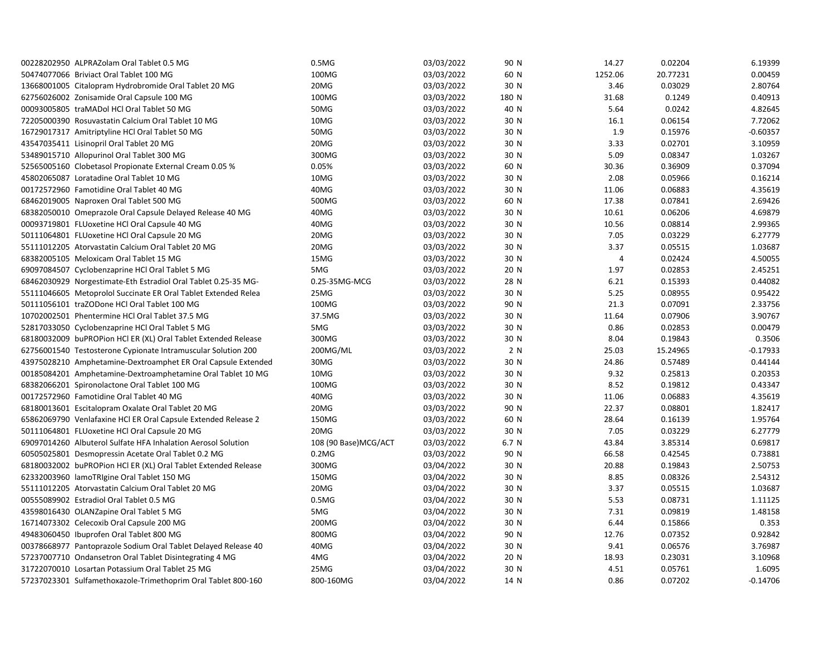| 00228202950 ALPRAZolam Oral Tablet 0.5 MG                      | 0.5M <sub>G</sub>    | 03/03/2022 | 90 N  | 14.27   | 0.02204  | 6.19399    |
|----------------------------------------------------------------|----------------------|------------|-------|---------|----------|------------|
| 50474077066 Briviact Oral Tablet 100 MG                        | 100MG                | 03/03/2022 | 60 N  | 1252.06 | 20.77231 | 0.00459    |
| 13668001005 Citalopram Hydrobromide Oral Tablet 20 MG          | 20MG                 | 03/03/2022 | 30 N  | 3.46    | 0.03029  | 2.80764    |
| 62756026002 Zonisamide Oral Capsule 100 MG                     | 100MG                | 03/03/2022 | 180 N | 31.68   | 0.1249   | 0.40913    |
| 00093005805 traMADol HCl Oral Tablet 50 MG                     | 50MG                 | 03/03/2022 | 40 N  | 5.64    | 0.0242   | 4.82645    |
| 72205000390 Rosuvastatin Calcium Oral Tablet 10 MG             | 10MG                 | 03/03/2022 | 30 N  | 16.1    | 0.06154  | 7.72062    |
| 16729017317 Amitriptyline HCl Oral Tablet 50 MG                | 50MG                 | 03/03/2022 | 30 N  | 1.9     | 0.15976  | $-0.60357$ |
| 43547035411 Lisinopril Oral Tablet 20 MG                       | 20MG                 | 03/03/2022 | 30 N  | 3.33    | 0.02701  | 3.10959    |
| 53489015710 Allopurinol Oral Tablet 300 MG                     | 300MG                | 03/03/2022 | 30 N  | 5.09    | 0.08347  | 1.03267    |
| 52565005160 Clobetasol Propionate External Cream 0.05 %        | 0.05%                | 03/03/2022 | 60 N  | 30.36   | 0.36909  | 0.37094    |
| 45802065087 Loratadine Oral Tablet 10 MG                       | 10MG                 | 03/03/2022 | 30 N  | 2.08    | 0.05966  | 0.16214    |
| 00172572960 Famotidine Oral Tablet 40 MG                       | 40MG                 | 03/03/2022 | 30 N  | 11.06   | 0.06883  | 4.35619    |
| 68462019005 Naproxen Oral Tablet 500 MG                        | 500MG                | 03/03/2022 | 60 N  | 17.38   | 0.07841  | 2.69426    |
| 68382050010 Omeprazole Oral Capsule Delayed Release 40 MG      | 40MG                 | 03/03/2022 | 30 N  | 10.61   | 0.06206  | 4.69879    |
| 00093719801 FLUoxetine HCl Oral Capsule 40 MG                  | 40MG                 | 03/03/2022 | 30 N  | 10.56   | 0.08814  | 2.99365    |
| 50111064801 FLUoxetine HCl Oral Capsule 20 MG                  | 20MG                 | 03/03/2022 | 30 N  | 7.05    | 0.03229  | 6.27779    |
| 55111012205 Atorvastatin Calcium Oral Tablet 20 MG             | 20MG                 | 03/03/2022 | 30 N  | 3.37    | 0.05515  | 1.03687    |
| 68382005105 Meloxicam Oral Tablet 15 MG                        | 15MG                 | 03/03/2022 | 30 N  | 4       | 0.02424  | 4.50055    |
| 69097084507 Cyclobenzaprine HCl Oral Tablet 5 MG               | 5MG                  | 03/03/2022 | 20 N  | 1.97    | 0.02853  | 2.45251    |
| 68462030929 Norgestimate-Eth Estradiol Oral Tablet 0.25-35 MG- | 0.25-35MG-MCG        | 03/03/2022 | 28 N  | 6.21    | 0.15393  | 0.44082    |
| 55111046605 Metoprolol Succinate ER Oral Tablet Extended Relea | 25MG                 | 03/03/2022 | 30 N  | 5.25    | 0.08955  | 0.95422    |
| 50111056101 traZODone HCl Oral Tablet 100 MG                   | 100MG                | 03/03/2022 | 90 N  | 21.3    | 0.07091  | 2.33756    |
| 10702002501 Phentermine HCl Oral Tablet 37.5 MG                | 37.5MG               | 03/03/2022 | 30 N  | 11.64   | 0.07906  | 3.90767    |
| 52817033050 Cyclobenzaprine HCl Oral Tablet 5 MG               | 5MG                  | 03/03/2022 | 30 N  | 0.86    | 0.02853  | 0.00479    |
| 68180032009 buPROPion HCl ER (XL) Oral Tablet Extended Release | 300MG                | 03/03/2022 | 30 N  | 8.04    | 0.19843  | 0.3506     |
| 62756001540 Testosterone Cypionate Intramuscular Solution 200  | 200MG/ML             | 03/03/2022 | 2 N   | 25.03   | 15.24965 | $-0.17933$ |
| 43975028210 Amphetamine-Dextroamphet ER Oral Capsule Extended  | 30MG                 | 03/03/2022 | 30 N  | 24.86   | 0.57489  | 0.44144    |
| 00185084201 Amphetamine-Dextroamphetamine Oral Tablet 10 MG    | 10MG                 | 03/03/2022 | 30 N  | 9.32    | 0.25813  | 0.20353    |
| 68382066201 Spironolactone Oral Tablet 100 MG                  | 100MG                | 03/03/2022 | 30 N  | 8.52    | 0.19812  | 0.43347    |
| 00172572960 Famotidine Oral Tablet 40 MG                       | 40MG                 | 03/03/2022 | 30 N  | 11.06   | 0.06883  | 4.35619    |
| 68180013601 Escitalopram Oxalate Oral Tablet 20 MG             | 20MG                 | 03/03/2022 | 90 N  | 22.37   | 0.08801  | 1.82417    |
| 65862069790 Venlafaxine HCI ER Oral Capsule Extended Release 2 | 150MG                | 03/03/2022 | 60 N  | 28.64   | 0.16139  | 1.95764    |
| 50111064801 FLUoxetine HCl Oral Capsule 20 MG                  | 20MG                 | 03/03/2022 | 30 N  | 7.05    | 0.03229  | 6.27779    |
| 69097014260 Albuterol Sulfate HFA Inhalation Aerosol Solution  | 108 (90 Base)MCG/ACT | 03/03/2022 | 6.7 N | 43.84   | 3.85314  | 0.69817    |
| 60505025801 Desmopressin Acetate Oral Tablet 0.2 MG            | 0.2M <sub>G</sub>    | 03/03/2022 | 90 N  | 66.58   | 0.42545  | 0.73881    |
| 68180032002 buPROPion HCl ER (XL) Oral Tablet Extended Release | 300MG                | 03/04/2022 | 30 N  | 20.88   | 0.19843  | 2.50753    |
| 62332003960 lamoTRIgine Oral Tablet 150 MG                     | 150MG                | 03/04/2022 | 30 N  | 8.85    | 0.08326  | 2.54312    |
| 55111012205 Atorvastatin Calcium Oral Tablet 20 MG             | 20MG                 | 03/04/2022 | 30 N  | 3.37    | 0.05515  | 1.03687    |
| 00555089902 Estradiol Oral Tablet 0.5 MG                       | 0.5M <sub>G</sub>    | 03/04/2022 | 30 N  | 5.53    | 0.08731  | 1.11125    |
| 43598016430 OLANZapine Oral Tablet 5 MG                        | 5MG                  | 03/04/2022 | 30 N  | 7.31    | 0.09819  | 1.48158    |
| 16714073302 Celecoxib Oral Capsule 200 MG                      | 200MG                | 03/04/2022 | 30 N  | 6.44    | 0.15866  | 0.353      |
| 49483060450 Ibuprofen Oral Tablet 800 MG                       | 800MG                | 03/04/2022 | 90 N  | 12.76   | 0.07352  | 0.92842    |
| 00378668977 Pantoprazole Sodium Oral Tablet Delayed Release 40 | 40MG                 | 03/04/2022 | 30 N  | 9.41    | 0.06576  | 3.76987    |
| 57237007710 Ondansetron Oral Tablet Disintegrating 4 MG        | 4MG                  | 03/04/2022 | 20 N  | 18.93   | 0.23031  | 3.10968    |
| 31722070010 Losartan Potassium Oral Tablet 25 MG               | 25MG                 | 03/04/2022 | 30 N  | 4.51    | 0.05761  | 1.6095     |
| 57237023301 Sulfamethoxazole-Trimethoprim Oral Tablet 800-160  | 800-160MG            | 03/04/2022 | 14 N  | 0.86    | 0.07202  | $-0.14706$ |
|                                                                |                      |            |       |         |          |            |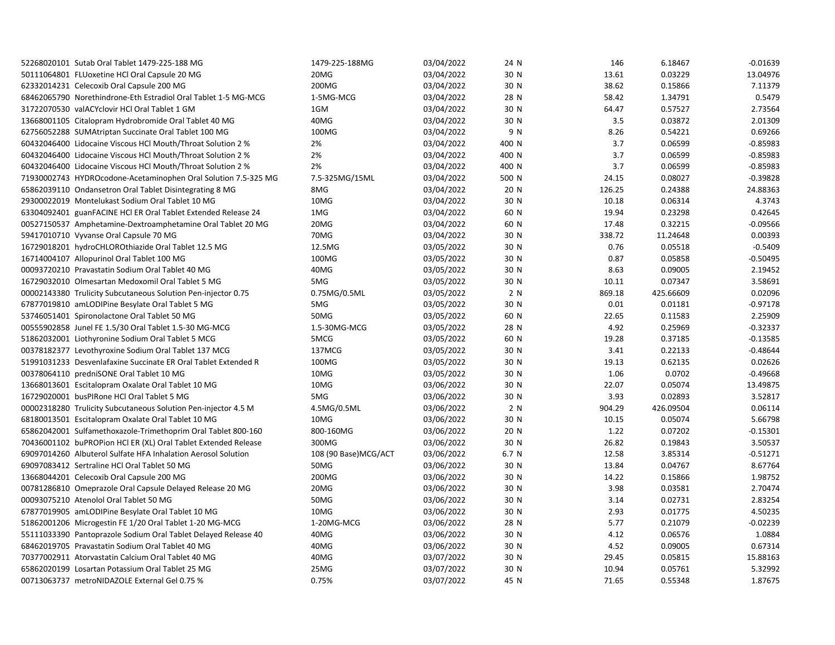| 52268020101 Sutab Oral Tablet 1479-225-188 MG                  | 1479-225-188MG       | 03/04/2022 | 24 N  | 146    | 6.18467   | $-0.01639$ |
|----------------------------------------------------------------|----------------------|------------|-------|--------|-----------|------------|
| 50111064801 FLUoxetine HCl Oral Capsule 20 MG                  | 20MG                 | 03/04/2022 | 30 N  | 13.61  | 0.03229   | 13.04976   |
| 62332014231 Celecoxib Oral Capsule 200 MG                      | 200MG                | 03/04/2022 | 30 N  | 38.62  | 0.15866   | 7.11379    |
| 68462065790 Norethindrone-Eth Estradiol Oral Tablet 1-5 MG-MCG | 1-5MG-MCG            | 03/04/2022 | 28 N  | 58.42  | 1.34791   | 0.5479     |
| 31722070530 valACYclovir HCl Oral Tablet 1 GM                  | 1GM                  | 03/04/2022 | 30 N  | 64.47  | 0.57527   | 2.73564    |
| 13668001105 Citalopram Hydrobromide Oral Tablet 40 MG          | 40MG                 | 03/04/2022 | 30 N  | 3.5    | 0.03872   | 2.01309    |
| 62756052288 SUMAtriptan Succinate Oral Tablet 100 MG           | 100MG                | 03/04/2022 | 9 N   | 8.26   | 0.54221   | 0.69266    |
| 60432046400 Lidocaine Viscous HCl Mouth/Throat Solution 2 %    | 2%                   | 03/04/2022 | 400 N | 3.7    | 0.06599   | $-0.85983$ |
| 60432046400 Lidocaine Viscous HCl Mouth/Throat Solution 2 %    | 2%                   | 03/04/2022 | 400 N | 3.7    | 0.06599   | $-0.85983$ |
| 60432046400 Lidocaine Viscous HCl Mouth/Throat Solution 2 %    | 2%                   | 03/04/2022 | 400 N | 3.7    | 0.06599   | $-0.85983$ |
| 71930002743 HYDROcodone-Acetaminophen Oral Solution 7.5-325 MG | 7.5-325MG/15ML       | 03/04/2022 | 500 N | 24.15  | 0.08027   | $-0.39828$ |
| 65862039110 Ondansetron Oral Tablet Disintegrating 8 MG        | 8MG                  | 03/04/2022 | 20 N  | 126.25 | 0.24388   | 24.88363   |
| 29300022019 Montelukast Sodium Oral Tablet 10 MG               | 10MG                 | 03/04/2022 | 30 N  | 10.18  | 0.06314   | 4.3743     |
| 63304092401 guanFACINE HCI ER Oral Tablet Extended Release 24  | 1MG                  | 03/04/2022 | 60 N  | 19.94  | 0.23298   | 0.42645    |
| 00527150537 Amphetamine-Dextroamphetamine Oral Tablet 20 MG    | 20MG                 | 03/04/2022 | 60 N  | 17.48  | 0.32215   | $-0.09566$ |
| 59417010710 Vyvanse Oral Capsule 70 MG                         | 70MG                 | 03/04/2022 | 30 N  | 338.72 | 11.24648  | 0.00393    |
| 16729018201 hydroCHLOROthiazide Oral Tablet 12.5 MG            | 12.5MG               | 03/05/2022 | 30 N  | 0.76   | 0.05518   | $-0.5409$  |
| 16714004107 Allopurinol Oral Tablet 100 MG                     | 100MG                | 03/05/2022 | 30 N  | 0.87   | 0.05858   | $-0.50495$ |
| 00093720210 Pravastatin Sodium Oral Tablet 40 MG               | 40MG                 | 03/05/2022 | 30 N  | 8.63   | 0.09005   | 2.19452    |
| 16729032010 Olmesartan Medoxomil Oral Tablet 5 MG              | 5MG                  | 03/05/2022 | 30 N  | 10.11  | 0.07347   | 3.58691    |
| 00002143380 Trulicity Subcutaneous Solution Pen-injector 0.75  | 0.75MG/0.5ML         | 03/05/2022 | 2 N   | 869.18 | 425.66609 | 0.02096    |
| 67877019810 amLODIPine Besylate Oral Tablet 5 MG               | 5MG                  | 03/05/2022 | 30 N  | 0.01   | 0.01181   | $-0.97178$ |
| 53746051401 Spironolactone Oral Tablet 50 MG                   | 50MG                 | 03/05/2022 | 60 N  | 22.65  | 0.11583   | 2.25909    |
| 00555902858 Junel FE 1.5/30 Oral Tablet 1.5-30 MG-MCG          | 1.5-30MG-MCG         | 03/05/2022 | 28 N  | 4.92   | 0.25969   | $-0.32337$ |
| 51862032001 Liothyronine Sodium Oral Tablet 5 MCG              | 5MCG                 | 03/05/2022 | 60 N  | 19.28  | 0.37185   | $-0.13585$ |
| 00378182377 Levothyroxine Sodium Oral Tablet 137 MCG           | 137MCG               | 03/05/2022 | 30 N  | 3.41   | 0.22133   | $-0.48644$ |
| 51991031233 Desvenlafaxine Succinate ER Oral Tablet Extended R | 100MG                | 03/05/2022 | 30 N  | 19.13  | 0.62135   | 0.02626    |
| 00378064110 predniSONE Oral Tablet 10 MG                       | 10MG                 | 03/05/2022 | 30 N  | 1.06   | 0.0702    | $-0.49668$ |
| 13668013601 Escitalopram Oxalate Oral Tablet 10 MG             | 10MG                 | 03/06/2022 | 30 N  | 22.07  | 0.05074   | 13.49875   |
| 16729020001 busPIRone HCl Oral Tablet 5 MG                     | 5MG                  | 03/06/2022 | 30 N  | 3.93   | 0.02893   | 3.52817    |
| 00002318280 Trulicity Subcutaneous Solution Pen-injector 4.5 M | 4.5MG/0.5ML          | 03/06/2022 | 2 N   | 904.29 | 426.09504 | 0.06114    |
| 68180013501 Escitalopram Oxalate Oral Tablet 10 MG             | 10MG                 | 03/06/2022 | 30 N  | 10.15  | 0.05074   | 5.66798    |
| 65862042001 Sulfamethoxazole-Trimethoprim Oral Tablet 800-160  | 800-160MG            | 03/06/2022 | 20 N  | 1.22   | 0.07202   | $-0.15301$ |
| 70436001102 buPROPion HCI ER (XL) Oral Tablet Extended Release | 300MG                | 03/06/2022 | 30 N  | 26.82  | 0.19843   | 3.50537    |
| 69097014260 Albuterol Sulfate HFA Inhalation Aerosol Solution  | 108 (90 Base)MCG/ACT | 03/06/2022 | 6.7 N | 12.58  | 3.85314   | $-0.51271$ |
| 69097083412 Sertraline HCl Oral Tablet 50 MG                   | 50MG                 | 03/06/2022 | 30 N  | 13.84  | 0.04767   | 8.67764    |
| 13668044201 Celecoxib Oral Capsule 200 MG                      | 200MG                | 03/06/2022 | 30 N  | 14.22  | 0.15866   | 1.98752    |
| 00781286810 Omeprazole Oral Capsule Delayed Release 20 MG      | 20MG                 | 03/06/2022 | 30 N  | 3.98   | 0.03581   | 2.70474    |
| 00093075210 Atenolol Oral Tablet 50 MG                         | 50MG                 | 03/06/2022 | 30 N  | 3.14   | 0.02731   | 2.83254    |
| 67877019905 amLODIPine Besylate Oral Tablet 10 MG              | 10MG                 | 03/06/2022 | 30 N  | 2.93   | 0.01775   | 4.50235    |
| 51862001206 Microgestin FE 1/20 Oral Tablet 1-20 MG-MCG        | 1-20MG-MCG           | 03/06/2022 | 28 N  | 5.77   | 0.21079   | $-0.02239$ |
| 55111033390 Pantoprazole Sodium Oral Tablet Delayed Release 40 | 40MG                 | 03/06/2022 | 30 N  | 4.12   | 0.06576   | 1.0884     |
| 68462019705 Pravastatin Sodium Oral Tablet 40 MG               | 40MG                 | 03/06/2022 | 30 N  | 4.52   | 0.09005   | 0.67314    |
| 70377002911 Atorvastatin Calcium Oral Tablet 40 MG             | 40MG                 | 03/07/2022 | 30 N  | 29.45  | 0.05815   | 15.88163   |
| 65862020199 Losartan Potassium Oral Tablet 25 MG               | 25MG                 | 03/07/2022 | 30 N  | 10.94  | 0.05761   | 5.32992    |
| 00713063737 metroNIDAZOLE External Gel 0.75 %                  | 0.75%                | 03/07/2022 | 45 N  | 71.65  | 0.55348   | 1.87675    |
|                                                                |                      |            |       |        |           |            |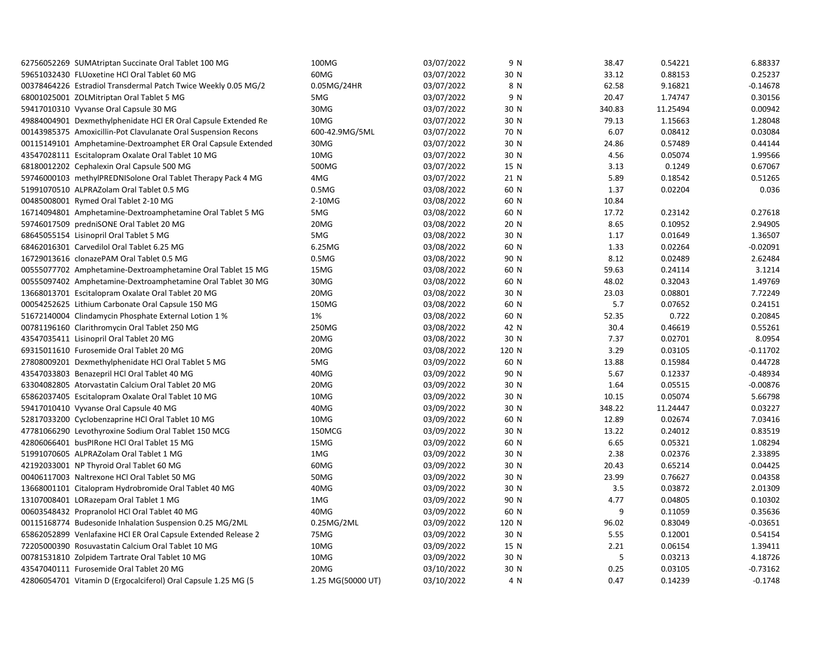| 62756052269 SUMAtriptan Succinate Oral Tablet 100 MG           | 100MG             | 03/07/2022 | 9 N   | 38.47  | 0.54221  | 6.88337    |
|----------------------------------------------------------------|-------------------|------------|-------|--------|----------|------------|
| 59651032430 FLUoxetine HCl Oral Tablet 60 MG                   | 60MG              | 03/07/2022 | 30 N  | 33.12  | 0.88153  | 0.25237    |
| 00378464226 Estradiol Transdermal Patch Twice Weekly 0.05 MG/2 | 0.05MG/24HR       | 03/07/2022 | 8 N   | 62.58  | 9.16821  | $-0.14678$ |
| 68001025001 ZOLMitriptan Oral Tablet 5 MG                      | 5MG               | 03/07/2022 | 9 N   | 20.47  | 1.74747  | 0.30156    |
| 59417010310 Vyvanse Oral Capsule 30 MG                         | 30MG              | 03/07/2022 | 30 N  | 340.83 | 11.25494 | 0.00942    |
| 49884004901 Dexmethylphenidate HCI ER Oral Capsule Extended Re | 10MG              | 03/07/2022 | 30 N  | 79.13  | 1.15663  | 1.28048    |
| 00143985375 Amoxicillin-Pot Clavulanate Oral Suspension Recons | 600-42.9MG/5ML    | 03/07/2022 | 70 N  | 6.07   | 0.08412  | 0.03084    |
| 00115149101 Amphetamine-Dextroamphet ER Oral Capsule Extended  | 30MG              | 03/07/2022 | 30 N  | 24.86  | 0.57489  | 0.44144    |
| 43547028111 Escitalopram Oxalate Oral Tablet 10 MG             | 10MG              | 03/07/2022 | 30 N  | 4.56   | 0.05074  | 1.99566    |
| 68180012202 Cephalexin Oral Capsule 500 MG                     | 500MG             | 03/07/2022 | 15 N  | 3.13   | 0.1249   | 0.67067    |
| 59746000103 methylPREDNISolone Oral Tablet Therapy Pack 4 MG   | 4MG               | 03/07/2022 | 21 N  | 5.89   | 0.18542  | 0.51265    |
| 51991070510 ALPRAZolam Oral Tablet 0.5 MG                      | 0.5M <sub>G</sub> | 03/08/2022 | 60 N  | 1.37   | 0.02204  | 0.036      |
| 00485008001 Rymed Oral Tablet 2-10 MG                          | 2-10MG            | 03/08/2022 | 60 N  | 10.84  |          |            |
| 16714094801 Amphetamine-Dextroamphetamine Oral Tablet 5 MG     | 5MG               | 03/08/2022 | 60 N  | 17.72  | 0.23142  | 0.27618    |
| 59746017509 predniSONE Oral Tablet 20 MG                       | 20MG              | 03/08/2022 | 20 N  | 8.65   | 0.10952  | 2.94905    |
| 68645055154 Lisinopril Oral Tablet 5 MG                        | 5MG               | 03/08/2022 | 30 N  | 1.17   | 0.01649  | 1.36507    |
| 68462016301 Carvedilol Oral Tablet 6.25 MG                     | 6.25MG            | 03/08/2022 | 60 N  | 1.33   | 0.02264  | $-0.02091$ |
| 16729013616 clonazePAM Oral Tablet 0.5 MG                      | 0.5M <sub>G</sub> | 03/08/2022 | 90 N  | 8.12   | 0.02489  | 2.62484    |
| 00555077702 Amphetamine-Dextroamphetamine Oral Tablet 15 MG    | 15MG              | 03/08/2022 | 60 N  | 59.63  | 0.24114  | 3.1214     |
| 00555097402 Amphetamine-Dextroamphetamine Oral Tablet 30 MG    | 30MG              | 03/08/2022 | 60 N  | 48.02  | 0.32043  | 1.49769    |
| 13668013701 Escitalopram Oxalate Oral Tablet 20 MG             | 20MG              | 03/08/2022 | 30 N  | 23.03  | 0.08801  | 7.72249    |
| 00054252625 Lithium Carbonate Oral Capsule 150 MG              | 150MG             | 03/08/2022 | 60 N  | 5.7    | 0.07652  | 0.24151    |
| 51672140004 Clindamycin Phosphate External Lotion 1 %          | 1%                | 03/08/2022 | 60 N  | 52.35  | 0.722    | 0.20845    |
| 00781196160 Clarithromycin Oral Tablet 250 MG                  | 250MG             | 03/08/2022 | 42 N  | 30.4   | 0.46619  | 0.55261    |
| 43547035411 Lisinopril Oral Tablet 20 MG                       | 20MG              | 03/08/2022 | 30 N  | 7.37   | 0.02701  | 8.0954     |
| 69315011610 Furosemide Oral Tablet 20 MG                       | 20MG              | 03/08/2022 | 120 N | 3.29   | 0.03105  | $-0.11702$ |
| 27808009201 Dexmethylphenidate HCl Oral Tablet 5 MG            | 5MG               | 03/09/2022 | 60 N  | 13.88  | 0.15984  | 0.44728    |
| 43547033803 Benazepril HCl Oral Tablet 40 MG                   | 40MG              | 03/09/2022 | 90 N  | 5.67   | 0.12337  | $-0.48934$ |
| 63304082805 Atorvastatin Calcium Oral Tablet 20 MG             | 20MG              | 03/09/2022 | 30 N  | 1.64   | 0.05515  | $-0.00876$ |
| 65862037405 Escitalopram Oxalate Oral Tablet 10 MG             | 10MG              | 03/09/2022 | 30 N  | 10.15  | 0.05074  | 5.66798    |
| 59417010410 Vyvanse Oral Capsule 40 MG                         | 40MG              | 03/09/2022 | 30 N  | 348.22 | 11.24447 | 0.03227    |
| 52817033200 Cyclobenzaprine HCl Oral Tablet 10 MG              | 10MG              | 03/09/2022 | 60 N  | 12.89  | 0.02674  | 7.03416    |
| 47781066290 Levothyroxine Sodium Oral Tablet 150 MCG           | 150MCG            | 03/09/2022 | 30 N  | 13.22  | 0.24012  | 0.83519    |
| 42806066401 busPIRone HCl Oral Tablet 15 MG                    | 15MG              | 03/09/2022 | 60 N  | 6.65   | 0.05321  | 1.08294    |
| 51991070605 ALPRAZolam Oral Tablet 1 MG                        | 1MG               | 03/09/2022 | 30 N  | 2.38   | 0.02376  | 2.33895    |
| 42192033001 NP Thyroid Oral Tablet 60 MG                       | 60MG              | 03/09/2022 | 30 N  | 20.43  | 0.65214  | 0.04425    |
| 00406117003 Naltrexone HCl Oral Tablet 50 MG                   | 50MG              | 03/09/2022 | 30 N  | 23.99  | 0.76627  | 0.04358    |
| 13668001101 Citalopram Hydrobromide Oral Tablet 40 MG          | 40MG              | 03/09/2022 | 30 N  | 3.5    | 0.03872  | 2.01309    |
| 13107008401 LORazepam Oral Tablet 1 MG                         | 1MG               | 03/09/2022 | 90 N  | 4.77   | 0.04805  | 0.10302    |
| 00603548432 Propranolol HCl Oral Tablet 40 MG                  | 40MG              | 03/09/2022 | 60 N  | 9      | 0.11059  | 0.35636    |
| 00115168774 Budesonide Inhalation Suspension 0.25 MG/2ML       | 0.25MG/2ML        | 03/09/2022 | 120 N | 96.02  | 0.83049  | $-0.03651$ |
| 65862052899 Venlafaxine HCI ER Oral Capsule Extended Release 2 | 75MG              | 03/09/2022 | 30 N  | 5.55   | 0.12001  | 0.54154    |
| 72205000390 Rosuvastatin Calcium Oral Tablet 10 MG             | 10MG              | 03/09/2022 | 15 N  | 2.21   | 0.06154  | 1.39411    |
| 00781531810 Zolpidem Tartrate Oral Tablet 10 MG                | 10MG              | 03/09/2022 | 30 N  | 5      | 0.03213  | 4.18726    |
| 43547040111 Furosemide Oral Tablet 20 MG                       | 20MG              | 03/10/2022 | 30 N  | 0.25   | 0.03105  | $-0.73162$ |
| 42806054701 Vitamin D (Ergocalciferol) Oral Capsule 1.25 MG (5 | 1.25 MG(50000 UT) | 03/10/2022 | 4 N   | 0.47   | 0.14239  | $-0.1748$  |
|                                                                |                   |            |       |        |          |            |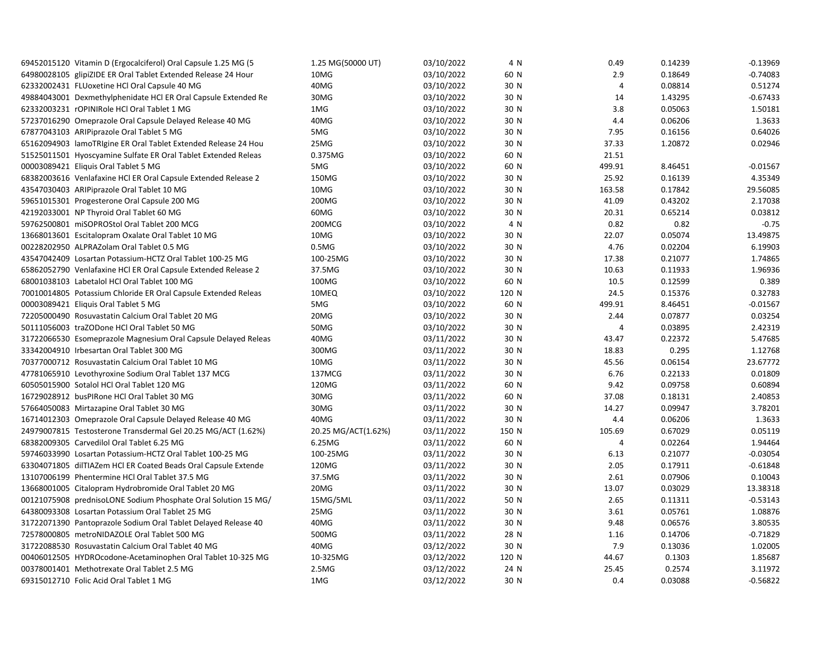| 69452015120 Vitamin D (Ergocalciferol) Oral Capsule 1.25 MG (5 | 1.25 MG(50000 UT)   | 03/10/2022 | 4 N   | 0.49           | 0.14239 | $-0.13969$ |
|----------------------------------------------------------------|---------------------|------------|-------|----------------|---------|------------|
| 64980028105 glipiZIDE ER Oral Tablet Extended Release 24 Hour  | 10MG                | 03/10/2022 | 60 N  | 2.9            | 0.18649 | $-0.74083$ |
| 62332002431 FLUoxetine HCl Oral Capsule 40 MG                  | 40MG                | 03/10/2022 | 30 N  | $\overline{4}$ | 0.08814 | 0.51274    |
| 49884043001 Dexmethylphenidate HCl ER Oral Capsule Extended Re | 30MG                | 03/10/2022 | 30 N  | 14             | 1.43295 | $-0.67433$ |
| 62332003231 rOPINIRole HCl Oral Tablet 1 MG                    | 1MG                 | 03/10/2022 | 30 N  | 3.8            | 0.05063 | 1.50181    |
| 57237016290 Omeprazole Oral Capsule Delayed Release 40 MG      | 40MG                | 03/10/2022 | 30 N  | 4.4            | 0.06206 | 1.3633     |
| 67877043103 ARIPiprazole Oral Tablet 5 MG                      | 5MG                 | 03/10/2022 | 30 N  | 7.95           | 0.16156 | 0.64026    |
| 65162094903 lamoTRIgine ER Oral Tablet Extended Release 24 Hou | 25MG                | 03/10/2022 | 30 N  | 37.33          | 1.20872 | 0.02946    |
| 51525011501 Hyoscyamine Sulfate ER Oral Tablet Extended Releas | 0.375MG             | 03/10/2022 | 60 N  | 21.51          |         |            |
| 00003089421 Eliquis Oral Tablet 5 MG                           | 5MG                 | 03/10/2022 | 60 N  | 499.91         | 8.46451 | $-0.01567$ |
| 68382003616 Venlafaxine HCI ER Oral Capsule Extended Release 2 | 150MG               | 03/10/2022 | 30 N  | 25.92          | 0.16139 | 4.35349    |
| 43547030403 ARIPiprazole Oral Tablet 10 MG                     | 10MG                | 03/10/2022 | 30 N  | 163.58         | 0.17842 | 29.56085   |
| 59651015301 Progesterone Oral Capsule 200 MG                   | 200MG               | 03/10/2022 | 30 N  | 41.09          | 0.43202 | 2.17038    |
| 42192033001 NP Thyroid Oral Tablet 60 MG                       | 60MG                | 03/10/2022 | 30 N  | 20.31          | 0.65214 | 0.03812    |
| 59762500801 miSOPROStol Oral Tablet 200 MCG                    | 200MCG              | 03/10/2022 | 4 N   | 0.82           | 0.82    | $-0.75$    |
| 13668013601 Escitalopram Oxalate Oral Tablet 10 MG             | 10MG                | 03/10/2022 | 30 N  | 22.07          | 0.05074 | 13.49875   |
| 00228202950 ALPRAZolam Oral Tablet 0.5 MG                      | 0.5M <sub>G</sub>   | 03/10/2022 | 30 N  | 4.76           | 0.02204 | 6.19903    |
| 43547042409 Losartan Potassium-HCTZ Oral Tablet 100-25 MG      | 100-25MG            | 03/10/2022 | 30 N  | 17.38          | 0.21077 | 1.74865    |
| 65862052790 Venlafaxine HCl ER Oral Capsule Extended Release 2 | 37.5MG              | 03/10/2022 | 30 N  | 10.63          | 0.11933 | 1.96936    |
| 68001038103 Labetalol HCl Oral Tablet 100 MG                   | 100MG               | 03/10/2022 | 60 N  | 10.5           | 0.12599 | 0.389      |
| 70010014805 Potassium Chloride ER Oral Capsule Extended Releas | 10MEQ               | 03/10/2022 | 120 N | 24.5           | 0.15376 | 0.32783    |
| 00003089421 Eliquis Oral Tablet 5 MG                           | 5MG                 | 03/10/2022 | 60 N  | 499.91         | 8.46451 | $-0.01567$ |
| 72205000490 Rosuvastatin Calcium Oral Tablet 20 MG             | 20MG                | 03/10/2022 | 30 N  | 2.44           | 0.07877 | 0.03254    |
| 50111056003 traZODone HCl Oral Tablet 50 MG                    | 50MG                | 03/10/2022 | 30 N  | 4              | 0.03895 | 2.42319    |
| 31722066530 Esomeprazole Magnesium Oral Capsule Delayed Releas | 40MG                | 03/11/2022 | 30 N  | 43.47          | 0.22372 | 5.47685    |
| 33342004910 Irbesartan Oral Tablet 300 MG                      | 300MG               | 03/11/2022 | 30 N  | 18.83          | 0.295   | 1.12768    |
| 70377000712 Rosuvastatin Calcium Oral Tablet 10 MG             | 10MG                | 03/11/2022 | 30 N  | 45.56          | 0.06154 | 23.67772   |
| 47781065910 Levothyroxine Sodium Oral Tablet 137 MCG           | 137MCG              | 03/11/2022 | 30 N  | 6.76           | 0.22133 | 0.01809    |
| 60505015900 Sotalol HCl Oral Tablet 120 MG                     | 120MG               | 03/11/2022 | 60 N  | 9.42           | 0.09758 | 0.60894    |
| 16729028912 busPIRone HCl Oral Tablet 30 MG                    | 30MG                | 03/11/2022 | 60 N  | 37.08          | 0.18131 | 2.40853    |
| 57664050083 Mirtazapine Oral Tablet 30 MG                      | 30MG                | 03/11/2022 | 30 N  | 14.27          | 0.09947 | 3.78201    |
| 16714012303 Omeprazole Oral Capsule Delayed Release 40 MG      | 40MG                | 03/11/2022 | 30 N  | 4.4            | 0.06206 | 1.3633     |
| 24979007815 Testosterone Transdermal Gel 20.25 MG/ACT (1.62%)  | 20.25 MG/ACT(1.62%) | 03/11/2022 | 150 N | 105.69         | 0.67029 | 0.05119    |
| 68382009305 Carvedilol Oral Tablet 6.25 MG                     | 6.25MG              | 03/11/2022 | 60 N  | 4              | 0.02264 | 1.94464    |
| 59746033990 Losartan Potassium-HCTZ Oral Tablet 100-25 MG      | 100-25MG            | 03/11/2022 | 30 N  | 6.13           | 0.21077 | $-0.03054$ |
| 63304071805 dilTIAZem HCl ER Coated Beads Oral Capsule Extende | 120MG               | 03/11/2022 | 30 N  | 2.05           | 0.17911 | $-0.61848$ |
| 13107006199 Phentermine HCl Oral Tablet 37.5 MG                | 37.5MG              | 03/11/2022 | 30 N  | 2.61           | 0.07906 | 0.10043    |
| 13668001005 Citalopram Hydrobromide Oral Tablet 20 MG          | 20MG                | 03/11/2022 | 30 N  | 13.07          | 0.03029 | 13.38318   |
| 00121075908 prednisoLONE Sodium Phosphate Oral Solution 15 MG/ | 15MG/5ML            | 03/11/2022 | 50 N  | 2.65           | 0.11311 | $-0.53143$ |
| 64380093308 Losartan Potassium Oral Tablet 25 MG               | 25MG                | 03/11/2022 | 30 N  | 3.61           | 0.05761 | 1.08876    |
| 31722071390 Pantoprazole Sodium Oral Tablet Delayed Release 40 | 40MG                | 03/11/2022 | 30 N  | 9.48           | 0.06576 | 3.80535    |
| 72578000805 metroNIDAZOLE Oral Tablet 500 MG                   | 500MG               | 03/11/2022 | 28 N  | 1.16           | 0.14706 | $-0.71829$ |
| 31722088530 Rosuvastatin Calcium Oral Tablet 40 MG             | 40MG                | 03/12/2022 | 30 N  | 7.9            | 0.13036 | 1.02005    |
| 00406012505 HYDROcodone-Acetaminophen Oral Tablet 10-325 MG    | 10-325MG            | 03/12/2022 | 120 N | 44.67          | 0.1303  | 1.85687    |
| 00378001401 Methotrexate Oral Tablet 2.5 MG                    | 2.5M <sub>G</sub>   | 03/12/2022 | 24 N  | 25.45          | 0.2574  | 3.11972    |
| 69315012710 Folic Acid Oral Tablet 1 MG                        | 1MG                 | 03/12/2022 | 30 N  | 0.4            | 0.03088 | $-0.56822$ |
|                                                                |                     |            |       |                |         |            |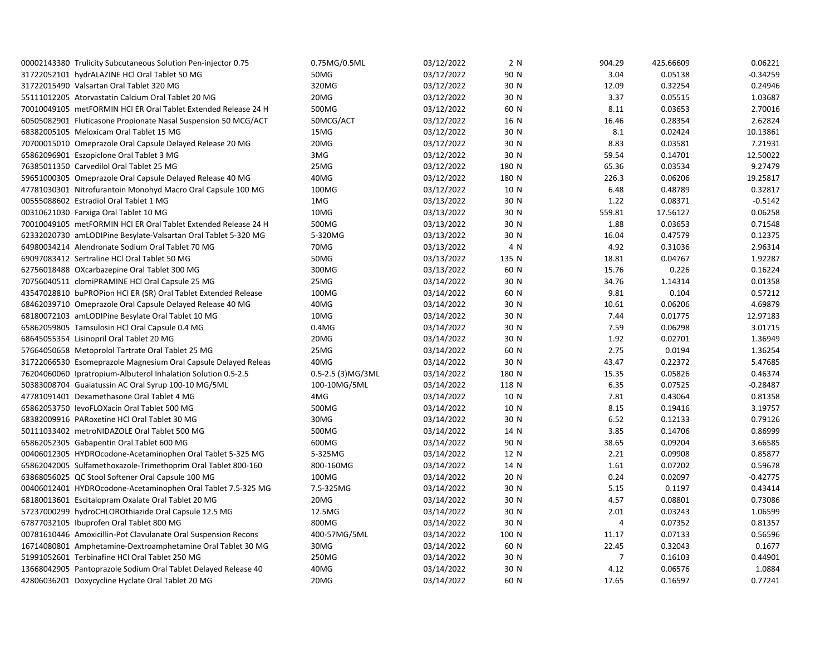| 00002143380 Trulicity Subcutaneous Solution Pen-injector 0.75  | 0.75MG/0.5ML           | 03/12/2022 | 2 N   | 904.29         | 425.66609 | 0.06221    |
|----------------------------------------------------------------|------------------------|------------|-------|----------------|-----------|------------|
| 31722052101 hydrALAZINE HCl Oral Tablet 50 MG                  | 50MG                   | 03/12/2022 | 90 N  | 3.04           | 0.05138   | $-0.34259$ |
| 31722015490 Valsartan Oral Tablet 320 MG                       | 320MG                  | 03/12/2022 | 30 N  | 12.09          | 0.32254   | 0.24946    |
| 55111012205 Atorvastatin Calcium Oral Tablet 20 MG             | 20MG                   | 03/12/2022 | 30 N  | 3.37           | 0.05515   | 1.03687    |
| 70010049105 metFORMIN HCl ER Oral Tablet Extended Release 24 H | 500MG                  | 03/12/2022 | 60 N  | 8.11           | 0.03653   | 2.70016    |
| 60505082901 Fluticasone Propionate Nasal Suspension 50 MCG/ACT | 50MCG/ACT              | 03/12/2022 | 16 N  | 16.46          | 0.28354   | 2.62824    |
| 68382005105 Meloxicam Oral Tablet 15 MG                        | 15MG                   | 03/12/2022 | 30 N  | 8.1            | 0.02424   | 10.13861   |
| 70700015010 Omeprazole Oral Capsule Delayed Release 20 MG      | 20MG                   | 03/12/2022 | 30 N  | 8.83           | 0.03581   | 7.21931    |
| 65862096901 Eszopiclone Oral Tablet 3 MG                       | 3MG                    | 03/12/2022 | 30 N  | 59.54          | 0.14701   | 12.50022   |
| 76385011350 Carvedilol Oral Tablet 25 MG                       | 25MG                   | 03/12/2022 | 180 N | 65.36          | 0.03534   | 9.27479    |
| 59651000305 Omeprazole Oral Capsule Delayed Release 40 MG      | 40MG                   | 03/12/2022 | 180 N | 226.3          | 0.06206   | 19.25817   |
| 47781030301 Nitrofurantoin Monohyd Macro Oral Capsule 100 MG   | 100MG                  | 03/12/2022 | 10 N  | 6.48           | 0.48789   | 0.32817    |
| 00555088602 Estradiol Oral Tablet 1 MG                         | 1MG                    | 03/13/2022 | 30 N  | 1.22           | 0.08371   | $-0.5142$  |
| 00310621030 Farxiga Oral Tablet 10 MG                          | 10MG                   | 03/13/2022 | 30 N  | 559.81         | 17.56127  | 0.06258    |
| 70010049105 metFORMIN HCl ER Oral Tablet Extended Release 24 H | 500MG                  | 03/13/2022 | 30 N  | 1.88           | 0.03653   | 0.71548    |
| 62332020730 amLODIPine Besylate-Valsartan Oral Tablet 5-320 MG | 5-320MG                | 03/13/2022 | 30 N  | 16.04          | 0.47579   | 0.12375    |
| 64980034214 Alendronate Sodium Oral Tablet 70 MG               | 70MG                   | 03/13/2022 | 4 N   | 4.92           | 0.31036   | 2.96314    |
| 69097083412 Sertraline HCl Oral Tablet 50 MG                   | 50MG                   | 03/13/2022 | 135 N | 18.81          | 0.04767   | 1.92287    |
| 62756018488 OXcarbazepine Oral Tablet 300 MG                   | 300MG                  | 03/13/2022 | 60 N  | 15.76          | 0.226     | 0.16224    |
| 70756040511 clomiPRAMINE HCl Oral Capsule 25 MG                | 25MG                   | 03/14/2022 | 30 N  | 34.76          | 1.14314   | 0.01358    |
| 43547028810 buPROPion HCl ER (SR) Oral Tablet Extended Release | 100MG                  | 03/14/2022 | 60 N  | 9.81           | 0.104     | 0.57212    |
| 68462039710 Omeprazole Oral Capsule Delayed Release 40 MG      | 40MG                   | 03/14/2022 | 30 N  | 10.61          | 0.06206   | 4.69879    |
| 68180072103 amLODIPine Besylate Oral Tablet 10 MG              | 10MG                   | 03/14/2022 | 30 N  | 7.44           | 0.01775   | 12.97183   |
| 65862059805 Tamsulosin HCl Oral Capsule 0.4 MG                 | 0.4M <sub>G</sub>      | 03/14/2022 | 30 N  | 7.59           | 0.06298   | 3.01715    |
| 68645055354 Lisinopril Oral Tablet 20 MG                       | 20MG                   | 03/14/2022 | 30 N  | 1.92           | 0.02701   | 1.36949    |
| 57664050658 Metoprolol Tartrate Oral Tablet 25 MG              | 25MG                   | 03/14/2022 | 60 N  | 2.75           | 0.0194    | 1.36254    |
| 31722066530 Esomeprazole Magnesium Oral Capsule Delayed Releas | 40MG                   | 03/14/2022 | 30 N  | 43.47          | 0.22372   | 5.47685    |
| 76204060060 Ipratropium-Albuterol Inhalation Solution 0.5-2.5  | $0.5 - 2.5$ (3) MG/3ML | 03/14/2022 | 180 N | 15.35          | 0.05826   | 0.46374    |
| 50383008704 Guaiatussin AC Oral Syrup 100-10 MG/5ML            | 100-10MG/5ML           | 03/14/2022 | 118 N | 6.35           | 0.07525   | $-0.28487$ |
| 47781091401 Dexamethasone Oral Tablet 4 MG                     | 4MG                    | 03/14/2022 | 10 N  | 7.81           | 0.43064   | 0.81358    |
| 65862053750 levoFLOXacin Oral Tablet 500 MG                    | 500MG                  | 03/14/2022 | 10 N  | 8.15           | 0.19416   | 3.19757    |
| 68382009916 PARoxetine HCl Oral Tablet 30 MG                   | 30MG                   | 03/14/2022 | 30 N  | 6.52           | 0.12133   | 0.79126    |
| 50111033402 metroNIDAZOLE Oral Tablet 500 MG                   | 500MG                  | 03/14/2022 | 14 N  | 3.85           | 0.14706   | 0.86999    |
| 65862052305 Gabapentin Oral Tablet 600 MG                      | 600MG                  | 03/14/2022 | 90 N  | 38.65          | 0.09204   | 3.66585    |
| 00406012305 HYDROcodone-Acetaminophen Oral Tablet 5-325 MG     | 5-325MG                | 03/14/2022 | 12 N  | 2.21           | 0.09908   | 0.85877    |
| 65862042005 Sulfamethoxazole-Trimethoprim Oral Tablet 800-160  | 800-160MG              | 03/14/2022 | 14 N  | 1.61           | 0.07202   | 0.59678    |
| 63868056025 QC Stool Softener Oral Capsule 100 MG              | 100MG                  | 03/14/2022 | 20 N  | 0.24           | 0.02097   | $-0.42775$ |
| 00406012401 HYDROcodone-Acetaminophen Oral Tablet 7.5-325 MG   | 7.5-325MG              | 03/14/2022 | 30 N  | 5.15           | 0.1197    | 0.43414    |
| 68180013601 Escitalopram Oxalate Oral Tablet 20 MG             | 20MG                   | 03/14/2022 | 30 N  | 4.57           | 0.08801   | 0.73086    |
| 57237000299 hydroCHLOROthiazide Oral Capsule 12.5 MG           | 12.5MG                 | 03/14/2022 | 30 N  | 2.01           | 0.03243   | 1.06599    |
| 67877032105 Ibuprofen Oral Tablet 800 MG                       | 800MG                  | 03/14/2022 | 30 N  | $\overline{4}$ | 0.07352   | 0.81357    |
| 00781610446 Amoxicillin-Pot Clavulanate Oral Suspension Recons | 400-57MG/5ML           | 03/14/2022 | 100 N | 11.17          | 0.07133   | 0.56596    |
| 16714080801 Amphetamine-Dextroamphetamine Oral Tablet 30 MG    | 30MG                   | 03/14/2022 | 60 N  | 22.45          | 0.32043   | 0.1677     |
| 51991052601 Terbinafine HCl Oral Tablet 250 MG                 | 250MG                  | 03/14/2022 | 30 N  | $\overline{7}$ | 0.16103   | 0.44901    |
| 13668042905 Pantoprazole Sodium Oral Tablet Delayed Release 40 | 40MG                   | 03/14/2022 | 30 N  | 4.12           | 0.06576   | 1.0884     |
| 42806036201 Doxycycline Hyclate Oral Tablet 20 MG              | 20MG                   | 03/14/2022 | 60 N  | 17.65          | 0.16597   | 0.77241    |
|                                                                |                        |            |       |                |           |            |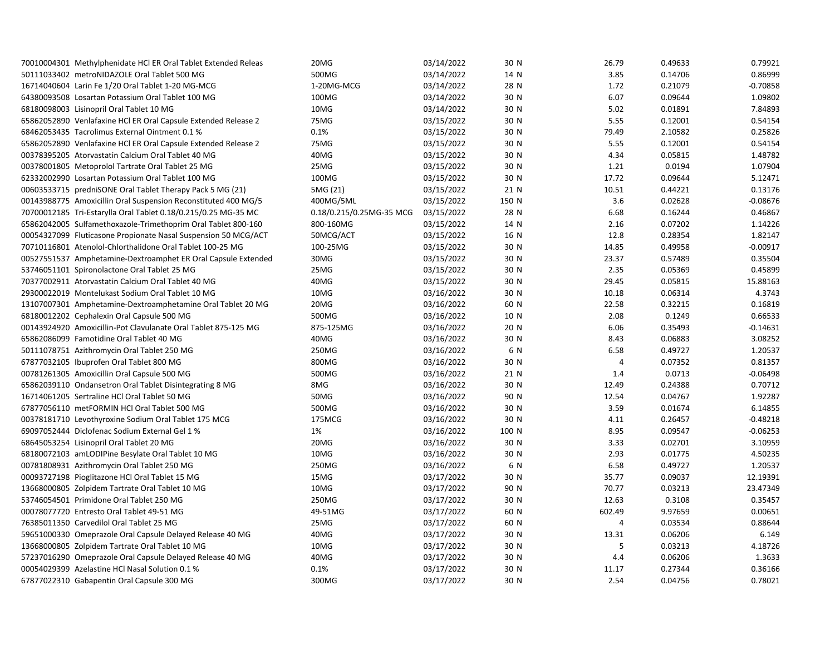| 70010004301 Methylphenidate HCI ER Oral Tablet Extended Releas | 20MG                     | 03/14/2022 | 30 N  | 26.79  | 0.49633 | 0.79921    |
|----------------------------------------------------------------|--------------------------|------------|-------|--------|---------|------------|
| 50111033402 metroNIDAZOLE Oral Tablet 500 MG                   | 500MG                    | 03/14/2022 | 14 N  | 3.85   | 0.14706 | 0.86999    |
| 16714040604 Larin Fe 1/20 Oral Tablet 1-20 MG-MCG              | 1-20MG-MCG               | 03/14/2022 | 28 N  | 1.72   | 0.21079 | $-0.70858$ |
| 64380093508 Losartan Potassium Oral Tablet 100 MG              | 100MG                    | 03/14/2022 | 30 N  | 6.07   | 0.09644 | 1.09802    |
| 68180098003 Lisinopril Oral Tablet 10 MG                       | 10MG                     | 03/14/2022 | 30 N  | 5.02   | 0.01891 | 7.84893    |
| 65862052890 Venlafaxine HCl ER Oral Capsule Extended Release 2 | 75MG                     | 03/15/2022 | 30 N  | 5.55   | 0.12001 | 0.54154    |
| 68462053435 Tacrolimus External Ointment 0.1 %                 | 0.1%                     | 03/15/2022 | 30 N  | 79.49  | 2.10582 | 0.25826    |
| 65862052890 Venlafaxine HCl ER Oral Capsule Extended Release 2 | 75MG                     | 03/15/2022 | 30 N  | 5.55   | 0.12001 | 0.54154    |
| 00378395205 Atorvastatin Calcium Oral Tablet 40 MG             | 40MG                     | 03/15/2022 | 30 N  | 4.34   | 0.05815 | 1.48782    |
| 00378001805 Metoprolol Tartrate Oral Tablet 25 MG              | 25MG                     | 03/15/2022 | 30 N  | 1.21   | 0.0194  | 1.07904    |
| 62332002990 Losartan Potassium Oral Tablet 100 MG              | 100MG                    | 03/15/2022 | 30 N  | 17.72  | 0.09644 | 5.12471    |
| 00603533715 predniSONE Oral Tablet Therapy Pack 5 MG (21)      | 5MG (21)                 | 03/15/2022 | 21 N  | 10.51  | 0.44221 | 0.13176    |
| 00143988775 Amoxicillin Oral Suspension Reconstituted 400 MG/5 | 400MG/5ML                | 03/15/2022 | 150 N | 3.6    | 0.02628 | $-0.08676$ |
| 70700012185 Tri-Estarylla Oral Tablet 0.18/0.215/0.25 MG-35 MC | 0.18/0.215/0.25MG-35 MCG | 03/15/2022 | 28 N  | 6.68   | 0.16244 | 0.46867    |
| 65862042005 Sulfamethoxazole-Trimethoprim Oral Tablet 800-160  | 800-160MG                | 03/15/2022 | 14 N  | 2.16   | 0.07202 | 1.14226    |
| 00054327099 Fluticasone Propionate Nasal Suspension 50 MCG/ACT | 50MCG/ACT                | 03/15/2022 | 16 N  | 12.8   | 0.28354 | 1.82147    |
| 70710116801 Atenolol-Chlorthalidone Oral Tablet 100-25 MG      | 100-25MG                 | 03/15/2022 | 30 N  | 14.85  | 0.49958 | $-0.00917$ |
| 00527551537 Amphetamine-Dextroamphet ER Oral Capsule Extended  | 30MG                     | 03/15/2022 | 30 N  | 23.37  | 0.57489 | 0.35504    |
| 53746051101 Spironolactone Oral Tablet 25 MG                   | 25MG                     | 03/15/2022 | 30 N  | 2.35   | 0.05369 | 0.45899    |
| 70377002911 Atorvastatin Calcium Oral Tablet 40 MG             | 40MG                     | 03/15/2022 | 30 N  | 29.45  | 0.05815 | 15.88163   |
| 29300022019 Montelukast Sodium Oral Tablet 10 MG               | 10MG                     | 03/16/2022 | 30 N  | 10.18  | 0.06314 | 4.3743     |
| 13107007301 Amphetamine-Dextroamphetamine Oral Tablet 20 MG    | 20MG                     | 03/16/2022 | 60 N  | 22.58  | 0.32215 | 0.16819    |
| 68180012202 Cephalexin Oral Capsule 500 MG                     | 500MG                    | 03/16/2022 | 10 N  | 2.08   | 0.1249  | 0.66533    |
| 00143924920 Amoxicillin-Pot Clavulanate Oral Tablet 875-125 MG | 875-125MG                | 03/16/2022 | 20 N  | 6.06   | 0.35493 | $-0.14631$ |
| 65862086099 Famotidine Oral Tablet 40 MG                       | 40MG                     | 03/16/2022 | 30 N  | 8.43   | 0.06883 | 3.08252    |
| 50111078751 Azithromycin Oral Tablet 250 MG                    | 250MG                    | 03/16/2022 | 6 N   | 6.58   | 0.49727 | 1.20537    |
| 67877032105 Ibuprofen Oral Tablet 800 MG                       | 800MG                    | 03/16/2022 | 30 N  | 4      | 0.07352 | 0.81357    |
| 00781261305 Amoxicillin Oral Capsule 500 MG                    | 500MG                    | 03/16/2022 | 21 N  | 1.4    | 0.0713  | $-0.06498$ |
| 65862039110 Ondansetron Oral Tablet Disintegrating 8 MG        | 8MG                      | 03/16/2022 | 30 N  | 12.49  | 0.24388 | 0.70712    |
| 16714061205 Sertraline HCl Oral Tablet 50 MG                   | 50MG                     | 03/16/2022 | 90 N  | 12.54  | 0.04767 | 1.92287    |
| 67877056110 metFORMIN HCl Oral Tablet 500 MG                   | 500MG                    | 03/16/2022 | 30 N  | 3.59   | 0.01674 | 6.14855    |
| 00378181710 Levothyroxine Sodium Oral Tablet 175 MCG           | 175MCG                   | 03/16/2022 | 30 N  | 4.11   | 0.26457 | $-0.48218$ |
| 69097052444 Diclofenac Sodium External Gel 1 %                 | 1%                       | 03/16/2022 | 100 N | 8.95   | 0.09547 | $-0.06253$ |
| 68645053254 Lisinopril Oral Tablet 20 MG                       | 20MG                     | 03/16/2022 | 30 N  | 3.33   | 0.02701 | 3.10959    |
| 68180072103 amLODIPine Besylate Oral Tablet 10 MG              | 10MG                     | 03/16/2022 | 30 N  | 2.93   | 0.01775 | 4.50235    |
| 00781808931 Azithromycin Oral Tablet 250 MG                    | 250MG                    | 03/16/2022 | 6 N   | 6.58   | 0.49727 | 1.20537    |
| 00093727198 Pioglitazone HCl Oral Tablet 15 MG                 | 15MG                     | 03/17/2022 | 30 N  | 35.77  | 0.09037 | 12.19391   |
| 13668000805 Zolpidem Tartrate Oral Tablet 10 MG                | 10MG                     | 03/17/2022 | 90 N  | 70.77  | 0.03213 | 23.47349   |
| 53746054501 Primidone Oral Tablet 250 MG                       | 250MG                    | 03/17/2022 | 30 N  | 12.63  | 0.3108  | 0.35457    |
| 00078077720 Entresto Oral Tablet 49-51 MG                      | 49-51MG                  | 03/17/2022 | 60 N  | 602.49 | 9.97659 | 0.00651    |
| 76385011350 Carvedilol Oral Tablet 25 MG                       | 25MG                     | 03/17/2022 | 60 N  | 4      | 0.03534 | 0.88644    |
| 59651000330 Omeprazole Oral Capsule Delayed Release 40 MG      | 40MG                     | 03/17/2022 | 30 N  | 13.31  | 0.06206 | 6.149      |
| 13668000805 Zolpidem Tartrate Oral Tablet 10 MG                | 10MG                     | 03/17/2022 | 30 N  | 5      | 0.03213 | 4.18726    |
|                                                                |                          |            |       | 4.4    |         |            |
| 57237016290 Omeprazole Oral Capsule Delayed Release 40 MG      | 40MG                     | 03/17/2022 | 30 N  |        | 0.06206 | 1.3633     |
| 00054029399 Azelastine HCl Nasal Solution 0.1 %                | 0.1%                     | 03/17/2022 | 30 N  | 11.17  | 0.27344 | 0.36166    |
| 67877022310 Gabapentin Oral Capsule 300 MG                     | 300MG                    | 03/17/2022 | 30 N  | 2.54   | 0.04756 | 0.78021    |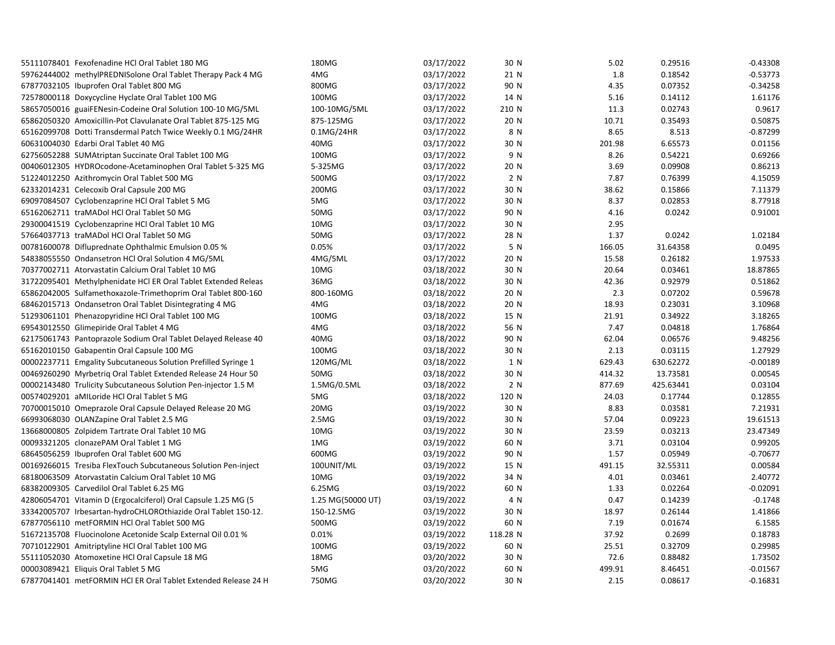| 59762444002 methylPREDNISolone Oral Tablet Therapy Pack 4 MG<br>03/17/2022<br>0.18542<br>4MG<br>21 N<br>1.8<br>0.07352<br>67877032105 Ibuprofen Oral Tablet 800 MG<br>800MG<br>03/17/2022<br>90 N<br>4.35<br>100MG<br>03/17/2022<br>72578000118 Doxycycline Hyclate Oral Tablet 100 MG<br>14 N<br>5.16<br>0.14112<br>03/17/2022<br>210 N<br>0.02743<br>58657050016 guaiFENesin-Codeine Oral Solution 100-10 MG/5ML<br>100-10MG/5ML<br>11.3<br>875-125MG<br>03/17/2022<br>20 N<br>10.71<br>0.35493<br>65862050320 Amoxicillin-Pot Clavulanate Oral Tablet 875-125 MG<br>03/17/2022<br>8 N<br>8.65<br>8.513<br>65162099708 Dotti Transdermal Patch Twice Weekly 0.1 MG/24HR<br>0.1MG/24HR<br>03/17/2022<br>201.98<br>6.65573<br>60631004030 Edarbi Oral Tablet 40 MG<br>40MG<br>30 N<br>100MG<br>03/17/2022<br>9 N<br>8.26<br>0.54221<br>62756052288 SUMAtriptan Succinate Oral Tablet 100 MG<br>5-325MG<br>03/17/2022<br>20 N<br>3.69<br>0.09908<br>00406012305 HYDROcodone-Acetaminophen Oral Tablet 5-325 MG<br>51224012250 Azithromycin Oral Tablet 500 MG<br>500MG<br>03/17/2022<br>2 N<br>7.87<br>0.76399<br>0.15866<br>62332014231 Celecoxib Oral Capsule 200 MG<br>200MG<br>03/17/2022<br>30 N<br>38.62<br>69097084507 Cyclobenzaprine HCl Oral Tablet 5 MG<br>5MG<br>03/17/2022<br>30 N<br>8.37<br>0.02853<br>0.0242<br>65162062711 traMADol HCl Oral Tablet 50 MG<br>50MG<br>03/17/2022<br>90 N<br>4.16<br>10MG<br>03/17/2022<br>29300041519 Cyclobenzaprine HCl Oral Tablet 10 MG<br>30 N<br>2.95<br>57664037713 traMADol HCl Oral Tablet 50 MG<br>50MG<br>03/17/2022<br>28 N<br>1.37<br>0.0242<br>0.05%<br>03/17/2022<br>5 N<br>00781600078 Difluprednate Ophthalmic Emulsion 0.05 %<br>166.05<br>31.64358<br>03/17/2022<br>15.58<br>0.26182<br>54838055550 Ondansetron HCl Oral Solution 4 MG/5ML<br>4MG/5ML<br>20 N<br>03/18/2022<br>20.64<br>0.03461<br>70377002711 Atorvastatin Calcium Oral Tablet 10 MG<br>10MG<br>30 N<br>36MG<br>30 N<br>42.36<br>0.92979<br>31722095401 Methylphenidate HCl ER Oral Tablet Extended Releas<br>03/18/2022<br>2.3<br>0.07202<br>65862042005 Sulfamethoxazole-Trimethoprim Oral Tablet 800-160<br>800-160MG<br>03/18/2022<br>20 N<br>68462015713 Ondansetron Oral Tablet Disintegrating 4 MG<br>4MG<br>03/18/2022<br>20 N<br>18.93<br>0.23031 | $-0.53773$ |
|-----------------------------------------------------------------------------------------------------------------------------------------------------------------------------------------------------------------------------------------------------------------------------------------------------------------------------------------------------------------------------------------------------------------------------------------------------------------------------------------------------------------------------------------------------------------------------------------------------------------------------------------------------------------------------------------------------------------------------------------------------------------------------------------------------------------------------------------------------------------------------------------------------------------------------------------------------------------------------------------------------------------------------------------------------------------------------------------------------------------------------------------------------------------------------------------------------------------------------------------------------------------------------------------------------------------------------------------------------------------------------------------------------------------------------------------------------------------------------------------------------------------------------------------------------------------------------------------------------------------------------------------------------------------------------------------------------------------------------------------------------------------------------------------------------------------------------------------------------------------------------------------------------------------------------------------------------------------------------------------------------------------------------------------------------------------------------------------------------------------------------------------------------------------------------------------------------------------------------------------------------------------------------------------------|------------|
|                                                                                                                                                                                                                                                                                                                                                                                                                                                                                                                                                                                                                                                                                                                                                                                                                                                                                                                                                                                                                                                                                                                                                                                                                                                                                                                                                                                                                                                                                                                                                                                                                                                                                                                                                                                                                                                                                                                                                                                                                                                                                                                                                                                                                                                                                               |            |
|                                                                                                                                                                                                                                                                                                                                                                                                                                                                                                                                                                                                                                                                                                                                                                                                                                                                                                                                                                                                                                                                                                                                                                                                                                                                                                                                                                                                                                                                                                                                                                                                                                                                                                                                                                                                                                                                                                                                                                                                                                                                                                                                                                                                                                                                                               | $-0.34258$ |
|                                                                                                                                                                                                                                                                                                                                                                                                                                                                                                                                                                                                                                                                                                                                                                                                                                                                                                                                                                                                                                                                                                                                                                                                                                                                                                                                                                                                                                                                                                                                                                                                                                                                                                                                                                                                                                                                                                                                                                                                                                                                                                                                                                                                                                                                                               | 1.61176    |
|                                                                                                                                                                                                                                                                                                                                                                                                                                                                                                                                                                                                                                                                                                                                                                                                                                                                                                                                                                                                                                                                                                                                                                                                                                                                                                                                                                                                                                                                                                                                                                                                                                                                                                                                                                                                                                                                                                                                                                                                                                                                                                                                                                                                                                                                                               | 0.9617     |
|                                                                                                                                                                                                                                                                                                                                                                                                                                                                                                                                                                                                                                                                                                                                                                                                                                                                                                                                                                                                                                                                                                                                                                                                                                                                                                                                                                                                                                                                                                                                                                                                                                                                                                                                                                                                                                                                                                                                                                                                                                                                                                                                                                                                                                                                                               | 0.50875    |
|                                                                                                                                                                                                                                                                                                                                                                                                                                                                                                                                                                                                                                                                                                                                                                                                                                                                                                                                                                                                                                                                                                                                                                                                                                                                                                                                                                                                                                                                                                                                                                                                                                                                                                                                                                                                                                                                                                                                                                                                                                                                                                                                                                                                                                                                                               | $-0.87299$ |
|                                                                                                                                                                                                                                                                                                                                                                                                                                                                                                                                                                                                                                                                                                                                                                                                                                                                                                                                                                                                                                                                                                                                                                                                                                                                                                                                                                                                                                                                                                                                                                                                                                                                                                                                                                                                                                                                                                                                                                                                                                                                                                                                                                                                                                                                                               | 0.01156    |
|                                                                                                                                                                                                                                                                                                                                                                                                                                                                                                                                                                                                                                                                                                                                                                                                                                                                                                                                                                                                                                                                                                                                                                                                                                                                                                                                                                                                                                                                                                                                                                                                                                                                                                                                                                                                                                                                                                                                                                                                                                                                                                                                                                                                                                                                                               | 0.69266    |
|                                                                                                                                                                                                                                                                                                                                                                                                                                                                                                                                                                                                                                                                                                                                                                                                                                                                                                                                                                                                                                                                                                                                                                                                                                                                                                                                                                                                                                                                                                                                                                                                                                                                                                                                                                                                                                                                                                                                                                                                                                                                                                                                                                                                                                                                                               | 0.86213    |
|                                                                                                                                                                                                                                                                                                                                                                                                                                                                                                                                                                                                                                                                                                                                                                                                                                                                                                                                                                                                                                                                                                                                                                                                                                                                                                                                                                                                                                                                                                                                                                                                                                                                                                                                                                                                                                                                                                                                                                                                                                                                                                                                                                                                                                                                                               | 4.15059    |
|                                                                                                                                                                                                                                                                                                                                                                                                                                                                                                                                                                                                                                                                                                                                                                                                                                                                                                                                                                                                                                                                                                                                                                                                                                                                                                                                                                                                                                                                                                                                                                                                                                                                                                                                                                                                                                                                                                                                                                                                                                                                                                                                                                                                                                                                                               | 7.11379    |
|                                                                                                                                                                                                                                                                                                                                                                                                                                                                                                                                                                                                                                                                                                                                                                                                                                                                                                                                                                                                                                                                                                                                                                                                                                                                                                                                                                                                                                                                                                                                                                                                                                                                                                                                                                                                                                                                                                                                                                                                                                                                                                                                                                                                                                                                                               | 8.77918    |
|                                                                                                                                                                                                                                                                                                                                                                                                                                                                                                                                                                                                                                                                                                                                                                                                                                                                                                                                                                                                                                                                                                                                                                                                                                                                                                                                                                                                                                                                                                                                                                                                                                                                                                                                                                                                                                                                                                                                                                                                                                                                                                                                                                                                                                                                                               | 0.91001    |
|                                                                                                                                                                                                                                                                                                                                                                                                                                                                                                                                                                                                                                                                                                                                                                                                                                                                                                                                                                                                                                                                                                                                                                                                                                                                                                                                                                                                                                                                                                                                                                                                                                                                                                                                                                                                                                                                                                                                                                                                                                                                                                                                                                                                                                                                                               |            |
|                                                                                                                                                                                                                                                                                                                                                                                                                                                                                                                                                                                                                                                                                                                                                                                                                                                                                                                                                                                                                                                                                                                                                                                                                                                                                                                                                                                                                                                                                                                                                                                                                                                                                                                                                                                                                                                                                                                                                                                                                                                                                                                                                                                                                                                                                               | 1.02184    |
|                                                                                                                                                                                                                                                                                                                                                                                                                                                                                                                                                                                                                                                                                                                                                                                                                                                                                                                                                                                                                                                                                                                                                                                                                                                                                                                                                                                                                                                                                                                                                                                                                                                                                                                                                                                                                                                                                                                                                                                                                                                                                                                                                                                                                                                                                               | 0.0495     |
|                                                                                                                                                                                                                                                                                                                                                                                                                                                                                                                                                                                                                                                                                                                                                                                                                                                                                                                                                                                                                                                                                                                                                                                                                                                                                                                                                                                                                                                                                                                                                                                                                                                                                                                                                                                                                                                                                                                                                                                                                                                                                                                                                                                                                                                                                               | 1.97533    |
|                                                                                                                                                                                                                                                                                                                                                                                                                                                                                                                                                                                                                                                                                                                                                                                                                                                                                                                                                                                                                                                                                                                                                                                                                                                                                                                                                                                                                                                                                                                                                                                                                                                                                                                                                                                                                                                                                                                                                                                                                                                                                                                                                                                                                                                                                               | 18.87865   |
|                                                                                                                                                                                                                                                                                                                                                                                                                                                                                                                                                                                                                                                                                                                                                                                                                                                                                                                                                                                                                                                                                                                                                                                                                                                                                                                                                                                                                                                                                                                                                                                                                                                                                                                                                                                                                                                                                                                                                                                                                                                                                                                                                                                                                                                                                               | 0.51862    |
|                                                                                                                                                                                                                                                                                                                                                                                                                                                                                                                                                                                                                                                                                                                                                                                                                                                                                                                                                                                                                                                                                                                                                                                                                                                                                                                                                                                                                                                                                                                                                                                                                                                                                                                                                                                                                                                                                                                                                                                                                                                                                                                                                                                                                                                                                               | 0.59678    |
|                                                                                                                                                                                                                                                                                                                                                                                                                                                                                                                                                                                                                                                                                                                                                                                                                                                                                                                                                                                                                                                                                                                                                                                                                                                                                                                                                                                                                                                                                                                                                                                                                                                                                                                                                                                                                                                                                                                                                                                                                                                                                                                                                                                                                                                                                               | 3.10968    |
| 51293061101 Phenazopyridine HCl Oral Tablet 100 MG<br>100MG<br>03/18/2022<br>15 N<br>21.91<br>0.34922                                                                                                                                                                                                                                                                                                                                                                                                                                                                                                                                                                                                                                                                                                                                                                                                                                                                                                                                                                                                                                                                                                                                                                                                                                                                                                                                                                                                                                                                                                                                                                                                                                                                                                                                                                                                                                                                                                                                                                                                                                                                                                                                                                                         | 3.18265    |
| 69543012550 Glimepiride Oral Tablet 4 MG<br>4MG<br>03/18/2022<br>7.47<br>0.04818<br>56 N                                                                                                                                                                                                                                                                                                                                                                                                                                                                                                                                                                                                                                                                                                                                                                                                                                                                                                                                                                                                                                                                                                                                                                                                                                                                                                                                                                                                                                                                                                                                                                                                                                                                                                                                                                                                                                                                                                                                                                                                                                                                                                                                                                                                      | 1.76864    |
| 62175061743 Pantoprazole Sodium Oral Tablet Delayed Release 40<br>40MG<br>03/18/2022<br>90 N<br>62.04<br>0.06576                                                                                                                                                                                                                                                                                                                                                                                                                                                                                                                                                                                                                                                                                                                                                                                                                                                                                                                                                                                                                                                                                                                                                                                                                                                                                                                                                                                                                                                                                                                                                                                                                                                                                                                                                                                                                                                                                                                                                                                                                                                                                                                                                                              | 9.48256    |
| 65162010150 Gabapentin Oral Capsule 100 MG<br>100MG<br>03/18/2022<br>30 N<br>2.13<br>0.03115                                                                                                                                                                                                                                                                                                                                                                                                                                                                                                                                                                                                                                                                                                                                                                                                                                                                                                                                                                                                                                                                                                                                                                                                                                                                                                                                                                                                                                                                                                                                                                                                                                                                                                                                                                                                                                                                                                                                                                                                                                                                                                                                                                                                  | 1.27929    |
| 120MG/ML<br>630.62272<br>00002237711 Emgality Subcutaneous Solution Prefilled Syringe 1<br>03/18/2022<br>1 N<br>629.43                                                                                                                                                                                                                                                                                                                                                                                                                                                                                                                                                                                                                                                                                                                                                                                                                                                                                                                                                                                                                                                                                                                                                                                                                                                                                                                                                                                                                                                                                                                                                                                                                                                                                                                                                                                                                                                                                                                                                                                                                                                                                                                                                                        | $-0.00189$ |
| 50MG<br>30 N<br>13.73581<br>00469260290 Myrbetrig Oral Tablet Extended Release 24 Hour 50<br>03/18/2022<br>414.32                                                                                                                                                                                                                                                                                                                                                                                                                                                                                                                                                                                                                                                                                                                                                                                                                                                                                                                                                                                                                                                                                                                                                                                                                                                                                                                                                                                                                                                                                                                                                                                                                                                                                                                                                                                                                                                                                                                                                                                                                                                                                                                                                                             | 0.00545    |
| 2 N<br>00002143480 Trulicity Subcutaneous Solution Pen-injector 1.5 M<br>1.5MG/0.5ML<br>03/18/2022<br>877.69<br>425.63441                                                                                                                                                                                                                                                                                                                                                                                                                                                                                                                                                                                                                                                                                                                                                                                                                                                                                                                                                                                                                                                                                                                                                                                                                                                                                                                                                                                                                                                                                                                                                                                                                                                                                                                                                                                                                                                                                                                                                                                                                                                                                                                                                                     | 0.03104    |
| 24.03<br>0.17744<br>00574029201 aMILoride HCl Oral Tablet 5 MG<br>5MG<br>03/18/2022<br>120 N                                                                                                                                                                                                                                                                                                                                                                                                                                                                                                                                                                                                                                                                                                                                                                                                                                                                                                                                                                                                                                                                                                                                                                                                                                                                                                                                                                                                                                                                                                                                                                                                                                                                                                                                                                                                                                                                                                                                                                                                                                                                                                                                                                                                  | 0.12855    |
| 70700015010 Omeprazole Oral Capsule Delayed Release 20 MG<br>20MG<br>03/19/2022<br>30 N<br>8.83<br>0.03581                                                                                                                                                                                                                                                                                                                                                                                                                                                                                                                                                                                                                                                                                                                                                                                                                                                                                                                                                                                                                                                                                                                                                                                                                                                                                                                                                                                                                                                                                                                                                                                                                                                                                                                                                                                                                                                                                                                                                                                                                                                                                                                                                                                    | 7.21931    |
| 0.09223<br>66993068030 OLANZapine Oral Tablet 2.5 MG<br>2.5M <sub>G</sub><br>03/19/2022<br>30 N<br>57.04                                                                                                                                                                                                                                                                                                                                                                                                                                                                                                                                                                                                                                                                                                                                                                                                                                                                                                                                                                                                                                                                                                                                                                                                                                                                                                                                                                                                                                                                                                                                                                                                                                                                                                                                                                                                                                                                                                                                                                                                                                                                                                                                                                                      | 19.61513   |
| 13668000805 Zolpidem Tartrate Oral Tablet 10 MG<br>10MG<br>03/19/2022<br>30 N<br>23.59<br>0.03213                                                                                                                                                                                                                                                                                                                                                                                                                                                                                                                                                                                                                                                                                                                                                                                                                                                                                                                                                                                                                                                                                                                                                                                                                                                                                                                                                                                                                                                                                                                                                                                                                                                                                                                                                                                                                                                                                                                                                                                                                                                                                                                                                                                             | 23.47349   |
| 00093321205 clonazePAM Oral Tablet 1 MG<br>1MG<br>03/19/2022<br>3.71<br>0.03104<br>60 N                                                                                                                                                                                                                                                                                                                                                                                                                                                                                                                                                                                                                                                                                                                                                                                                                                                                                                                                                                                                                                                                                                                                                                                                                                                                                                                                                                                                                                                                                                                                                                                                                                                                                                                                                                                                                                                                                                                                                                                                                                                                                                                                                                                                       | 0.99205    |
| 600MG<br>03/19/2022<br>90 N<br>1.57<br>0.05949<br>68645056259 Ibuprofen Oral Tablet 600 MG                                                                                                                                                                                                                                                                                                                                                                                                                                                                                                                                                                                                                                                                                                                                                                                                                                                                                                                                                                                                                                                                                                                                                                                                                                                                                                                                                                                                                                                                                                                                                                                                                                                                                                                                                                                                                                                                                                                                                                                                                                                                                                                                                                                                    | $-0.70677$ |
| 100UNIT/ML<br>03/19/2022<br>491.15<br>32.55311<br>00169266015 Tresiba FlexTouch Subcutaneous Solution Pen-inject<br>15 N                                                                                                                                                                                                                                                                                                                                                                                                                                                                                                                                                                                                                                                                                                                                                                                                                                                                                                                                                                                                                                                                                                                                                                                                                                                                                                                                                                                                                                                                                                                                                                                                                                                                                                                                                                                                                                                                                                                                                                                                                                                                                                                                                                      | 0.00584    |
| 68180063509 Atorvastatin Calcium Oral Tablet 10 MG<br>10MG<br>03/19/2022<br>34 N<br>4.01<br>0.03461                                                                                                                                                                                                                                                                                                                                                                                                                                                                                                                                                                                                                                                                                                                                                                                                                                                                                                                                                                                                                                                                                                                                                                                                                                                                                                                                                                                                                                                                                                                                                                                                                                                                                                                                                                                                                                                                                                                                                                                                                                                                                                                                                                                           | 2.40772    |
| 68382009305 Carvedilol Oral Tablet 6.25 MG<br>6.25MG<br>03/19/2022<br>60 N<br>1.33<br>0.02264                                                                                                                                                                                                                                                                                                                                                                                                                                                                                                                                                                                                                                                                                                                                                                                                                                                                                                                                                                                                                                                                                                                                                                                                                                                                                                                                                                                                                                                                                                                                                                                                                                                                                                                                                                                                                                                                                                                                                                                                                                                                                                                                                                                                 | $-0.02091$ |
| 03/19/2022<br>4 N<br>0.47<br>0.14239<br>42806054701 Vitamin D (Ergocalciferol) Oral Capsule 1.25 MG (5<br>1.25 MG(50000 UT)                                                                                                                                                                                                                                                                                                                                                                                                                                                                                                                                                                                                                                                                                                                                                                                                                                                                                                                                                                                                                                                                                                                                                                                                                                                                                                                                                                                                                                                                                                                                                                                                                                                                                                                                                                                                                                                                                                                                                                                                                                                                                                                                                                   | $-0.1748$  |
| 33342005707 Irbesartan-hydroCHLOROthiazide Oral Tablet 150-12.<br>150-12.5MG<br>03/19/2022<br>30 N<br>18.97<br>0.26144                                                                                                                                                                                                                                                                                                                                                                                                                                                                                                                                                                                                                                                                                                                                                                                                                                                                                                                                                                                                                                                                                                                                                                                                                                                                                                                                                                                                                                                                                                                                                                                                                                                                                                                                                                                                                                                                                                                                                                                                                                                                                                                                                                        | 1.41866    |
| 67877056110 metFORMIN HCl Oral Tablet 500 MG<br>500MG<br>60 N<br>0.01674<br>03/19/2022<br>7.19                                                                                                                                                                                                                                                                                                                                                                                                                                                                                                                                                                                                                                                                                                                                                                                                                                                                                                                                                                                                                                                                                                                                                                                                                                                                                                                                                                                                                                                                                                                                                                                                                                                                                                                                                                                                                                                                                                                                                                                                                                                                                                                                                                                                | 6.1585     |
| 0.01%<br>37.92<br>0.2699<br>51672135708 Fluocinolone Acetonide Scalp External Oil 0.01 %<br>03/19/2022<br>118.28 N                                                                                                                                                                                                                                                                                                                                                                                                                                                                                                                                                                                                                                                                                                                                                                                                                                                                                                                                                                                                                                                                                                                                                                                                                                                                                                                                                                                                                                                                                                                                                                                                                                                                                                                                                                                                                                                                                                                                                                                                                                                                                                                                                                            | 0.18783    |
| 100MG<br>60 N<br>25.51<br>0.32709<br>70710122901 Amitriptyline HCl Oral Tablet 100 MG<br>03/19/2022                                                                                                                                                                                                                                                                                                                                                                                                                                                                                                                                                                                                                                                                                                                                                                                                                                                                                                                                                                                                                                                                                                                                                                                                                                                                                                                                                                                                                                                                                                                                                                                                                                                                                                                                                                                                                                                                                                                                                                                                                                                                                                                                                                                           | 0.29985    |
| 18MG<br>30 N<br>72.6<br>0.88482<br>55111052030 Atomoxetine HCl Oral Capsule 18 MG<br>03/20/2022                                                                                                                                                                                                                                                                                                                                                                                                                                                                                                                                                                                                                                                                                                                                                                                                                                                                                                                                                                                                                                                                                                                                                                                                                                                                                                                                                                                                                                                                                                                                                                                                                                                                                                                                                                                                                                                                                                                                                                                                                                                                                                                                                                                               | 1.73502    |
| 00003089421 Eliquis Oral Tablet 5 MG<br>5MG<br>03/20/2022<br>60 N<br>499.91<br>8.46451                                                                                                                                                                                                                                                                                                                                                                                                                                                                                                                                                                                                                                                                                                                                                                                                                                                                                                                                                                                                                                                                                                                                                                                                                                                                                                                                                                                                                                                                                                                                                                                                                                                                                                                                                                                                                                                                                                                                                                                                                                                                                                                                                                                                        | $-0.01567$ |
| 67877041401 metFORMIN HCl ER Oral Tablet Extended Release 24 H<br>750MG<br>03/20/2022<br>30 N<br>2.15<br>0.08617                                                                                                                                                                                                                                                                                                                                                                                                                                                                                                                                                                                                                                                                                                                                                                                                                                                                                                                                                                                                                                                                                                                                                                                                                                                                                                                                                                                                                                                                                                                                                                                                                                                                                                                                                                                                                                                                                                                                                                                                                                                                                                                                                                              |            |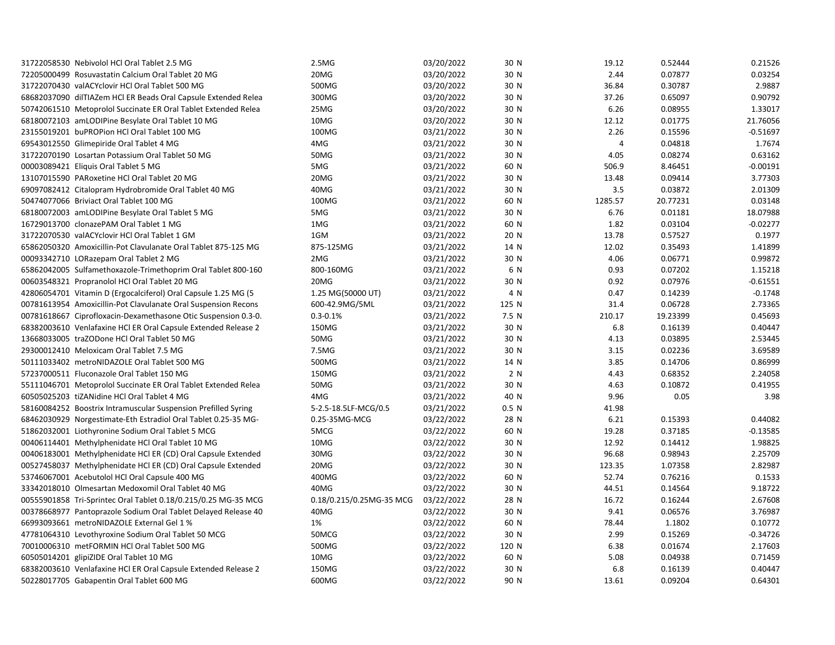| 20MG<br>03/20/2022<br>0.07877<br>0.03254<br>72205000499 Rosuvastatin Calcium Oral Tablet 20 MG<br>30 N<br>2.44<br>500MG<br>2.9887<br>31722070430 valACYclovir HCl Oral Tablet 500 MG<br>03/20/2022<br>30 N<br>36.84<br>0.30787<br>300MG<br>03/20/2022<br>30 N<br>37.26<br>0.65097<br>0.90792<br>68682037090 dilTIAZem HCl ER Beads Oral Capsule Extended Relea<br>25MG<br>03/20/2022<br>30 N<br>6.26<br>0.08955<br>1.33017<br>50742061510 Metoprolol Succinate ER Oral Tablet Extended Relea<br>10MG<br>03/20/2022<br>30 N<br>12.12<br>0.01775<br>21.76056<br>68180072103 amLODIPine Besylate Oral Tablet 10 MG<br>23155019201 buPROPion HCl Oral Tablet 100 MG<br>100MG<br>03/21/2022<br>30 N<br>2.26<br>0.15596<br>$-0.51697$<br>4MG<br>03/21/2022<br>0.04818<br>1.7674<br>69543012550 Glimepiride Oral Tablet 4 MG<br>30 N<br>4<br>50MG<br>03/21/2022<br>30 N<br>4.05<br>0.08274<br>0.63162<br>31722070190 Losartan Potassium Oral Tablet 50 MG<br>00003089421 Eliquis Oral Tablet 5 MG<br>5MG<br>03/21/2022<br>60 N<br>506.9<br>8.46451<br>$-0.00191$<br>13107015590 PARoxetine HCl Oral Tablet 20 MG<br>20MG<br>03/21/2022<br>30 N<br>13.48<br>0.09414<br>3.77303<br>40MG<br>0.03872<br>2.01309<br>03/21/2022<br>30 N<br>3.5<br>69097082412 Citalopram Hydrobromide Oral Tablet 40 MG<br>50474077066 Briviact Oral Tablet 100 MG<br>100MG<br>03/21/2022<br>60 N<br>1285.57<br>20.77231<br>0.03148<br>0.01181<br>18.07988<br>68180072003 amLODIPine Besylate Oral Tablet 5 MG<br>5MG<br>03/21/2022<br>30 N<br>6.76<br>1MG<br>03/21/2022<br>1.82<br>0.03104<br>$-0.02277$<br>16729013700 clonazePAM Oral Tablet 1 MG<br>60 N<br>0.57527<br>0.1977<br>31722070530 valACYclovir HCl Oral Tablet 1 GM<br>1GM<br>03/21/2022<br>20 N<br>13.78<br>875-125MG<br>03/21/2022<br>12.02<br>0.35493<br>1.41899<br>65862050320 Amoxicillin-Pot Clavulanate Oral Tablet 875-125 MG<br>14 N<br>0.99872<br>2MG<br>03/21/2022<br>30 N<br>4.06<br>0.06771<br>00093342710 LORazepam Oral Tablet 2 MG<br>800-160MG<br>03/21/2022<br>6 N<br>0.93<br>0.07202<br>1.15218<br>65862042005 Sulfamethoxazole-Trimethoprim Oral Tablet 800-160<br>20MG<br>03/21/2022<br>30 N<br>0.92<br>0.07976<br>$-0.61551$<br>00603548321 Propranolol HCl Oral Tablet 20 MG<br>1.25 MG(50000 UT)<br>03/21/2022<br>4 N<br>0.47<br>0.14239<br>$-0.1748$<br>42806054701 Vitamin D (Ergocalciferol) Oral Capsule 1.25 MG (5<br>0.06728<br>00781613954 Amoxicillin-Pot Clavulanate Oral Suspension Recons<br>600-42.9MG/5ML<br>03/21/2022<br>125 N<br>31.4<br>2.73365<br>19.23399<br>0.45693<br>00781618667 Ciprofloxacin-Dexamethasone Otic Suspension 0.3-0.<br>$0.3 - 0.1%$<br>03/21/2022<br>7.5 N<br>210.17<br>0.40447<br>68382003610 Venlafaxine HCl ER Oral Capsule Extended Release 2<br>150MG<br>03/21/2022<br>30 N<br>6.8<br>0.16139<br>0.03895<br>2.53445<br>13668033005 traZODone HCl Oral Tablet 50 MG<br>50MG<br>03/21/2022<br>30 N<br>4.13<br>7.5MG<br>0.02236<br>3.69589<br>29300012410 Meloxicam Oral Tablet 7.5 MG<br>03/21/2022<br>30 N<br>3.15<br>500MG<br>0.14706<br>0.86999<br>50111033402 metroNIDAZOLE Oral Tablet 500 MG<br>03/21/2022<br>14 N<br>3.85<br>150MG<br>2 N<br>0.68352<br>2.24058<br>57237000511 Fluconazole Oral Tablet 150 MG<br>03/21/2022<br>4.43<br>03/21/2022<br>0.10872<br>0.41955<br>55111046701 Metoprolol Succinate ER Oral Tablet Extended Relea<br>50MG<br>30 N<br>4.63<br>60505025203 tiZANidine HCl Oral Tablet 4 MG<br>4MG<br>40 N<br>9.96<br>0.05<br>3.98<br>03/21/2022<br>03/21/2022<br>0.5 N<br>41.98<br>58160084252 Boostrix Intramuscular Suspension Prefilled Syring<br>5-2.5-18.5LF-MCG/0.5<br>68462030929 Norgestimate-Eth Estradiol Oral Tablet 0.25-35 MG-<br>0.25-35MG-MCG<br>03/22/2022<br>28 N<br>6.21<br>0.15393<br>0.44082<br>51862032001 Liothyronine Sodium Oral Tablet 5 MCG<br>5MCG<br>03/22/2022<br>60 N<br>19.28<br>0.37185<br>$-0.13585$<br>00406114401 Methylphenidate HCl Oral Tablet 10 MG<br>10MG<br>03/22/2022<br>30 N<br>12.92<br>0.14412<br>1.98825<br>00406183001 Methylphenidate HCl ER (CD) Oral Capsule Extended<br>30MG<br>03/22/2022<br>30 N<br>96.68<br>0.98943<br>2.25709<br>2.82987<br>20MG<br>03/22/2022<br>30 N<br>123.35<br>1.07358<br>00527458037 Methylphenidate HCI ER (CD) Oral Capsule Extended<br>0.1533<br>53746067001 Acebutolol HCl Oral Capsule 400 MG<br>400MG<br>03/22/2022<br>60 N<br>52.74<br>0.76216<br>9.18722<br>33342018010 Olmesartan Medoxomil Oral Tablet 40 MG<br>40MG<br>03/22/2022<br>30 N<br>44.51<br>0.14564<br>03/22/2022<br>16.72<br>0.16244<br>2.67608<br>00555901858 Tri-Sprintec Oral Tablet 0.18/0.215/0.25 MG-35 MCG<br>0.18/0.215/0.25MG-35 MCG<br>28 N<br>3.76987<br>00378668977 Pantoprazole Sodium Oral Tablet Delayed Release 40<br>40MG<br>03/22/2022<br>30 N<br>9.41<br>0.06576<br>66993093661 metroNIDAZOLE External Gel 1 %<br>1%<br>03/22/2022<br>60 N<br>1.1802<br>0.10772<br>78.44<br>2.99<br>0.15269<br>$-0.34726$<br>47781064310 Levothyroxine Sodium Oral Tablet 50 MCG<br>50MCG<br>03/22/2022<br>30 N<br>500MG<br>120 N<br>0.01674<br>2.17603<br>70010006310 metFORMIN HCl Oral Tablet 500 MG<br>03/22/2022<br>6.38<br>10MG<br>60 N<br>5.08<br>0.04938<br>0.71459<br>60505014201 glipiZIDE Oral Tablet 10 MG<br>03/22/2022<br>68382003610 Venlafaxine HCl ER Oral Capsule Extended Release 2<br>150MG<br>03/22/2022<br>30 N<br>6.8<br>0.16139<br>0.40447<br>0.64301<br>50228017705 Gabapentin Oral Tablet 600 MG<br>600MG<br>03/22/2022<br>90 N<br>13.61<br>0.09204 | 31722058530 Nebivolol HCl Oral Tablet 2.5 MG | 2.5M <sub>G</sub> | 03/20/2022 | 30 N | 19.12 | 0.52444 | 0.21526 |
|----------------------------------------------------------------------------------------------------------------------------------------------------------------------------------------------------------------------------------------------------------------------------------------------------------------------------------------------------------------------------------------------------------------------------------------------------------------------------------------------------------------------------------------------------------------------------------------------------------------------------------------------------------------------------------------------------------------------------------------------------------------------------------------------------------------------------------------------------------------------------------------------------------------------------------------------------------------------------------------------------------------------------------------------------------------------------------------------------------------------------------------------------------------------------------------------------------------------------------------------------------------------------------------------------------------------------------------------------------------------------------------------------------------------------------------------------------------------------------------------------------------------------------------------------------------------------------------------------------------------------------------------------------------------------------------------------------------------------------------------------------------------------------------------------------------------------------------------------------------------------------------------------------------------------------------------------------------------------------------------------------------------------------------------------------------------------------------------------------------------------------------------------------------------------------------------------------------------------------------------------------------------------------------------------------------------------------------------------------------------------------------------------------------------------------------------------------------------------------------------------------------------------------------------------------------------------------------------------------------------------------------------------------------------------------------------------------------------------------------------------------------------------------------------------------------------------------------------------------------------------------------------------------------------------------------------------------------------------------------------------------------------------------------------------------------------------------------------------------------------------------------------------------------------------------------------------------------------------------------------------------------------------------------------------------------------------------------------------------------------------------------------------------------------------------------------------------------------------------------------------------------------------------------------------------------------------------------------------------------------------------------------------------------------------------------------------------------------------------------------------------------------------------------------------------------------------------------------------------------------------------------------------------------------------------------------------------------------------------------------------------------------------------------------------------------------------------------------------------------------------------------------------------------------------------------------------------------------------------------------------------------------------------------------------------------------------------------------------------------------------------------------------------------------------------------------------------------------------------------------------------------------------------------------------------------------------------------------------------------------------------------------------------------------------------------------------------------------------------------------------------------------------------------------------------------------------------------------------------------------------------------------------------------------------------------------------------------------------------------------------------------------------------------------------------------------------------------------------------------------------------------------------------------------------------------------------------------------------------------------------------------------------------------------------------------------------------------------------------------------------------------------------------------------------------------------------------------------|----------------------------------------------|-------------------|------------|------|-------|---------|---------|
|                                                                                                                                                                                                                                                                                                                                                                                                                                                                                                                                                                                                                                                                                                                                                                                                                                                                                                                                                                                                                                                                                                                                                                                                                                                                                                                                                                                                                                                                                                                                                                                                                                                                                                                                                                                                                                                                                                                                                                                                                                                                                                                                                                                                                                                                                                                                                                                                                                                                                                                                                                                                                                                                                                                                                                                                                                                                                                                                                                                                                                                                                                                                                                                                                                                                                                                                                                                                                                                                                                                                                                                                                                                                                                                                                                                                                                                                                                                                                                                                                                                                                                                                                                                                                                                                                                                                                                                                                                                                                                                                                                                                                                                                                                                                                                                                                                                                                                                                                                                                                                                                                                                                                                                                                                                                                                                                                                                                                                                                      |                                              |                   |            |      |       |         |         |
|                                                                                                                                                                                                                                                                                                                                                                                                                                                                                                                                                                                                                                                                                                                                                                                                                                                                                                                                                                                                                                                                                                                                                                                                                                                                                                                                                                                                                                                                                                                                                                                                                                                                                                                                                                                                                                                                                                                                                                                                                                                                                                                                                                                                                                                                                                                                                                                                                                                                                                                                                                                                                                                                                                                                                                                                                                                                                                                                                                                                                                                                                                                                                                                                                                                                                                                                                                                                                                                                                                                                                                                                                                                                                                                                                                                                                                                                                                                                                                                                                                                                                                                                                                                                                                                                                                                                                                                                                                                                                                                                                                                                                                                                                                                                                                                                                                                                                                                                                                                                                                                                                                                                                                                                                                                                                                                                                                                                                                                                      |                                              |                   |            |      |       |         |         |
|                                                                                                                                                                                                                                                                                                                                                                                                                                                                                                                                                                                                                                                                                                                                                                                                                                                                                                                                                                                                                                                                                                                                                                                                                                                                                                                                                                                                                                                                                                                                                                                                                                                                                                                                                                                                                                                                                                                                                                                                                                                                                                                                                                                                                                                                                                                                                                                                                                                                                                                                                                                                                                                                                                                                                                                                                                                                                                                                                                                                                                                                                                                                                                                                                                                                                                                                                                                                                                                                                                                                                                                                                                                                                                                                                                                                                                                                                                                                                                                                                                                                                                                                                                                                                                                                                                                                                                                                                                                                                                                                                                                                                                                                                                                                                                                                                                                                                                                                                                                                                                                                                                                                                                                                                                                                                                                                                                                                                                                                      |                                              |                   |            |      |       |         |         |
|                                                                                                                                                                                                                                                                                                                                                                                                                                                                                                                                                                                                                                                                                                                                                                                                                                                                                                                                                                                                                                                                                                                                                                                                                                                                                                                                                                                                                                                                                                                                                                                                                                                                                                                                                                                                                                                                                                                                                                                                                                                                                                                                                                                                                                                                                                                                                                                                                                                                                                                                                                                                                                                                                                                                                                                                                                                                                                                                                                                                                                                                                                                                                                                                                                                                                                                                                                                                                                                                                                                                                                                                                                                                                                                                                                                                                                                                                                                                                                                                                                                                                                                                                                                                                                                                                                                                                                                                                                                                                                                                                                                                                                                                                                                                                                                                                                                                                                                                                                                                                                                                                                                                                                                                                                                                                                                                                                                                                                                                      |                                              |                   |            |      |       |         |         |
|                                                                                                                                                                                                                                                                                                                                                                                                                                                                                                                                                                                                                                                                                                                                                                                                                                                                                                                                                                                                                                                                                                                                                                                                                                                                                                                                                                                                                                                                                                                                                                                                                                                                                                                                                                                                                                                                                                                                                                                                                                                                                                                                                                                                                                                                                                                                                                                                                                                                                                                                                                                                                                                                                                                                                                                                                                                                                                                                                                                                                                                                                                                                                                                                                                                                                                                                                                                                                                                                                                                                                                                                                                                                                                                                                                                                                                                                                                                                                                                                                                                                                                                                                                                                                                                                                                                                                                                                                                                                                                                                                                                                                                                                                                                                                                                                                                                                                                                                                                                                                                                                                                                                                                                                                                                                                                                                                                                                                                                                      |                                              |                   |            |      |       |         |         |
|                                                                                                                                                                                                                                                                                                                                                                                                                                                                                                                                                                                                                                                                                                                                                                                                                                                                                                                                                                                                                                                                                                                                                                                                                                                                                                                                                                                                                                                                                                                                                                                                                                                                                                                                                                                                                                                                                                                                                                                                                                                                                                                                                                                                                                                                                                                                                                                                                                                                                                                                                                                                                                                                                                                                                                                                                                                                                                                                                                                                                                                                                                                                                                                                                                                                                                                                                                                                                                                                                                                                                                                                                                                                                                                                                                                                                                                                                                                                                                                                                                                                                                                                                                                                                                                                                                                                                                                                                                                                                                                                                                                                                                                                                                                                                                                                                                                                                                                                                                                                                                                                                                                                                                                                                                                                                                                                                                                                                                                                      |                                              |                   |            |      |       |         |         |
|                                                                                                                                                                                                                                                                                                                                                                                                                                                                                                                                                                                                                                                                                                                                                                                                                                                                                                                                                                                                                                                                                                                                                                                                                                                                                                                                                                                                                                                                                                                                                                                                                                                                                                                                                                                                                                                                                                                                                                                                                                                                                                                                                                                                                                                                                                                                                                                                                                                                                                                                                                                                                                                                                                                                                                                                                                                                                                                                                                                                                                                                                                                                                                                                                                                                                                                                                                                                                                                                                                                                                                                                                                                                                                                                                                                                                                                                                                                                                                                                                                                                                                                                                                                                                                                                                                                                                                                                                                                                                                                                                                                                                                                                                                                                                                                                                                                                                                                                                                                                                                                                                                                                                                                                                                                                                                                                                                                                                                                                      |                                              |                   |            |      |       |         |         |
|                                                                                                                                                                                                                                                                                                                                                                                                                                                                                                                                                                                                                                                                                                                                                                                                                                                                                                                                                                                                                                                                                                                                                                                                                                                                                                                                                                                                                                                                                                                                                                                                                                                                                                                                                                                                                                                                                                                                                                                                                                                                                                                                                                                                                                                                                                                                                                                                                                                                                                                                                                                                                                                                                                                                                                                                                                                                                                                                                                                                                                                                                                                                                                                                                                                                                                                                                                                                                                                                                                                                                                                                                                                                                                                                                                                                                                                                                                                                                                                                                                                                                                                                                                                                                                                                                                                                                                                                                                                                                                                                                                                                                                                                                                                                                                                                                                                                                                                                                                                                                                                                                                                                                                                                                                                                                                                                                                                                                                                                      |                                              |                   |            |      |       |         |         |
|                                                                                                                                                                                                                                                                                                                                                                                                                                                                                                                                                                                                                                                                                                                                                                                                                                                                                                                                                                                                                                                                                                                                                                                                                                                                                                                                                                                                                                                                                                                                                                                                                                                                                                                                                                                                                                                                                                                                                                                                                                                                                                                                                                                                                                                                                                                                                                                                                                                                                                                                                                                                                                                                                                                                                                                                                                                                                                                                                                                                                                                                                                                                                                                                                                                                                                                                                                                                                                                                                                                                                                                                                                                                                                                                                                                                                                                                                                                                                                                                                                                                                                                                                                                                                                                                                                                                                                                                                                                                                                                                                                                                                                                                                                                                                                                                                                                                                                                                                                                                                                                                                                                                                                                                                                                                                                                                                                                                                                                                      |                                              |                   |            |      |       |         |         |
|                                                                                                                                                                                                                                                                                                                                                                                                                                                                                                                                                                                                                                                                                                                                                                                                                                                                                                                                                                                                                                                                                                                                                                                                                                                                                                                                                                                                                                                                                                                                                                                                                                                                                                                                                                                                                                                                                                                                                                                                                                                                                                                                                                                                                                                                                                                                                                                                                                                                                                                                                                                                                                                                                                                                                                                                                                                                                                                                                                                                                                                                                                                                                                                                                                                                                                                                                                                                                                                                                                                                                                                                                                                                                                                                                                                                                                                                                                                                                                                                                                                                                                                                                                                                                                                                                                                                                                                                                                                                                                                                                                                                                                                                                                                                                                                                                                                                                                                                                                                                                                                                                                                                                                                                                                                                                                                                                                                                                                                                      |                                              |                   |            |      |       |         |         |
|                                                                                                                                                                                                                                                                                                                                                                                                                                                                                                                                                                                                                                                                                                                                                                                                                                                                                                                                                                                                                                                                                                                                                                                                                                                                                                                                                                                                                                                                                                                                                                                                                                                                                                                                                                                                                                                                                                                                                                                                                                                                                                                                                                                                                                                                                                                                                                                                                                                                                                                                                                                                                                                                                                                                                                                                                                                                                                                                                                                                                                                                                                                                                                                                                                                                                                                                                                                                                                                                                                                                                                                                                                                                                                                                                                                                                                                                                                                                                                                                                                                                                                                                                                                                                                                                                                                                                                                                                                                                                                                                                                                                                                                                                                                                                                                                                                                                                                                                                                                                                                                                                                                                                                                                                                                                                                                                                                                                                                                                      |                                              |                   |            |      |       |         |         |
|                                                                                                                                                                                                                                                                                                                                                                                                                                                                                                                                                                                                                                                                                                                                                                                                                                                                                                                                                                                                                                                                                                                                                                                                                                                                                                                                                                                                                                                                                                                                                                                                                                                                                                                                                                                                                                                                                                                                                                                                                                                                                                                                                                                                                                                                                                                                                                                                                                                                                                                                                                                                                                                                                                                                                                                                                                                                                                                                                                                                                                                                                                                                                                                                                                                                                                                                                                                                                                                                                                                                                                                                                                                                                                                                                                                                                                                                                                                                                                                                                                                                                                                                                                                                                                                                                                                                                                                                                                                                                                                                                                                                                                                                                                                                                                                                                                                                                                                                                                                                                                                                                                                                                                                                                                                                                                                                                                                                                                                                      |                                              |                   |            |      |       |         |         |
|                                                                                                                                                                                                                                                                                                                                                                                                                                                                                                                                                                                                                                                                                                                                                                                                                                                                                                                                                                                                                                                                                                                                                                                                                                                                                                                                                                                                                                                                                                                                                                                                                                                                                                                                                                                                                                                                                                                                                                                                                                                                                                                                                                                                                                                                                                                                                                                                                                                                                                                                                                                                                                                                                                                                                                                                                                                                                                                                                                                                                                                                                                                                                                                                                                                                                                                                                                                                                                                                                                                                                                                                                                                                                                                                                                                                                                                                                                                                                                                                                                                                                                                                                                                                                                                                                                                                                                                                                                                                                                                                                                                                                                                                                                                                                                                                                                                                                                                                                                                                                                                                                                                                                                                                                                                                                                                                                                                                                                                                      |                                              |                   |            |      |       |         |         |
|                                                                                                                                                                                                                                                                                                                                                                                                                                                                                                                                                                                                                                                                                                                                                                                                                                                                                                                                                                                                                                                                                                                                                                                                                                                                                                                                                                                                                                                                                                                                                                                                                                                                                                                                                                                                                                                                                                                                                                                                                                                                                                                                                                                                                                                                                                                                                                                                                                                                                                                                                                                                                                                                                                                                                                                                                                                                                                                                                                                                                                                                                                                                                                                                                                                                                                                                                                                                                                                                                                                                                                                                                                                                                                                                                                                                                                                                                                                                                                                                                                                                                                                                                                                                                                                                                                                                                                                                                                                                                                                                                                                                                                                                                                                                                                                                                                                                                                                                                                                                                                                                                                                                                                                                                                                                                                                                                                                                                                                                      |                                              |                   |            |      |       |         |         |
|                                                                                                                                                                                                                                                                                                                                                                                                                                                                                                                                                                                                                                                                                                                                                                                                                                                                                                                                                                                                                                                                                                                                                                                                                                                                                                                                                                                                                                                                                                                                                                                                                                                                                                                                                                                                                                                                                                                                                                                                                                                                                                                                                                                                                                                                                                                                                                                                                                                                                                                                                                                                                                                                                                                                                                                                                                                                                                                                                                                                                                                                                                                                                                                                                                                                                                                                                                                                                                                                                                                                                                                                                                                                                                                                                                                                                                                                                                                                                                                                                                                                                                                                                                                                                                                                                                                                                                                                                                                                                                                                                                                                                                                                                                                                                                                                                                                                                                                                                                                                                                                                                                                                                                                                                                                                                                                                                                                                                                                                      |                                              |                   |            |      |       |         |         |
|                                                                                                                                                                                                                                                                                                                                                                                                                                                                                                                                                                                                                                                                                                                                                                                                                                                                                                                                                                                                                                                                                                                                                                                                                                                                                                                                                                                                                                                                                                                                                                                                                                                                                                                                                                                                                                                                                                                                                                                                                                                                                                                                                                                                                                                                                                                                                                                                                                                                                                                                                                                                                                                                                                                                                                                                                                                                                                                                                                                                                                                                                                                                                                                                                                                                                                                                                                                                                                                                                                                                                                                                                                                                                                                                                                                                                                                                                                                                                                                                                                                                                                                                                                                                                                                                                                                                                                                                                                                                                                                                                                                                                                                                                                                                                                                                                                                                                                                                                                                                                                                                                                                                                                                                                                                                                                                                                                                                                                                                      |                                              |                   |            |      |       |         |         |
|                                                                                                                                                                                                                                                                                                                                                                                                                                                                                                                                                                                                                                                                                                                                                                                                                                                                                                                                                                                                                                                                                                                                                                                                                                                                                                                                                                                                                                                                                                                                                                                                                                                                                                                                                                                                                                                                                                                                                                                                                                                                                                                                                                                                                                                                                                                                                                                                                                                                                                                                                                                                                                                                                                                                                                                                                                                                                                                                                                                                                                                                                                                                                                                                                                                                                                                                                                                                                                                                                                                                                                                                                                                                                                                                                                                                                                                                                                                                                                                                                                                                                                                                                                                                                                                                                                                                                                                                                                                                                                                                                                                                                                                                                                                                                                                                                                                                                                                                                                                                                                                                                                                                                                                                                                                                                                                                                                                                                                                                      |                                              |                   |            |      |       |         |         |
|                                                                                                                                                                                                                                                                                                                                                                                                                                                                                                                                                                                                                                                                                                                                                                                                                                                                                                                                                                                                                                                                                                                                                                                                                                                                                                                                                                                                                                                                                                                                                                                                                                                                                                                                                                                                                                                                                                                                                                                                                                                                                                                                                                                                                                                                                                                                                                                                                                                                                                                                                                                                                                                                                                                                                                                                                                                                                                                                                                                                                                                                                                                                                                                                                                                                                                                                                                                                                                                                                                                                                                                                                                                                                                                                                                                                                                                                                                                                                                                                                                                                                                                                                                                                                                                                                                                                                                                                                                                                                                                                                                                                                                                                                                                                                                                                                                                                                                                                                                                                                                                                                                                                                                                                                                                                                                                                                                                                                                                                      |                                              |                   |            |      |       |         |         |
|                                                                                                                                                                                                                                                                                                                                                                                                                                                                                                                                                                                                                                                                                                                                                                                                                                                                                                                                                                                                                                                                                                                                                                                                                                                                                                                                                                                                                                                                                                                                                                                                                                                                                                                                                                                                                                                                                                                                                                                                                                                                                                                                                                                                                                                                                                                                                                                                                                                                                                                                                                                                                                                                                                                                                                                                                                                                                                                                                                                                                                                                                                                                                                                                                                                                                                                                                                                                                                                                                                                                                                                                                                                                                                                                                                                                                                                                                                                                                                                                                                                                                                                                                                                                                                                                                                                                                                                                                                                                                                                                                                                                                                                                                                                                                                                                                                                                                                                                                                                                                                                                                                                                                                                                                                                                                                                                                                                                                                                                      |                                              |                   |            |      |       |         |         |
|                                                                                                                                                                                                                                                                                                                                                                                                                                                                                                                                                                                                                                                                                                                                                                                                                                                                                                                                                                                                                                                                                                                                                                                                                                                                                                                                                                                                                                                                                                                                                                                                                                                                                                                                                                                                                                                                                                                                                                                                                                                                                                                                                                                                                                                                                                                                                                                                                                                                                                                                                                                                                                                                                                                                                                                                                                                                                                                                                                                                                                                                                                                                                                                                                                                                                                                                                                                                                                                                                                                                                                                                                                                                                                                                                                                                                                                                                                                                                                                                                                                                                                                                                                                                                                                                                                                                                                                                                                                                                                                                                                                                                                                                                                                                                                                                                                                                                                                                                                                                                                                                                                                                                                                                                                                                                                                                                                                                                                                                      |                                              |                   |            |      |       |         |         |
|                                                                                                                                                                                                                                                                                                                                                                                                                                                                                                                                                                                                                                                                                                                                                                                                                                                                                                                                                                                                                                                                                                                                                                                                                                                                                                                                                                                                                                                                                                                                                                                                                                                                                                                                                                                                                                                                                                                                                                                                                                                                                                                                                                                                                                                                                                                                                                                                                                                                                                                                                                                                                                                                                                                                                                                                                                                                                                                                                                                                                                                                                                                                                                                                                                                                                                                                                                                                                                                                                                                                                                                                                                                                                                                                                                                                                                                                                                                                                                                                                                                                                                                                                                                                                                                                                                                                                                                                                                                                                                                                                                                                                                                                                                                                                                                                                                                                                                                                                                                                                                                                                                                                                                                                                                                                                                                                                                                                                                                                      |                                              |                   |            |      |       |         |         |
|                                                                                                                                                                                                                                                                                                                                                                                                                                                                                                                                                                                                                                                                                                                                                                                                                                                                                                                                                                                                                                                                                                                                                                                                                                                                                                                                                                                                                                                                                                                                                                                                                                                                                                                                                                                                                                                                                                                                                                                                                                                                                                                                                                                                                                                                                                                                                                                                                                                                                                                                                                                                                                                                                                                                                                                                                                                                                                                                                                                                                                                                                                                                                                                                                                                                                                                                                                                                                                                                                                                                                                                                                                                                                                                                                                                                                                                                                                                                                                                                                                                                                                                                                                                                                                                                                                                                                                                                                                                                                                                                                                                                                                                                                                                                                                                                                                                                                                                                                                                                                                                                                                                                                                                                                                                                                                                                                                                                                                                                      |                                              |                   |            |      |       |         |         |
|                                                                                                                                                                                                                                                                                                                                                                                                                                                                                                                                                                                                                                                                                                                                                                                                                                                                                                                                                                                                                                                                                                                                                                                                                                                                                                                                                                                                                                                                                                                                                                                                                                                                                                                                                                                                                                                                                                                                                                                                                                                                                                                                                                                                                                                                                                                                                                                                                                                                                                                                                                                                                                                                                                                                                                                                                                                                                                                                                                                                                                                                                                                                                                                                                                                                                                                                                                                                                                                                                                                                                                                                                                                                                                                                                                                                                                                                                                                                                                                                                                                                                                                                                                                                                                                                                                                                                                                                                                                                                                                                                                                                                                                                                                                                                                                                                                                                                                                                                                                                                                                                                                                                                                                                                                                                                                                                                                                                                                                                      |                                              |                   |            |      |       |         |         |
|                                                                                                                                                                                                                                                                                                                                                                                                                                                                                                                                                                                                                                                                                                                                                                                                                                                                                                                                                                                                                                                                                                                                                                                                                                                                                                                                                                                                                                                                                                                                                                                                                                                                                                                                                                                                                                                                                                                                                                                                                                                                                                                                                                                                                                                                                                                                                                                                                                                                                                                                                                                                                                                                                                                                                                                                                                                                                                                                                                                                                                                                                                                                                                                                                                                                                                                                                                                                                                                                                                                                                                                                                                                                                                                                                                                                                                                                                                                                                                                                                                                                                                                                                                                                                                                                                                                                                                                                                                                                                                                                                                                                                                                                                                                                                                                                                                                                                                                                                                                                                                                                                                                                                                                                                                                                                                                                                                                                                                                                      |                                              |                   |            |      |       |         |         |
|                                                                                                                                                                                                                                                                                                                                                                                                                                                                                                                                                                                                                                                                                                                                                                                                                                                                                                                                                                                                                                                                                                                                                                                                                                                                                                                                                                                                                                                                                                                                                                                                                                                                                                                                                                                                                                                                                                                                                                                                                                                                                                                                                                                                                                                                                                                                                                                                                                                                                                                                                                                                                                                                                                                                                                                                                                                                                                                                                                                                                                                                                                                                                                                                                                                                                                                                                                                                                                                                                                                                                                                                                                                                                                                                                                                                                                                                                                                                                                                                                                                                                                                                                                                                                                                                                                                                                                                                                                                                                                                                                                                                                                                                                                                                                                                                                                                                                                                                                                                                                                                                                                                                                                                                                                                                                                                                                                                                                                                                      |                                              |                   |            |      |       |         |         |
|                                                                                                                                                                                                                                                                                                                                                                                                                                                                                                                                                                                                                                                                                                                                                                                                                                                                                                                                                                                                                                                                                                                                                                                                                                                                                                                                                                                                                                                                                                                                                                                                                                                                                                                                                                                                                                                                                                                                                                                                                                                                                                                                                                                                                                                                                                                                                                                                                                                                                                                                                                                                                                                                                                                                                                                                                                                                                                                                                                                                                                                                                                                                                                                                                                                                                                                                                                                                                                                                                                                                                                                                                                                                                                                                                                                                                                                                                                                                                                                                                                                                                                                                                                                                                                                                                                                                                                                                                                                                                                                                                                                                                                                                                                                                                                                                                                                                                                                                                                                                                                                                                                                                                                                                                                                                                                                                                                                                                                                                      |                                              |                   |            |      |       |         |         |
|                                                                                                                                                                                                                                                                                                                                                                                                                                                                                                                                                                                                                                                                                                                                                                                                                                                                                                                                                                                                                                                                                                                                                                                                                                                                                                                                                                                                                                                                                                                                                                                                                                                                                                                                                                                                                                                                                                                                                                                                                                                                                                                                                                                                                                                                                                                                                                                                                                                                                                                                                                                                                                                                                                                                                                                                                                                                                                                                                                                                                                                                                                                                                                                                                                                                                                                                                                                                                                                                                                                                                                                                                                                                                                                                                                                                                                                                                                                                                                                                                                                                                                                                                                                                                                                                                                                                                                                                                                                                                                                                                                                                                                                                                                                                                                                                                                                                                                                                                                                                                                                                                                                                                                                                                                                                                                                                                                                                                                                                      |                                              |                   |            |      |       |         |         |
|                                                                                                                                                                                                                                                                                                                                                                                                                                                                                                                                                                                                                                                                                                                                                                                                                                                                                                                                                                                                                                                                                                                                                                                                                                                                                                                                                                                                                                                                                                                                                                                                                                                                                                                                                                                                                                                                                                                                                                                                                                                                                                                                                                                                                                                                                                                                                                                                                                                                                                                                                                                                                                                                                                                                                                                                                                                                                                                                                                                                                                                                                                                                                                                                                                                                                                                                                                                                                                                                                                                                                                                                                                                                                                                                                                                                                                                                                                                                                                                                                                                                                                                                                                                                                                                                                                                                                                                                                                                                                                                                                                                                                                                                                                                                                                                                                                                                                                                                                                                                                                                                                                                                                                                                                                                                                                                                                                                                                                                                      |                                              |                   |            |      |       |         |         |
|                                                                                                                                                                                                                                                                                                                                                                                                                                                                                                                                                                                                                                                                                                                                                                                                                                                                                                                                                                                                                                                                                                                                                                                                                                                                                                                                                                                                                                                                                                                                                                                                                                                                                                                                                                                                                                                                                                                                                                                                                                                                                                                                                                                                                                                                                                                                                                                                                                                                                                                                                                                                                                                                                                                                                                                                                                                                                                                                                                                                                                                                                                                                                                                                                                                                                                                                                                                                                                                                                                                                                                                                                                                                                                                                                                                                                                                                                                                                                                                                                                                                                                                                                                                                                                                                                                                                                                                                                                                                                                                                                                                                                                                                                                                                                                                                                                                                                                                                                                                                                                                                                                                                                                                                                                                                                                                                                                                                                                                                      |                                              |                   |            |      |       |         |         |
|                                                                                                                                                                                                                                                                                                                                                                                                                                                                                                                                                                                                                                                                                                                                                                                                                                                                                                                                                                                                                                                                                                                                                                                                                                                                                                                                                                                                                                                                                                                                                                                                                                                                                                                                                                                                                                                                                                                                                                                                                                                                                                                                                                                                                                                                                                                                                                                                                                                                                                                                                                                                                                                                                                                                                                                                                                                                                                                                                                                                                                                                                                                                                                                                                                                                                                                                                                                                                                                                                                                                                                                                                                                                                                                                                                                                                                                                                                                                                                                                                                                                                                                                                                                                                                                                                                                                                                                                                                                                                                                                                                                                                                                                                                                                                                                                                                                                                                                                                                                                                                                                                                                                                                                                                                                                                                                                                                                                                                                                      |                                              |                   |            |      |       |         |         |
|                                                                                                                                                                                                                                                                                                                                                                                                                                                                                                                                                                                                                                                                                                                                                                                                                                                                                                                                                                                                                                                                                                                                                                                                                                                                                                                                                                                                                                                                                                                                                                                                                                                                                                                                                                                                                                                                                                                                                                                                                                                                                                                                                                                                                                                                                                                                                                                                                                                                                                                                                                                                                                                                                                                                                                                                                                                                                                                                                                                                                                                                                                                                                                                                                                                                                                                                                                                                                                                                                                                                                                                                                                                                                                                                                                                                                                                                                                                                                                                                                                                                                                                                                                                                                                                                                                                                                                                                                                                                                                                                                                                                                                                                                                                                                                                                                                                                                                                                                                                                                                                                                                                                                                                                                                                                                                                                                                                                                                                                      |                                              |                   |            |      |       |         |         |
|                                                                                                                                                                                                                                                                                                                                                                                                                                                                                                                                                                                                                                                                                                                                                                                                                                                                                                                                                                                                                                                                                                                                                                                                                                                                                                                                                                                                                                                                                                                                                                                                                                                                                                                                                                                                                                                                                                                                                                                                                                                                                                                                                                                                                                                                                                                                                                                                                                                                                                                                                                                                                                                                                                                                                                                                                                                                                                                                                                                                                                                                                                                                                                                                                                                                                                                                                                                                                                                                                                                                                                                                                                                                                                                                                                                                                                                                                                                                                                                                                                                                                                                                                                                                                                                                                                                                                                                                                                                                                                                                                                                                                                                                                                                                                                                                                                                                                                                                                                                                                                                                                                                                                                                                                                                                                                                                                                                                                                                                      |                                              |                   |            |      |       |         |         |
|                                                                                                                                                                                                                                                                                                                                                                                                                                                                                                                                                                                                                                                                                                                                                                                                                                                                                                                                                                                                                                                                                                                                                                                                                                                                                                                                                                                                                                                                                                                                                                                                                                                                                                                                                                                                                                                                                                                                                                                                                                                                                                                                                                                                                                                                                                                                                                                                                                                                                                                                                                                                                                                                                                                                                                                                                                                                                                                                                                                                                                                                                                                                                                                                                                                                                                                                                                                                                                                                                                                                                                                                                                                                                                                                                                                                                                                                                                                                                                                                                                                                                                                                                                                                                                                                                                                                                                                                                                                                                                                                                                                                                                                                                                                                                                                                                                                                                                                                                                                                                                                                                                                                                                                                                                                                                                                                                                                                                                                                      |                                              |                   |            |      |       |         |         |
|                                                                                                                                                                                                                                                                                                                                                                                                                                                                                                                                                                                                                                                                                                                                                                                                                                                                                                                                                                                                                                                                                                                                                                                                                                                                                                                                                                                                                                                                                                                                                                                                                                                                                                                                                                                                                                                                                                                                                                                                                                                                                                                                                                                                                                                                                                                                                                                                                                                                                                                                                                                                                                                                                                                                                                                                                                                                                                                                                                                                                                                                                                                                                                                                                                                                                                                                                                                                                                                                                                                                                                                                                                                                                                                                                                                                                                                                                                                                                                                                                                                                                                                                                                                                                                                                                                                                                                                                                                                                                                                                                                                                                                                                                                                                                                                                                                                                                                                                                                                                                                                                                                                                                                                                                                                                                                                                                                                                                                                                      |                                              |                   |            |      |       |         |         |
|                                                                                                                                                                                                                                                                                                                                                                                                                                                                                                                                                                                                                                                                                                                                                                                                                                                                                                                                                                                                                                                                                                                                                                                                                                                                                                                                                                                                                                                                                                                                                                                                                                                                                                                                                                                                                                                                                                                                                                                                                                                                                                                                                                                                                                                                                                                                                                                                                                                                                                                                                                                                                                                                                                                                                                                                                                                                                                                                                                                                                                                                                                                                                                                                                                                                                                                                                                                                                                                                                                                                                                                                                                                                                                                                                                                                                                                                                                                                                                                                                                                                                                                                                                                                                                                                                                                                                                                                                                                                                                                                                                                                                                                                                                                                                                                                                                                                                                                                                                                                                                                                                                                                                                                                                                                                                                                                                                                                                                                                      |                                              |                   |            |      |       |         |         |
|                                                                                                                                                                                                                                                                                                                                                                                                                                                                                                                                                                                                                                                                                                                                                                                                                                                                                                                                                                                                                                                                                                                                                                                                                                                                                                                                                                                                                                                                                                                                                                                                                                                                                                                                                                                                                                                                                                                                                                                                                                                                                                                                                                                                                                                                                                                                                                                                                                                                                                                                                                                                                                                                                                                                                                                                                                                                                                                                                                                                                                                                                                                                                                                                                                                                                                                                                                                                                                                                                                                                                                                                                                                                                                                                                                                                                                                                                                                                                                                                                                                                                                                                                                                                                                                                                                                                                                                                                                                                                                                                                                                                                                                                                                                                                                                                                                                                                                                                                                                                                                                                                                                                                                                                                                                                                                                                                                                                                                                                      |                                              |                   |            |      |       |         |         |
|                                                                                                                                                                                                                                                                                                                                                                                                                                                                                                                                                                                                                                                                                                                                                                                                                                                                                                                                                                                                                                                                                                                                                                                                                                                                                                                                                                                                                                                                                                                                                                                                                                                                                                                                                                                                                                                                                                                                                                                                                                                                                                                                                                                                                                                                                                                                                                                                                                                                                                                                                                                                                                                                                                                                                                                                                                                                                                                                                                                                                                                                                                                                                                                                                                                                                                                                                                                                                                                                                                                                                                                                                                                                                                                                                                                                                                                                                                                                                                                                                                                                                                                                                                                                                                                                                                                                                                                                                                                                                                                                                                                                                                                                                                                                                                                                                                                                                                                                                                                                                                                                                                                                                                                                                                                                                                                                                                                                                                                                      |                                              |                   |            |      |       |         |         |
|                                                                                                                                                                                                                                                                                                                                                                                                                                                                                                                                                                                                                                                                                                                                                                                                                                                                                                                                                                                                                                                                                                                                                                                                                                                                                                                                                                                                                                                                                                                                                                                                                                                                                                                                                                                                                                                                                                                                                                                                                                                                                                                                                                                                                                                                                                                                                                                                                                                                                                                                                                                                                                                                                                                                                                                                                                                                                                                                                                                                                                                                                                                                                                                                                                                                                                                                                                                                                                                                                                                                                                                                                                                                                                                                                                                                                                                                                                                                                                                                                                                                                                                                                                                                                                                                                                                                                                                                                                                                                                                                                                                                                                                                                                                                                                                                                                                                                                                                                                                                                                                                                                                                                                                                                                                                                                                                                                                                                                                                      |                                              |                   |            |      |       |         |         |
|                                                                                                                                                                                                                                                                                                                                                                                                                                                                                                                                                                                                                                                                                                                                                                                                                                                                                                                                                                                                                                                                                                                                                                                                                                                                                                                                                                                                                                                                                                                                                                                                                                                                                                                                                                                                                                                                                                                                                                                                                                                                                                                                                                                                                                                                                                                                                                                                                                                                                                                                                                                                                                                                                                                                                                                                                                                                                                                                                                                                                                                                                                                                                                                                                                                                                                                                                                                                                                                                                                                                                                                                                                                                                                                                                                                                                                                                                                                                                                                                                                                                                                                                                                                                                                                                                                                                                                                                                                                                                                                                                                                                                                                                                                                                                                                                                                                                                                                                                                                                                                                                                                                                                                                                                                                                                                                                                                                                                                                                      |                                              |                   |            |      |       |         |         |
|                                                                                                                                                                                                                                                                                                                                                                                                                                                                                                                                                                                                                                                                                                                                                                                                                                                                                                                                                                                                                                                                                                                                                                                                                                                                                                                                                                                                                                                                                                                                                                                                                                                                                                                                                                                                                                                                                                                                                                                                                                                                                                                                                                                                                                                                                                                                                                                                                                                                                                                                                                                                                                                                                                                                                                                                                                                                                                                                                                                                                                                                                                                                                                                                                                                                                                                                                                                                                                                                                                                                                                                                                                                                                                                                                                                                                                                                                                                                                                                                                                                                                                                                                                                                                                                                                                                                                                                                                                                                                                                                                                                                                                                                                                                                                                                                                                                                                                                                                                                                                                                                                                                                                                                                                                                                                                                                                                                                                                                                      |                                              |                   |            |      |       |         |         |
|                                                                                                                                                                                                                                                                                                                                                                                                                                                                                                                                                                                                                                                                                                                                                                                                                                                                                                                                                                                                                                                                                                                                                                                                                                                                                                                                                                                                                                                                                                                                                                                                                                                                                                                                                                                                                                                                                                                                                                                                                                                                                                                                                                                                                                                                                                                                                                                                                                                                                                                                                                                                                                                                                                                                                                                                                                                                                                                                                                                                                                                                                                                                                                                                                                                                                                                                                                                                                                                                                                                                                                                                                                                                                                                                                                                                                                                                                                                                                                                                                                                                                                                                                                                                                                                                                                                                                                                                                                                                                                                                                                                                                                                                                                                                                                                                                                                                                                                                                                                                                                                                                                                                                                                                                                                                                                                                                                                                                                                                      |                                              |                   |            |      |       |         |         |
|                                                                                                                                                                                                                                                                                                                                                                                                                                                                                                                                                                                                                                                                                                                                                                                                                                                                                                                                                                                                                                                                                                                                                                                                                                                                                                                                                                                                                                                                                                                                                                                                                                                                                                                                                                                                                                                                                                                                                                                                                                                                                                                                                                                                                                                                                                                                                                                                                                                                                                                                                                                                                                                                                                                                                                                                                                                                                                                                                                                                                                                                                                                                                                                                                                                                                                                                                                                                                                                                                                                                                                                                                                                                                                                                                                                                                                                                                                                                                                                                                                                                                                                                                                                                                                                                                                                                                                                                                                                                                                                                                                                                                                                                                                                                                                                                                                                                                                                                                                                                                                                                                                                                                                                                                                                                                                                                                                                                                                                                      |                                              |                   |            |      |       |         |         |
|                                                                                                                                                                                                                                                                                                                                                                                                                                                                                                                                                                                                                                                                                                                                                                                                                                                                                                                                                                                                                                                                                                                                                                                                                                                                                                                                                                                                                                                                                                                                                                                                                                                                                                                                                                                                                                                                                                                                                                                                                                                                                                                                                                                                                                                                                                                                                                                                                                                                                                                                                                                                                                                                                                                                                                                                                                                                                                                                                                                                                                                                                                                                                                                                                                                                                                                                                                                                                                                                                                                                                                                                                                                                                                                                                                                                                                                                                                                                                                                                                                                                                                                                                                                                                                                                                                                                                                                                                                                                                                                                                                                                                                                                                                                                                                                                                                                                                                                                                                                                                                                                                                                                                                                                                                                                                                                                                                                                                                                                      |                                              |                   |            |      |       |         |         |
|                                                                                                                                                                                                                                                                                                                                                                                                                                                                                                                                                                                                                                                                                                                                                                                                                                                                                                                                                                                                                                                                                                                                                                                                                                                                                                                                                                                                                                                                                                                                                                                                                                                                                                                                                                                                                                                                                                                                                                                                                                                                                                                                                                                                                                                                                                                                                                                                                                                                                                                                                                                                                                                                                                                                                                                                                                                                                                                                                                                                                                                                                                                                                                                                                                                                                                                                                                                                                                                                                                                                                                                                                                                                                                                                                                                                                                                                                                                                                                                                                                                                                                                                                                                                                                                                                                                                                                                                                                                                                                                                                                                                                                                                                                                                                                                                                                                                                                                                                                                                                                                                                                                                                                                                                                                                                                                                                                                                                                                                      |                                              |                   |            |      |       |         |         |
|                                                                                                                                                                                                                                                                                                                                                                                                                                                                                                                                                                                                                                                                                                                                                                                                                                                                                                                                                                                                                                                                                                                                                                                                                                                                                                                                                                                                                                                                                                                                                                                                                                                                                                                                                                                                                                                                                                                                                                                                                                                                                                                                                                                                                                                                                                                                                                                                                                                                                                                                                                                                                                                                                                                                                                                                                                                                                                                                                                                                                                                                                                                                                                                                                                                                                                                                                                                                                                                                                                                                                                                                                                                                                                                                                                                                                                                                                                                                                                                                                                                                                                                                                                                                                                                                                                                                                                                                                                                                                                                                                                                                                                                                                                                                                                                                                                                                                                                                                                                                                                                                                                                                                                                                                                                                                                                                                                                                                                                                      |                                              |                   |            |      |       |         |         |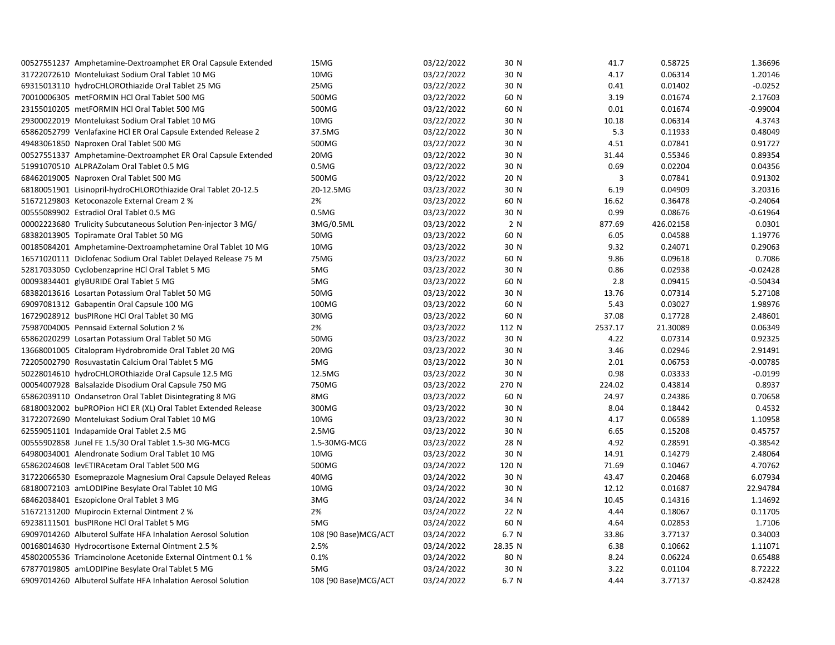| 00527551237 Amphetamine-Dextroamphet ER Oral Capsule Extended  | 15MG                 | 03/22/2022 | 30 N    | 41.7    | 0.58725   | 1.36696    |
|----------------------------------------------------------------|----------------------|------------|---------|---------|-----------|------------|
| 31722072610 Montelukast Sodium Oral Tablet 10 MG               | 10MG                 | 03/22/2022 | 30 N    | 4.17    | 0.06314   | 1.20146    |
| 69315013110 hydroCHLOROthiazide Oral Tablet 25 MG              | 25MG                 | 03/22/2022 | 30 N    | 0.41    | 0.01402   | $-0.0252$  |
| 70010006305 metFORMIN HCl Oral Tablet 500 MG                   | 500MG                | 03/22/2022 | 60 N    | 3.19    | 0.01674   | 2.17603    |
| 23155010205 metFORMIN HCl Oral Tablet 500 MG                   | 500MG                | 03/22/2022 | 60 N    | 0.01    | 0.01674   | $-0.99004$ |
| 29300022019 Montelukast Sodium Oral Tablet 10 MG               | 10MG                 | 03/22/2022 | 30 N    | 10.18   | 0.06314   | 4.3743     |
| 65862052799 Venlafaxine HCl ER Oral Capsule Extended Release 2 | 37.5MG               | 03/22/2022 | 30 N    | 5.3     | 0.11933   | 0.48049    |
| 49483061850 Naproxen Oral Tablet 500 MG                        | 500MG                | 03/22/2022 | 30 N    | 4.51    | 0.07841   | 0.91727    |
| 00527551337 Amphetamine-Dextroamphet ER Oral Capsule Extended  | 20MG                 | 03/22/2022 | 30 N    | 31.44   | 0.55346   | 0.89354    |
| 51991070510 ALPRAZolam Oral Tablet 0.5 MG                      | 0.5M <sub>G</sub>    | 03/22/2022 | 30 N    | 0.69    | 0.02204   | 0.04356    |
| 68462019005 Naproxen Oral Tablet 500 MG                        | 500MG                | 03/22/2022 | 20 N    | 3       | 0.07841   | 0.91302    |
| 68180051901 Lisinopril-hydroCHLOROthiazide Oral Tablet 20-12.5 | 20-12.5MG            | 03/23/2022 | 30 N    | 6.19    | 0.04909   | 3.20316    |
| 51672129803 Ketoconazole External Cream 2 %                    | 2%                   | 03/23/2022 | 60 N    | 16.62   | 0.36478   | $-0.24064$ |
| 00555089902 Estradiol Oral Tablet 0.5 MG                       | 0.5M <sub>G</sub>    | 03/23/2022 | 30 N    | 0.99    | 0.08676   | $-0.61964$ |
| 00002223680 Trulicity Subcutaneous Solution Pen-injector 3 MG/ | 3MG/0.5ML            | 03/23/2022 | 2 N     | 877.69  | 426.02158 | 0.0301     |
| 68382013905 Topiramate Oral Tablet 50 MG                       | 50MG                 | 03/23/2022 | 60 N    | 6.05    | 0.04588   | 1.19776    |
| 00185084201 Amphetamine-Dextroamphetamine Oral Tablet 10 MG    | 10MG                 | 03/23/2022 | 30 N    | 9.32    | 0.24071   | 0.29063    |
| 16571020111 Diclofenac Sodium Oral Tablet Delayed Release 75 M | 75MG                 | 03/23/2022 | 60 N    | 9.86    | 0.09618   | 0.7086     |
| 52817033050 Cyclobenzaprine HCl Oral Tablet 5 MG               | 5MG                  | 03/23/2022 | 30 N    | 0.86    | 0.02938   | $-0.02428$ |
| 00093834401 glyBURIDE Oral Tablet 5 MG                         | 5MG                  | 03/23/2022 | 60 N    | 2.8     | 0.09415   | $-0.50434$ |
| 68382013616 Losartan Potassium Oral Tablet 50 MG               | 50MG                 | 03/23/2022 | 30 N    | 13.76   | 0.07314   | 5.27108    |
| 69097081312 Gabapentin Oral Capsule 100 MG                     | 100MG                | 03/23/2022 | 60 N    | 5.43    | 0.03027   | 1.98976    |
| 16729028912 busPIRone HCl Oral Tablet 30 MG                    | 30MG                 | 03/23/2022 | 60 N    | 37.08   | 0.17728   | 2.48601    |
| 75987004005 Pennsaid External Solution 2 %                     | 2%                   | 03/23/2022 | 112 N   | 2537.17 | 21.30089  | 0.06349    |
| 65862020299 Losartan Potassium Oral Tablet 50 MG               | 50MG                 | 03/23/2022 | 30 N    | 4.22    | 0.07314   | 0.92325    |
| 13668001005 Citalopram Hydrobromide Oral Tablet 20 MG          | 20MG                 | 03/23/2022 | 30 N    | 3.46    | 0.02946   | 2.91491    |
| 72205002790 Rosuvastatin Calcium Oral Tablet 5 MG              | 5MG                  | 03/23/2022 | 30 N    | 2.01    | 0.06753   | $-0.00785$ |
| 50228014610 hydroCHLOROthiazide Oral Capsule 12.5 MG           | 12.5MG               | 03/23/2022 | 30 N    | 0.98    | 0.03333   | $-0.0199$  |
| 00054007928 Balsalazide Disodium Oral Capsule 750 MG           | 750MG                | 03/23/2022 | 270 N   | 224.02  | 0.43814   | 0.8937     |
| 65862039110 Ondansetron Oral Tablet Disintegrating 8 MG        | 8MG                  | 03/23/2022 | 60 N    | 24.97   | 0.24386   | 0.70658    |
| 68180032002 buPROPion HCl ER (XL) Oral Tablet Extended Release | 300MG                | 03/23/2022 | 30 N    | 8.04    | 0.18442   | 0.4532     |
| 31722072690 Montelukast Sodium Oral Tablet 10 MG               | 10MG                 | 03/23/2022 | 30 N    | 4.17    | 0.06589   | 1.10958    |
| 62559051101 Indapamide Oral Tablet 2.5 MG                      | 2.5M <sub>G</sub>    | 03/23/2022 | 30 N    | 6.65    | 0.15208   | 0.45757    |
| 00555902858 Junel FE 1.5/30 Oral Tablet 1.5-30 MG-MCG          | 1.5-30MG-MCG         | 03/23/2022 | 28 N    | 4.92    | 0.28591   | $-0.38542$ |
| 64980034001 Alendronate Sodium Oral Tablet 10 MG               | 10MG                 | 03/23/2022 | 30 N    | 14.91   | 0.14279   | 2.48064    |
| 65862024608 levETIRAcetam Oral Tablet 500 MG                   | 500MG                | 03/24/2022 | 120 N   | 71.69   | 0.10467   | 4.70762    |
| 31722066530 Esomeprazole Magnesium Oral Capsule Delayed Releas | 40MG                 | 03/24/2022 | 30 N    | 43.47   | 0.20468   | 6.07934    |
| 68180072103 amLODIPine Besylate Oral Tablet 10 MG              | 10MG                 | 03/24/2022 | 30 N    | 12.12   | 0.01687   | 22.94784   |
| 68462038401 Eszopiclone Oral Tablet 3 MG                       | 3MG                  | 03/24/2022 | 34 N    | 10.45   | 0.14316   | 1.14692    |
| 51672131200 Mupirocin External Ointment 2 %                    | 2%                   | 03/24/2022 | 22 N    | 4.44    | 0.18067   | 0.11705    |
| 69238111501 busPIRone HCl Oral Tablet 5 MG                     | 5MG                  | 03/24/2022 | 60 N    | 4.64    | 0.02853   | 1.7106     |
| 69097014260 Albuterol Sulfate HFA Inhalation Aerosol Solution  | 108 (90 Base)MCG/ACT | 03/24/2022 | 6.7 N   | 33.86   | 3.77137   | 0.34003    |
| 00168014630 Hydrocortisone External Ointment 2.5 %             | 2.5%                 | 03/24/2022 | 28.35 N | 6.38    | 0.10662   | 1.11071    |
| 45802005536 Triamcinolone Acetonide External Ointment 0.1 %    | 0.1%                 | 03/24/2022 | 80 N    | 8.24    | 0.06224   | 0.65488    |
| 67877019805 amLODIPine Besylate Oral Tablet 5 MG               | 5MG                  | 03/24/2022 | 30 N    | 3.22    | 0.01104   | 8.72222    |
| 69097014260 Albuterol Sulfate HFA Inhalation Aerosol Solution  | 108 (90 Base)MCG/ACT | 03/24/2022 | 6.7 N   | 4.44    | 3.77137   | $-0.82428$ |
|                                                                |                      |            |         |         |           |            |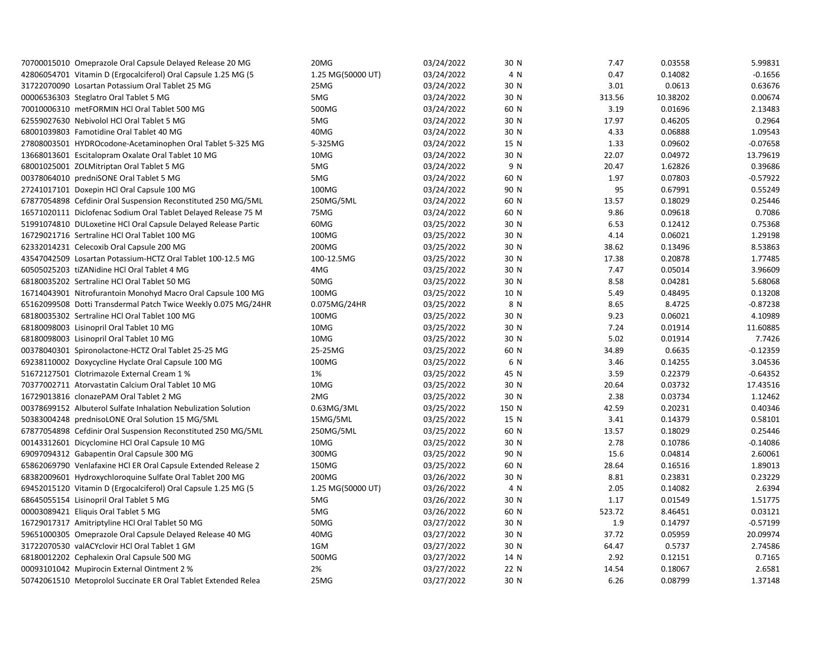| 70700015010 Omeprazole Oral Capsule Delayed Release 20 MG      | 20MG              | 03/24/2022 | 30 N  | 7.47   | 0.03558  | 5.99831    |
|----------------------------------------------------------------|-------------------|------------|-------|--------|----------|------------|
| 42806054701 Vitamin D (Ergocalciferol) Oral Capsule 1.25 MG (5 | 1.25 MG(50000 UT) | 03/24/2022 | 4 N   | 0.47   | 0.14082  | $-0.1656$  |
| 31722070090 Losartan Potassium Oral Tablet 25 MG               | 25MG              | 03/24/2022 | 30 N  | 3.01   | 0.0613   | 0.63676    |
| 00006536303 Steglatro Oral Tablet 5 MG                         | 5MG               | 03/24/2022 | 30 N  | 313.56 | 10.38202 | 0.00674    |
| 70010006310 metFORMIN HCl Oral Tablet 500 MG                   | 500MG             | 03/24/2022 | 60 N  | 3.19   | 0.01696  | 2.13483    |
| 62559027630 Nebivolol HCl Oral Tablet 5 MG                     | 5MG               | 03/24/2022 | 30 N  | 17.97  | 0.46205  | 0.2964     |
| 68001039803 Famotidine Oral Tablet 40 MG                       | 40MG              | 03/24/2022 | 30 N  | 4.33   | 0.06888  | 1.09543    |
| 27808003501 HYDROcodone-Acetaminophen Oral Tablet 5-325 MG     | 5-325MG           | 03/24/2022 | 15 N  | 1.33   | 0.09602  | $-0.07658$ |
| 13668013601 Escitalopram Oxalate Oral Tablet 10 MG             | 10MG              | 03/24/2022 | 30 N  | 22.07  | 0.04972  | 13.79619   |
| 68001025001 ZOLMitriptan Oral Tablet 5 MG                      | 5MG               | 03/24/2022 | 9 N   | 20.47  | 1.62826  | 0.39686    |
| 00378064010 predniSONE Oral Tablet 5 MG                        | 5MG               | 03/24/2022 | 60 N  | 1.97   | 0.07803  | $-0.57922$ |
| 27241017101 Doxepin HCl Oral Capsule 100 MG                    | 100MG             | 03/24/2022 | 90 N  | 95     | 0.67991  | 0.55249    |
| 67877054898 Cefdinir Oral Suspension Reconstituted 250 MG/5ML  | 250MG/5ML         | 03/24/2022 | 60 N  | 13.57  | 0.18029  | 0.25446    |
| 16571020111 Diclofenac Sodium Oral Tablet Delayed Release 75 M | 75MG              | 03/24/2022 | 60 N  | 9.86   | 0.09618  | 0.7086     |
| 51991074810 DULoxetine HCl Oral Capsule Delayed Release Partic | 60MG              | 03/25/2022 | 30 N  | 6.53   | 0.12412  | 0.75368    |
| 16729021716 Sertraline HCl Oral Tablet 100 MG                  | 100MG             | 03/25/2022 | 30 N  | 4.14   | 0.06021  | 1.29198    |
| 62332014231 Celecoxib Oral Capsule 200 MG                      | 200MG             | 03/25/2022 | 30 N  | 38.62  | 0.13496  | 8.53863    |
| 43547042509 Losartan Potassium-HCTZ Oral Tablet 100-12.5 MG    | 100-12.5MG        | 03/25/2022 | 30 N  | 17.38  | 0.20878  | 1.77485    |
| 60505025203 tiZANidine HCl Oral Tablet 4 MG                    | 4MG               | 03/25/2022 | 30 N  | 7.47   | 0.05014  | 3.96609    |
| 68180035202 Sertraline HCl Oral Tablet 50 MG                   | 50MG              | 03/25/2022 | 30 N  | 8.58   | 0.04281  | 5.68068    |
| 16714043901 Nitrofurantoin Monohyd Macro Oral Capsule 100 MG   | 100MG             | 03/25/2022 | 10 N  | 5.49   | 0.48495  | 0.13208    |
| 65162099508 Dotti Transdermal Patch Twice Weekly 0.075 MG/24HR | 0.075MG/24HR      | 03/25/2022 | 8 N   | 8.65   | 8.4725   | $-0.87238$ |
| 68180035302 Sertraline HCl Oral Tablet 100 MG                  | 100MG             | 03/25/2022 | 30 N  | 9.23   | 0.06021  | 4.10989    |
| 68180098003 Lisinopril Oral Tablet 10 MG                       | 10MG              | 03/25/2022 | 30 N  | 7.24   | 0.01914  | 11.60885   |
| 68180098003 Lisinopril Oral Tablet 10 MG                       | 10MG              | 03/25/2022 | 30 N  | 5.02   | 0.01914  | 7.7426     |
| 00378040301 Spironolactone-HCTZ Oral Tablet 25-25 MG           | 25-25MG           | 03/25/2022 | 60 N  | 34.89  | 0.6635   | $-0.12359$ |
| 69238110002 Doxycycline Hyclate Oral Capsule 100 MG            | 100MG             | 03/25/2022 | 6 N   | 3.46   | 0.14255  | 3.04536    |
| 51672127501 Clotrimazole External Cream 1 %                    | 1%                | 03/25/2022 | 45 N  | 3.59   | 0.22379  | $-0.64352$ |
| 70377002711 Atorvastatin Calcium Oral Tablet 10 MG             | 10MG              | 03/25/2022 | 30 N  | 20.64  | 0.03732  | 17.43516   |
| 16729013816 clonazePAM Oral Tablet 2 MG                        | 2MG               | 03/25/2022 | 30 N  | 2.38   | 0.03734  | 1.12462    |
| 00378699152 Albuterol Sulfate Inhalation Nebulization Solution | 0.63MG/3ML        | 03/25/2022 | 150 N | 42.59  | 0.20231  | 0.40346    |
| 50383004248 prednisoLONE Oral Solution 15 MG/5ML               | 15MG/5ML          | 03/25/2022 | 15 N  | 3.41   | 0.14379  | 0.58101    |
| 67877054898 Cefdinir Oral Suspension Reconstituted 250 MG/5ML  | 250MG/5ML         | 03/25/2022 | 60 N  | 13.57  | 0.18029  | 0.25446    |
| 00143312601 Dicyclomine HCl Oral Capsule 10 MG                 | 10MG              | 03/25/2022 | 30 N  | 2.78   | 0.10786  | $-0.14086$ |
| 69097094312 Gabapentin Oral Capsule 300 MG                     | 300MG             | 03/25/2022 | 90 N  | 15.6   | 0.04814  | 2.60061    |
| 65862069790 Venlafaxine HCl ER Oral Capsule Extended Release 2 | 150MG             | 03/25/2022 | 60 N  | 28.64  | 0.16516  | 1.89013    |
| 68382009601 Hydroxychloroquine Sulfate Oral Tablet 200 MG      | 200MG             | 03/26/2022 | 30 N  | 8.81   | 0.23831  | 0.23229    |
| 69452015120 Vitamin D (Ergocalciferol) Oral Capsule 1.25 MG (5 | 1.25 MG(50000 UT) | 03/26/2022 | 4 N   | 2.05   | 0.14082  | 2.6394     |
| 68645055154 Lisinopril Oral Tablet 5 MG                        | 5MG               | 03/26/2022 | 30 N  | 1.17   | 0.01549  | 1.51775    |
| 00003089421 Eliquis Oral Tablet 5 MG                           | 5MG               | 03/26/2022 | 60 N  | 523.72 | 8.46451  | 0.03121    |
| 16729017317 Amitriptyline HCl Oral Tablet 50 MG                | 50MG              | 03/27/2022 | 30 N  | 1.9    | 0.14797  | $-0.57199$ |
| 59651000305 Omeprazole Oral Capsule Delayed Release 40 MG      | 40MG              | 03/27/2022 | 30 N  | 37.72  | 0.05959  | 20.09974   |
| 31722070530 valACYclovir HCl Oral Tablet 1 GM                  | 1GM               | 03/27/2022 | 30 N  | 64.47  | 0.5737   | 2.74586    |
| 68180012202 Cephalexin Oral Capsule 500 MG                     | 500MG             | 03/27/2022 | 14 N  | 2.92   | 0.12151  | 0.7165     |
| 00093101042 Mupirocin External Ointment 2 %                    | 2%                | 03/27/2022 | 22 N  | 14.54  | 0.18067  | 2.6581     |
| 50742061510 Metoprolol Succinate ER Oral Tablet Extended Relea | 25MG              | 03/27/2022 | 30 N  | 6.26   | 0.08799  | 1.37148    |
|                                                                |                   |            |       |        |          |            |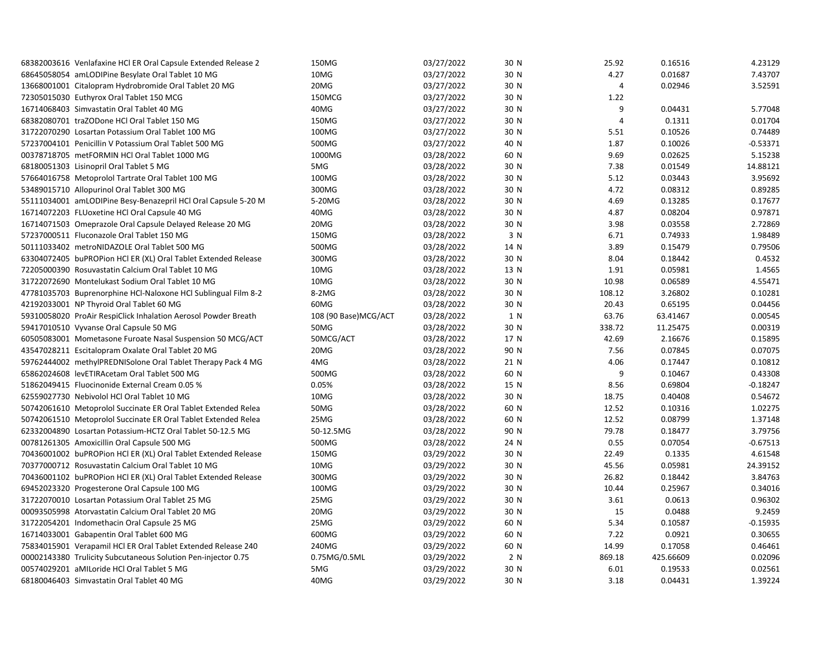| 68382003616 Venlafaxine HCl ER Oral Capsule Extended Release 2 | 150MG                | 03/27/2022 | 30 N | 25.92          | 0.16516   | 4.23129    |
|----------------------------------------------------------------|----------------------|------------|------|----------------|-----------|------------|
| 68645058054 amLODIPine Besylate Oral Tablet 10 MG              | 10MG                 | 03/27/2022 | 30 N | 4.27           | 0.01687   | 7.43707    |
| 13668001001 Citalopram Hydrobromide Oral Tablet 20 MG          | 20MG                 | 03/27/2022 | 30 N | 4              | 0.02946   | 3.52591    |
| 72305015030 Euthyrox Oral Tablet 150 MCG                       | 150MCG               | 03/27/2022 | 30 N | 1.22           |           |            |
| 16714068403 Simvastatin Oral Tablet 40 MG                      | 40MG                 | 03/27/2022 | 30 N | 9              | 0.04431   | 5.77048    |
| 68382080701 traZODone HCl Oral Tablet 150 MG                   | 150MG                | 03/27/2022 | 30 N | $\overline{4}$ | 0.1311    | 0.01704    |
| 31722070290 Losartan Potassium Oral Tablet 100 MG              | 100MG                | 03/27/2022 | 30 N | 5.51           | 0.10526   | 0.74489    |
| 57237004101 Penicillin V Potassium Oral Tablet 500 MG          | 500MG                | 03/27/2022 | 40 N | 1.87           | 0.10026   | $-0.53371$ |
| 00378718705 metFORMIN HCl Oral Tablet 1000 MG                  | 1000MG               | 03/28/2022 | 60 N | 9.69           | 0.02625   | 5.15238    |
| 68180051303 Lisinopril Oral Tablet 5 MG                        | 5MG                  | 03/28/2022 | 30 N | 7.38           | 0.01549   | 14.88121   |
| 57664016758 Metoprolol Tartrate Oral Tablet 100 MG             | 100MG                | 03/28/2022 | 30 N | 5.12           | 0.03443   | 3.95692    |
| 53489015710 Allopurinol Oral Tablet 300 MG                     | 300MG                | 03/28/2022 | 30 N | 4.72           | 0.08312   | 0.89285    |
| 55111034001 amLODIPine Besy-Benazepril HCl Oral Capsule 5-20 M | 5-20MG               | 03/28/2022 | 30 N | 4.69           | 0.13285   | 0.17677    |
| 16714072203 FLUoxetine HCl Oral Capsule 40 MG                  | 40MG                 | 03/28/2022 | 30 N | 4.87           | 0.08204   | 0.97871    |
| 16714071503 Omeprazole Oral Capsule Delayed Release 20 MG      | 20MG                 | 03/28/2022 | 30 N | 3.98           | 0.03558   | 2.72869    |
| 57237000511 Fluconazole Oral Tablet 150 MG                     | 150MG                | 03/28/2022 | 3 N  | 6.71           | 0.74933   | 1.98489    |
| 50111033402 metroNIDAZOLE Oral Tablet 500 MG                   | 500MG                | 03/28/2022 | 14 N | 3.89           | 0.15479   | 0.79506    |
| 63304072405 buPROPion HCl ER (XL) Oral Tablet Extended Release | 300MG                | 03/28/2022 | 30 N | 8.04           | 0.18442   | 0.4532     |
| 72205000390 Rosuvastatin Calcium Oral Tablet 10 MG             | 10MG                 | 03/28/2022 | 13 N | 1.91           | 0.05981   | 1.4565     |
| 31722072690 Montelukast Sodium Oral Tablet 10 MG               | 10MG                 | 03/28/2022 | 30 N | 10.98          | 0.06589   | 4.55471    |
| 47781035703 Buprenorphine HCl-Naloxone HCl Sublingual Film 8-2 | 8-2MG                | 03/28/2022 | 30 N | 108.12         | 3.26802   | 0.10281    |
| 42192033001 NP Thyroid Oral Tablet 60 MG                       | 60MG                 | 03/28/2022 | 30 N | 20.43          | 0.65195   | 0.04456    |
| 59310058020 ProAir RespiClick Inhalation Aerosol Powder Breath | 108 (90 Base)MCG/ACT | 03/28/2022 | 1 N  | 63.76          | 63.41467  | 0.00545    |
| 59417010510 Vyvanse Oral Capsule 50 MG                         | 50MG                 | 03/28/2022 | 30 N | 338.72         | 11.25475  | 0.00319    |
| 60505083001 Mometasone Furoate Nasal Suspension 50 MCG/ACT     | 50MCG/ACT            | 03/28/2022 | 17 N | 42.69          | 2.16676   | 0.15895    |
| 43547028211 Escitalopram Oxalate Oral Tablet 20 MG             | 20MG                 | 03/28/2022 | 90 N | 7.56           | 0.07845   | 0.07075    |
| 59762444002 methylPREDNISolone Oral Tablet Therapy Pack 4 MG   | 4MG                  | 03/28/2022 | 21 N | 4.06           | 0.17447   | 0.10812    |
| 65862024608 levETIRAcetam Oral Tablet 500 MG                   | 500MG                | 03/28/2022 | 60 N | 9              | 0.10467   | 0.43308    |
| 51862049415 Fluocinonide External Cream 0.05 %                 | 0.05%                | 03/28/2022 | 15 N | 8.56           | 0.69804   | $-0.18247$ |
| 62559027730 Nebivolol HCl Oral Tablet 10 MG                    | 10MG                 | 03/28/2022 | 30 N | 18.75          | 0.40408   | 0.54672    |
| 50742061610 Metoprolol Succinate ER Oral Tablet Extended Relea | 50MG                 | 03/28/2022 | 60 N | 12.52          | 0.10316   | 1.02275    |
| 50742061510 Metoprolol Succinate ER Oral Tablet Extended Relea | 25MG                 | 03/28/2022 | 60 N | 12.52          | 0.08799   | 1.37148    |
| 62332004890 Losartan Potassium-HCTZ Oral Tablet 50-12.5 MG     | 50-12.5MG            | 03/28/2022 | 90 N | 79.78          | 0.18477   | 3.79756    |
| 00781261305 Amoxicillin Oral Capsule 500 MG                    | 500MG                | 03/28/2022 | 24 N | 0.55           | 0.07054   | $-0.67513$ |
| 70436001002 buPROPion HCl ER (XL) Oral Tablet Extended Release | 150MG                | 03/29/2022 | 30 N | 22.49          | 0.1335    | 4.61548    |
| 70377000712 Rosuvastatin Calcium Oral Tablet 10 MG             | 10MG                 | 03/29/2022 | 30 N | 45.56          | 0.05981   | 24.39152   |
| 70436001102 buPROPion HCl ER (XL) Oral Tablet Extended Release | 300MG                | 03/29/2022 | 30 N | 26.82          | 0.18442   | 3.84763    |
| 69452023320 Progesterone Oral Capsule 100 MG                   | 100MG                | 03/29/2022 | 30 N | 10.44          | 0.25967   | 0.34016    |
| 31722070010 Losartan Potassium Oral Tablet 25 MG               | 25MG                 | 03/29/2022 | 30 N | 3.61           | 0.0613    | 0.96302    |
| 00093505998 Atorvastatin Calcium Oral Tablet 20 MG             | 20MG                 | 03/29/2022 | 30 N | 15             | 0.0488    | 9.2459     |
| 31722054201 Indomethacin Oral Capsule 25 MG                    | 25MG                 | 03/29/2022 | 60 N | 5.34           | 0.10587   | $-0.15935$ |
| 16714033001 Gabapentin Oral Tablet 600 MG                      | 600MG                | 03/29/2022 | 60 N | 7.22           | 0.0921    | 0.30655    |
| 75834015901 Verapamil HCl ER Oral Tablet Extended Release 240  | 240MG                | 03/29/2022 | 60 N | 14.99          | 0.17058   | 0.46461    |
| 00002143380 Trulicity Subcutaneous Solution Pen-injector 0.75  | 0.75MG/0.5ML         | 03/29/2022 | 2 N  | 869.18         | 425.66609 | 0.02096    |
| 00574029201 aMILoride HCl Oral Tablet 5 MG                     | 5MG                  | 03/29/2022 | 30 N | 6.01           | 0.19533   | 0.02561    |
| 68180046403 Simvastatin Oral Tablet 40 MG                      | 40MG                 | 03/29/2022 | 30 N | 3.18           | 0.04431   | 1.39224    |
|                                                                |                      |            |      |                |           |            |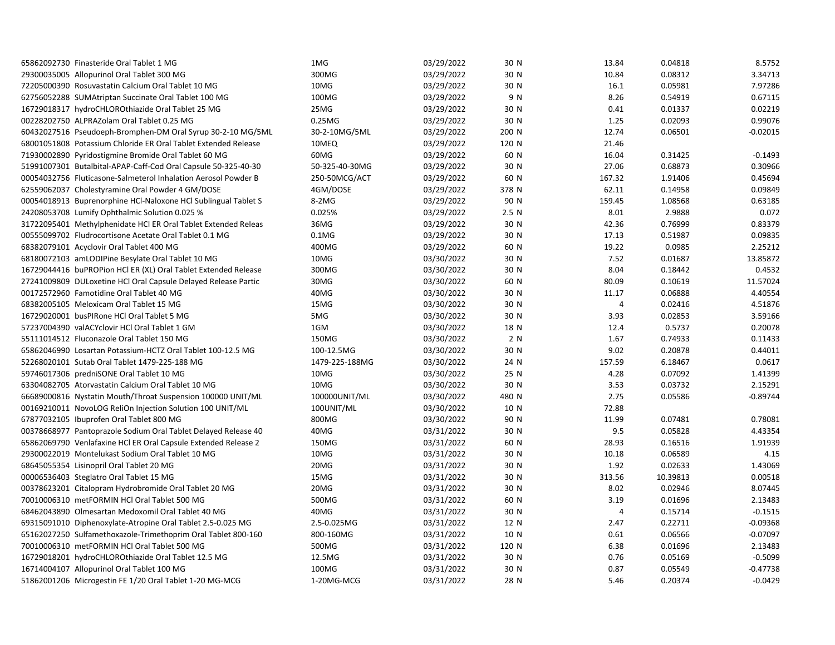| 65862092730 Finasteride Oral Tablet 1 MG                       | 1MG               | 03/29/2022 | 30 N             | 13.84          | 0.04818  | 8.5752     |
|----------------------------------------------------------------|-------------------|------------|------------------|----------------|----------|------------|
| 29300035005 Allopurinol Oral Tablet 300 MG                     | 300MG             | 03/29/2022 | 30 N             | 10.84          | 0.08312  | 3.34713    |
| 72205000390 Rosuvastatin Calcium Oral Tablet 10 MG             | 10MG              | 03/29/2022 | 30 N             | 16.1           | 0.05981  | 7.97286    |
| 62756052288 SUMAtriptan Succinate Oral Tablet 100 MG           | 100MG             | 03/29/2022 | 9 N              | 8.26           | 0.54919  | 0.67115    |
| 16729018317 hydroCHLOROthiazide Oral Tablet 25 MG              | 25MG              | 03/29/2022 | 30 N             | 0.41           | 0.01337  | 0.02219    |
| 00228202750 ALPRAZolam Oral Tablet 0.25 MG                     | 0.25MG            | 03/29/2022 | 30 N             | 1.25           | 0.02093  | 0.99076    |
| 60432027516 Pseudoeph-Bromphen-DM Oral Syrup 30-2-10 MG/5ML    | 30-2-10MG/5ML     | 03/29/2022 | 200 N            | 12.74          | 0.06501  | $-0.02015$ |
| 68001051808 Potassium Chloride ER Oral Tablet Extended Release | 10MEQ             | 03/29/2022 | 120 N            | 21.46          |          |            |
| 71930002890 Pyridostigmine Bromide Oral Tablet 60 MG           | 60MG              | 03/29/2022 | 60 N             | 16.04          | 0.31425  | $-0.1493$  |
| 51991007301 Butalbital-APAP-Caff-Cod Oral Capsule 50-325-40-30 | 50-325-40-30MG    | 03/29/2022 | 30 N             | 27.06          | 0.68873  | 0.30966    |
| 00054032756 Fluticasone-Salmeterol Inhalation Aerosol Powder B | 250-50MCG/ACT     | 03/29/2022 | 60 N             | 167.32         | 1.91406  | 0.45694    |
| 62559062037 Cholestyramine Oral Powder 4 GM/DOSE               | 4GM/DOSE          | 03/29/2022 | 378 N            | 62.11          | 0.14958  | 0.09849    |
| 00054018913 Buprenorphine HCl-Naloxone HCl Sublingual Tablet S | 8-2MG             | 03/29/2022 | 90 N             | 159.45         | 1.08568  | 0.63185    |
| 24208053708 Lumify Ophthalmic Solution 0.025 %                 | 0.025%            | 03/29/2022 | 2.5 <sub>N</sub> | 8.01           | 2.9888   | 0.072      |
| 31722095401 Methylphenidate HCl ER Oral Tablet Extended Releas | 36MG              | 03/29/2022 | 30 N             | 42.36          | 0.76999  | 0.83379    |
| 00555099702 Fludrocortisone Acetate Oral Tablet 0.1 MG         | 0.1M <sub>G</sub> | 03/29/2022 | 30 N             | 17.13          | 0.51987  | 0.09835    |
| 68382079101 Acyclovir Oral Tablet 400 MG                       | 400MG             | 03/29/2022 | 60 N             | 19.22          | 0.0985   | 2.25212    |
| 68180072103 amLODIPine Besylate Oral Tablet 10 MG              | 10MG              | 03/30/2022 | 30 N             | 7.52           | 0.01687  | 13.85872   |
| 16729044416 buPROPion HCI ER (XL) Oral Tablet Extended Release | 300MG             | 03/30/2022 | 30 N             | 8.04           | 0.18442  | 0.4532     |
| 27241009809 DULoxetine HCl Oral Capsule Delayed Release Partic | 30MG              | 03/30/2022 | 60 N             | 80.09          | 0.10619  | 11.57024   |
| 00172572960 Famotidine Oral Tablet 40 MG                       | 40MG              | 03/30/2022 | 30 N             | 11.17          | 0.06888  | 4.40554    |
| 68382005105 Meloxicam Oral Tablet 15 MG                        | 15MG              | 03/30/2022 | 30 N             | $\overline{4}$ | 0.02416  | 4.51876    |
| 16729020001 busPIRone HCI Oral Tablet 5 MG                     | 5MG               | 03/30/2022 | 30 N             | 3.93           | 0.02853  | 3.59166    |
| 57237004390 valACYclovir HCl Oral Tablet 1 GM                  | 1GM               | 03/30/2022 | 18 N             | 12.4           | 0.5737   | 0.20078    |
| 55111014512 Fluconazole Oral Tablet 150 MG                     | 150MG             | 03/30/2022 | 2 N              | 1.67           | 0.74933  | 0.11433    |
| 65862046990 Losartan Potassium-HCTZ Oral Tablet 100-12.5 MG    | 100-12.5MG        | 03/30/2022 | 30 N             | 9.02           | 0.20878  | 0.44011    |
| 52268020101 Sutab Oral Tablet 1479-225-188 MG                  | 1479-225-188MG    | 03/30/2022 | 24 N             | 157.59         | 6.18467  | 0.0617     |
| 59746017306 predniSONE Oral Tablet 10 MG                       | 10MG              | 03/30/2022 | 25 N             | 4.28           | 0.07092  | 1.41399    |
| 63304082705 Atorvastatin Calcium Oral Tablet 10 MG             | 10MG              | 03/30/2022 | 30 N             | 3.53           | 0.03732  | 2.15291    |
| 66689000816 Nystatin Mouth/Throat Suspension 100000 UNIT/ML    | 100000UNIT/ML     | 03/30/2022 | 480 N            | 2.75           | 0.05586  | $-0.89744$ |
| 00169210011 NovoLOG ReliOn Injection Solution 100 UNIT/ML      | 100UNIT/ML        | 03/30/2022 | 10 N             | 72.88          |          |            |
| 67877032105 Ibuprofen Oral Tablet 800 MG                       | 800MG             | 03/30/2022 | 90 N             | 11.99          | 0.07481  | 0.78081    |
| 00378668977 Pantoprazole Sodium Oral Tablet Delayed Release 40 | 40MG              | 03/31/2022 | 30 N             | 9.5            | 0.05828  | 4.43354    |
| 65862069790 Venlafaxine HCl ER Oral Capsule Extended Release 2 | 150MG             | 03/31/2022 | 60 N             | 28.93          | 0.16516  | 1.91939    |
| 29300022019 Montelukast Sodium Oral Tablet 10 MG               | 10MG              | 03/31/2022 | 30 N             | 10.18          | 0.06589  | 4.15       |
| 68645055354 Lisinopril Oral Tablet 20 MG                       | 20MG              | 03/31/2022 | 30 N             | 1.92           | 0.02633  | 1.43069    |
| 00006536403 Steglatro Oral Tablet 15 MG                        | 15MG              | 03/31/2022 | 30 N             | 313.56         | 10.39813 | 0.00518    |
| 00378623201 Citalopram Hydrobromide Oral Tablet 20 MG          | 20MG              | 03/31/2022 | 30 N             | 8.02           | 0.02946  | 8.07445    |
| 70010006310 metFORMIN HCl Oral Tablet 500 MG                   | 500MG             | 03/31/2022 | 60 N             | 3.19           | 0.01696  | 2.13483    |
| 68462043890 Olmesartan Medoxomil Oral Tablet 40 MG             | 40MG              | 03/31/2022 | 30 N             | 4              | 0.15714  | $-0.1515$  |
| 69315091010 Diphenoxylate-Atropine Oral Tablet 2.5-0.025 MG    | 2.5-0.025MG       | 03/31/2022 | 12 N             | 2.47           | 0.22711  | $-0.09368$ |
| 65162027250 Sulfamethoxazole-Trimethoprim Oral Tablet 800-160  | 800-160MG         | 03/31/2022 | 10 N             | 0.61           | 0.06566  | $-0.07097$ |
| 70010006310 metFORMIN HCl Oral Tablet 500 MG                   | 500MG             | 03/31/2022 | 120 N            | 6.38           | 0.01696  | 2.13483    |
| 16729018201 hydroCHLOROthiazide Oral Tablet 12.5 MG            | 12.5MG            | 03/31/2022 | 30 N             | 0.76           | 0.05169  | $-0.5099$  |
| 16714004107 Allopurinol Oral Tablet 100 MG                     | 100MG             | 03/31/2022 | 30 N             | 0.87           | 0.05549  | $-0.47738$ |
| 51862001206 Microgestin FE 1/20 Oral Tablet 1-20 MG-MCG        | 1-20MG-MCG        | 03/31/2022 | 28 N             | 5.46           | 0.20374  | $-0.0429$  |
|                                                                |                   |            |                  |                |          |            |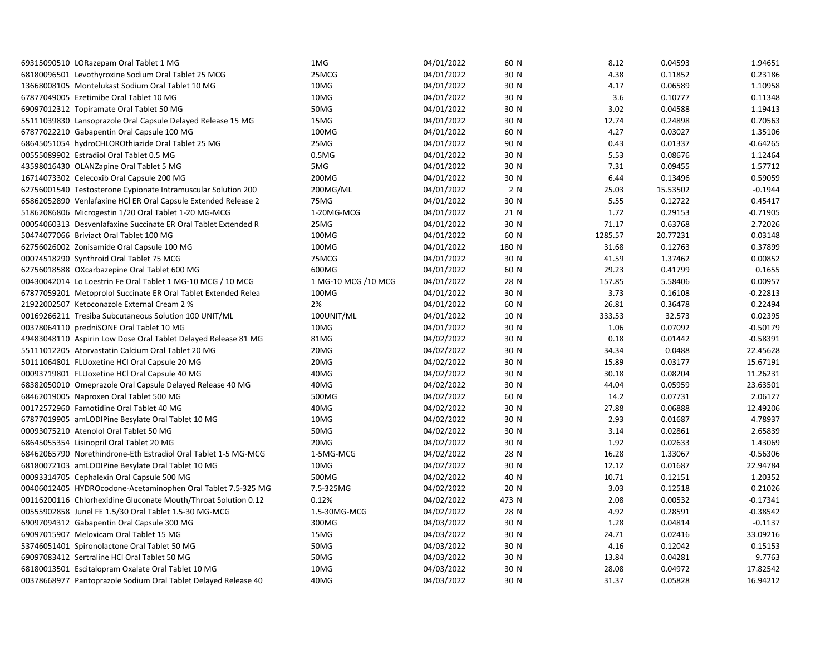| 69315090510 LORazepam Oral Tablet 1 MG                         |                                                                | 1MG                  | 04/01/2022 | 60 N  | 8.12    | 0.04593  | 1.94651    |
|----------------------------------------------------------------|----------------------------------------------------------------|----------------------|------------|-------|---------|----------|------------|
| 68180096501 Levothyroxine Sodium Oral Tablet 25 MCG            |                                                                | 25MCG                | 04/01/2022 | 30 N  | 4.38    | 0.11852  | 0.23186    |
| 13668008105 Montelukast Sodium Oral Tablet 10 MG               |                                                                | 10MG                 | 04/01/2022 | 30 N  | 4.17    | 0.06589  | 1.10958    |
| 67877049005 Ezetimibe Oral Tablet 10 MG                        |                                                                | 10MG                 | 04/01/2022 | 30 N  | 3.6     | 0.10777  | 0.11348    |
| 69097012312 Topiramate Oral Tablet 50 MG                       |                                                                | 50MG                 | 04/01/2022 | 30 N  | 3.02    | 0.04588  | 1.19413    |
| 55111039830 Lansoprazole Oral Capsule Delayed Release 15 MG    |                                                                | 15MG                 | 04/01/2022 | 30 N  | 12.74   | 0.24898  | 0.70563    |
| 67877022210 Gabapentin Oral Capsule 100 MG                     |                                                                | 100MG                | 04/01/2022 | 60 N  | 4.27    | 0.03027  | 1.35106    |
| 68645051054 hydroCHLOROthiazide Oral Tablet 25 MG              |                                                                | 25MG                 | 04/01/2022 | 90 N  | 0.43    | 0.01337  | $-0.64265$ |
| 00555089902 Estradiol Oral Tablet 0.5 MG                       |                                                                | 0.5M <sub>G</sub>    | 04/01/2022 | 30 N  | 5.53    | 0.08676  | 1.12464    |
| 43598016430 OLANZapine Oral Tablet 5 MG                        |                                                                | 5MG                  | 04/01/2022 | 30 N  | 7.31    | 0.09455  | 1.57712    |
| 16714073302 Celecoxib Oral Capsule 200 MG                      |                                                                | 200MG                | 04/01/2022 | 30 N  | 6.44    | 0.13496  | 0.59059    |
| 62756001540 Testosterone Cypionate Intramuscular Solution 200  |                                                                | 200MG/ML             | 04/01/2022 | 2 N   | 25.03   | 15.53502 | $-0.1944$  |
| 65862052890 Venlafaxine HCl ER Oral Capsule Extended Release 2 |                                                                | 75MG                 | 04/01/2022 | 30 N  | 5.55    | 0.12722  | 0.45417    |
| 51862086806 Microgestin 1/20 Oral Tablet 1-20 MG-MCG           |                                                                | 1-20MG-MCG           | 04/01/2022 | 21 N  | 1.72    | 0.29153  | $-0.71905$ |
| 00054060313 Desvenlafaxine Succinate ER Oral Tablet Extended R |                                                                | 25MG                 | 04/01/2022 | 30 N  | 71.17   | 0.63768  | 2.72026    |
| 50474077066 Briviact Oral Tablet 100 MG                        |                                                                | 100MG                | 04/01/2022 | 60 N  | 1285.57 | 20.77231 | 0.03148    |
| 62756026002 Zonisamide Oral Capsule 100 MG                     |                                                                | 100MG                | 04/01/2022 | 180 N | 31.68   | 0.12763  | 0.37899    |
| 00074518290 Synthroid Oral Tablet 75 MCG                       |                                                                | 75MCG                | 04/01/2022 | 30 N  | 41.59   | 1.37462  | 0.00852    |
| 62756018588 OXcarbazepine Oral Tablet 600 MG                   |                                                                | 600MG                | 04/01/2022 | 60 N  | 29.23   | 0.41799  | 0.1655     |
| 00430042014 Lo Loestrin Fe Oral Tablet 1 MG-10 MCG / 10 MCG    |                                                                | 1 MG-10 MCG / 10 MCG | 04/01/2022 | 28 N  | 157.85  | 5.58406  | 0.00957    |
| 67877059201 Metoprolol Succinate ER Oral Tablet Extended Relea |                                                                | 100MG                | 04/01/2022 | 30 N  | 3.73    | 0.16108  | $-0.22813$ |
| 21922002507 Ketoconazole External Cream 2 %                    |                                                                | 2%                   | 04/01/2022 | 60 N  | 26.81   | 0.36478  | 0.22494    |
| 00169266211 Tresiba Subcutaneous Solution 100 UNIT/ML          |                                                                | 100UNIT/ML           | 04/01/2022 | 10 N  | 333.53  | 32.573   | 0.02395    |
| 00378064110 predniSONE Oral Tablet 10 MG                       |                                                                | 10MG                 | 04/01/2022 | 30 N  | 1.06    | 0.07092  | $-0.50179$ |
|                                                                | 49483048110 Aspirin Low Dose Oral Tablet Delayed Release 81 MG | 81MG                 | 04/02/2022 | 30 N  | 0.18    | 0.01442  | $-0.58391$ |
| 55111012205 Atorvastatin Calcium Oral Tablet 20 MG             |                                                                | 20MG                 | 04/02/2022 | 30 N  | 34.34   | 0.0488   | 22.45628   |
| 50111064801 FLUoxetine HCl Oral Capsule 20 MG                  |                                                                | 20MG                 | 04/02/2022 | 30 N  | 15.89   | 0.03177  | 15.67191   |
| 00093719801 FLUoxetine HCl Oral Capsule 40 MG                  |                                                                | 40MG                 | 04/02/2022 | 30 N  | 30.18   | 0.08204  | 11.26231   |
| 68382050010 Omeprazole Oral Capsule Delayed Release 40 MG      |                                                                | 40MG                 | 04/02/2022 | 30 N  | 44.04   | 0.05959  | 23.63501   |
| 68462019005 Naproxen Oral Tablet 500 MG                        |                                                                | 500MG                | 04/02/2022 | 60 N  | 14.2    | 0.07731  | 2.06127    |
| 00172572960 Famotidine Oral Tablet 40 MG                       |                                                                | 40MG                 | 04/02/2022 | 30 N  | 27.88   | 0.06888  | 12.49206   |
| 67877019905 amLODIPine Besylate Oral Tablet 10 MG              |                                                                | 10MG                 | 04/02/2022 | 30 N  | 2.93    | 0.01687  | 4.78937    |
| 00093075210 Atenolol Oral Tablet 50 MG                         |                                                                | 50MG                 | 04/02/2022 | 30 N  | 3.14    | 0.02861  | 2.65839    |
| 68645055354 Lisinopril Oral Tablet 20 MG                       |                                                                | 20MG                 | 04/02/2022 | 30 N  | 1.92    | 0.02633  | 1.43069    |
|                                                                | 68462065790 Norethindrone-Eth Estradiol Oral Tablet 1-5 MG-MCG | 1-5MG-MCG            | 04/02/2022 | 28 N  | 16.28   | 1.33067  | $-0.56306$ |
| 68180072103 amLODIPine Besylate Oral Tablet 10 MG              |                                                                | 10MG                 | 04/02/2022 | 30 N  | 12.12   | 0.01687  | 22.94784   |
| 00093314705 Cephalexin Oral Capsule 500 MG                     |                                                                | 500MG                | 04/02/2022 | 40 N  | 10.71   | 0.12151  | 1.20352    |
|                                                                | 00406012405 HYDROcodone-Acetaminophen Oral Tablet 7.5-325 MG   | 7.5-325MG            | 04/02/2022 | 20 N  | 3.03    | 0.12518  | 0.21026    |
|                                                                | 00116200116 Chlorhexidine Gluconate Mouth/Throat Solution 0.12 | 0.12%                | 04/02/2022 | 473 N | 2.08    | 0.00532  | $-0.17341$ |
| 00555902858 Junel FE 1.5/30 Oral Tablet 1.5-30 MG-MCG          |                                                                | 1.5-30MG-MCG         | 04/02/2022 | 28 N  | 4.92    | 0.28591  | $-0.38542$ |
| 69097094312 Gabapentin Oral Capsule 300 MG                     |                                                                | 300MG                | 04/03/2022 | 30 N  | 1.28    | 0.04814  | $-0.1137$  |
| 69097015907 Meloxicam Oral Tablet 15 MG                        |                                                                | 15MG                 | 04/03/2022 | 30 N  | 24.71   | 0.02416  | 33.09216   |
| 53746051401 Spironolactone Oral Tablet 50 MG                   |                                                                | 50MG                 | 04/03/2022 | 30 N  | 4.16    | 0.12042  | 0.15153    |
| 69097083412 Sertraline HCl Oral Tablet 50 MG                   |                                                                | 50MG                 | 04/03/2022 | 30 N  | 13.84   | 0.04281  | 9.7763     |
| 68180013501 Escitalopram Oxalate Oral Tablet 10 MG             |                                                                | 10MG                 | 04/03/2022 | 30 N  | 28.08   | 0.04972  | 17.82542   |
|                                                                | 00378668977 Pantoprazole Sodium Oral Tablet Delayed Release 40 | 40MG                 | 04/03/2022 | 30 N  | 31.37   | 0.05828  | 16.94212   |
|                                                                |                                                                |                      |            |       |         |          |            |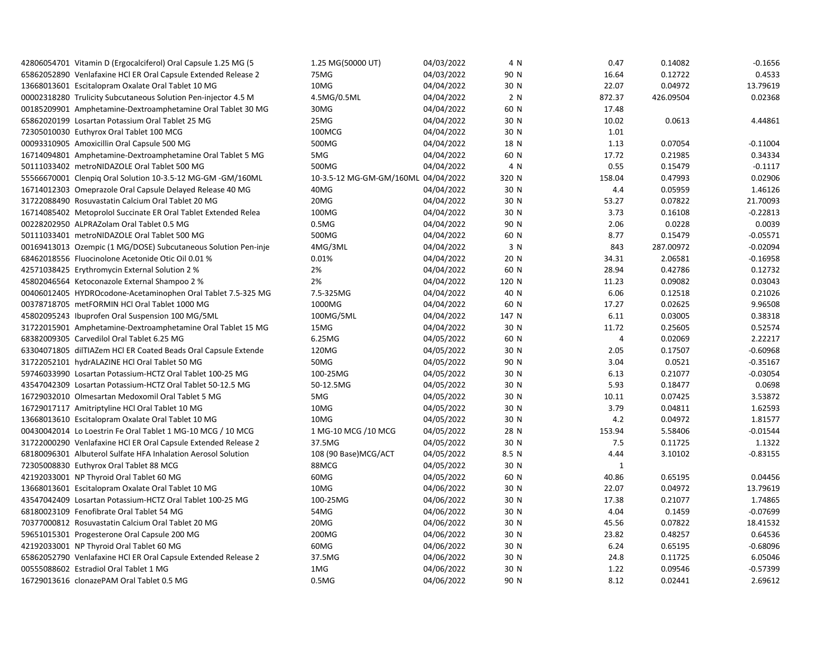| 42806054701 Vitamin D (Ergocalciferol) Oral Capsule 1.25 MG (5 | 1.25 MG(50000 UT)                   | 04/03/2022 | 4 N   | 0.47           | 0.14082            | $-0.1656$           |
|----------------------------------------------------------------|-------------------------------------|------------|-------|----------------|--------------------|---------------------|
| 65862052890 Venlafaxine HCl ER Oral Capsule Extended Release 2 | 75MG                                | 04/03/2022 | 90 N  | 16.64          | 0.12722            | 0.4533              |
| 13668013601 Escitalopram Oxalate Oral Tablet 10 MG             | 10MG                                | 04/04/2022 | 30 N  | 22.07          | 0.04972            | 13.79619            |
| 00002318280 Trulicity Subcutaneous Solution Pen-injector 4.5 M | 4.5MG/0.5ML                         | 04/04/2022 | 2 N   | 872.37         | 426.09504          | 0.02368             |
| 00185209901 Amphetamine-Dextroamphetamine Oral Tablet 30 MG    | 30MG                                | 04/04/2022 | 60 N  | 17.48          |                    |                     |
| 65862020199 Losartan Potassium Oral Tablet 25 MG               | 25MG                                | 04/04/2022 | 30 N  | 10.02          | 0.0613             | 4.44861             |
| 72305010030 Euthyrox Oral Tablet 100 MCG                       | 100MCG                              | 04/04/2022 | 30 N  | 1.01           |                    |                     |
| 00093310905 Amoxicillin Oral Capsule 500 MG                    | 500MG                               | 04/04/2022 | 18 N  | 1.13           | 0.07054            | $-0.11004$          |
| 16714094801 Amphetamine-Dextroamphetamine Oral Tablet 5 MG     | 5MG                                 | 04/04/2022 | 60 N  | 17.72          | 0.21985            | 0.34334             |
| 50111033402 metroNIDAZOLE Oral Tablet 500 MG                   | 500MG                               | 04/04/2022 | 4 N   | 0.55           | 0.15479            | $-0.1117$           |
| 55566670001 Clenpiq Oral Solution 10-3.5-12 MG-GM -GM/160ML    | 10-3.5-12 MG-GM-GM/160ML 04/04/2022 |            | 320 N | 158.04         | 0.47993            | 0.02906             |
| 16714012303 Omeprazole Oral Capsule Delayed Release 40 MG      | 40MG                                | 04/04/2022 | 30 N  | 4.4            | 0.05959            | 1.46126             |
| 31722088490 Rosuvastatin Calcium Oral Tablet 20 MG             | 20MG                                | 04/04/2022 | 30 N  | 53.27          | 0.07822            | 21.70093            |
| 16714085402 Metoprolol Succinate ER Oral Tablet Extended Relea | 100MG                               | 04/04/2022 | 30 N  | 3.73           | 0.16108            | $-0.22813$          |
| 00228202950 ALPRAZolam Oral Tablet 0.5 MG                      | 0.5M <sub>G</sub>                   | 04/04/2022 | 90 N  | 2.06           | 0.0228             | 0.0039              |
| 50111033401 metroNIDAZOLE Oral Tablet 500 MG                   | 500MG                               | 04/04/2022 | 60 N  | 8.77           | 0.15479            | $-0.05571$          |
| 00169413013 Ozempic (1 MG/DOSE) Subcutaneous Solution Pen-inje | 4MG/3ML                             | 04/04/2022 | 3 N   | 843            | 287.00972          | $-0.02094$          |
| 68462018556 Fluocinolone Acetonide Otic Oil 0.01 %             | 0.01%                               | 04/04/2022 | 20 N  | 34.31          | 2.06581            | $-0.16958$          |
| 42571038425 Erythromycin External Solution 2 %                 | 2%                                  | 04/04/2022 | 60 N  | 28.94          | 0.42786            | 0.12732             |
| 45802046564 Ketoconazole External Shampoo 2 %                  | 2%                                  | 04/04/2022 | 120 N | 11.23          | 0.09082            | 0.03043             |
| 00406012405 HYDROcodone-Acetaminophen Oral Tablet 7.5-325 MG   | 7.5-325MG                           | 04/04/2022 | 40 N  | 6.06           | 0.12518            | 0.21026             |
| 00378718705 metFORMIN HCl Oral Tablet 1000 MG                  | 1000MG                              | 04/04/2022 | 60 N  | 17.27          | 0.02625            | 9.96508             |
| 45802095243 Ibuprofen Oral Suspension 100 MG/5ML               | 100MG/5ML                           | 04/04/2022 | 147 N | 6.11           | 0.03005            | 0.38318             |
| 31722015901 Amphetamine-Dextroamphetamine Oral Tablet 15 MG    | 15MG                                | 04/04/2022 | 30 N  | 11.72          | 0.25605            | 0.52574             |
| 68382009305 Carvedilol Oral Tablet 6.25 MG                     | 6.25MG                              | 04/05/2022 | 60 N  | 4              | 0.02069            | 2.22217             |
| 63304071805 dilTIAZem HCl ER Coated Beads Oral Capsule Extende | 120MG                               | 04/05/2022 | 30 N  | 2.05           | 0.17507            | $-0.60968$          |
| 31722052101 hydrALAZINE HCl Oral Tablet 50 MG                  | 50MG                                | 04/05/2022 | 90 N  | 3.04           | 0.0521             | $-0.35167$          |
| 59746033990 Losartan Potassium-HCTZ Oral Tablet 100-25 MG      | 100-25MG                            | 04/05/2022 | 30 N  | 6.13           | 0.21077            | $-0.03054$          |
| 43547042309 Losartan Potassium-HCTZ Oral Tablet 50-12.5 MG     | 50-12.5MG                           | 04/05/2022 | 30 N  | 5.93           | 0.18477            | 0.0698              |
| 16729032010 Olmesartan Medoxomil Oral Tablet 5 MG              | 5MG                                 | 04/05/2022 | 30 N  | 10.11          | 0.07425            | 3.53872             |
| 16729017117 Amitriptyline HCl Oral Tablet 10 MG                | 10MG                                | 04/05/2022 | 30 N  | 3.79           | 0.04811            | 1.62593             |
| 13668013610 Escitalopram Oxalate Oral Tablet 10 MG             | 10MG                                | 04/05/2022 | 30 N  | 4.2            | 0.04972            | 1.81577             |
| 00430042014 Lo Loestrin Fe Oral Tablet 1 MG-10 MCG / 10 MCG    | 1 MG-10 MCG / 10 MCG                | 04/05/2022 | 28 N  | 153.94         | 5.58406            | $-0.01544$          |
| 31722000290 Venlafaxine HCI ER Oral Capsule Extended Release 2 | 37.5MG                              | 04/05/2022 | 30 N  | 7.5            | 0.11725            | 1.1322              |
| 68180096301 Albuterol Sulfate HFA Inhalation Aerosol Solution  | 108 (90 Base)MCG/ACT                | 04/05/2022 | 8.5 N | 4.44           | 3.10102            | $-0.83155$          |
| 72305008830 Euthyrox Oral Tablet 88 MCG                        | 88MCG                               | 04/05/2022 | 30 N  | $\mathbf{1}$   |                    |                     |
|                                                                | 60MG                                | 04/05/2022 |       |                |                    |                     |
| 42192033001 NP Thyroid Oral Tablet 60 MG                       |                                     |            | 60 N  | 40.86<br>22.07 | 0.65195<br>0.04972 | 0.04456<br>13.79619 |
| 13668013601 Escitalopram Oxalate Oral Tablet 10 MG             | 10MG                                | 04/06/2022 | 30 N  |                |                    |                     |
| 43547042409 Losartan Potassium-HCTZ Oral Tablet 100-25 MG      | 100-25MG                            | 04/06/2022 | 30 N  | 17.38          | 0.21077            | 1.74865             |
| 68180023109 Fenofibrate Oral Tablet 54 MG                      | 54MG                                | 04/06/2022 | 30 N  | 4.04           | 0.1459             | $-0.07699$          |
| 70377000812 Rosuvastatin Calcium Oral Tablet 20 MG             | 20MG                                | 04/06/2022 | 30 N  | 45.56          | 0.07822            | 18.41532            |
| 59651015301 Progesterone Oral Capsule 200 MG                   | 200MG                               | 04/06/2022 | 30 N  | 23.82          | 0.48257            | 0.64536             |
| 42192033001 NP Thyroid Oral Tablet 60 MG                       | 60MG                                | 04/06/2022 | 30 N  | 6.24           | 0.65195            | $-0.68096$          |
| 65862052790 Venlafaxine HCl ER Oral Capsule Extended Release 2 | 37.5MG                              | 04/06/2022 | 30 N  | 24.8           | 0.11725            | 6.05046             |
| 00555088602 Estradiol Oral Tablet 1 MG                         | 1MG                                 | 04/06/2022 | 30 N  | 1.22           | 0.09546            | $-0.57399$          |
| 16729013616 clonazePAM Oral Tablet 0.5 MG                      | 0.5M <sub>G</sub>                   | 04/06/2022 | 90 N  | 8.12           | 0.02441            | 2.69612             |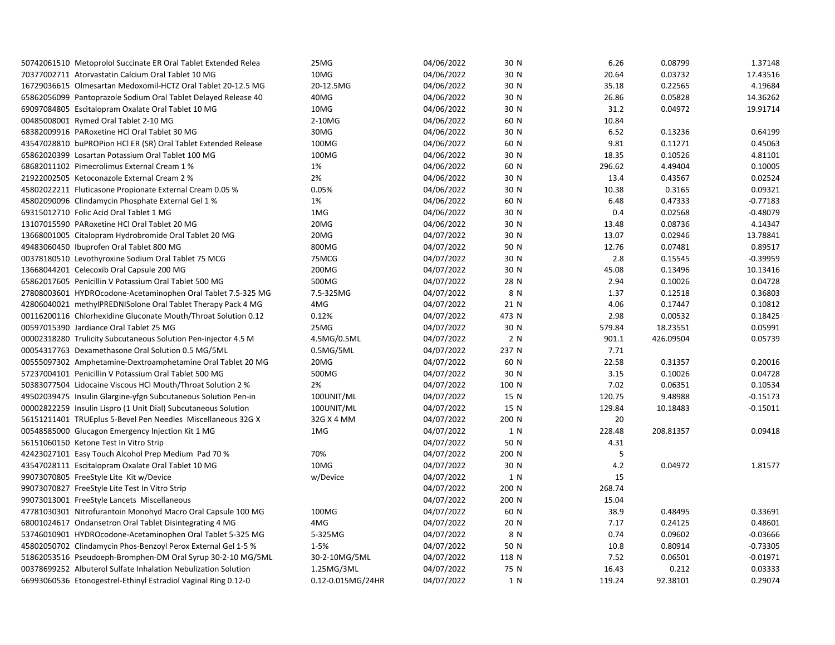| 50742061510 Metoprolol Succinate ER Oral Tablet Extended Relea | 25MG              | 04/06/2022 | 30 N  | 6.26   | 0.08799   | 1.37148    |
|----------------------------------------------------------------|-------------------|------------|-------|--------|-----------|------------|
| 70377002711 Atorvastatin Calcium Oral Tablet 10 MG             | 10MG              | 04/06/2022 | 30 N  | 20.64  | 0.03732   | 17.43516   |
| 16729036615 Olmesartan Medoxomil-HCTZ Oral Tablet 20-12.5 MG   | 20-12.5MG         | 04/06/2022 | 30 N  | 35.18  | 0.22565   | 4.19684    |
| 65862056099 Pantoprazole Sodium Oral Tablet Delayed Release 40 | 40MG              | 04/06/2022 | 30 N  | 26.86  | 0.05828   | 14.36262   |
| 69097084805 Escitalopram Oxalate Oral Tablet 10 MG             | 10MG              | 04/06/2022 | 30 N  | 31.2   | 0.04972   | 19.91714   |
| 00485008001 Rymed Oral Tablet 2-10 MG                          | 2-10MG            | 04/06/2022 | 60 N  | 10.84  |           |            |
| 68382009916 PARoxetine HCl Oral Tablet 30 MG                   | 30MG              | 04/06/2022 | 30 N  | 6.52   | 0.13236   | 0.64199    |
| 43547028810 buPROPion HCl ER (SR) Oral Tablet Extended Release | 100MG             | 04/06/2022 | 60 N  | 9.81   | 0.11271   | 0.45063    |
| 65862020399 Losartan Potassium Oral Tablet 100 MG              | 100MG             | 04/06/2022 | 30 N  | 18.35  | 0.10526   | 4.81101    |
| 68682011102 Pimecrolimus External Cream 1 %                    | 1%                | 04/06/2022 | 60 N  | 296.62 | 4.49404   | 0.10005    |
| 21922002505 Ketoconazole External Cream 2 %                    | 2%                | 04/06/2022 | 30 N  | 13.4   | 0.43567   | 0.02524    |
| 45802022211 Fluticasone Propionate External Cream 0.05 %       | 0.05%             | 04/06/2022 | 30 N  | 10.38  | 0.3165    | 0.09321    |
| 45802090096 Clindamycin Phosphate External Gel 1 %             | 1%                | 04/06/2022 | 60 N  | 6.48   | 0.47333   | $-0.77183$ |
| 69315012710 Folic Acid Oral Tablet 1 MG                        | 1MG               | 04/06/2022 | 30 N  | 0.4    | 0.02568   | $-0.48079$ |
| 13107015590 PARoxetine HCl Oral Tablet 20 MG                   | 20MG              | 04/06/2022 | 30 N  | 13.48  | 0.08736   | 4.14347    |
| 13668001005 Citalopram Hydrobromide Oral Tablet 20 MG          | 20MG              | 04/07/2022 | 30 N  | 13.07  | 0.02946   | 13.78841   |
| 49483060450 Ibuprofen Oral Tablet 800 MG                       | 800MG             | 04/07/2022 | 90 N  | 12.76  | 0.07481   | 0.89517    |
| 00378180510 Levothyroxine Sodium Oral Tablet 75 MCG            | 75MCG             | 04/07/2022 | 30 N  | 2.8    | 0.15545   | $-0.39959$ |
| 13668044201 Celecoxib Oral Capsule 200 MG                      | 200MG             | 04/07/2022 | 30 N  | 45.08  | 0.13496   | 10.13416   |
| 65862017605 Penicillin V Potassium Oral Tablet 500 MG          | 500MG             | 04/07/2022 | 28 N  | 2.94   | 0.10026   | 0.04728    |
| 27808003601 HYDROcodone-Acetaminophen Oral Tablet 7.5-325 MG   | 7.5-325MG         | 04/07/2022 | 8 N   | 1.37   | 0.12518   | 0.36803    |
| 42806040021 methylPREDNISolone Oral Tablet Therapy Pack 4 MG   | 4MG               | 04/07/2022 | 21 N  | 4.06   | 0.17447   | 0.10812    |
| 00116200116 Chlorhexidine Gluconate Mouth/Throat Solution 0.12 | 0.12%             | 04/07/2022 | 473 N | 2.98   | 0.00532   | 0.18425    |
| 00597015390 Jardiance Oral Tablet 25 MG                        | 25MG              | 04/07/2022 | 30 N  | 579.84 | 18.23551  | 0.05991    |
| 00002318280 Trulicity Subcutaneous Solution Pen-injector 4.5 M | 4.5MG/0.5ML       | 04/07/2022 | 2 N   | 901.1  | 426.09504 | 0.05739    |
| 00054317763 Dexamethasone Oral Solution 0.5 MG/5ML             | 0.5MG/5ML         | 04/07/2022 | 237 N | 7.71   |           |            |
| 00555097302 Amphetamine-Dextroamphetamine Oral Tablet 20 MG    | 20MG              | 04/07/2022 | 60 N  | 22.58  | 0.31357   | 0.20016    |
| 57237004101 Penicillin V Potassium Oral Tablet 500 MG          | 500MG             | 04/07/2022 | 30 N  | 3.15   | 0.10026   | 0.04728    |
| 50383077504 Lidocaine Viscous HCl Mouth/Throat Solution 2 %    | 2%                | 04/07/2022 | 100 N | 7.02   | 0.06351   | 0.10534    |
| 49502039475 Insulin Glargine-yfgn Subcutaneous Solution Pen-in | 100UNIT/ML        | 04/07/2022 | 15 N  | 120.75 | 9.48988   | $-0.15173$ |
| 00002822259 Insulin Lispro (1 Unit Dial) Subcutaneous Solution | 100UNIT/ML        | 04/07/2022 | 15 N  | 129.84 | 10.18483  | $-0.15011$ |
| 56151211401 TRUEplus 5-Bevel Pen Needles Miscellaneous 32G X   | 32G X 4 MM        | 04/07/2022 | 200 N | 20     |           |            |
| 00548585000 Glucagon Emergency Injection Kit 1 MG              | 1MG               | 04/07/2022 | 1 N   | 228.48 | 208.81357 | 0.09418    |
| 56151060150 Ketone Test In Vitro Strip                         |                   | 04/07/2022 | 50 N  | 4.31   |           |            |
| 42423027101 Easy Touch Alcohol Prep Medium Pad 70 %            | 70%               | 04/07/2022 | 200 N | 5      |           |            |
| 43547028111 Escitalopram Oxalate Oral Tablet 10 MG             | 10MG              | 04/07/2022 | 30 N  | 4.2    | 0.04972   | 1.81577    |
| 99073070805 FreeStyle Lite Kit w/Device                        | w/Device          | 04/07/2022 | 1 N   | 15     |           |            |
| 99073070827 FreeStyle Lite Test In Vitro Strip                 |                   | 04/07/2022 | 200 N | 268.74 |           |            |
| 99073013001 FreeStyle Lancets Miscellaneous                    |                   | 04/07/2022 | 200 N | 15.04  |           |            |
| 47781030301 Nitrofurantoin Monohyd Macro Oral Capsule 100 MG   | 100MG             | 04/07/2022 | 60 N  | 38.9   | 0.48495   | 0.33691    |
| 68001024617 Ondansetron Oral Tablet Disintegrating 4 MG        | 4MG               | 04/07/2022 | 20 N  | 7.17   | 0.24125   | 0.48601    |
| 53746010901 HYDROcodone-Acetaminophen Oral Tablet 5-325 MG     | 5-325MG           | 04/07/2022 | 8 N   | 0.74   | 0.09602   | $-0.03666$ |
| 45802050702 Clindamycin Phos-Benzoyl Perox External Gel 1-5 %  | 1-5%              | 04/07/2022 | 50 N  | 10.8   | 0.80914   | $-0.73305$ |
| 51862053516 Pseudoeph-Bromphen-DM Oral Syrup 30-2-10 MG/5ML    | 30-2-10MG/5ML     | 04/07/2022 | 118 N | 7.52   | 0.06501   | $-0.01971$ |
| 00378699252 Albuterol Sulfate Inhalation Nebulization Solution | 1.25MG/3ML        | 04/07/2022 | 75 N  | 16.43  | 0.212     | 0.03333    |
| 66993060536 Etonogestrel-Ethinyl Estradiol Vaginal Ring 0.12-0 | 0.12-0.015MG/24HR | 04/07/2022 | 1 N   | 119.24 | 92.38101  | 0.29074    |
|                                                                |                   |            |       |        |           |            |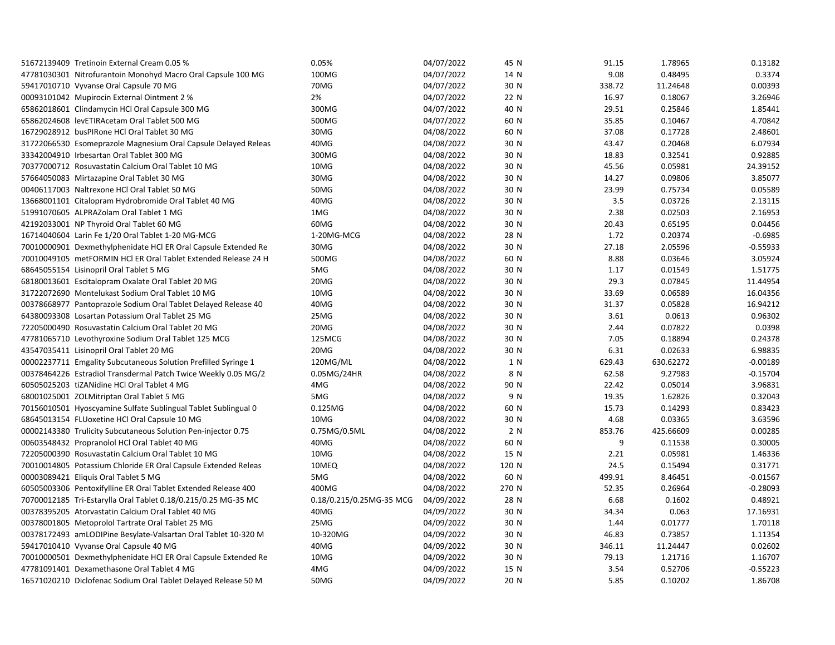| 51672139409 Tretinoin External Cream 0.05 %                    | 0.05%                    | 04/07/2022               | 45 N  | 91.15  | 1.78965   | 0.13182    |
|----------------------------------------------------------------|--------------------------|--------------------------|-------|--------|-----------|------------|
| 47781030301 Nitrofurantoin Monohyd Macro Oral Capsule 100 MG   | 100MG                    | 04/07/2022               | 14 N  | 9.08   | 0.48495   | 0.3374     |
| 59417010710 Vyvanse Oral Capsule 70 MG                         | 70MG                     | 04/07/2022               | 30 N  | 338.72 | 11.24648  | 0.00393    |
| 00093101042 Mupirocin External Ointment 2 %                    | 2%                       | 04/07/2022               | 22 N  | 16.97  | 0.18067   | 3.26946    |
| 65862018601 Clindamycin HCl Oral Capsule 300 MG                | 300MG                    | 04/07/2022               | 40 N  | 29.51  | 0.25846   | 1.85441    |
| 65862024608 levETIRAcetam Oral Tablet 500 MG                   | 500MG                    | 04/07/2022               | 60 N  | 35.85  | 0.10467   | 4.70842    |
| 16729028912 busPIRone HCl Oral Tablet 30 MG                    | 30MG                     | 04/08/2022               | 60 N  | 37.08  | 0.17728   | 2.48601    |
| 31722066530 Esomeprazole Magnesium Oral Capsule Delayed Releas | 40MG                     | 04/08/2022               | 30 N  | 43.47  | 0.20468   | 6.07934    |
| 33342004910 Irbesartan Oral Tablet 300 MG                      | 300MG                    | 04/08/2022               | 30 N  | 18.83  | 0.32541   | 0.92885    |
| 70377000712 Rosuvastatin Calcium Oral Tablet 10 MG             | 10MG                     | 04/08/2022               | 30 N  | 45.56  | 0.05981   | 24.39152   |
| 57664050083 Mirtazapine Oral Tablet 30 MG                      | 30MG                     | 04/08/2022               | 30 N  | 14.27  | 0.09806   | 3.85077    |
| 00406117003 Naltrexone HCl Oral Tablet 50 MG                   | 50MG                     | 04/08/2022               | 30 N  | 23.99  | 0.75734   | 0.05589    |
| 13668001101 Citalopram Hydrobromide Oral Tablet 40 MG          | 40MG                     | 04/08/2022               | 30 N  | 3.5    | 0.03726   | 2.13115    |
| 51991070605 ALPRAZolam Oral Tablet 1 MG                        | 1MG                      | 04/08/2022               | 30 N  | 2.38   | 0.02503   | 2.16953    |
| 42192033001 NP Thyroid Oral Tablet 60 MG                       | 60MG                     | 04/08/2022               | 30 N  | 20.43  | 0.65195   | 0.04456    |
| 16714040604 Larin Fe 1/20 Oral Tablet 1-20 MG-MCG              | 1-20MG-MCG               | 04/08/2022               | 28 N  | 1.72   | 0.20374   | $-0.6985$  |
| 70010000901 Dexmethylphenidate HCl ER Oral Capsule Extended Re | 30MG                     | 04/08/2022               | 30 N  | 27.18  | 2.05596   | $-0.55933$ |
| 70010049105 metFORMIN HCl ER Oral Tablet Extended Release 24 H | 500MG                    | 04/08/2022               | 60 N  | 8.88   | 0.03646   | 3.05924    |
| 68645055154 Lisinopril Oral Tablet 5 MG                        | 5MG                      | 04/08/2022               | 30 N  | 1.17   | 0.01549   | 1.51775    |
| 68180013601 Escitalopram Oxalate Oral Tablet 20 MG             | 20MG                     | 04/08/2022               | 30 N  | 29.3   | 0.07845   | 11.44954   |
| 31722072690 Montelukast Sodium Oral Tablet 10 MG               | 10MG                     | 04/08/2022               | 30 N  | 33.69  | 0.06589   | 16.04356   |
| 00378668977 Pantoprazole Sodium Oral Tablet Delayed Release 40 | 40MG                     | 04/08/2022               | 30 N  | 31.37  | 0.05828   | 16.94212   |
| 64380093308 Losartan Potassium Oral Tablet 25 MG               | 25MG                     | 04/08/2022               | 30 N  | 3.61   | 0.0613    | 0.96302    |
| 72205000490 Rosuvastatin Calcium Oral Tablet 20 MG             | 20MG                     | 04/08/2022               | 30 N  | 2.44   | 0.07822   | 0.0398     |
| 47781065710 Levothyroxine Sodium Oral Tablet 125 MCG           | 125MCG                   | 04/08/2022               | 30 N  | 7.05   | 0.18894   | 0.24378    |
| 43547035411 Lisinopril Oral Tablet 20 MG                       | 20MG                     | 04/08/2022               | 30 N  | 6.31   | 0.02633   | 6.98835    |
| 00002237711 Emgality Subcutaneous Solution Prefilled Syringe 1 | 120MG/ML                 | 04/08/2022               | 1 N   | 629.43 | 630.62272 | $-0.00189$ |
| 00378464226 Estradiol Transdermal Patch Twice Weekly 0.05 MG/2 | 0.05MG/24HR              | 04/08/2022               | 8 N   | 62.58  | 9.27983   | $-0.15704$ |
| 60505025203 tiZANidine HCl Oral Tablet 4 MG                    | 4MG                      | 04/08/2022               | 90 N  | 22.42  | 0.05014   | 3.96831    |
| 68001025001 ZOLMitriptan Oral Tablet 5 MG                      | 5MG                      | 04/08/2022               | 9 N   | 19.35  | 1.62826   | 0.32043    |
| 70156010501 Hyoscyamine Sulfate Sublingual Tablet Sublingual 0 | 0.125MG                  | 04/08/2022               | 60 N  | 15.73  | 0.14293   | 0.83423    |
| 68645013154 FLUoxetine HCl Oral Capsule 10 MG                  | 10MG                     | 04/08/2022               | 30 N  | 4.68   | 0.03365   | 3.63596    |
| 00002143380 Trulicity Subcutaneous Solution Pen-injector 0.75  | 0.75MG/0.5ML             | 04/08/2022               | 2 N   | 853.76 | 425.66609 | 0.00285    |
| 00603548432 Propranolol HCl Oral Tablet 40 MG                  | 40MG                     | 04/08/2022               | 60 N  | 9      | 0.11538   | 0.30005    |
| 72205000390 Rosuvastatin Calcium Oral Tablet 10 MG             | 10MG                     | 04/08/2022               | 15 N  | 2.21   | 0.05981   | 1.46336    |
| 70010014805 Potassium Chloride ER Oral Capsule Extended Releas | 10MEQ                    | 04/08/2022               | 120 N | 24.5   | 0.15494   | 0.31771    |
| 00003089421 Eliquis Oral Tablet 5 MG                           | 5MG                      | 04/08/2022               | 60 N  | 499.91 | 8.46451   | $-0.01567$ |
| 60505003306 Pentoxifylline ER Oral Tablet Extended Release 400 | 400MG                    | 04/08/2022               | 270 N | 52.35  | 0.26964   | $-0.28093$ |
|                                                                | 0.18/0.215/0.25MG-35 MCG | 04/09/2022               | 28 N  | 6.68   | 0.1602    | 0.48921    |
| 70700012185 Tri-Estarylla Oral Tablet 0.18/0.215/0.25 MG-35 MC | 40MG                     |                          |       |        |           |            |
| 00378395205 Atorvastatin Calcium Oral Tablet 40 MG             |                          | 04/09/2022<br>04/09/2022 | 30 N  | 34.34  | 0.063     | 17.16931   |
| 00378001805 Metoprolol Tartrate Oral Tablet 25 MG              | 25MG                     |                          | 30 N  | 1.44   | 0.01777   | 1.70118    |
| 00378172493 amLODIPine Besylate-Valsartan Oral Tablet 10-320 M | 10-320MG                 | 04/09/2022               | 30 N  | 46.83  | 0.73857   | 1.11354    |
| 59417010410 Vyvanse Oral Capsule 40 MG                         | 40MG                     | 04/09/2022               | 30 N  | 346.11 | 11.24447  | 0.02602    |
| 70010000501 Dexmethylphenidate HCI ER Oral Capsule Extended Re | 10MG                     | 04/09/2022               | 30 N  | 79.13  | 1.21716   | 1.16707    |
| 47781091401 Dexamethasone Oral Tablet 4 MG                     | 4MG                      | 04/09/2022               | 15 N  | 3.54   | 0.52706   | $-0.55223$ |
| 16571020210 Diclofenac Sodium Oral Tablet Delayed Release 50 M | 50MG                     | 04/09/2022               | 20 N  | 5.85   | 0.10202   | 1.86708    |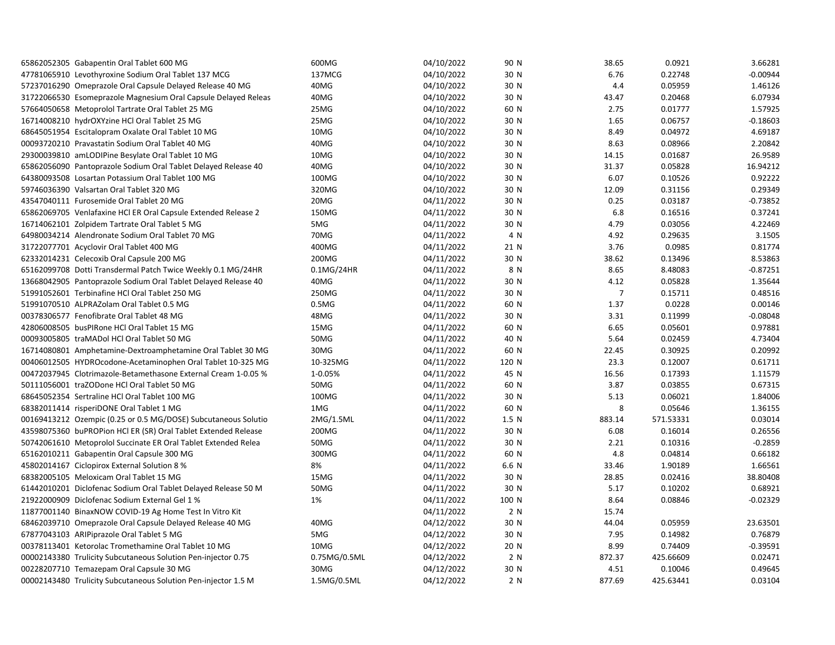| 65862052305 Gabapentin Oral Tablet 600 MG                      | 600MG             | 04/10/2022 | 90 N             | 38.65          | 0.0921    | 3.66281    |
|----------------------------------------------------------------|-------------------|------------|------------------|----------------|-----------|------------|
| 47781065910 Levothyroxine Sodium Oral Tablet 137 MCG           | 137MCG            | 04/10/2022 | 30 N             | 6.76           | 0.22748   | $-0.00944$ |
| 57237016290 Omeprazole Oral Capsule Delayed Release 40 MG      | 40MG              | 04/10/2022 | 30 N             | 4.4            | 0.05959   | 1.46126    |
| 31722066530 Esomeprazole Magnesium Oral Capsule Delayed Releas | 40MG              | 04/10/2022 | 30 N             | 43.47          | 0.20468   | 6.07934    |
| 57664050658 Metoprolol Tartrate Oral Tablet 25 MG              | 25MG              | 04/10/2022 | 60 N             | 2.75           | 0.01777   | 1.57925    |
| 16714008210 hydrOXYzine HCl Oral Tablet 25 MG                  | 25MG              | 04/10/2022 | 30 N             | 1.65           | 0.06757   | $-0.18603$ |
| 68645051954 Escitalopram Oxalate Oral Tablet 10 MG             | 10MG              | 04/10/2022 | 30 N             | 8.49           | 0.04972   | 4.69187    |
| 00093720210 Pravastatin Sodium Oral Tablet 40 MG               | 40MG              | 04/10/2022 | 30 N             | 8.63           | 0.08966   | 2.20842    |
| 29300039810 amLODIPine Besylate Oral Tablet 10 MG              | 10MG              | 04/10/2022 | 30 N             | 14.15          | 0.01687   | 26.9589    |
| 65862056090 Pantoprazole Sodium Oral Tablet Delayed Release 40 | 40MG              | 04/10/2022 | 30 N             | 31.37          | 0.05828   | 16.94212   |
| 64380093508 Losartan Potassium Oral Tablet 100 MG              | 100MG             | 04/10/2022 | 30 N             | 6.07           | 0.10526   | 0.92222    |
| 59746036390 Valsartan Oral Tablet 320 MG                       | 320MG             | 04/10/2022 | 30 N             | 12.09          | 0.31156   | 0.29349    |
| 43547040111 Furosemide Oral Tablet 20 MG                       | 20MG              | 04/11/2022 | 30 N             | 0.25           | 0.03187   | $-0.73852$ |
| 65862069705 Venlafaxine HCl ER Oral Capsule Extended Release 2 | 150MG             | 04/11/2022 | 30 N             | 6.8            | 0.16516   | 0.37241    |
| 16714062101 Zolpidem Tartrate Oral Tablet 5 MG                 | 5MG               | 04/11/2022 | 30 N             | 4.79           | 0.03056   | 4.22469    |
| 64980034214 Alendronate Sodium Oral Tablet 70 MG               | 70MG              | 04/11/2022 | 4 N              | 4.92           | 0.29635   | 3.1505     |
| 31722077701 Acyclovir Oral Tablet 400 MG                       | 400MG             | 04/11/2022 | 21 N             | 3.76           | 0.0985    | 0.81774    |
| 62332014231 Celecoxib Oral Capsule 200 MG                      | 200MG             | 04/11/2022 | 30 N             | 38.62          | 0.13496   | 8.53863    |
| 65162099708 Dotti Transdermal Patch Twice Weekly 0.1 MG/24HR   | 0.1MG/24HR        | 04/11/2022 | 8 N              | 8.65           | 8.48083   | $-0.87251$ |
| 13668042905 Pantoprazole Sodium Oral Tablet Delayed Release 40 | 40MG              | 04/11/2022 | 30 N             | 4.12           | 0.05828   | 1.35644    |
| 51991052601 Terbinafine HCl Oral Tablet 250 MG                 | 250MG             | 04/11/2022 | 30 N             | $\overline{7}$ | 0.15711   | 0.48516    |
| 51991070510 ALPRAZolam Oral Tablet 0.5 MG                      | 0.5M <sub>G</sub> | 04/11/2022 | 60 N             | 1.37           | 0.0228    | 0.00146    |
| 00378306577 Fenofibrate Oral Tablet 48 MG                      | 48MG              | 04/11/2022 | 30 N             | 3.31           | 0.11999   | $-0.08048$ |
| 42806008505 busPIRone HCl Oral Tablet 15 MG                    | 15MG              | 04/11/2022 | 60 N             | 6.65           | 0.05601   | 0.97881    |
| 00093005805 traMADol HCl Oral Tablet 50 MG                     | 50MG              | 04/11/2022 | 40 N             | 5.64           | 0.02459   | 4.73404    |
| 16714080801 Amphetamine-Dextroamphetamine Oral Tablet 30 MG    | 30MG              | 04/11/2022 | 60 N             | 22.45          | 0.30925   | 0.20992    |
| 00406012505 HYDROcodone-Acetaminophen Oral Tablet 10-325 MG    | 10-325MG          | 04/11/2022 | 120 N            | 23.3           | 0.12007   | 0.61711    |
| 00472037945 Clotrimazole-Betamethasone External Cream 1-0.05 % | 1-0.05%           | 04/11/2022 | 45 N             | 16.56          | 0.17393   | 1.11579    |
| 50111056001 traZODone HCl Oral Tablet 50 MG                    | 50MG              | 04/11/2022 | 60 N             | 3.87           | 0.03855   | 0.67315    |
| 68645052354 Sertraline HCl Oral Tablet 100 MG                  | 100MG             | 04/11/2022 | 30 N             | 5.13           | 0.06021   | 1.84006    |
| 68382011414 risperiDONE Oral Tablet 1 MG                       | 1MG               | 04/11/2022 | 60 N             | 8              | 0.05646   | 1.36155    |
| 00169413212 Ozempic (0.25 or 0.5 MG/DOSE) Subcutaneous Solutio | 2MG/1.5ML         | 04/11/2022 | 1.5 <sub>N</sub> | 883.14         | 571.53331 | 0.03014    |
| 43598075360 buPROPion HCl ER (SR) Oral Tablet Extended Release | 200MG             | 04/11/2022 | 30 N             | 6.08           | 0.16014   | 0.26556    |
| 50742061610 Metoprolol Succinate ER Oral Tablet Extended Relea | 50MG              | 04/11/2022 | 30 N             | 2.21           | 0.10316   | $-0.2859$  |
| 65162010211 Gabapentin Oral Capsule 300 MG                     | 300MG             | 04/11/2022 | 60 N             | 4.8            | 0.04814   | 0.66182    |
| 45802014167 Ciclopirox External Solution 8 %                   | 8%                | 04/11/2022 | 6.6 N            | 33.46          | 1.90189   | 1.66561    |
| 68382005105 Meloxicam Oral Tablet 15 MG                        | 15MG              | 04/11/2022 | 30 N             | 28.85          | 0.02416   | 38.80408   |
| 61442010201 Diclofenac Sodium Oral Tablet Delayed Release 50 M | 50MG              | 04/11/2022 | 30 N             | 5.17           | 0.10202   | 0.68921    |
| 21922000909 Diclofenac Sodium External Gel 1 %                 | 1%                | 04/11/2022 | 100 N            | 8.64           | 0.08846   | $-0.02329$ |
| 11877001140 BinaxNOW COVID-19 Ag Home Test In Vitro Kit        |                   | 04/11/2022 | 2 N              | 15.74          |           |            |
| 68462039710 Omeprazole Oral Capsule Delayed Release 40 MG      | 40MG              | 04/12/2022 | 30 N             | 44.04          | 0.05959   | 23.63501   |
| 67877043103 ARIPiprazole Oral Tablet 5 MG                      | 5MG               | 04/12/2022 | 30 N             | 7.95           | 0.14982   | 0.76879    |
| 00378113401 Ketorolac Tromethamine Oral Tablet 10 MG           | 10MG              | 04/12/2022 | 20 N             | 8.99           | 0.74409   | $-0.39591$ |
| 00002143380 Trulicity Subcutaneous Solution Pen-injector 0.75  | 0.75MG/0.5ML      | 04/12/2022 | 2 N              | 872.37         | 425.66609 | 0.02471    |
| 00228207710 Temazepam Oral Capsule 30 MG                       | 30MG              | 04/12/2022 | 30 N             | 4.51           | 0.10046   | 0.49645    |
| 00002143480 Trulicity Subcutaneous Solution Pen-injector 1.5 M | 1.5MG/0.5ML       | 04/12/2022 | 2 N              | 877.69         | 425.63441 | 0.03104    |
|                                                                |                   |            |                  |                |           |            |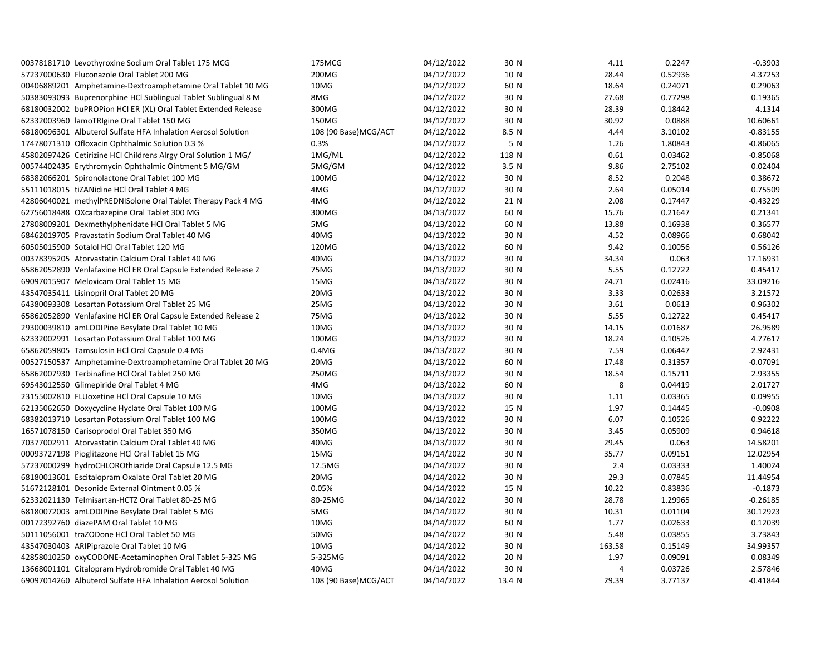| 00378181710 Levothyroxine Sodium Oral Tablet 175 MCG           | 175MCG               | 04/12/2022 | 30 N             | 4.11   | 0.2247  | $-0.3903$  |
|----------------------------------------------------------------|----------------------|------------|------------------|--------|---------|------------|
| 57237000630 Fluconazole Oral Tablet 200 MG                     | 200MG                | 04/12/2022 | 10 N             | 28.44  | 0.52936 | 4.37253    |
| 00406889201 Amphetamine-Dextroamphetamine Oral Tablet 10 MG    | 10MG                 | 04/12/2022 | 60 N             | 18.64  | 0.24071 | 0.29063    |
| 50383093093 Buprenorphine HCl Sublingual Tablet Sublingual 8 M | 8MG                  | 04/12/2022 | 30 N             | 27.68  | 0.77298 | 0.19365    |
| 68180032002 buPROPion HCl ER (XL) Oral Tablet Extended Release | 300MG                | 04/12/2022 | 30 N             | 28.39  | 0.18442 | 4.1314     |
| 62332003960 lamoTRIgine Oral Tablet 150 MG                     | 150MG                | 04/12/2022 | 30 N             | 30.92  | 0.0888  | 10.60661   |
| 68180096301 Albuterol Sulfate HFA Inhalation Aerosol Solution  | 108 (90 Base)MCG/ACT | 04/12/2022 | 8.5 N            | 4.44   | 3.10102 | $-0.83155$ |
| 17478071310 Ofloxacin Ophthalmic Solution 0.3 %                | 0.3%                 | 04/12/2022 | 5 N              | 1.26   | 1.80843 | $-0.86065$ |
| 45802097426 Cetirizine HCl Childrens Alrgy Oral Solution 1 MG/ | 1MG/ML               | 04/12/2022 | 118 N            | 0.61   | 0.03462 | $-0.85068$ |
| 00574402435 Erythromycin Ophthalmic Ointment 5 MG/GM           | 5MG/GM               | 04/12/2022 | 3.5 <sub>N</sub> | 9.86   | 2.75102 | 0.02404    |
| 68382066201 Spironolactone Oral Tablet 100 MG                  | 100MG                | 04/12/2022 | 30 N             | 8.52   | 0.2048  | 0.38672    |
| 55111018015 tiZANidine HCl Oral Tablet 4 MG                    | 4MG                  | 04/12/2022 | 30 N             | 2.64   | 0.05014 | 0.75509    |
| 42806040021 methylPREDNISolone Oral Tablet Therapy Pack 4 MG   | 4MG                  | 04/12/2022 | 21 N             | 2.08   | 0.17447 | $-0.43229$ |
| 62756018488 OXcarbazepine Oral Tablet 300 MG                   | 300MG                | 04/13/2022 | 60 N             | 15.76  | 0.21647 | 0.21341    |
| 27808009201 Dexmethylphenidate HCl Oral Tablet 5 MG            | 5MG                  | 04/13/2022 | 60 N             | 13.88  | 0.16938 | 0.36577    |
| 68462019705 Pravastatin Sodium Oral Tablet 40 MG               | 40MG                 | 04/13/2022 | 30 N             | 4.52   | 0.08966 | 0.68042    |
| 60505015900 Sotalol HCl Oral Tablet 120 MG                     | 120MG                | 04/13/2022 | 60 N             | 9.42   | 0.10056 | 0.56126    |
| 00378395205 Atorvastatin Calcium Oral Tablet 40 MG             | 40MG                 | 04/13/2022 | 30 N             | 34.34  | 0.063   | 17.16931   |
| 65862052890 Venlafaxine HCl ER Oral Capsule Extended Release 2 | 75MG                 | 04/13/2022 | 30 N             | 5.55   | 0.12722 | 0.45417    |
| 69097015907 Meloxicam Oral Tablet 15 MG                        | 15MG                 | 04/13/2022 | 30 N             | 24.71  | 0.02416 | 33.09216   |
| 43547035411 Lisinopril Oral Tablet 20 MG                       | 20MG                 | 04/13/2022 | 30 N             | 3.33   | 0.02633 | 3.21572    |
| 64380093308 Losartan Potassium Oral Tablet 25 MG               | 25MG                 | 04/13/2022 | 30 N             | 3.61   | 0.0613  | 0.96302    |
| 65862052890 Venlafaxine HCI ER Oral Capsule Extended Release 2 | 75MG                 | 04/13/2022 | 30 N             | 5.55   | 0.12722 | 0.45417    |
| 29300039810 amLODIPine Besylate Oral Tablet 10 MG              | 10MG                 | 04/13/2022 | 30 N             | 14.15  | 0.01687 | 26.9589    |
| 62332002991 Losartan Potassium Oral Tablet 100 MG              | 100MG                | 04/13/2022 | 30 N             | 18.24  | 0.10526 | 4.77617    |
| 65862059805 Tamsulosin HCl Oral Capsule 0.4 MG                 | $0.4M$ G             | 04/13/2022 | 30 N             | 7.59   | 0.06447 | 2.92431    |
| 00527150537 Amphetamine-Dextroamphetamine Oral Tablet 20 MG    | 20MG                 | 04/13/2022 | 60 N             | 17.48  | 0.31357 | $-0.07091$ |
| 65862007930 Terbinafine HCl Oral Tablet 250 MG                 | 250MG                | 04/13/2022 | 30 N             | 18.54  | 0.15711 | 2.93355    |
| 69543012550 Glimepiride Oral Tablet 4 MG                       | 4MG                  | 04/13/2022 | 60 N             | 8      | 0.04419 | 2.01727    |
| 23155002810 FLUoxetine HCl Oral Capsule 10 MG                  | 10MG                 | 04/13/2022 | 30 N             | 1.11   | 0.03365 | 0.09955    |
| 62135062650 Doxycycline Hyclate Oral Tablet 100 MG             | 100MG                | 04/13/2022 | 15 N             | 1.97   | 0.14445 | $-0.0908$  |
| 68382013710 Losartan Potassium Oral Tablet 100 MG              | 100MG                | 04/13/2022 | 30 N             | 6.07   | 0.10526 | 0.92222    |
| 16571078150 Carisoprodol Oral Tablet 350 MG                    | 350MG                | 04/13/2022 | 30 N             | 3.45   | 0.05909 | 0.94618    |
| 70377002911 Atorvastatin Calcium Oral Tablet 40 MG             | 40MG                 | 04/13/2022 | 30 N             | 29.45  | 0.063   | 14.58201   |
| 00093727198 Pioglitazone HCl Oral Tablet 15 MG                 | 15MG                 | 04/14/2022 | 30 N             | 35.77  | 0.09151 | 12.02954   |
| 57237000299 hydroCHLOROthiazide Oral Capsule 12.5 MG           | 12.5MG               | 04/14/2022 | 30 N             | 2.4    | 0.03333 | 1.40024    |
| 68180013601 Escitalopram Oxalate Oral Tablet 20 MG             | 20MG                 | 04/14/2022 | 30 N             | 29.3   | 0.07845 | 11.44954   |
| 51672128101 Desonide External Ointment 0.05 %                  | 0.05%                | 04/14/2022 | 15 N             | 10.22  | 0.83836 | $-0.1873$  |
| 62332021130 Telmisartan-HCTZ Oral Tablet 80-25 MG              | 80-25MG              | 04/14/2022 | 30 N             | 28.78  | 1.29965 | $-0.26185$ |
| 68180072003 amLODIPine Besylate Oral Tablet 5 MG               | 5MG                  | 04/14/2022 | 30 N             | 10.31  | 0.01104 | 30.12923   |
| 00172392760 diazePAM Oral Tablet 10 MG                         | 10MG                 | 04/14/2022 | 60 N             | 1.77   | 0.02633 | 0.12039    |
| 50111056001 traZODone HCl Oral Tablet 50 MG                    | 50MG                 | 04/14/2022 | 30 N             | 5.48   | 0.03855 | 3.73843    |
| 43547030403 ARIPiprazole Oral Tablet 10 MG                     | 10MG                 | 04/14/2022 | 30 N             | 163.58 | 0.15149 | 34.99357   |
| 42858010250 oxyCODONE-Acetaminophen Oral Tablet 5-325 MG       | 5-325MG              | 04/14/2022 | 20 N             | 1.97   | 0.09091 | 0.08349    |
| 13668001101 Citalopram Hydrobromide Oral Tablet 40 MG          | 40MG                 | 04/14/2022 | 30 N             | 4      | 0.03726 | 2.57846    |
| 69097014260 Albuterol Sulfate HFA Inhalation Aerosol Solution  | 108 (90 Base)MCG/ACT | 04/14/2022 | 13.4 N           | 29.39  | 3.77137 | $-0.41844$ |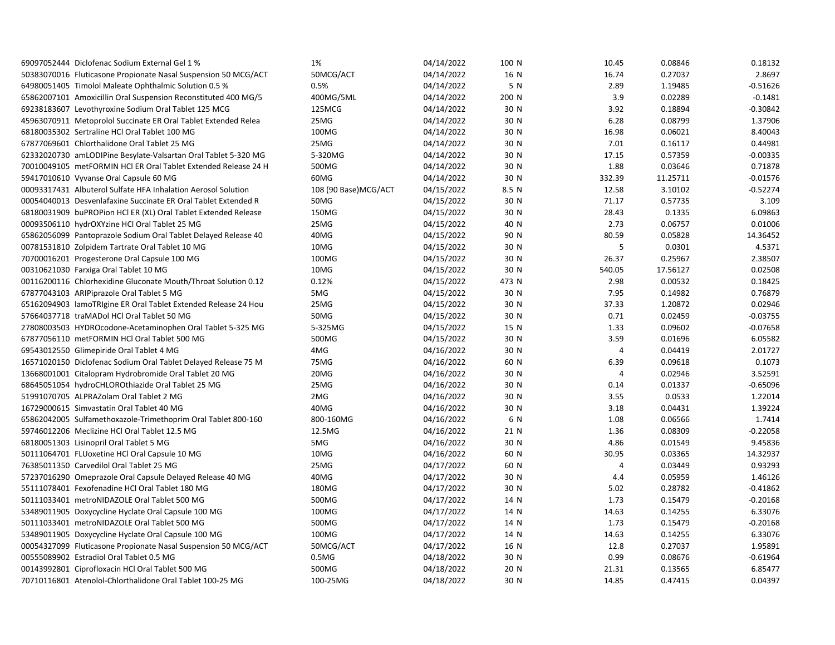| 69097052444 Diclofenac Sodium External Gel 1 %                 | 1%                   | 04/14/2022 | 100 N | 10.45          | 0.08846  | 0.18132    |
|----------------------------------------------------------------|----------------------|------------|-------|----------------|----------|------------|
| 50383070016 Fluticasone Propionate Nasal Suspension 50 MCG/ACT | 50MCG/ACT            | 04/14/2022 | 16 N  | 16.74          | 0.27037  | 2.8697     |
| 64980051405 Timolol Maleate Ophthalmic Solution 0.5 %          | 0.5%                 | 04/14/2022 | 5 N   | 2.89           | 1.19485  | $-0.51626$ |
| 65862007101 Amoxicillin Oral Suspension Reconstituted 400 MG/5 | 400MG/5ML            | 04/14/2022 | 200 N | 3.9            | 0.02289  | $-0.1481$  |
| 69238183607 Levothyroxine Sodium Oral Tablet 125 MCG           | 125MCG               | 04/14/2022 | 30 N  | 3.92           | 0.18894  | $-0.30842$ |
| 45963070911 Metoprolol Succinate ER Oral Tablet Extended Relea | 25MG                 | 04/14/2022 | 30 N  | 6.28           | 0.08799  | 1.37906    |
| 68180035302 Sertraline HCl Oral Tablet 100 MG                  | 100MG                | 04/14/2022 | 30 N  | 16.98          | 0.06021  | 8.40043    |
| 67877069601 Chlorthalidone Oral Tablet 25 MG                   | 25MG                 | 04/14/2022 | 30 N  | 7.01           | 0.16117  | 0.44981    |
| 62332020730 amLODIPine Besylate-Valsartan Oral Tablet 5-320 MG | 5-320MG              | 04/14/2022 | 30 N  | 17.15          | 0.57359  | $-0.00335$ |
| 70010049105 metFORMIN HCl ER Oral Tablet Extended Release 24 H | 500MG                | 04/14/2022 | 30 N  | 1.88           | 0.03646  | 0.71878    |
| 59417010610 Vyvanse Oral Capsule 60 MG                         | 60MG                 | 04/14/2022 | 30 N  | 332.39         | 11.25711 | $-0.01576$ |
| 00093317431 Albuterol Sulfate HFA Inhalation Aerosol Solution  | 108 (90 Base)MCG/ACT | 04/15/2022 | 8.5 N | 12.58          | 3.10102  | $-0.52274$ |
| 00054040013 Desvenlafaxine Succinate ER Oral Tablet Extended R | 50MG                 | 04/15/2022 | 30 N  | 71.17          | 0.57735  | 3.109      |
| 68180031909 buPROPion HCI ER (XL) Oral Tablet Extended Release | 150MG                | 04/15/2022 | 30 N  | 28.43          | 0.1335   | 6.09863    |
| 00093506110 hydrOXYzine HCl Oral Tablet 25 MG                  | 25MG                 | 04/15/2022 | 40 N  | 2.73           | 0.06757  | 0.01006    |
| 65862056099 Pantoprazole Sodium Oral Tablet Delayed Release 40 | 40MG                 | 04/15/2022 | 90 N  | 80.59          | 0.05828  | 14.36452   |
| 00781531810 Zolpidem Tartrate Oral Tablet 10 MG                | 10MG                 | 04/15/2022 | 30 N  | 5              | 0.0301   | 4.5371     |
| 70700016201 Progesterone Oral Capsule 100 MG                   | 100MG                | 04/15/2022 | 30 N  | 26.37          | 0.25967  | 2.38507    |
| 00310621030 Farxiga Oral Tablet 10 MG                          | 10MG                 | 04/15/2022 | 30 N  | 540.05         | 17.56127 | 0.02508    |
| 00116200116 Chlorhexidine Gluconate Mouth/Throat Solution 0.12 | 0.12%                | 04/15/2022 | 473 N | 2.98           | 0.00532  | 0.18425    |
| 67877043103 ARIPiprazole Oral Tablet 5 MG                      | 5MG                  | 04/15/2022 | 30 N  | 7.95           | 0.14982  | 0.76879    |
| 65162094903 lamoTRIgine ER Oral Tablet Extended Release 24 Hou | 25MG                 | 04/15/2022 | 30 N  | 37.33          | 1.20872  | 0.02946    |
| 57664037718 traMADol HCl Oral Tablet 50 MG                     | 50MG                 | 04/15/2022 | 30 N  | 0.71           | 0.02459  | $-0.03755$ |
| 27808003503 HYDROcodone-Acetaminophen Oral Tablet 5-325 MG     | 5-325MG              | 04/15/2022 | 15 N  | 1.33           | 0.09602  | $-0.07658$ |
| 67877056110 metFORMIN HCl Oral Tablet 500 MG                   | 500MG                | 04/15/2022 | 30 N  | 3.59           | 0.01696  | 6.05582    |
| 69543012550 Glimepiride Oral Tablet 4 MG                       | 4MG                  | 04/16/2022 | 30 N  | $\overline{4}$ | 0.04419  | 2.01727    |
| 16571020150 Diclofenac Sodium Oral Tablet Delayed Release 75 M | 75MG                 | 04/16/2022 | 60 N  | 6.39           | 0.09618  | 0.1073     |
| 13668001001 Citalopram Hydrobromide Oral Tablet 20 MG          | 20MG                 | 04/16/2022 | 30 N  | $\overline{4}$ | 0.02946  | 3.52591    |
| 68645051054 hydroCHLOROthiazide Oral Tablet 25 MG              | 25MG                 | 04/16/2022 | 30 N  | 0.14           | 0.01337  | $-0.65096$ |
| 51991070705 ALPRAZolam Oral Tablet 2 MG                        | 2MG                  | 04/16/2022 | 30 N  | 3.55           | 0.0533   | 1.22014    |
| 16729000615 Simvastatin Oral Tablet 40 MG                      | 40MG                 | 04/16/2022 | 30 N  | 3.18           | 0.04431  | 1.39224    |
| 65862042005 Sulfamethoxazole-Trimethoprim Oral Tablet 800-160  | 800-160MG            | 04/16/2022 | 6 N   | 1.08           | 0.06566  | 1.7414     |
| 59746012206 Meclizine HCl Oral Tablet 12.5 MG                  | 12.5MG               | 04/16/2022 | 21 N  | 1.36           | 0.08309  | $-0.22058$ |
| 68180051303 Lisinopril Oral Tablet 5 MG                        | 5MG                  | 04/16/2022 | 30 N  | 4.86           | 0.01549  | 9.45836    |
| 50111064701 FLUoxetine HCl Oral Capsule 10 MG                  | 10MG                 | 04/16/2022 | 60 N  | 30.95          | 0.03365  | 14.32937   |
| 76385011350 Carvedilol Oral Tablet 25 MG                       | 25MG                 | 04/17/2022 | 60 N  | 4              | 0.03449  | 0.93293    |
| 57237016290 Omeprazole Oral Capsule Delayed Release 40 MG      | 40MG                 | 04/17/2022 | 30 N  | 4.4            | 0.05959  | 1.46126    |
| 55111078401 Fexofenadine HCl Oral Tablet 180 MG                | 180MG                | 04/17/2022 | 30 N  | 5.02           | 0.28782  | $-0.41862$ |
| 50111033401 metroNIDAZOLE Oral Tablet 500 MG                   | 500MG                | 04/17/2022 | 14 N  | 1.73           | 0.15479  | $-0.20168$ |
| 53489011905 Doxycycline Hyclate Oral Capsule 100 MG            | 100MG                | 04/17/2022 | 14 N  | 14.63          | 0.14255  | 6.33076    |
| 50111033401 metroNIDAZOLE Oral Tablet 500 MG                   | 500MG                | 04/17/2022 | 14 N  | 1.73           | 0.15479  | $-0.20168$ |
| 53489011905 Doxycycline Hyclate Oral Capsule 100 MG            | 100MG                | 04/17/2022 | 14 N  | 14.63          | 0.14255  | 6.33076    |
| 00054327099 Fluticasone Propionate Nasal Suspension 50 MCG/ACT | 50MCG/ACT            | 04/17/2022 | 16 N  | 12.8           | 0.27037  | 1.95891    |
| 00555089902 Estradiol Oral Tablet 0.5 MG                       | 0.5M <sub>G</sub>    | 04/18/2022 | 30 N  | 0.99           | 0.08676  | $-0.61964$ |
| 00143992801 Ciprofloxacin HCl Oral Tablet 500 MG               | 500MG                | 04/18/2022 | 20 N  | 21.31          | 0.13565  | 6.85477    |
| 70710116801 Atenolol-Chlorthalidone Oral Tablet 100-25 MG      | 100-25MG             | 04/18/2022 | 30 N  | 14.85          | 0.47415  | 0.04397    |
|                                                                |                      |            |       |                |          |            |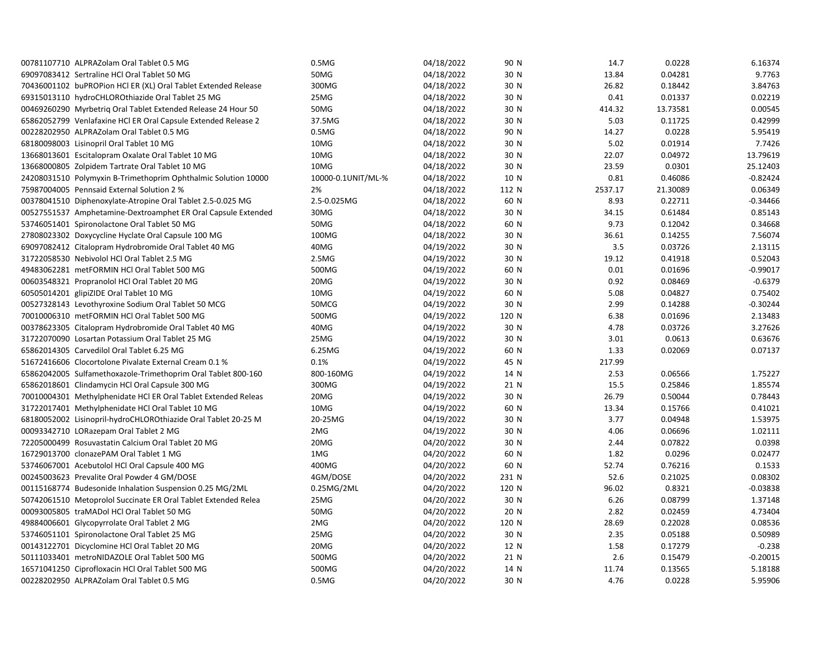| 00781107710 ALPRAZolam Oral Tablet 0.5 MG                      | 0.5M <sub>G</sub>  | 04/18/2022 | 90 N  | 14.7    | 0.0228   | 6.16374    |
|----------------------------------------------------------------|--------------------|------------|-------|---------|----------|------------|
| 69097083412 Sertraline HCl Oral Tablet 50 MG                   | 50MG               | 04/18/2022 | 30 N  | 13.84   | 0.04281  | 9.7763     |
| 70436001102 buPROPion HCl ER (XL) Oral Tablet Extended Release | 300MG              | 04/18/2022 | 30 N  | 26.82   | 0.18442  | 3.84763    |
| 69315013110 hydroCHLOROthiazide Oral Tablet 25 MG              | 25MG               | 04/18/2022 | 30 N  | 0.41    | 0.01337  | 0.02219    |
| 00469260290 Myrbetrig Oral Tablet Extended Release 24 Hour 50  | 50MG               | 04/18/2022 | 30 N  | 414.32  | 13.73581 | 0.00545    |
| 65862052799 Venlafaxine HCl ER Oral Capsule Extended Release 2 | 37.5MG             | 04/18/2022 | 30 N  | 5.03    | 0.11725  | 0.42999    |
| 00228202950 ALPRAZolam Oral Tablet 0.5 MG                      | 0.5M <sub>G</sub>  | 04/18/2022 | 90 N  | 14.27   | 0.0228   | 5.95419    |
| 68180098003 Lisinopril Oral Tablet 10 MG                       | 10MG               | 04/18/2022 | 30 N  | 5.02    | 0.01914  | 7.7426     |
| 13668013601 Escitalopram Oxalate Oral Tablet 10 MG             | 10MG               | 04/18/2022 | 30 N  | 22.07   | 0.04972  | 13.79619   |
| 13668000805 Zolpidem Tartrate Oral Tablet 10 MG                | 10MG               | 04/18/2022 | 30 N  | 23.59   | 0.0301   | 25.12403   |
| 24208031510 Polymyxin B-Trimethoprim Ophthalmic Solution 10000 | 10000-0.1UNIT/ML-% | 04/18/2022 | 10 N  | 0.81    | 0.46086  | $-0.82424$ |
| 75987004005 Pennsaid External Solution 2 %                     | 2%                 | 04/18/2022 | 112 N | 2537.17 | 21.30089 | 0.06349    |
| 00378041510 Diphenoxylate-Atropine Oral Tablet 2.5-0.025 MG    | 2.5-0.025MG        | 04/18/2022 | 60 N  | 8.93    | 0.22711  | $-0.34466$ |
| 00527551537 Amphetamine-Dextroamphet ER Oral Capsule Extended  | 30MG               | 04/18/2022 | 30 N  | 34.15   | 0.61484  | 0.85143    |
| 53746051401 Spironolactone Oral Tablet 50 MG                   | 50MG               | 04/18/2022 | 60 N  | 9.73    | 0.12042  | 0.34668    |
| 27808023302 Doxycycline Hyclate Oral Capsule 100 MG            | 100MG              | 04/18/2022 | 30 N  | 36.61   | 0.14255  | 7.56074    |
| 69097082412 Citalopram Hydrobromide Oral Tablet 40 MG          | 40MG               | 04/19/2022 | 30 N  | 3.5     | 0.03726  | 2.13115    |
| 31722058530 Nebivolol HCl Oral Tablet 2.5 MG                   | 2.5M <sub>G</sub>  | 04/19/2022 | 30 N  | 19.12   | 0.41918  | 0.52043    |
| 49483062281 metFORMIN HCl Oral Tablet 500 MG                   | 500MG              | 04/19/2022 | 60 N  | 0.01    | 0.01696  | $-0.99017$ |
| 00603548321 Propranolol HCl Oral Tablet 20 MG                  | 20MG               | 04/19/2022 | 30 N  | 0.92    | 0.08469  | $-0.6379$  |
| 60505014201 glipiZIDE Oral Tablet 10 MG                        | 10MG               | 04/19/2022 | 60 N  | 5.08    | 0.04827  | 0.75402    |
| 00527328143 Levothyroxine Sodium Oral Tablet 50 MCG            | 50MCG              | 04/19/2022 | 30 N  | 2.99    | 0.14288  | $-0.30244$ |
| 70010006310 metFORMIN HCl Oral Tablet 500 MG                   | 500MG              | 04/19/2022 | 120 N | 6.38    | 0.01696  | 2.13483    |
| 00378623305 Citalopram Hydrobromide Oral Tablet 40 MG          | 40MG               | 04/19/2022 | 30 N  | 4.78    | 0.03726  | 3.27626    |
| 31722070090 Losartan Potassium Oral Tablet 25 MG               | 25MG               | 04/19/2022 | 30 N  | 3.01    | 0.0613   | 0.63676    |
| 65862014305 Carvedilol Oral Tablet 6.25 MG                     | 6.25MG             | 04/19/2022 | 60 N  | 1.33    | 0.02069  | 0.07137    |
| 51672416606 Clocortolone Pivalate External Cream 0.1 %         | 0.1%               | 04/19/2022 | 45 N  | 217.99  |          |            |
| 65862042005 Sulfamethoxazole-Trimethoprim Oral Tablet 800-160  | 800-160MG          | 04/19/2022 | 14 N  | 2.53    | 0.06566  | 1.75227    |
| 65862018601 Clindamycin HCl Oral Capsule 300 MG                | 300MG              | 04/19/2022 | 21 N  | 15.5    | 0.25846  | 1.85574    |
| 70010004301 Methylphenidate HCl ER Oral Tablet Extended Releas | 20MG               | 04/19/2022 | 30 N  | 26.79   | 0.50044  | 0.78443    |
| 31722017401 Methylphenidate HCl Oral Tablet 10 MG              | 10MG               | 04/19/2022 | 60 N  | 13.34   | 0.15766  | 0.41021    |
| 68180052002 Lisinopril-hydroCHLOROthiazide Oral Tablet 20-25 M | 20-25MG            | 04/19/2022 | 30 N  | 3.77    | 0.04948  | 1.53975    |
| 00093342710 LORazepam Oral Tablet 2 MG                         | 2MG                | 04/19/2022 | 30 N  | 4.06    | 0.06696  | 1.02111    |
| 72205000499 Rosuvastatin Calcium Oral Tablet 20 MG             | 20MG               | 04/20/2022 | 30 N  | 2.44    | 0.07822  | 0.0398     |
| 16729013700 clonazePAM Oral Tablet 1 MG                        | 1MG                | 04/20/2022 | 60 N  | 1.82    | 0.0296   | 0.02477    |
| 53746067001 Acebutolol HCl Oral Capsule 400 MG                 | 400MG              | 04/20/2022 | 60 N  | 52.74   | 0.76216  | 0.1533     |
| 00245003623 Prevalite Oral Powder 4 GM/DOSE                    | 4GM/DOSE           | 04/20/2022 | 231 N | 52.6    | 0.21025  | 0.08302    |
| 00115168774 Budesonide Inhalation Suspension 0.25 MG/2ML       | 0.25MG/2ML         | 04/20/2022 | 120 N | 96.02   | 0.8321   | $-0.03838$ |
| 50742061510 Metoprolol Succinate ER Oral Tablet Extended Relea | 25MG               | 04/20/2022 | 30 N  | 6.26    | 0.08799  | 1.37148    |
| 00093005805 traMADol HCl Oral Tablet 50 MG                     | 50MG               | 04/20/2022 | 20 N  | 2.82    | 0.02459  | 4.73404    |
| 49884006601 Glycopyrrolate Oral Tablet 2 MG                    | 2MG                | 04/20/2022 | 120 N | 28.69   | 0.22028  | 0.08536    |
| 53746051101 Spironolactone Oral Tablet 25 MG                   | 25MG               | 04/20/2022 | 30 N  | 2.35    | 0.05188  | 0.50989    |
| 00143122701 Dicyclomine HCl Oral Tablet 20 MG                  | 20MG               | 04/20/2022 | 12 N  | 1.58    | 0.17279  | $-0.238$   |
| 50111033401 metroNIDAZOLE Oral Tablet 500 MG                   | 500MG              | 04/20/2022 | 21 N  | 2.6     | 0.15479  | $-0.20015$ |
| 16571041250 Ciprofloxacin HCl Oral Tablet 500 MG               | 500MG              | 04/20/2022 | 14 N  | 11.74   | 0.13565  | 5.18188    |
| 00228202950 ALPRAZolam Oral Tablet 0.5 MG                      | 0.5MG              | 04/20/2022 | 30 N  | 4.76    | 0.0228   | 5.95906    |
|                                                                |                    |            |       |         |          |            |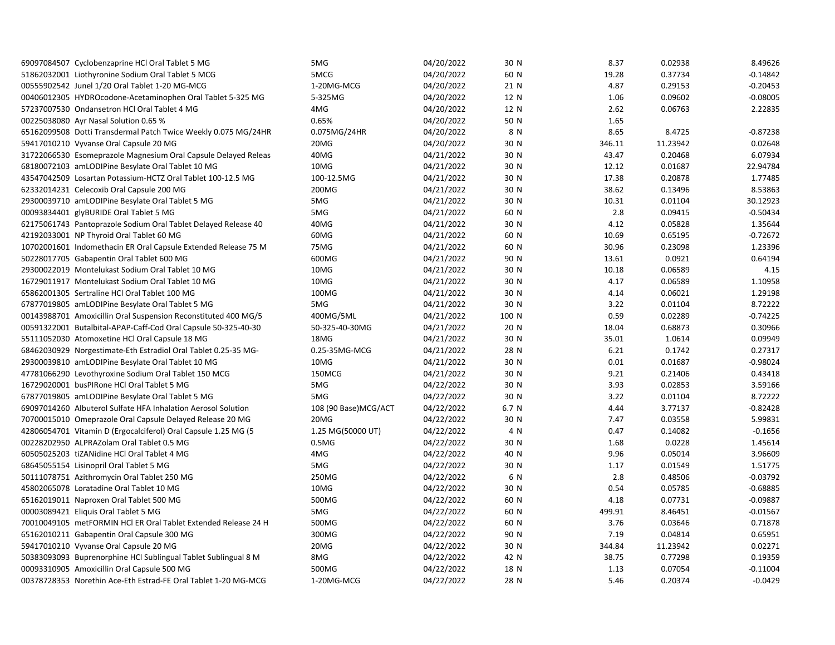| 69097084507 Cyclobenzaprine HCl Oral Tablet 5 MG               | 5MG                  | 04/20/2022 | 30 N  | 8.37   | 0.02938  | 8.49626    |
|----------------------------------------------------------------|----------------------|------------|-------|--------|----------|------------|
| 51862032001 Liothyronine Sodium Oral Tablet 5 MCG              | 5MCG                 | 04/20/2022 | 60 N  | 19.28  | 0.37734  | $-0.14842$ |
| 00555902542 Junel 1/20 Oral Tablet 1-20 MG-MCG                 | 1-20MG-MCG           | 04/20/2022 | 21 N  | 4.87   | 0.29153  | $-0.20453$ |
| 00406012305 HYDROcodone-Acetaminophen Oral Tablet 5-325 MG     | 5-325MG              | 04/20/2022 | 12 N  | 1.06   | 0.09602  | $-0.08005$ |
| 57237007530 Ondansetron HCl Oral Tablet 4 MG                   | 4MG                  | 04/20/2022 | 12 N  | 2.62   | 0.06763  | 2.22835    |
| 00225038080 Ayr Nasal Solution 0.65 %                          | 0.65%                | 04/20/2022 | 50 N  | 1.65   |          |            |
| 65162099508 Dotti Transdermal Patch Twice Weekly 0.075 MG/24HR | 0.075MG/24HR         | 04/20/2022 | 8 N   | 8.65   | 8.4725   | $-0.87238$ |
| 59417010210 Vyvanse Oral Capsule 20 MG                         | 20MG                 | 04/20/2022 | 30 N  | 346.11 | 11.23942 | 0.02648    |
| 31722066530 Esomeprazole Magnesium Oral Capsule Delayed Releas | 40MG                 | 04/21/2022 | 30 N  | 43.47  | 0.20468  | 6.07934    |
| 68180072103 amLODIPine Besylate Oral Tablet 10 MG              | 10MG                 | 04/21/2022 | 30 N  | 12.12  | 0.01687  | 22.94784   |
| 43547042509 Losartan Potassium-HCTZ Oral Tablet 100-12.5 MG    | 100-12.5MG           | 04/21/2022 | 30 N  | 17.38  | 0.20878  | 1.77485    |
| 62332014231 Celecoxib Oral Capsule 200 MG                      | 200MG                | 04/21/2022 | 30 N  | 38.62  | 0.13496  | 8.53863    |
| 29300039710 amLODIPine Besylate Oral Tablet 5 MG               | 5MG                  | 04/21/2022 | 30 N  | 10.31  | 0.01104  | 30.12923   |
| 00093834401 glyBURIDE Oral Tablet 5 MG                         | 5MG                  | 04/21/2022 | 60 N  | 2.8    | 0.09415  | $-0.50434$ |
| 62175061743 Pantoprazole Sodium Oral Tablet Delayed Release 40 | 40MG                 | 04/21/2022 | 30 N  | 4.12   | 0.05828  | 1.35644    |
| 42192033001 NP Thyroid Oral Tablet 60 MG                       | 60MG                 | 04/21/2022 | 60 N  | 10.69  | 0.65195  | $-0.72672$ |
| 10702001601 Indomethacin ER Oral Capsule Extended Release 75 M | 75MG                 | 04/21/2022 | 60 N  | 30.96  | 0.23098  | 1.23396    |
| 50228017705 Gabapentin Oral Tablet 600 MG                      | 600MG                | 04/21/2022 | 90 N  | 13.61  | 0.0921   | 0.64194    |
| 29300022019 Montelukast Sodium Oral Tablet 10 MG               | 10MG                 | 04/21/2022 | 30 N  | 10.18  | 0.06589  | 4.15       |
| 16729011917 Montelukast Sodium Oral Tablet 10 MG               | 10MG                 | 04/21/2022 | 30 N  | 4.17   | 0.06589  | 1.10958    |
| 65862001305 Sertraline HCl Oral Tablet 100 MG                  | 100MG                | 04/21/2022 | 30 N  | 4.14   | 0.06021  | 1.29198    |
| 67877019805 amLODIPine Besylate Oral Tablet 5 MG               | 5MG                  | 04/21/2022 | 30 N  | 3.22   | 0.01104  | 8.72222    |
| 00143988701 Amoxicillin Oral Suspension Reconstituted 400 MG/5 | 400MG/5ML            | 04/21/2022 | 100 N | 0.59   | 0.02289  | $-0.74225$ |
| 00591322001 Butalbital-APAP-Caff-Cod Oral Capsule 50-325-40-30 | 50-325-40-30MG       | 04/21/2022 | 20 N  | 18.04  | 0.68873  | 0.30966    |
| 55111052030 Atomoxetine HCl Oral Capsule 18 MG                 | 18MG                 | 04/21/2022 | 30 N  | 35.01  | 1.0614   | 0.09949    |
| 68462030929 Norgestimate-Eth Estradiol Oral Tablet 0.25-35 MG- | 0.25-35MG-MCG        | 04/21/2022 | 28 N  | 6.21   | 0.1742   | 0.27317    |
| 29300039810 amLODIPine Besylate Oral Tablet 10 MG              | 10MG                 | 04/21/2022 | 30 N  | 0.01   | 0.01687  | $-0.98024$ |
| 47781066290 Levothyroxine Sodium Oral Tablet 150 MCG           | 150MCG               | 04/21/2022 | 30 N  | 9.21   | 0.21406  | 0.43418    |
| 16729020001 busPIRone HCl Oral Tablet 5 MG                     | 5MG                  | 04/22/2022 | 30 N  | 3.93   | 0.02853  | 3.59166    |
| 67877019805 amLODIPine Besylate Oral Tablet 5 MG               | 5MG                  | 04/22/2022 | 30 N  | 3.22   | 0.01104  | 8.72222    |
| 69097014260 Albuterol Sulfate HFA Inhalation Aerosol Solution  | 108 (90 Base)MCG/ACT | 04/22/2022 | 6.7 N | 4.44   | 3.77137  | $-0.82428$ |
| 70700015010 Omeprazole Oral Capsule Delayed Release 20 MG      | 20MG                 | 04/22/2022 | 30 N  | 7.47   | 0.03558  | 5.99831    |
| 42806054701 Vitamin D (Ergocalciferol) Oral Capsule 1.25 MG (5 | 1.25 MG(50000 UT)    | 04/22/2022 | 4 N   | 0.47   | 0.14082  | $-0.1656$  |
| 00228202950 ALPRAZolam Oral Tablet 0.5 MG                      | 0.5M <sub>G</sub>    | 04/22/2022 | 30 N  | 1.68   | 0.0228   | 1.45614    |
| 60505025203 tiZANidine HCl Oral Tablet 4 MG                    | 4MG                  | 04/22/2022 | 40 N  | 9.96   | 0.05014  | 3.96609    |
| 68645055154 Lisinopril Oral Tablet 5 MG                        | 5MG                  | 04/22/2022 | 30 N  | 1.17   | 0.01549  | 1.51775    |
| 50111078751 Azithromycin Oral Tablet 250 MG                    | 250MG                | 04/22/2022 | 6 N   | 2.8    | 0.48506  | $-0.03792$ |
| 45802065078 Loratadine Oral Tablet 10 MG                       | 10MG                 | 04/22/2022 | 30 N  | 0.54   | 0.05785  | $-0.68885$ |
| 65162019011 Naproxen Oral Tablet 500 MG                        | 500MG                | 04/22/2022 | 60 N  | 4.18   | 0.07731  | $-0.09887$ |
| 00003089421 Eliquis Oral Tablet 5 MG                           | 5MG                  | 04/22/2022 | 60 N  | 499.91 | 8.46451  | $-0.01567$ |
| 70010049105 metFORMIN HCl ER Oral Tablet Extended Release 24 H | 500MG                | 04/22/2022 | 60 N  | 3.76   | 0.03646  | 0.71878    |
| 65162010211 Gabapentin Oral Capsule 300 MG                     | 300MG                | 04/22/2022 | 90 N  | 7.19   | 0.04814  | 0.65951    |
| 59417010210 Vyvanse Oral Capsule 20 MG                         | 20MG                 | 04/22/2022 | 30 N  | 344.84 | 11.23942 | 0.02271    |
| 50383093093 Buprenorphine HCl Sublingual Tablet Sublingual 8 M | 8MG                  | 04/22/2022 | 42 N  | 38.75  | 0.77298  | 0.19359    |
| 00093310905 Amoxicillin Oral Capsule 500 MG                    | 500MG                | 04/22/2022 | 18 N  | 1.13   | 0.07054  | $-0.11004$ |
| 00378728353 Norethin Ace-Eth Estrad-FE Oral Tablet 1-20 MG-MCG | 1-20MG-MCG           | 04/22/2022 | 28 N  | 5.46   | 0.20374  | $-0.0429$  |
|                                                                |                      |            |       |        |          |            |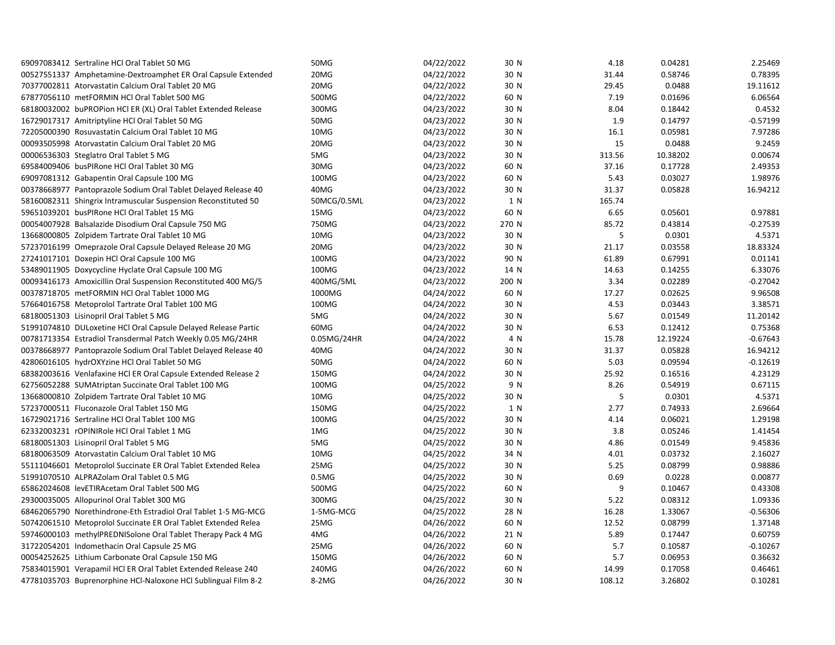| 69097083412 Sertraline HCl Oral Tablet 50 MG                   | 50MG              | 04/22/2022 | 30 N  | 4.18   | 0.04281  | 2.25469    |
|----------------------------------------------------------------|-------------------|------------|-------|--------|----------|------------|
| 00527551337 Amphetamine-Dextroamphet ER Oral Capsule Extended  | 20MG              | 04/22/2022 | 30 N  | 31.44  | 0.58746  | 0.78395    |
| 70377002811 Atorvastatin Calcium Oral Tablet 20 MG             | 20MG              | 04/22/2022 | 30 N  | 29.45  | 0.0488   | 19.11612   |
| 67877056110 metFORMIN HCl Oral Tablet 500 MG                   | 500MG             | 04/22/2022 | 60 N  | 7.19   | 0.01696  | 6.06564    |
| 68180032002 buPROPion HCI ER (XL) Oral Tablet Extended Release | 300MG             | 04/23/2022 | 30 N  | 8.04   | 0.18442  | 0.4532     |
| 16729017317 Amitriptyline HCl Oral Tablet 50 MG                | 50MG              | 04/23/2022 | 30 N  | 1.9    | 0.14797  | $-0.57199$ |
| 72205000390 Rosuvastatin Calcium Oral Tablet 10 MG             | 10MG              | 04/23/2022 | 30 N  | 16.1   | 0.05981  | 7.97286    |
| 00093505998 Atorvastatin Calcium Oral Tablet 20 MG             | 20MG              | 04/23/2022 | 30 N  | 15     | 0.0488   | 9.2459     |
| 00006536303 Steglatro Oral Tablet 5 MG                         | 5MG               | 04/23/2022 | 30 N  | 313.56 | 10.38202 | 0.00674    |
| 69584009406 busPIRone HCl Oral Tablet 30 MG                    | 30MG              | 04/23/2022 | 60 N  | 37.16  | 0.17728  | 2.49353    |
| 69097081312 Gabapentin Oral Capsule 100 MG                     | 100MG             | 04/23/2022 | 60 N  | 5.43   | 0.03027  | 1.98976    |
| 00378668977 Pantoprazole Sodium Oral Tablet Delayed Release 40 | 40MG              | 04/23/2022 | 30 N  | 31.37  | 0.05828  | 16.94212   |
| 58160082311 Shingrix Intramuscular Suspension Reconstituted 50 | 50MCG/0.5ML       | 04/23/2022 | 1 N   | 165.74 |          |            |
| 59651039201 busPIRone HCl Oral Tablet 15 MG                    | 15MG              | 04/23/2022 | 60 N  | 6.65   | 0.05601  | 0.97881    |
| 00054007928 Balsalazide Disodium Oral Capsule 750 MG           | 750MG             | 04/23/2022 | 270 N | 85.72  | 0.43814  | $-0.27539$ |
| 13668000805 Zolpidem Tartrate Oral Tablet 10 MG                | 10MG              | 04/23/2022 | 30 N  | 5      | 0.0301   | 4.5371     |
| 57237016199 Omeprazole Oral Capsule Delayed Release 20 MG      | 20MG              | 04/23/2022 | 30 N  | 21.17  | 0.03558  | 18.83324   |
| 27241017101 Doxepin HCl Oral Capsule 100 MG                    | 100MG             | 04/23/2022 | 90 N  | 61.89  | 0.67991  | 0.01141    |
| 53489011905 Doxycycline Hyclate Oral Capsule 100 MG            | 100MG             | 04/23/2022 | 14 N  | 14.63  | 0.14255  | 6.33076    |
| 00093416173 Amoxicillin Oral Suspension Reconstituted 400 MG/5 | 400MG/5ML         | 04/23/2022 | 200 N | 3.34   | 0.02289  | $-0.27042$ |
| 00378718705 metFORMIN HCl Oral Tablet 1000 MG                  | 1000MG            | 04/24/2022 | 60 N  | 17.27  | 0.02625  | 9.96508    |
| 57664016758 Metoprolol Tartrate Oral Tablet 100 MG             | 100MG             | 04/24/2022 | 30 N  | 4.53   | 0.03443  | 3.38571    |
| 68180051303 Lisinopril Oral Tablet 5 MG                        | 5MG               | 04/24/2022 | 30 N  | 5.67   | 0.01549  | 11.20142   |
| 51991074810 DULoxetine HCl Oral Capsule Delayed Release Partic | 60MG              | 04/24/2022 | 30 N  | 6.53   | 0.12412  | 0.75368    |
| 00781713354 Estradiol Transdermal Patch Weekly 0.05 MG/24HR    | 0.05MG/24HR       | 04/24/2022 | 4 N   | 15.78  | 12.19224 | $-0.67643$ |
| 00378668977 Pantoprazole Sodium Oral Tablet Delayed Release 40 | 40MG              | 04/24/2022 | 30 N  | 31.37  | 0.05828  | 16.94212   |
| 42806016105 hydrOXYzine HCl Oral Tablet 50 MG                  | 50MG              | 04/24/2022 | 60 N  | 5.03   | 0.09594  | $-0.12619$ |
| 68382003616 Venlafaxine HCI ER Oral Capsule Extended Release 2 | 150MG             | 04/24/2022 | 30 N  | 25.92  | 0.16516  | 4.23129    |
| 62756052288 SUMAtriptan Succinate Oral Tablet 100 MG           | 100MG             | 04/25/2022 | 9 N   | 8.26   | 0.54919  | 0.67115    |
| 13668000810 Zolpidem Tartrate Oral Tablet 10 MG                | 10MG              | 04/25/2022 | 30 N  | 5      | 0.0301   | 4.5371     |
| 57237000511 Fluconazole Oral Tablet 150 MG                     | 150MG             | 04/25/2022 | 1 N   | 2.77   | 0.74933  | 2.69664    |
| 16729021716 Sertraline HCl Oral Tablet 100 MG                  | 100MG             | 04/25/2022 | 30 N  | 4.14   | 0.06021  | 1.29198    |
| 62332003231 rOPINIRole HCl Oral Tablet 1 MG                    | 1MG               | 04/25/2022 | 30 N  | 3.8    | 0.05246  | 1.41454    |
| 68180051303 Lisinopril Oral Tablet 5 MG                        | 5MG               | 04/25/2022 | 30 N  | 4.86   | 0.01549  | 9.45836    |
| 68180063509 Atorvastatin Calcium Oral Tablet 10 MG             | 10MG              | 04/25/2022 | 34 N  | 4.01   | 0.03732  | 2.16027    |
| 55111046601 Metoprolol Succinate ER Oral Tablet Extended Relea | 25MG              | 04/25/2022 | 30 N  | 5.25   | 0.08799  | 0.98886    |
| 51991070510 ALPRAZolam Oral Tablet 0.5 MG                      | 0.5M <sub>G</sub> | 04/25/2022 | 30 N  | 0.69   | 0.0228   | 0.00877    |
| 65862024608 levETIRAcetam Oral Tablet 500 MG                   | 500MG             | 04/25/2022 | 60 N  | 9      | 0.10467  | 0.43308    |
| 29300035005 Allopurinol Oral Tablet 300 MG                     | 300MG             | 04/25/2022 | 30 N  | 5.22   | 0.08312  | 1.09336    |
| 68462065790 Norethindrone-Eth Estradiol Oral Tablet 1-5 MG-MCG | 1-5MG-MCG         | 04/25/2022 | 28 N  | 16.28  | 1.33067  | $-0.56306$ |
| 50742061510 Metoprolol Succinate ER Oral Tablet Extended Relea | 25MG              | 04/26/2022 | 60 N  | 12.52  | 0.08799  | 1.37148    |
| 59746000103 methylPREDNISolone Oral Tablet Therapy Pack 4 MG   | 4MG               | 04/26/2022 | 21 N  | 5.89   | 0.17447  | 0.60759    |
| 31722054201 Indomethacin Oral Capsule 25 MG                    | 25MG              | 04/26/2022 | 60 N  | 5.7    | 0.10587  | $-0.10267$ |
| 00054252625 Lithium Carbonate Oral Capsule 150 MG              | 150MG             | 04/26/2022 | 60 N  | 5.7    | 0.06953  | 0.36632    |
| 75834015901 Verapamil HCl ER Oral Tablet Extended Release 240  | 240MG             | 04/26/2022 | 60 N  | 14.99  | 0.17058  | 0.46461    |
| 47781035703 Buprenorphine HCl-Naloxone HCl Sublingual Film 8-2 | 8-2MG             | 04/26/2022 | 30 N  | 108.12 | 3.26802  | 0.10281    |
|                                                                |                   |            |       |        |          |            |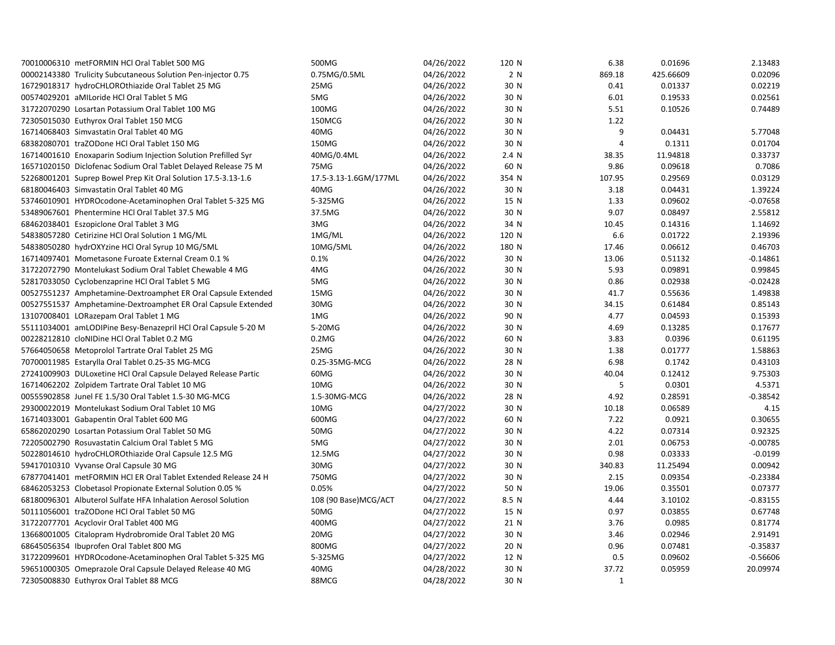| 70010006310 metFORMIN HCl Oral Tablet 500 MG                                                                 | 500MG                        | 04/26/2022 | 120 N | 6.38   | 0.01696   | 2.13483    |
|--------------------------------------------------------------------------------------------------------------|------------------------------|------------|-------|--------|-----------|------------|
| 00002143380 Trulicity Subcutaneous Solution Pen-injector 0.75                                                | 0.75MG/0.5ML                 | 04/26/2022 | 2 N   | 869.18 | 425.66609 | 0.02096    |
| 16729018317 hydroCHLOROthiazide Oral Tablet 25 MG                                                            | 25MG                         | 04/26/2022 | 30 N  | 0.41   | 0.01337   | 0.02219    |
| 00574029201 aMILoride HCl Oral Tablet 5 MG                                                                   | 5MG                          | 04/26/2022 | 30 N  | 6.01   | 0.19533   | 0.02561    |
| 31722070290 Losartan Potassium Oral Tablet 100 MG                                                            | 100MG                        | 04/26/2022 | 30 N  | 5.51   | 0.10526   | 0.74489    |
| 72305015030 Euthyrox Oral Tablet 150 MCG                                                                     | 150MCG                       | 04/26/2022 | 30 N  | 1.22   |           |            |
| 16714068403 Simvastatin Oral Tablet 40 MG                                                                    | 40MG                         | 04/26/2022 | 30 N  | 9      | 0.04431   | 5.77048    |
| 68382080701 traZODone HCl Oral Tablet 150 MG                                                                 | 150MG                        | 04/26/2022 | 30 N  | 4      | 0.1311    | 0.01704    |
| 16714001610 Enoxaparin Sodium Injection Solution Prefilled Syr                                               | 40MG/0.4ML                   | 04/26/2022 | 2.4 N | 38.35  | 11.94818  | 0.33737    |
| 16571020150 Diclofenac Sodium Oral Tablet Delayed Release 75 M                                               | 75MG                         | 04/26/2022 | 60 N  | 9.86   | 0.09618   | 0.7086     |
| 52268001201 Suprep Bowel Prep Kit Oral Solution 17.5-3.13-1.6                                                | 17.5-3.13-1.6GM/177ML        | 04/26/2022 | 354 N | 107.95 | 0.29569   | 0.03129    |
| 68180046403 Simvastatin Oral Tablet 40 MG                                                                    | 40MG                         | 04/26/2022 | 30 N  | 3.18   | 0.04431   | 1.39224    |
| 53746010901 HYDROcodone-Acetaminophen Oral Tablet 5-325 MG                                                   | 5-325MG                      | 04/26/2022 | 15 N  | 1.33   | 0.09602   | $-0.07658$ |
| 53489067601 Phentermine HCl Oral Tablet 37.5 MG                                                              | 37.5MG                       | 04/26/2022 | 30 N  | 9.07   | 0.08497   | 2.55812    |
| 68462038401 Eszopiclone Oral Tablet 3 MG                                                                     | 3MG                          | 04/26/2022 | 34 N  | 10.45  | 0.14316   | 1.14692    |
| 54838057280 Cetirizine HCl Oral Solution 1 MG/ML                                                             | 1MG/ML                       | 04/26/2022 | 120 N | 6.6    | 0.01722   | 2.19396    |
| 54838050280 hydrOXYzine HCl Oral Syrup 10 MG/5ML                                                             | 10MG/5ML                     | 04/26/2022 | 180 N | 17.46  | 0.06612   | 0.46703    |
| 16714097401 Mometasone Furoate External Cream 0.1 %                                                          | 0.1%                         | 04/26/2022 | 30 N  | 13.06  | 0.51132   | $-0.14861$ |
| 31722072790 Montelukast Sodium Oral Tablet Chewable 4 MG                                                     | 4MG                          | 04/26/2022 | 30 N  | 5.93   | 0.09891   | 0.99845    |
| 52817033050 Cyclobenzaprine HCl Oral Tablet 5 MG                                                             | 5MG                          | 04/26/2022 | 30 N  | 0.86   | 0.02938   | $-0.02428$ |
| 00527551237 Amphetamine-Dextroamphet ER Oral Capsule Extended                                                | 15MG                         | 04/26/2022 | 30 N  | 41.7   | 0.55636   | 1.49838    |
| 00527551537 Amphetamine-Dextroamphet ER Oral Capsule Extended                                                | 30MG                         | 04/26/2022 | 30 N  | 34.15  | 0.61484   | 0.85143    |
| 13107008401 LORazepam Oral Tablet 1 MG                                                                       | 1MG                          | 04/26/2022 | 90 N  | 4.77   | 0.04593   | 0.15393    |
| 55111034001 amLODIPine Besy-Benazepril HCl Oral Capsule 5-20 M                                               | 5-20MG                       | 04/26/2022 | 30 N  | 4.69   | 0.13285   | 0.17677    |
| 00228212810 cloNIDine HCl Oral Tablet 0.2 MG                                                                 | $0.2M$ G                     | 04/26/2022 | 60 N  | 3.83   | 0.0396    | 0.61195    |
| 57664050658 Metoprolol Tartrate Oral Tablet 25 MG                                                            | 25MG                         | 04/26/2022 | 30 N  | 1.38   | 0.01777   | 1.58863    |
| 70700011985 Estarylla Oral Tablet 0.25-35 MG-MCG                                                             | 0.25-35MG-MCG                | 04/26/2022 | 28 N  | 6.98   | 0.1742    | 0.43103    |
| 27241009903 DULoxetine HCl Oral Capsule Delayed Release Partic                                               | 60MG                         | 04/26/2022 | 30 N  | 40.04  | 0.12412   | 9.75303    |
| 16714062202 Zolpidem Tartrate Oral Tablet 10 MG                                                              | 10MG                         | 04/26/2022 | 30 N  | 5      | 0.0301    | 4.5371     |
| 00555902858 Junel FE 1.5/30 Oral Tablet 1.5-30 MG-MCG                                                        | 1.5-30MG-MCG                 | 04/26/2022 | 28 N  | 4.92   | 0.28591   | $-0.38542$ |
| 29300022019 Montelukast Sodium Oral Tablet 10 MG                                                             | 10MG                         | 04/27/2022 | 30 N  | 10.18  | 0.06589   | 4.15       |
| 16714033001 Gabapentin Oral Tablet 600 MG                                                                    | 600MG                        | 04/27/2022 | 60 N  | 7.22   | 0.0921    | 0.30655    |
| 65862020290 Losartan Potassium Oral Tablet 50 MG                                                             | 50MG                         | 04/27/2022 | 30 N  | 4.22   | 0.07314   | 0.92325    |
| 72205002790 Rosuvastatin Calcium Oral Tablet 5 MG                                                            | 5MG                          | 04/27/2022 | 30 N  | 2.01   | 0.06753   | $-0.00785$ |
| 50228014610 hydroCHLOROthiazide Oral Capsule 12.5 MG                                                         | 12.5MG                       | 04/27/2022 | 30 N  | 0.98   | 0.03333   | $-0.0199$  |
| 59417010310 Vyvanse Oral Capsule 30 MG                                                                       | 30MG                         | 04/27/2022 | 30 N  | 340.83 | 11.25494  | 0.00942    |
| 67877041401 metFORMIN HCl ER Oral Tablet Extended Release 24 H                                               | 750MG                        | 04/27/2022 | 30 N  | 2.15   | 0.09354   | $-0.23384$ |
| 68462053253 Clobetasol Propionate External Solution 0.05 %                                                   | 0.05%                        | 04/27/2022 | 50 N  | 19.06  | 0.35501   | 0.07377    |
|                                                                                                              |                              | 04/27/2022 |       | 4.44   | 3.10102   | $-0.83155$ |
| 68180096301 Albuterol Sulfate HFA Inhalation Aerosol Solution<br>50111056001 traZODone HCl Oral Tablet 50 MG | 108 (90 Base)MCG/ACT<br>50MG |            | 8.5 N | 0.97   |           | 0.67748    |
|                                                                                                              |                              | 04/27/2022 | 15 N  |        | 0.03855   |            |
| 31722077701 Acyclovir Oral Tablet 400 MG                                                                     | 400MG                        | 04/27/2022 | 21 N  | 3.76   | 0.0985    | 0.81774    |
| 13668001005 Citalopram Hydrobromide Oral Tablet 20 MG                                                        | 20MG                         | 04/27/2022 | 30 N  | 3.46   | 0.02946   | 2.91491    |
| 68645056354 Ibuprofen Oral Tablet 800 MG                                                                     | 800MG                        | 04/27/2022 | 20 N  | 0.96   | 0.07481   | $-0.35837$ |
| 31722099601 HYDROcodone-Acetaminophen Oral Tablet 5-325 MG                                                   | 5-325MG                      | 04/27/2022 | 12 N  | 0.5    | 0.09602   | $-0.56606$ |
| 59651000305 Omeprazole Oral Capsule Delayed Release 40 MG                                                    | 40MG                         | 04/28/2022 | 30 N  | 37.72  | 0.05959   | 20.09974   |
| 72305008830 Euthyrox Oral Tablet 88 MCG                                                                      | 88MCG                        | 04/28/2022 | 30 N  | 1      |           |            |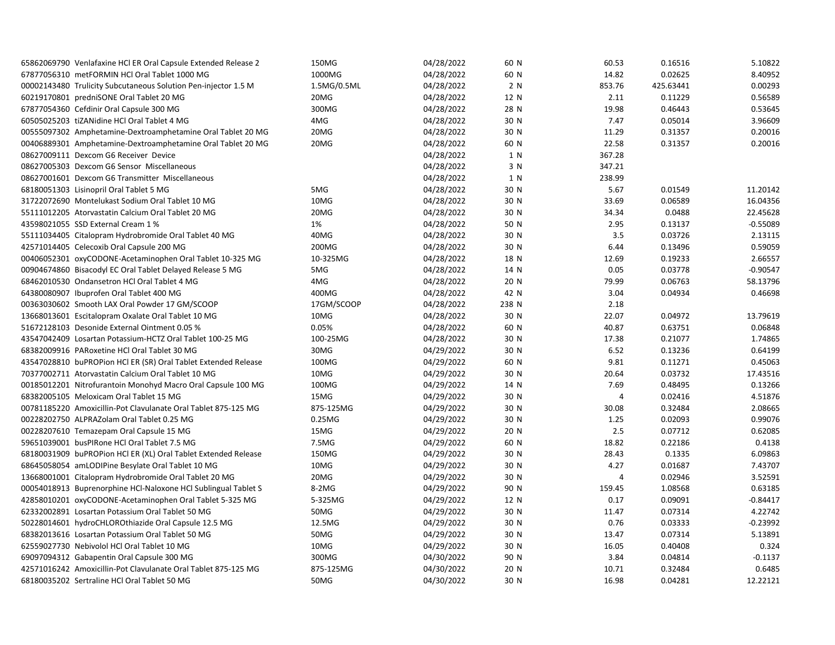| 65862069790 Venlafaxine HCl ER Oral Capsule Extended Release 2 | 150MG       | 04/28/2022 | 60 N  | 60.53          | 0.16516   | 5.10822    |
|----------------------------------------------------------------|-------------|------------|-------|----------------|-----------|------------|
| 67877056310 metFORMIN HCl Oral Tablet 1000 MG                  | 1000MG      | 04/28/2022 | 60 N  | 14.82          | 0.02625   | 8.40952    |
| 00002143480 Trulicity Subcutaneous Solution Pen-injector 1.5 M | 1.5MG/0.5ML | 04/28/2022 | 2 N   | 853.76         | 425.63441 | 0.00293    |
| 60219170801 predniSONE Oral Tablet 20 MG                       | 20MG        | 04/28/2022 | 12 N  | 2.11           | 0.11229   | 0.56589    |
| 67877054360 Cefdinir Oral Capsule 300 MG                       | 300MG       | 04/28/2022 | 28 N  | 19.98          | 0.46443   | 0.53645    |
| 60505025203 tiZANidine HCl Oral Tablet 4 MG                    | 4MG         | 04/28/2022 | 30 N  | 7.47           | 0.05014   | 3.96609    |
| 00555097302 Amphetamine-Dextroamphetamine Oral Tablet 20 MG    | 20MG        | 04/28/2022 | 30 N  | 11.29          | 0.31357   | 0.20016    |
| 00406889301 Amphetamine-Dextroamphetamine Oral Tablet 20 MG    | 20MG        | 04/28/2022 | 60 N  | 22.58          | 0.31357   | 0.20016    |
| 08627009111 Dexcom G6 Receiver Device                          |             | 04/28/2022 | 1 N   | 367.28         |           |            |
| 08627005303 Dexcom G6 Sensor Miscellaneous                     |             | 04/28/2022 | 3 N   | 347.21         |           |            |
| 08627001601 Dexcom G6 Transmitter Miscellaneous                |             | 04/28/2022 | 1 N   | 238.99         |           |            |
| 68180051303 Lisinopril Oral Tablet 5 MG                        | 5MG         | 04/28/2022 | 30 N  | 5.67           | 0.01549   | 11.20142   |
| 31722072690 Montelukast Sodium Oral Tablet 10 MG               | 10MG        | 04/28/2022 | 30 N  | 33.69          | 0.06589   | 16.04356   |
| 55111012205 Atorvastatin Calcium Oral Tablet 20 MG             | 20MG        | 04/28/2022 | 30 N  | 34.34          | 0.0488    | 22.45628   |
| 43598021055 SSD External Cream 1 %                             | 1%          | 04/28/2022 | 50 N  | 2.95           | 0.13137   | $-0.55089$ |
| 55111034405 Citalopram Hydrobromide Oral Tablet 40 MG          | 40MG        | 04/28/2022 | 30 N  | 3.5            | 0.03726   | 2.13115    |
| 42571014405 Celecoxib Oral Capsule 200 MG                      | 200MG       | 04/28/2022 | 30 N  | 6.44           | 0.13496   | 0.59059    |
| 00406052301 oxyCODONE-Acetaminophen Oral Tablet 10-325 MG      | 10-325MG    | 04/28/2022 | 18 N  | 12.69          | 0.19233   | 2.66557    |
| 00904674860 Bisacodyl EC Oral Tablet Delayed Release 5 MG      | 5MG         | 04/28/2022 | 14 N  | 0.05           | 0.03778   | $-0.90547$ |
| 68462010530 Ondansetron HCl Oral Tablet 4 MG                   | 4MG         | 04/28/2022 | 20 N  | 79.99          | 0.06763   | 58.13796   |
| 64380080907 Ibuprofen Oral Tablet 400 MG                       | 400MG       | 04/28/2022 | 42 N  | 3.04           | 0.04934   | 0.46698    |
| 00363030602 Smooth LAX Oral Powder 17 GM/SCOOP                 | 17GM/SCOOP  | 04/28/2022 | 238 N | 2.18           |           |            |
| 13668013601 Escitalopram Oxalate Oral Tablet 10 MG             | 10MG        | 04/28/2022 | 30 N  | 22.07          | 0.04972   | 13.79619   |
| 51672128103 Desonide External Ointment 0.05 %                  | 0.05%       | 04/28/2022 | 60 N  | 40.87          | 0.63751   | 0.06848    |
| 43547042409 Losartan Potassium-HCTZ Oral Tablet 100-25 MG      | 100-25MG    | 04/28/2022 | 30 N  | 17.38          | 0.21077   | 1.74865    |
| 68382009916 PARoxetine HCl Oral Tablet 30 MG                   | 30MG        | 04/29/2022 | 30 N  | 6.52           | 0.13236   | 0.64199    |
| 43547028810 buPROPion HCl ER (SR) Oral Tablet Extended Release | 100MG       | 04/29/2022 | 60 N  | 9.81           | 0.11271   | 0.45063    |
| 70377002711 Atorvastatin Calcium Oral Tablet 10 MG             | 10MG        | 04/29/2022 | 30 N  | 20.64          | 0.03732   | 17.43516   |
| 00185012201 Nitrofurantoin Monohyd Macro Oral Capsule 100 MG   | 100MG       | 04/29/2022 | 14 N  | 7.69           | 0.48495   | 0.13266    |
| 68382005105 Meloxicam Oral Tablet 15 MG                        | 15MG        | 04/29/2022 | 30 N  | 4              | 0.02416   | 4.51876    |
| 00781185220 Amoxicillin-Pot Clavulanate Oral Tablet 875-125 MG | 875-125MG   | 04/29/2022 | 30 N  | 30.08          | 0.32484   | 2.08665    |
| 00228202750 ALPRAZolam Oral Tablet 0.25 MG                     | 0.25MG      | 04/29/2022 | 30 N  | 1.25           | 0.02093   | 0.99076    |
| 00228207610 Temazepam Oral Capsule 15 MG                       | 15MG        | 04/29/2022 | 20 N  | 2.5            | 0.07712   | 0.62085    |
| 59651039001 busPIRone HCl Oral Tablet 7.5 MG                   | 7.5MG       | 04/29/2022 | 60 N  | 18.82          | 0.22186   | 0.4138     |
| 68180031909 buPROPion HCl ER (XL) Oral Tablet Extended Release | 150MG       | 04/29/2022 | 30 N  | 28.43          | 0.1335    | 6.09863    |
| 68645058054 amLODIPine Besylate Oral Tablet 10 MG              | 10MG        | 04/29/2022 | 30 N  | 4.27           | 0.01687   | 7.43707    |
| 13668001001 Citalopram Hydrobromide Oral Tablet 20 MG          | 20MG        | 04/29/2022 | 30 N  | $\overline{4}$ | 0.02946   | 3.52591    |
| 00054018913 Buprenorphine HCI-Naloxone HCI Sublingual Tablet S | 8-2MG       | 04/29/2022 | 90 N  | 159.45         | 1.08568   | 0.63185    |
| 42858010201 oxyCODONE-Acetaminophen Oral Tablet 5-325 MG       | 5-325MG     | 04/29/2022 | 12 N  | 0.17           | 0.09091   | $-0.84417$ |
| 62332002891 Losartan Potassium Oral Tablet 50 MG               | 50MG        | 04/29/2022 | 30 N  | 11.47          | 0.07314   | 4.22742    |
| 50228014601 hydroCHLOROthiazide Oral Capsule 12.5 MG           | 12.5MG      | 04/29/2022 | 30 N  | 0.76           | 0.03333   | $-0.23992$ |
| 68382013616 Losartan Potassium Oral Tablet 50 MG               | 50MG        | 04/29/2022 | 30 N  | 13.47          | 0.07314   | 5.13891    |
| 62559027730 Nebivolol HCl Oral Tablet 10 MG                    | 10MG        | 04/29/2022 | 30 N  | 16.05          | 0.40408   | 0.324      |
| 69097094312 Gabapentin Oral Capsule 300 MG                     | 300MG       | 04/30/2022 | 90 N  | 3.84           | 0.04814   | $-0.1137$  |
| 42571016242 Amoxicillin-Pot Clavulanate Oral Tablet 875-125 MG | 875-125MG   | 04/30/2022 | 20 N  | 10.71          | 0.32484   | 0.6485     |
| 68180035202 Sertraline HCl Oral Tablet 50 MG                   | 50MG        | 04/30/2022 | 30 N  | 16.98          | 0.04281   | 12.22121   |
|                                                                |             |            |       |                |           |            |